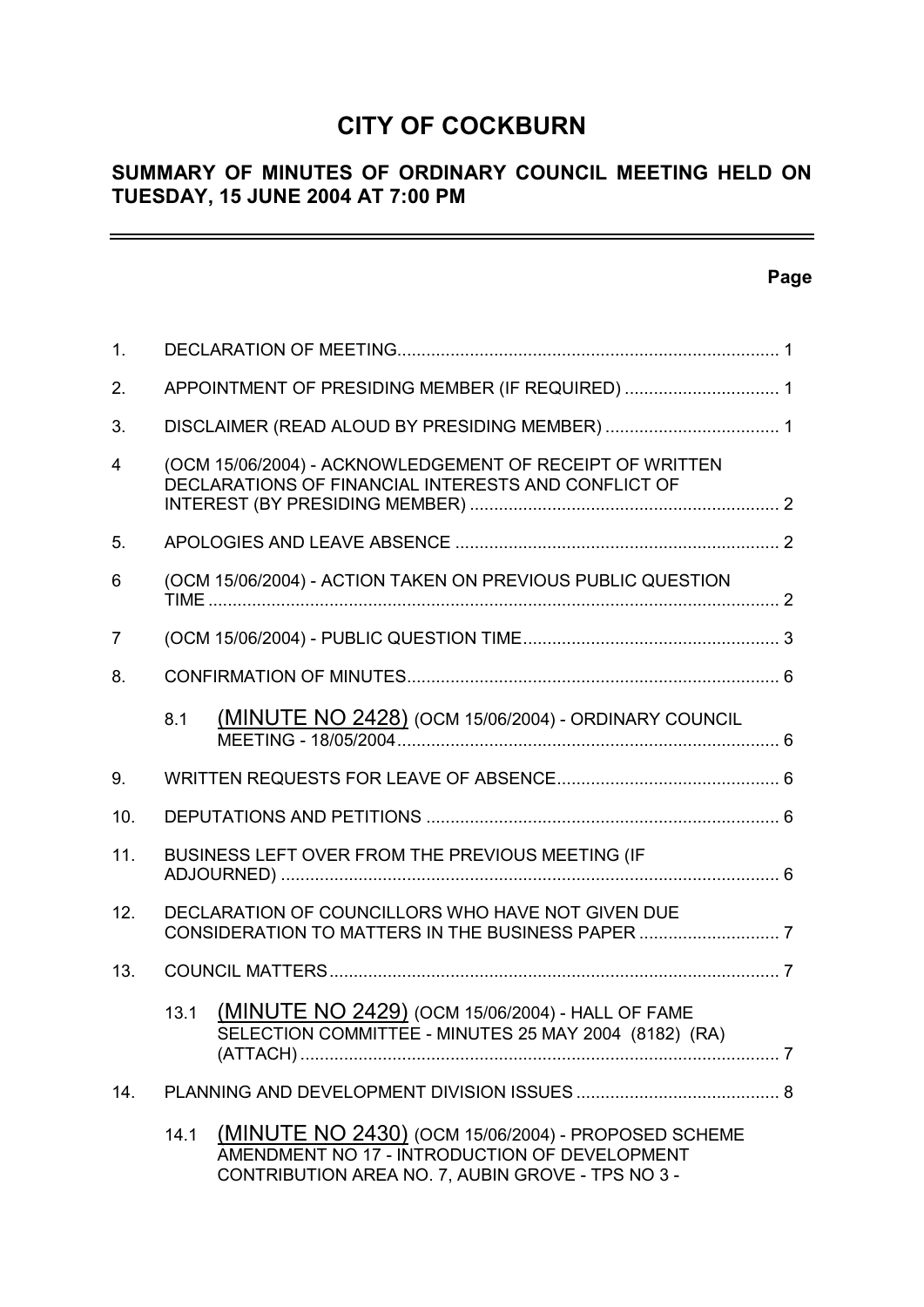# **CITY OF COCKBURN**

# **SUMMARY OF MINUTES OF ORDINARY COUNCIL MEETING HELD ON TUESDAY, 15 JUNE 2004 AT 7:00 PM**

# **Page**

 $\equiv$ 

| 1.             |      |                                                                                                                                                           |  |
|----------------|------|-----------------------------------------------------------------------------------------------------------------------------------------------------------|--|
| 2.             |      | APPOINTMENT OF PRESIDING MEMBER (IF REQUIRED)  1                                                                                                          |  |
| 3.             |      |                                                                                                                                                           |  |
| $\overline{4}$ |      | (OCM 15/06/2004) - ACKNOWLEDGEMENT OF RECEIPT OF WRITTEN<br>DECLARATIONS OF FINANCIAL INTERESTS AND CONFLICT OF                                           |  |
| 5.             |      |                                                                                                                                                           |  |
| 6              |      | (OCM 15/06/2004) - ACTION TAKEN ON PREVIOUS PUBLIC QUESTION                                                                                               |  |
| 7              |      |                                                                                                                                                           |  |
| 8.             |      |                                                                                                                                                           |  |
|                | 8.1  | <b>(MINUTE NO 2428)</b> (OCM 15/06/2004) - ORDINARY COUNCIL                                                                                               |  |
| 9.             |      |                                                                                                                                                           |  |
| 10.            |      |                                                                                                                                                           |  |
| 11.            |      | BUSINESS LEFT OVER FROM THE PREVIOUS MEETING (IF                                                                                                          |  |
| 12.            |      | DECLARATION OF COUNCILLORS WHO HAVE NOT GIVEN DUE                                                                                                         |  |
| 13.            |      |                                                                                                                                                           |  |
|                | 13.1 | (MINUTE NO 2429) (OCM 15/06/2004) - HALL OF FAME<br>SELECTION COMMITTEE - MINUTES 25 MAY 2004 (8182) (RA)                                                 |  |
| 14.            |      |                                                                                                                                                           |  |
|                | 14.1 | (MINUTE NO 2430) (OCM 15/06/2004) - PROPOSED SCHEME<br>AMENDMENT NO 17 - INTRODUCTION OF DEVELOPMENT<br>CONTRIBUTION AREA NO. 7, AUBIN GROVE - TPS NO 3 - |  |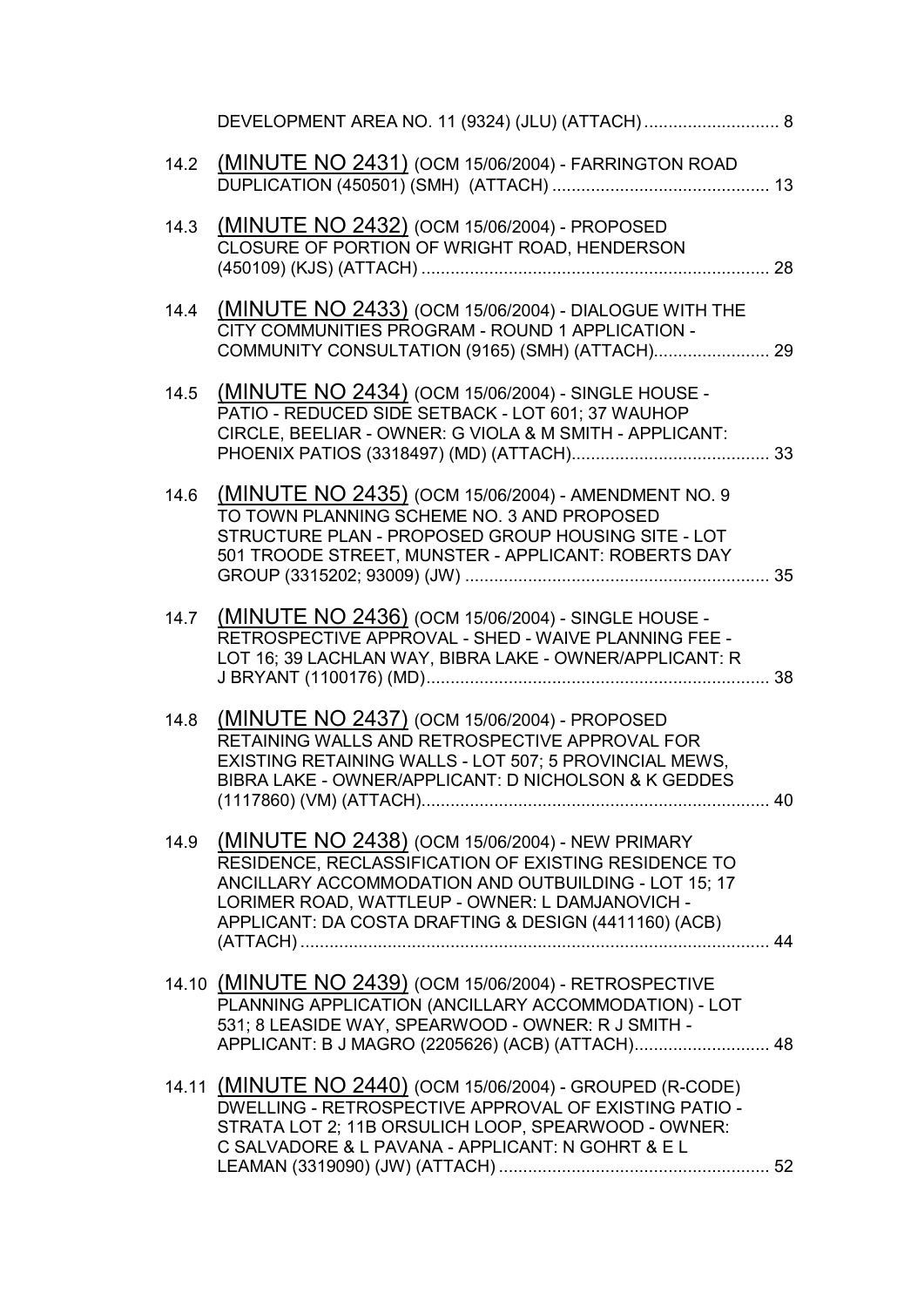|      | DEVELOPMENT AREA NO. 11 (9324) (JLU) (ATTACH)  8                                                                                                                                                                                                                                  |    |
|------|-----------------------------------------------------------------------------------------------------------------------------------------------------------------------------------------------------------------------------------------------------------------------------------|----|
| 14.2 | (MINUTE NO 2431) (OCM 15/06/2004) - FARRINGTON ROAD                                                                                                                                                                                                                               |    |
| 14.3 | (MINUTE NO 2432) (OCM 15/06/2004) - PROPOSED<br>CLOSURE OF PORTION OF WRIGHT ROAD, HENDERSON                                                                                                                                                                                      |    |
| 14.4 | <b>(MINUTE NO 2433)</b> (OCM 15/06/2004) - DIALOGUE WITH THE<br>CITY COMMUNITIES PROGRAM - ROUND 1 APPLICATION -<br>COMMUNITY CONSULTATION (9165) (SMH) (ATTACH) 29                                                                                                               |    |
| 14.5 | (MINUTE NO 2434) (OCM 15/06/2004) - SINGLE HOUSE -<br>PATIO - REDUCED SIDE SETBACK - LOT 601; 37 WAUHOP<br>CIRCLE, BEELIAR - OWNER: G VIOLA & M SMITH - APPLICANT:                                                                                                                |    |
| 14.6 | (MINUTE NO 2435) (OCM 15/06/2004) - AMENDMENT NO. 9<br>TO TOWN PLANNING SCHEME NO. 3 AND PROPOSED<br>STRUCTURE PLAN - PROPOSED GROUP HOUSING SITE - LOT<br>501 TROODE STREET, MUNSTER - APPLICANT: ROBERTS DAY                                                                    |    |
|      | 14.7 (MINUTE NO 2436) (OCM 15/06/2004) - SINGLE HOUSE -<br>RETROSPECTIVE APPROVAL - SHED - WAIVE PLANNING FEE -<br>LOT 16; 39 LACHLAN WAY, BIBRA LAKE - OWNER/APPLICANT: R                                                                                                        |    |
| 14.8 | (MINUTE NO 2437) (OCM 15/06/2004) - PROPOSED<br>RETAINING WALLS AND RETROSPECTIVE APPROVAL FOR<br>EXISTING RETAINING WALLS - LOT 507; 5 PROVINCIAL MEWS,<br>BIBRA LAKE - OWNER/APPLICANT: D NICHOLSON & K GEDDES                                                                  | 40 |
| 14.9 | (MINUTE NO 2438) (OCM 15/06/2004) - NEW PRIMARY<br>RESIDENCE, RECLASSIFICATION OF EXISTING RESIDENCE TO<br>ANCILLARY ACCOMMODATION AND OUTBUILDING - LOT 15; 17<br>LORIMER ROAD, WATTLEUP - OWNER: L DAMJANOVICH -<br>APPLICANT: DA COSTA DRAFTING & DESIGN (4411160) (ACB)<br>44 |    |
|      | 14.10 (MINUTE NO 2439) (OCM 15/06/2004) - RETROSPECTIVE<br>PLANNING APPLICATION (ANCILLARY ACCOMMODATION) - LOT<br>531; 8 LEASIDE WAY, SPEARWOOD - OWNER: R J SMITH -<br>APPLICANT: B J MAGRO (2205626) (ACB) (ATTACH) 48                                                         |    |
|      | 14.11 (MINUTE NO 2440) (OCM 15/06/2004) - GROUPED (R-CODE)<br>DWELLING - RETROSPECTIVE APPROVAL OF EXISTING PATIO -<br>STRATA LOT 2; 11B ORSULICH LOOP, SPEARWOOD - OWNER:<br>C SALVADORE & L PAVANA - APPLICANT: N GOHRT & EL                                                    |    |
|      |                                                                                                                                                                                                                                                                                   |    |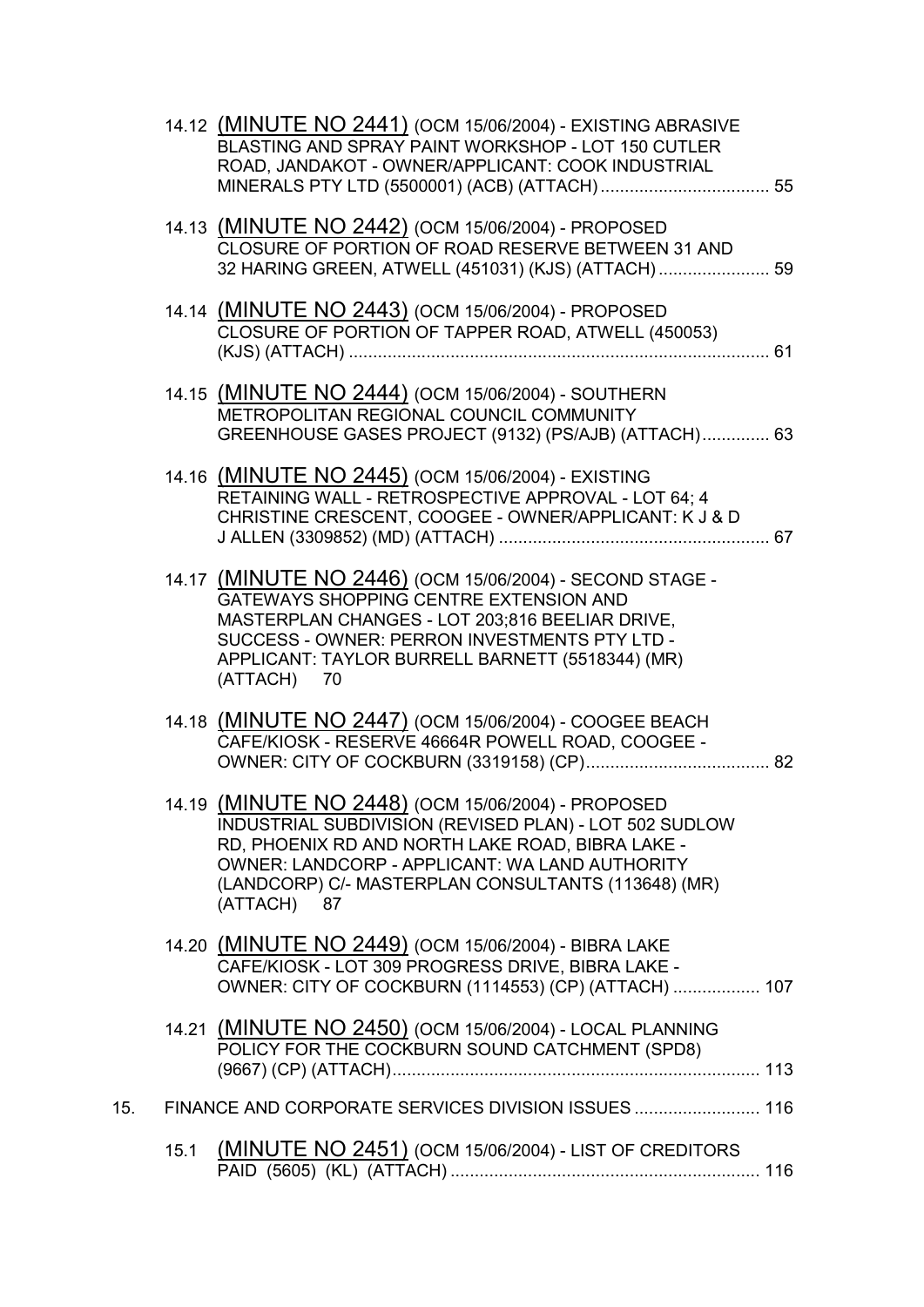|     |      | 14.12 (MINUTE NO 2441) (OCM 15/06/2004) - EXISTING ABRASIVE<br>BLASTING AND SPRAY PAINT WORKSHOP - LOT 150 CUTLER<br>ROAD, JANDAKOT - OWNER/APPLICANT: COOK INDUSTRIAL                                                                                                                   |  |
|-----|------|------------------------------------------------------------------------------------------------------------------------------------------------------------------------------------------------------------------------------------------------------------------------------------------|--|
|     |      | 14.13 (MINUTE NO 2442) (OCM 15/06/2004) - PROPOSED<br>CLOSURE OF PORTION OF ROAD RESERVE BETWEEN 31 AND<br>32 HARING GREEN, ATWELL (451031) (KJS) (ATTACH)  59                                                                                                                           |  |
|     |      | 14.14 (MINUTE NO 2443) (OCM 15/06/2004) - PROPOSED<br>CLOSURE OF PORTION OF TAPPER ROAD, ATWELL (450053)                                                                                                                                                                                 |  |
|     |      | 14.15 (MINUTE NO 2444) (OCM 15/06/2004) - SOUTHERN<br>METROPOLITAN REGIONAL COUNCIL COMMUNITY<br>GREENHOUSE GASES PROJECT (9132) (PS/AJB) (ATTACH) 63                                                                                                                                    |  |
|     |      | 14.16 (MINUTE NO 2445) (OCM 15/06/2004) - EXISTING<br>RETAINING WALL - RETROSPECTIVE APPROVAL - LOT 64; 4<br>CHRISTINE CRESCENT, COOGEE - OWNER/APPLICANT: K J & D                                                                                                                       |  |
|     |      | 14.17 (MINUTE NO 2446) (OCM 15/06/2004) - SECOND STAGE -<br>GATEWAYS SHOPPING CENTRE EXTENSION AND<br>MASTERPLAN CHANGES - LOT 203;816 BEELIAR DRIVE,<br>SUCCESS - OWNER: PERRON INVESTMENTS PTY LTD -<br>APPLICANT: TAYLOR BURRELL BARNETT (5518344) (MR)<br>(ATTACH) 70                |  |
|     |      | 14.18 (MINUTE NO 2447) (OCM 15/06/2004) - COOGEE BEACH<br>CAFE/KIOSK - RESERVE 46664R POWELL ROAD, COOGEE -                                                                                                                                                                              |  |
|     |      | 14.19 (MINUTE NO 2448) (OCM 15/06/2004) - PROPOSED<br>INDUSTRIAL SUBDIVISION (REVISED PLAN) - LOT 502 SUDLOW<br>RD, PHOENIX RD AND NORTH LAKE ROAD, BIBRA LAKE -<br>OWNER: LANDCORP - APPLICANT: WA LAND AUTHORITY<br>(LANDCORP) C/- MASTERPLAN CONSULTANTS (113648) (MR)<br>(ATTACH) 87 |  |
|     |      | 14.20 (MINUTE NO 2449) (OCM 15/06/2004) - BIBRA LAKE<br>CAFE/KIOSK - LOT 309 PROGRESS DRIVE, BIBRA LAKE -<br>OWNER: CITY OF COCKBURN (1114553) (CP) (ATTACH)  107                                                                                                                        |  |
|     |      | 14.21 (MINUTE NO 2450) (OCM 15/06/2004) - LOCAL PLANNING<br>POLICY FOR THE COCKBURN SOUND CATCHMENT (SPD8)                                                                                                                                                                               |  |
| 15. |      | FINANCE AND CORPORATE SERVICES DIVISION ISSUES 116                                                                                                                                                                                                                                       |  |
|     | 15.1 | (MINUTE NO 2451) (OCM 15/06/2004) - LIST OF CREDITORS                                                                                                                                                                                                                                    |  |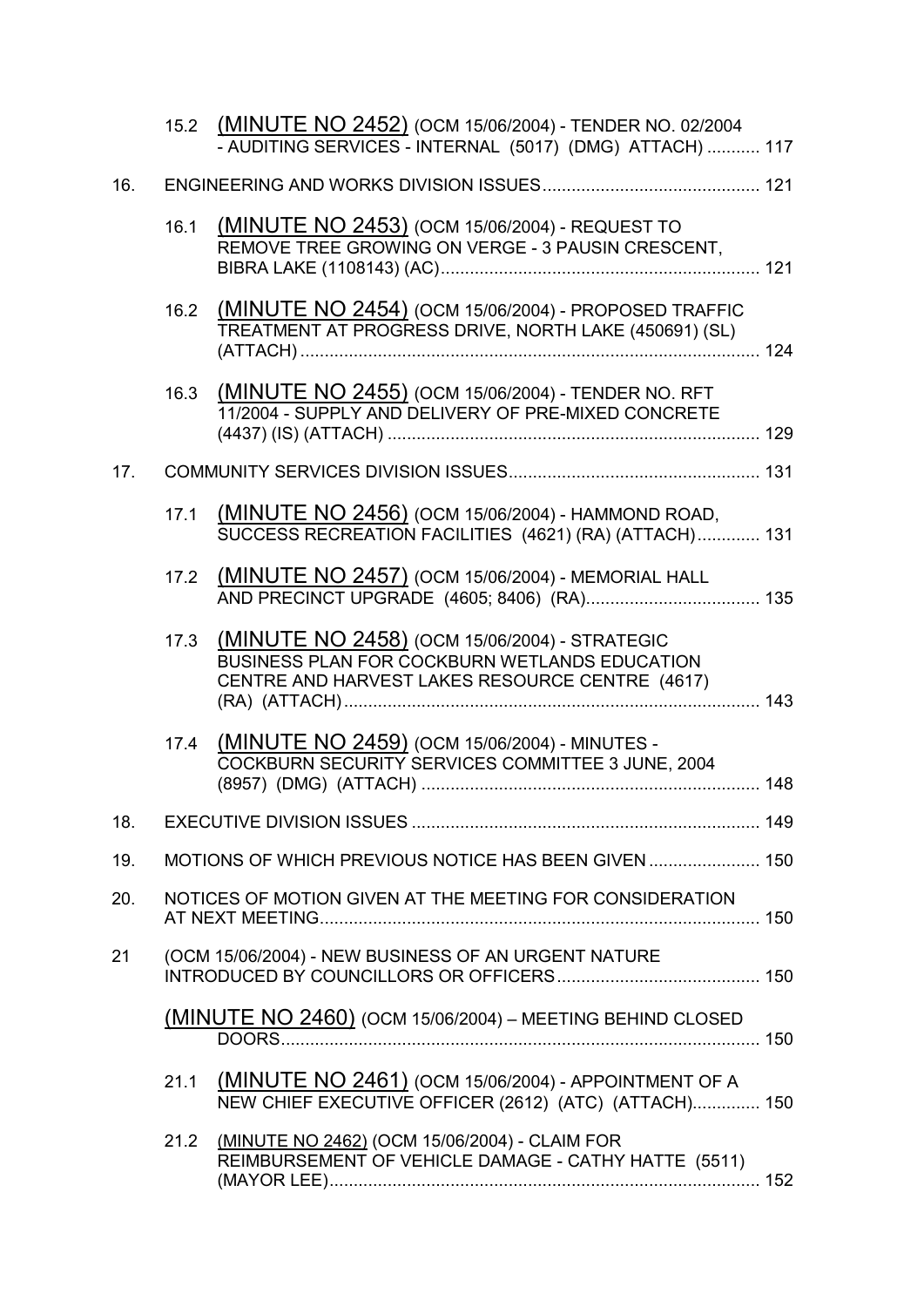|     |      | 15.2 (MINUTE NO 2452) (OCM 15/06/2004) - TENDER NO. 02/2004<br>- AUDITING SERVICES - INTERNAL (5017) (DMG) ATTACH)  117                           |  |
|-----|------|---------------------------------------------------------------------------------------------------------------------------------------------------|--|
| 16. |      |                                                                                                                                                   |  |
|     | 16.1 | (MINUTE NO 2453) (OCM 15/06/2004) - REQUEST TO<br>REMOVE TREE GROWING ON VERGE - 3 PAUSIN CRESCENT,                                               |  |
|     | 16.2 | (MINUTE NO 2454) (OCM 15/06/2004) - PROPOSED TRAFFIC<br>TREATMENT AT PROGRESS DRIVE, NORTH LAKE (450691) (SL)                                     |  |
|     | 16.3 | (MINUTE NO 2455) (OCM 15/06/2004) - TENDER NO. RFT<br>11/2004 - SUPPLY AND DELIVERY OF PRE-MIXED CONCRETE                                         |  |
| 17. |      |                                                                                                                                                   |  |
|     | 17.1 | (MINUTE NO 2456) (OCM 15/06/2004) - HAMMOND ROAD,<br>SUCCESS RECREATION FACILITIES (4621) (RA) (ATTACH) 131                                       |  |
|     |      | 17.2 (MINUTE NO 2457) (OCM 15/06/2004) - MEMORIAL HALL                                                                                            |  |
|     | 17.3 | (MINUTE NO 2458) (OCM 15/06/2004) - STRATEGIC<br>BUSINESS PLAN FOR COCKBURN WETLANDS EDUCATION<br>CENTRE AND HARVEST LAKES RESOURCE CENTRE (4617) |  |
|     | 17.4 | (MINUTE NO 2459) (OCM 15/06/2004) - MINUTES -<br>COCKBURN SECURITY SERVICES COMMITTEE 3 JUNE, 2004                                                |  |
| 18. |      |                                                                                                                                                   |  |
| 19. |      | MOTIONS OF WHICH PREVIOUS NOTICE HAS BEEN GIVEN  150                                                                                              |  |
| 20. |      | NOTICES OF MOTION GIVEN AT THE MEETING FOR CONSIDERATION                                                                                          |  |
| 21  |      | (OCM 15/06/2004) - NEW BUSINESS OF AN URGENT NATURE                                                                                               |  |
|     |      | (MINUTE NO 2460) (OCM 15/06/2004) - MEETING BEHIND CLOSED                                                                                         |  |
|     | 21.1 | (MINUTE NO 2461) (OCM 15/06/2004) - APPOINTMENT OF A<br>NEW CHIEF EXECUTIVE OFFICER (2612) (ATC) (ATTACH) 150                                     |  |
|     | 21.2 | (MINUTE NO 2462) (OCM 15/06/2004) - CLAIM FOR<br>REIMBURSEMENT OF VEHICLE DAMAGE - CATHY HATTE (5511)                                             |  |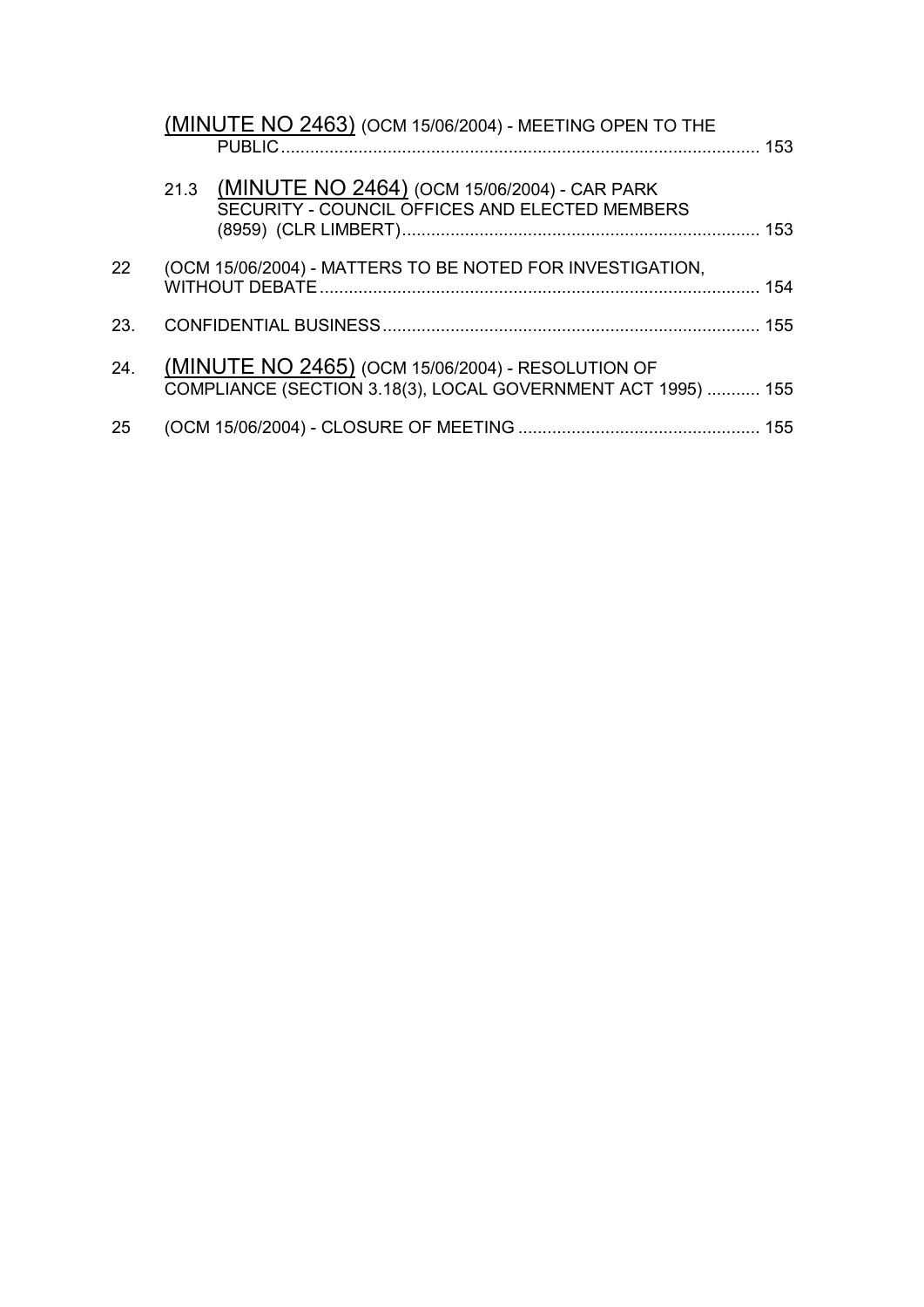|                 | (MINUTE NO 2463) (OCM 15/06/2004) - MEETING OPEN TO THE<br><b>PUBLIC</b>                                          |  |
|-----------------|-------------------------------------------------------------------------------------------------------------------|--|
|                 | 21.3 (MINUTE NO 2464) (OCM 15/06/2004) - CAR PARK<br>SECURITY - COUNCIL OFFICES AND ELECTED MEMBERS               |  |
| 22 <sub>2</sub> | (OCM 15/06/2004) - MATTERS TO BE NOTED FOR INVESTIGATION,                                                         |  |
| 23.             |                                                                                                                   |  |
| 24.             | (MINUTE NO 2465) (OCM 15/06/2004) - RESOLUTION OF<br>COMPLIANCE (SECTION 3.18(3), LOCAL GOVERNMENT ACT 1995)  155 |  |
| 25              |                                                                                                                   |  |
|                 |                                                                                                                   |  |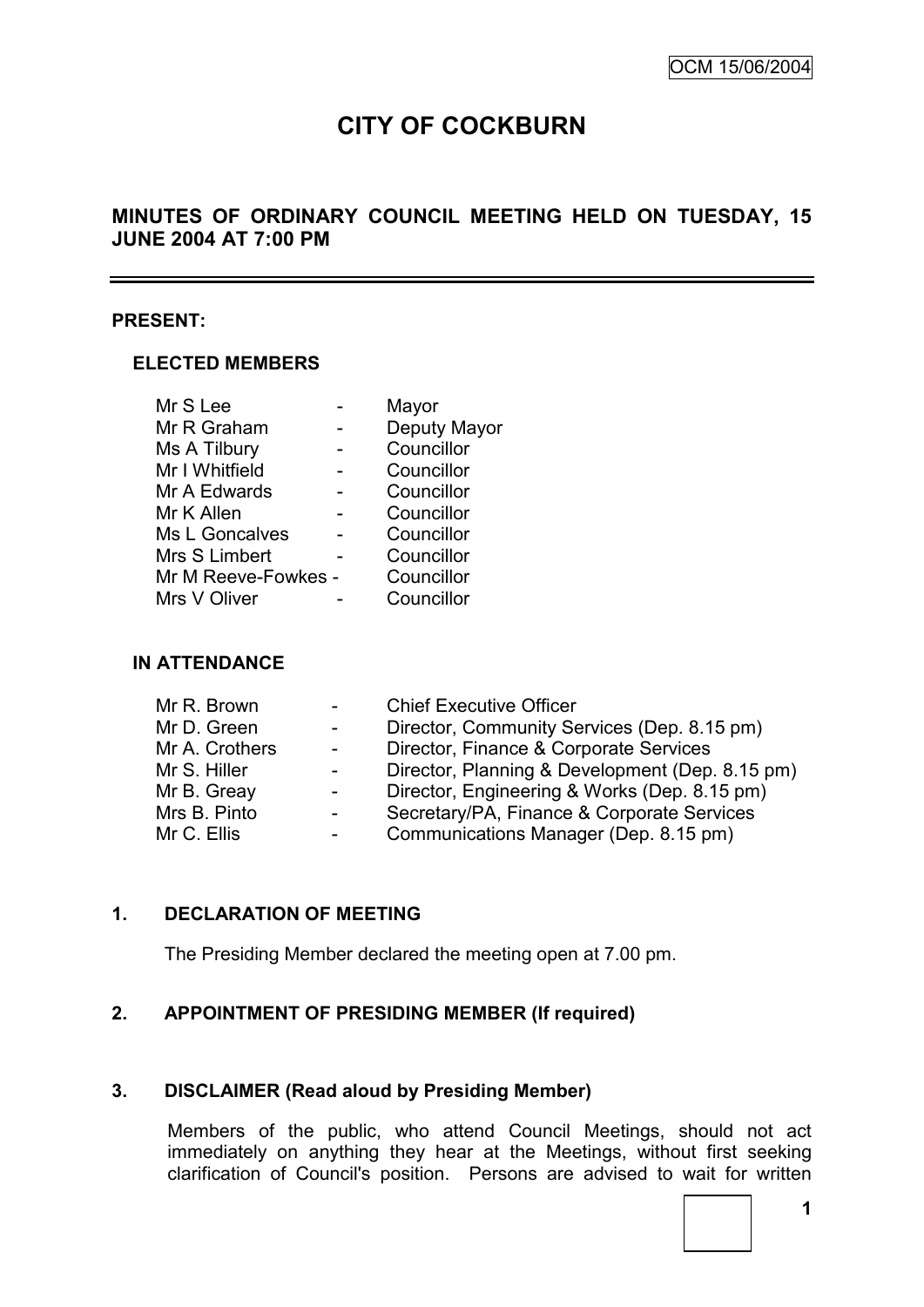# **CITY OF COCKBURN**

# **MINUTES OF ORDINARY COUNCIL MEETING HELD ON TUESDAY, 15 JUNE 2004 AT 7:00 PM**

#### **PRESENT:**

#### **ELECTED MEMBERS**

| Mr S Lee            | Mayor        |
|---------------------|--------------|
| Mr R Graham         | Deputy Mayor |
| Ms A Tilbury        | Councillor   |
| Mr I Whitfield      | Councillor   |
| Mr A Edwards        | Councillor   |
| Mr K Allen          | Councillor   |
| Ms L Goncalves      | Councillor   |
| Mrs S Limbert       | Councillor   |
| Mr M Reeve-Fowkes - | Councillor   |
| Mrs V Oliver        | Councillor   |

### **IN ATTENDANCE**

| Mr R. Brown    | $\sim 100$      | <b>Chief Executive Officer</b>                  |
|----------------|-----------------|-------------------------------------------------|
| Mr D. Green    | $\sim 100$      | Director, Community Services (Dep. 8.15 pm)     |
| Mr A. Crothers | $\sim 100$      | Director, Finance & Corporate Services          |
| Mr S. Hiller   | $\blacksquare$  | Director, Planning & Development (Dep. 8.15 pm) |
| Mr B. Greay    | $\sim$ 10 $\pm$ | Director, Engineering & Works (Dep. 8.15 pm)    |
| Mrs B. Pinto   | $\sim$ $-$      | Secretary/PA, Finance & Corporate Services      |
| Mr C. Ellis    |                 | Communications Manager (Dep. 8.15 pm)           |
|                |                 |                                                 |

# **1. DECLARATION OF MEETING**

The Presiding Member declared the meeting open at 7.00 pm.

### **2. APPOINTMENT OF PRESIDING MEMBER (If required)**

#### **3. DISCLAIMER (Read aloud by Presiding Member)**

Members of the public, who attend Council Meetings, should not act immediately on anything they hear at the Meetings, without first seeking clarification of Council's position. Persons are advised to wait for written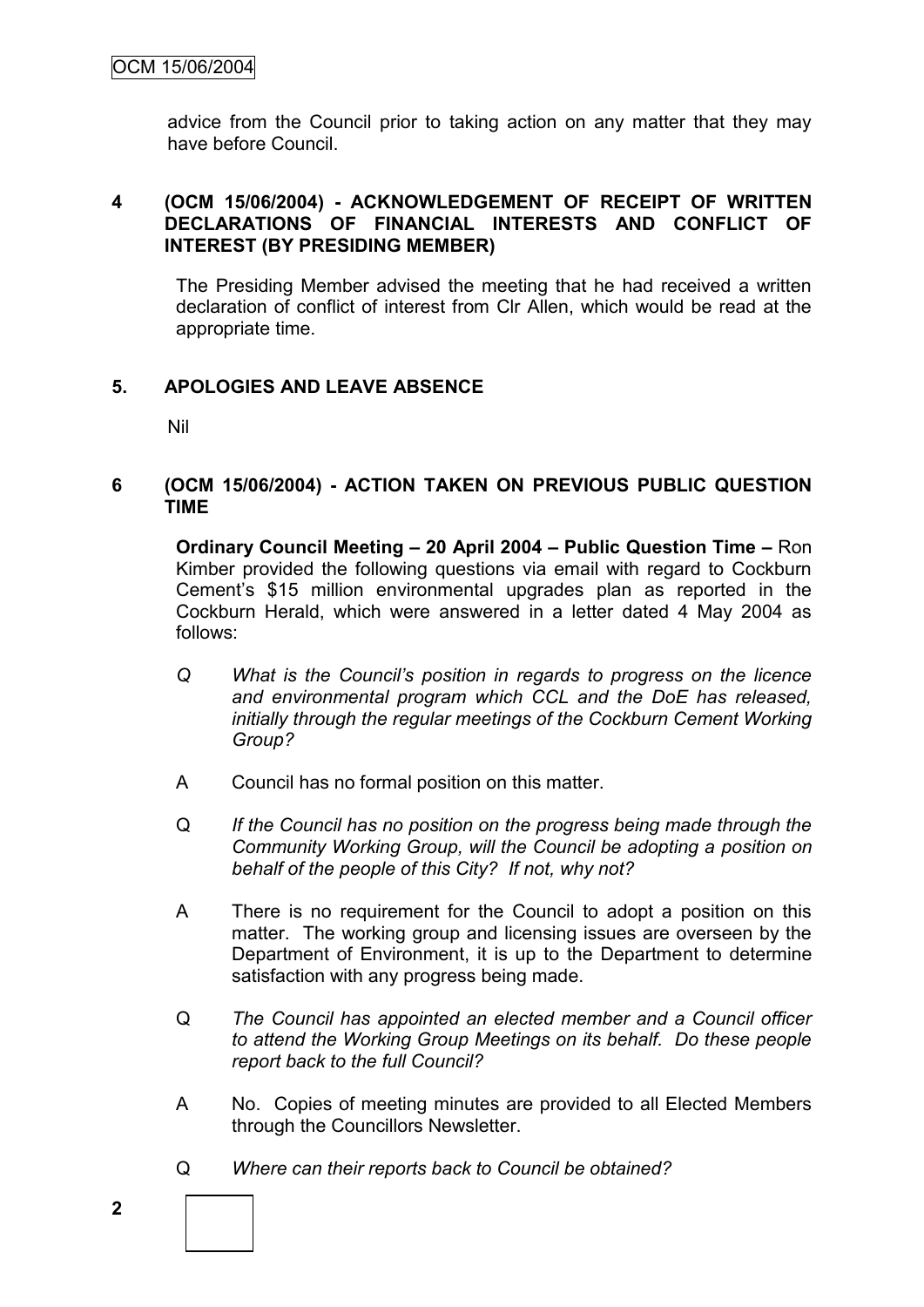advice from the Council prior to taking action on any matter that they may have before Council.

### **4 (OCM 15/06/2004) - ACKNOWLEDGEMENT OF RECEIPT OF WRITTEN DECLARATIONS OF FINANCIAL INTERESTS AND CONFLICT OF INTEREST (BY PRESIDING MEMBER)**

The Presiding Member advised the meeting that he had received a written declaration of conflict of interest from Clr Allen, which would be read at the appropriate time.

### **5. APOLOGIES AND LEAVE ABSENCE**

Nil

#### **6 (OCM 15/06/2004) - ACTION TAKEN ON PREVIOUS PUBLIC QUESTION TIME**

**Ordinary Council Meeting – 20 April 2004 – Public Question Time –** Ron Kimber provided the following questions via email with regard to Cockburn Cement"s \$15 million environmental upgrades plan as reported in the Cockburn Herald, which were answered in a letter dated 4 May 2004 as follows:

- *Q What is the Council"s position in regards to progress on the licence and environmental program which CCL and the DoE has released, initially through the regular meetings of the Cockburn Cement Working Group?*
- A Council has no formal position on this matter.
- Q *If the Council has no position on the progress being made through the Community Working Group, will the Council be adopting a position on behalf of the people of this City? If not, why not?*
- A There is no requirement for the Council to adopt a position on this matter. The working group and licensing issues are overseen by the Department of Environment, it is up to the Department to determine satisfaction with any progress being made.
- Q *The Council has appointed an elected member and a Council officer to attend the Working Group Meetings on its behalf. Do these people report back to the full Council?*
- A No. Copies of meeting minutes are provided to all Elected Members through the Councillors Newsletter.
- Q *Where can their reports back to Council be obtained?*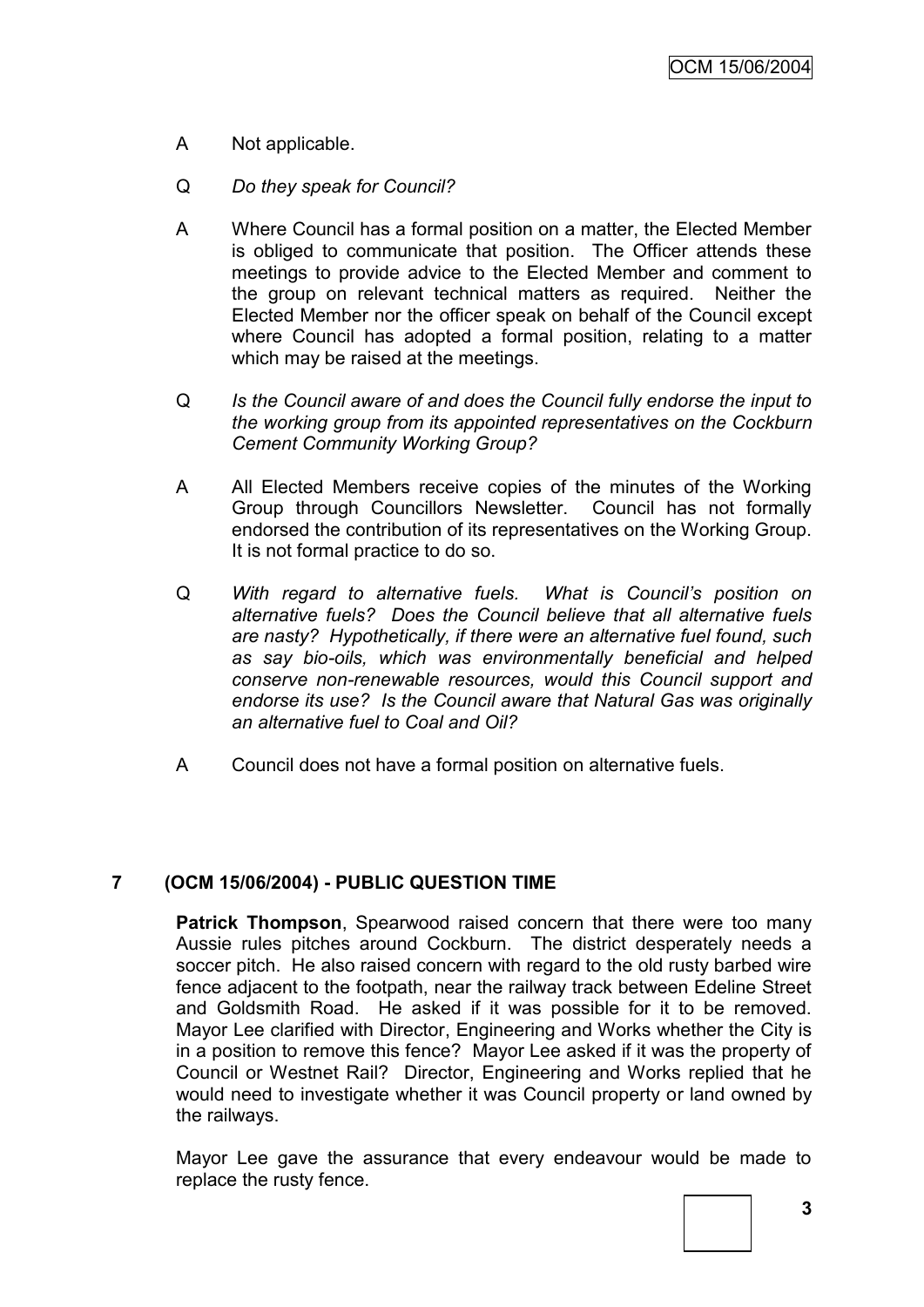- A Not applicable.
- Q *Do they speak for Council?*
- A Where Council has a formal position on a matter, the Elected Member is obliged to communicate that position. The Officer attends these meetings to provide advice to the Elected Member and comment to the group on relevant technical matters as required. Neither the Elected Member nor the officer speak on behalf of the Council except where Council has adopted a formal position, relating to a matter which may be raised at the meetings.
- Q *Is the Council aware of and does the Council fully endorse the input to the working group from its appointed representatives on the Cockburn Cement Community Working Group?*
- A All Elected Members receive copies of the minutes of the Working Group through Councillors Newsletter. Council has not formally endorsed the contribution of its representatives on the Working Group. It is not formal practice to do so.
- Q *With regard to alternative fuels. What is Council"s position on alternative fuels? Does the Council believe that all alternative fuels are nasty? Hypothetically, if there were an alternative fuel found, such as say bio-oils, which was environmentally beneficial and helped conserve non-renewable resources, would this Council support and endorse its use? Is the Council aware that Natural Gas was originally an alternative fuel to Coal and Oil?*
- A Council does not have a formal position on alternative fuels.

### **7 (OCM 15/06/2004) - PUBLIC QUESTION TIME**

**Patrick Thompson**, Spearwood raised concern that there were too many Aussie rules pitches around Cockburn. The district desperately needs a soccer pitch. He also raised concern with regard to the old rusty barbed wire fence adjacent to the footpath, near the railway track between Edeline Street and Goldsmith Road. He asked if it was possible for it to be removed. Mayor Lee clarified with Director, Engineering and Works whether the City is in a position to remove this fence? Mayor Lee asked if it was the property of Council or Westnet Rail? Director, Engineering and Works replied that he would need to investigate whether it was Council property or land owned by the railways.

Mayor Lee gave the assurance that every endeavour would be made to replace the rusty fence.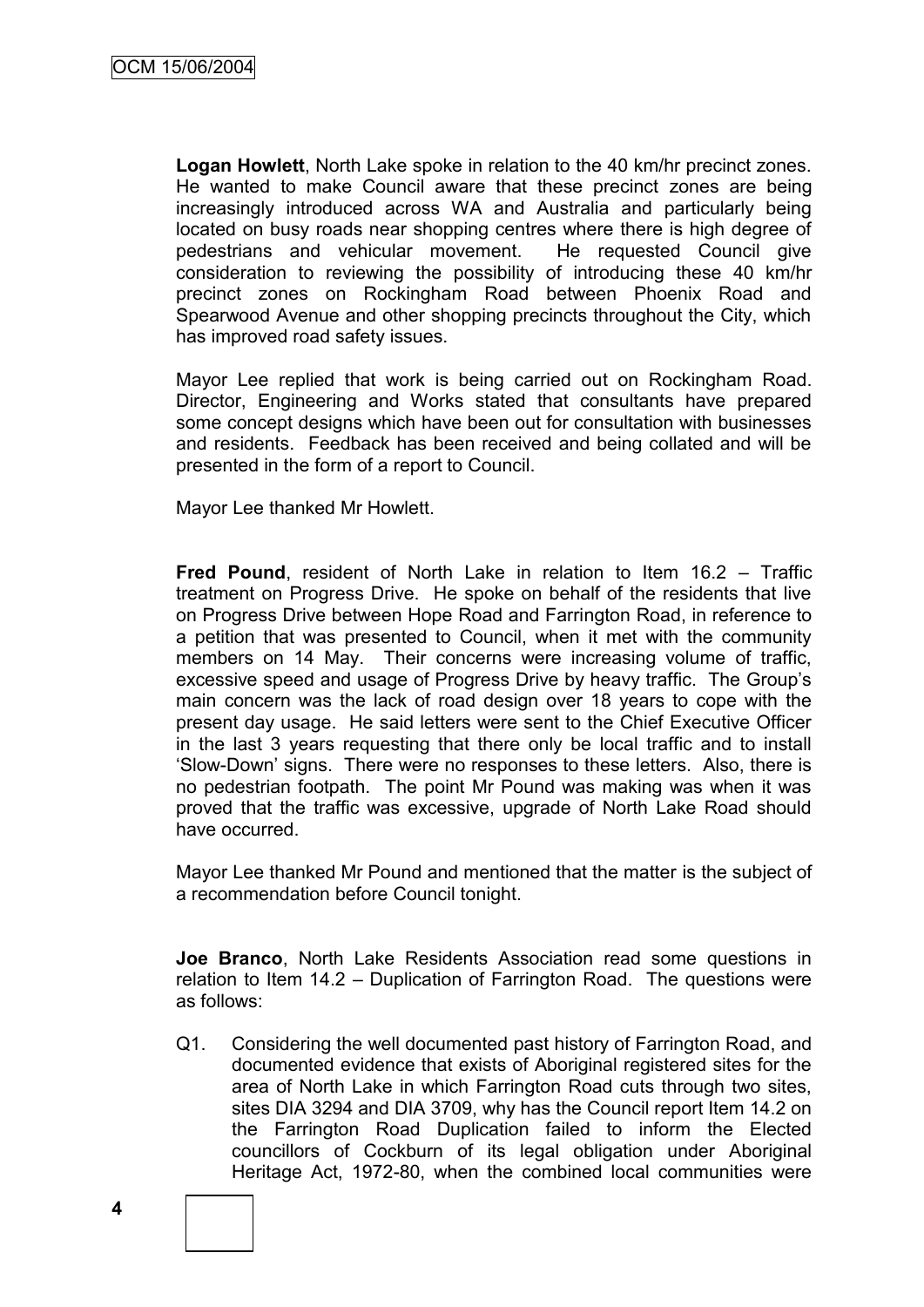**Logan Howlett**, North Lake spoke in relation to the 40 km/hr precinct zones. He wanted to make Council aware that these precinct zones are being increasingly introduced across WA and Australia and particularly being located on busy roads near shopping centres where there is high degree of pedestrians and vehicular movement. He requested Council give consideration to reviewing the possibility of introducing these 40 km/hr precinct zones on Rockingham Road between Phoenix Road and Spearwood Avenue and other shopping precincts throughout the City, which has improved road safety issues.

Mayor Lee replied that work is being carried out on Rockingham Road. Director, Engineering and Works stated that consultants have prepared some concept designs which have been out for consultation with businesses and residents. Feedback has been received and being collated and will be presented in the form of a report to Council.

Mayor Lee thanked Mr Howlett.

**Fred Pound**, resident of North Lake in relation to Item 16.2 – Traffic treatment on Progress Drive. He spoke on behalf of the residents that live on Progress Drive between Hope Road and Farrington Road, in reference to a petition that was presented to Council, when it met with the community members on 14 May. Their concerns were increasing volume of traffic, excessive speed and usage of Progress Drive by heavy traffic. The Group"s main concern was the lack of road design over 18 years to cope with the present day usage. He said letters were sent to the Chief Executive Officer in the last 3 years requesting that there only be local traffic and to install "Slow-Down" signs. There were no responses to these letters. Also, there is no pedestrian footpath. The point Mr Pound was making was when it was proved that the traffic was excessive, upgrade of North Lake Road should have occurred.

Mayor Lee thanked Mr Pound and mentioned that the matter is the subject of a recommendation before Council tonight.

**Joe Branco**, North Lake Residents Association read some questions in relation to Item 14.2 – Duplication of Farrington Road. The questions were as follows:

Q1. Considering the well documented past history of Farrington Road, and documented evidence that exists of Aboriginal registered sites for the area of North Lake in which Farrington Road cuts through two sites, sites DIA 3294 and DIA 3709, why has the Council report Item 14.2 on the Farrington Road Duplication failed to inform the Elected councillors of Cockburn of its legal obligation under Aboriginal Heritage Act, 1972-80, when the combined local communities were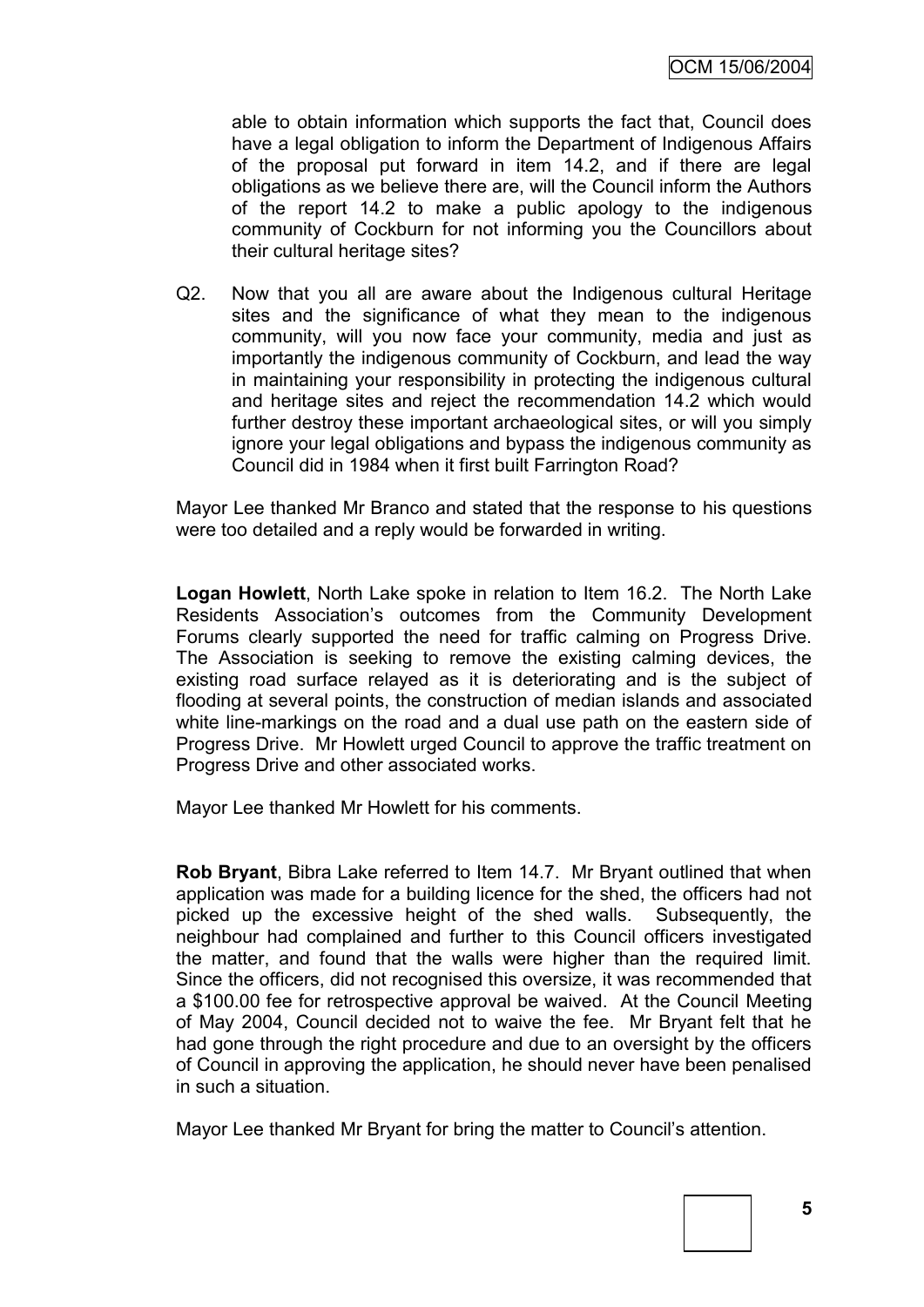able to obtain information which supports the fact that, Council does have a legal obligation to inform the Department of Indigenous Affairs of the proposal put forward in item 14.2, and if there are legal obligations as we believe there are, will the Council inform the Authors of the report 14.2 to make a public apology to the indigenous community of Cockburn for not informing you the Councillors about their cultural heritage sites?

Q2. Now that you all are aware about the Indigenous cultural Heritage sites and the significance of what they mean to the indigenous community, will you now face your community, media and just as importantly the indigenous community of Cockburn, and lead the way in maintaining your responsibility in protecting the indigenous cultural and heritage sites and reject the recommendation 14.2 which would further destroy these important archaeological sites, or will you simply ignore your legal obligations and bypass the indigenous community as Council did in 1984 when it first built Farrington Road?

Mayor Lee thanked Mr Branco and stated that the response to his questions were too detailed and a reply would be forwarded in writing.

**Logan Howlett**, North Lake spoke in relation to Item 16.2. The North Lake Residents Association"s outcomes from the Community Development Forums clearly supported the need for traffic calming on Progress Drive. The Association is seeking to remove the existing calming devices, the existing road surface relayed as it is deteriorating and is the subject of flooding at several points, the construction of median islands and associated white line-markings on the road and a dual use path on the eastern side of Progress Drive. Mr Howlett urged Council to approve the traffic treatment on Progress Drive and other associated works.

Mayor Lee thanked Mr Howlett for his comments.

**Rob Bryant**, Bibra Lake referred to Item 14.7. Mr Bryant outlined that when application was made for a building licence for the shed, the officers had not picked up the excessive height of the shed walls. Subsequently, the neighbour had complained and further to this Council officers investigated the matter, and found that the walls were higher than the required limit. Since the officers, did not recognised this oversize, it was recommended that a \$100.00 fee for retrospective approval be waived. At the Council Meeting of May 2004, Council decided not to waive the fee. Mr Bryant felt that he had gone through the right procedure and due to an oversight by the officers of Council in approving the application, he should never have been penalised in such a situation.

Mayor Lee thanked Mr Bryant for bring the matter to Council"s attention.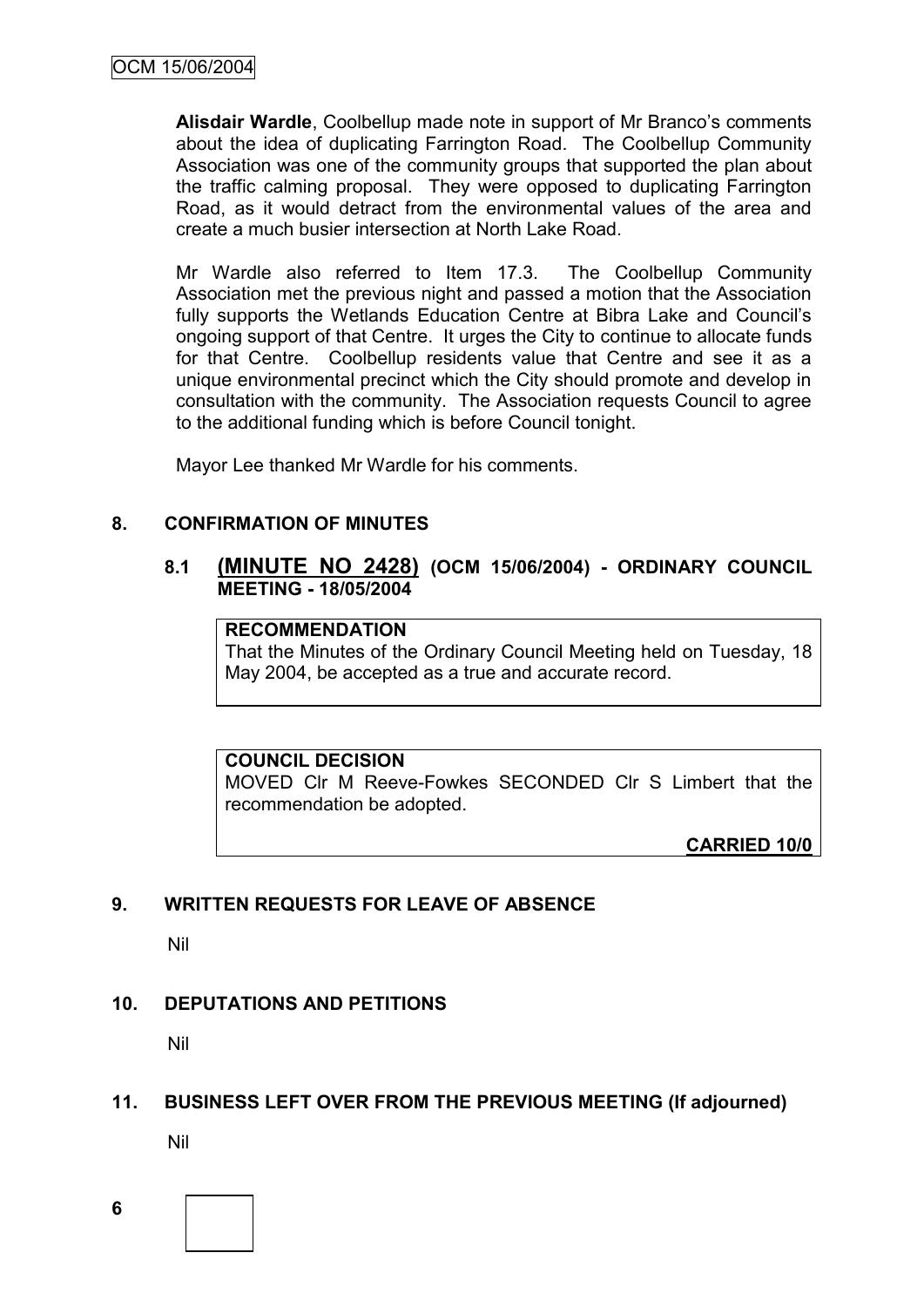**Alisdair Wardle**, Coolbellup made note in support of Mr Branco"s comments about the idea of duplicating Farrington Road. The Coolbellup Community Association was one of the community groups that supported the plan about the traffic calming proposal. They were opposed to duplicating Farrington Road, as it would detract from the environmental values of the area and create a much busier intersection at North Lake Road.

Mr Wardle also referred to Item 17.3. The Coolbellup Community Association met the previous night and passed a motion that the Association fully supports the Wetlands Education Centre at Bibra Lake and Council"s ongoing support of that Centre. It urges the City to continue to allocate funds for that Centre. Coolbellup residents value that Centre and see it as a unique environmental precinct which the City should promote and develop in consultation with the community. The Association requests Council to agree to the additional funding which is before Council tonight.

Mayor Lee thanked Mr Wardle for his comments.

### **8. CONFIRMATION OF MINUTES**

### **8.1 (MINUTE NO 2428) (OCM 15/06/2004) - ORDINARY COUNCIL MEETING - 18/05/2004**

### **RECOMMENDATION**

That the Minutes of the Ordinary Council Meeting held on Tuesday, 18 May 2004, be accepted as a true and accurate record.

### **COUNCIL DECISION**

MOVED Clr M Reeve-Fowkes SECONDED Clr S Limbert that the recommendation be adopted.

**CARRIED 10/0**

# **9. WRITTEN REQUESTS FOR LEAVE OF ABSENCE**

Nil

### **10. DEPUTATIONS AND PETITIONS**

Nil

### **11. BUSINESS LEFT OVER FROM THE PREVIOUS MEETING (If adjourned)**

Nil

**6**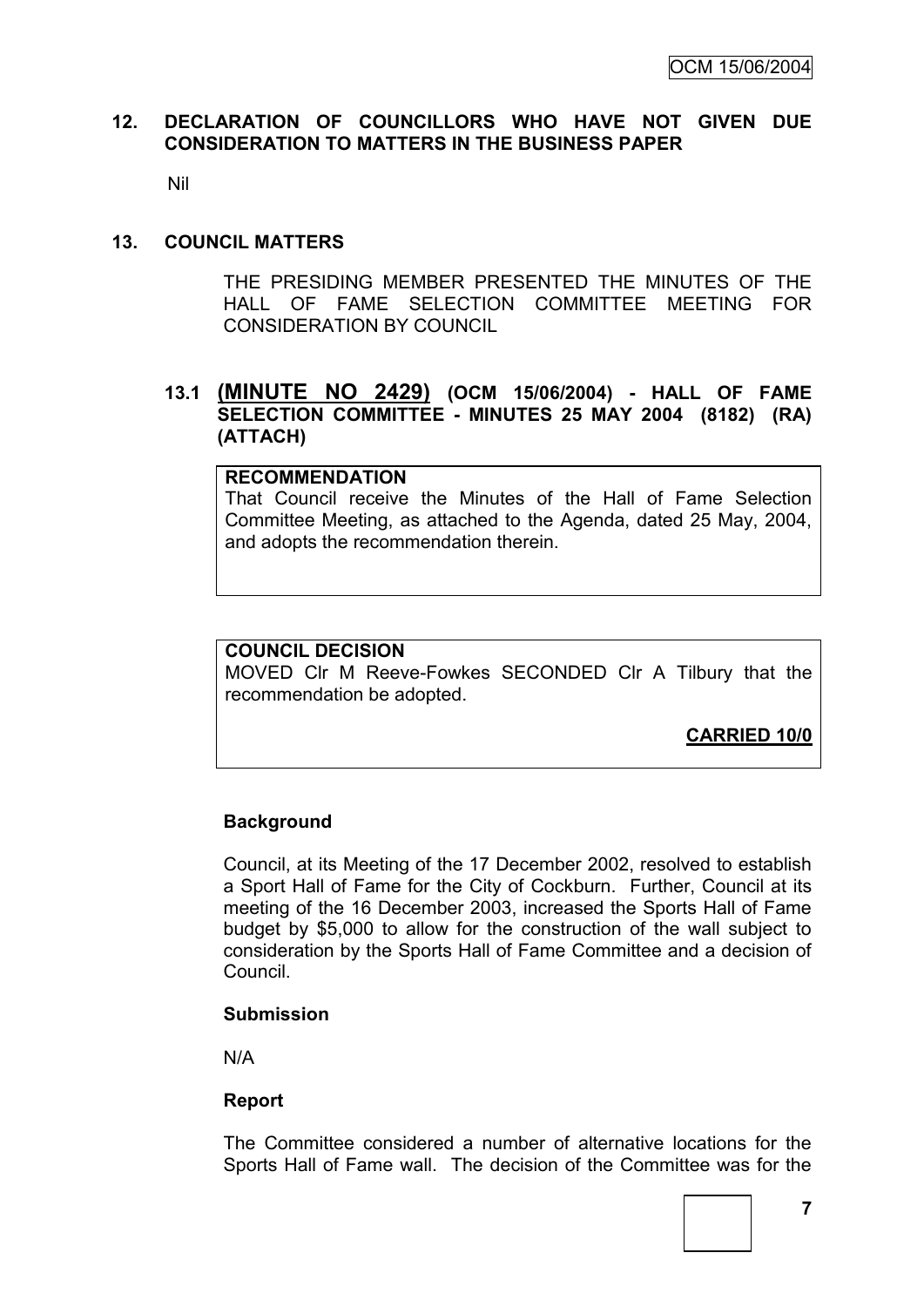### **12. DECLARATION OF COUNCILLORS WHO HAVE NOT GIVEN DUE CONSIDERATION TO MATTERS IN THE BUSINESS PAPER**

Nil

#### **13. COUNCIL MATTERS**

THE PRESIDING MEMBER PRESENTED THE MINUTES OF THE HALL OF FAME SELECTION COMMITTEE MEETING FOR CONSIDERATION BY COUNCIL

### **13.1 (MINUTE NO 2429) (OCM 15/06/2004) - HALL OF FAME SELECTION COMMITTEE - MINUTES 25 MAY 2004 (8182) (RA) (ATTACH)**

#### **RECOMMENDATION**

That Council receive the Minutes of the Hall of Fame Selection Committee Meeting, as attached to the Agenda, dated 25 May, 2004, and adopts the recommendation therein.

### **COUNCIL DECISION**

MOVED Clr M Reeve-Fowkes SECONDED Clr A Tilbury that the recommendation be adopted.

**CARRIED 10/0**

### **Background**

Council, at its Meeting of the 17 December 2002, resolved to establish a Sport Hall of Fame for the City of Cockburn. Further, Council at its meeting of the 16 December 2003, increased the Sports Hall of Fame budget by \$5,000 to allow for the construction of the wall subject to consideration by the Sports Hall of Fame Committee and a decision of Council.

#### **Submission**

N/A

#### **Report**

The Committee considered a number of alternative locations for the Sports Hall of Fame wall. The decision of the Committee was for the

**7**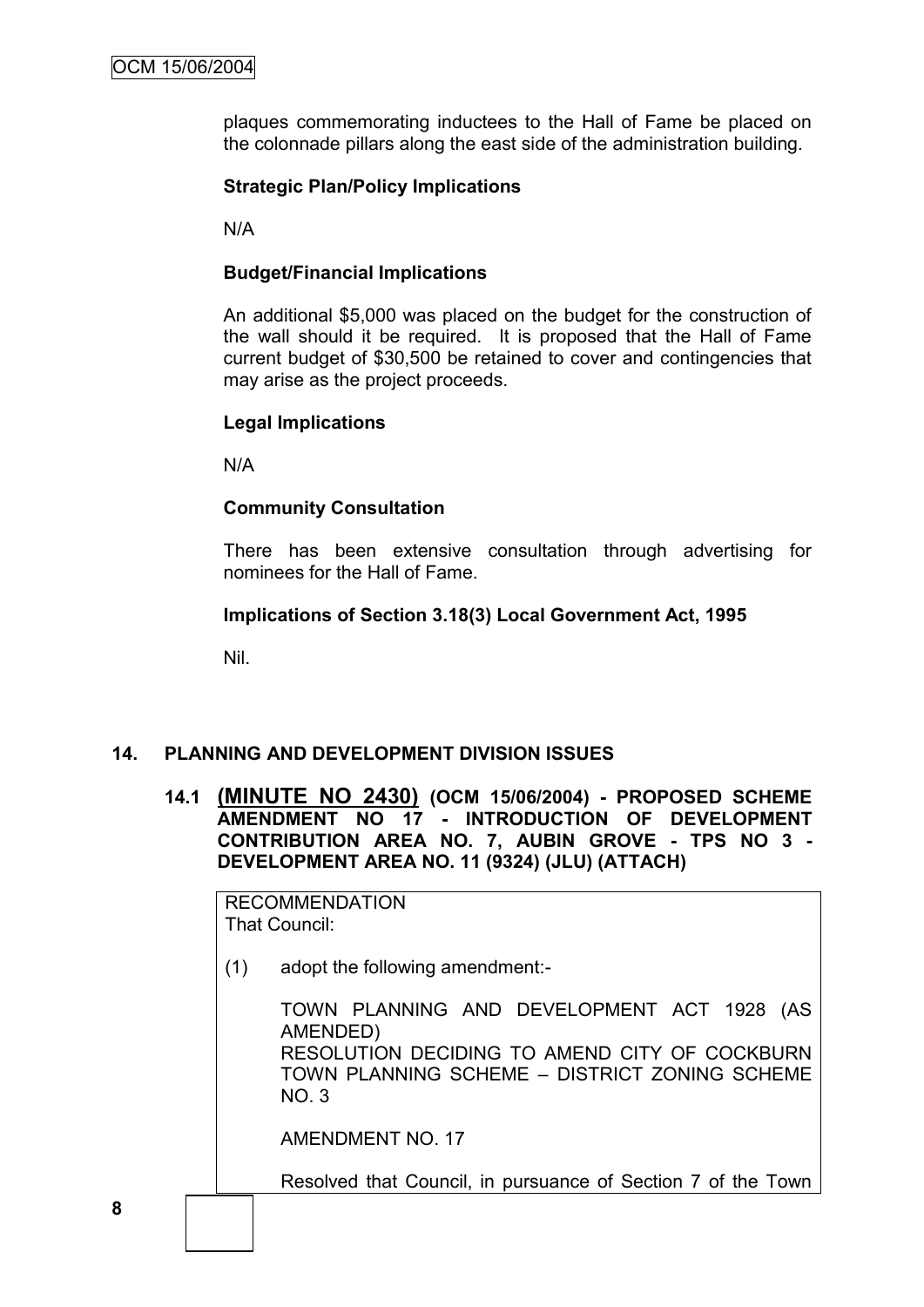plaques commemorating inductees to the Hall of Fame be placed on the colonnade pillars along the east side of the administration building.

### **Strategic Plan/Policy Implications**

N/A

### **Budget/Financial Implications**

An additional \$5,000 was placed on the budget for the construction of the wall should it be required. It is proposed that the Hall of Fame current budget of \$30,500 be retained to cover and contingencies that may arise as the project proceeds.

### **Legal Implications**

N/A

#### **Community Consultation**

There has been extensive consultation through advertising for nominees for the Hall of Fame.

### **Implications of Section 3.18(3) Local Government Act, 1995**

Nil.

### **14. PLANNING AND DEVELOPMENT DIVISION ISSUES**

**14.1 (MINUTE NO 2430) (OCM 15/06/2004) - PROPOSED SCHEME AMENDMENT NO 17 - INTRODUCTION OF DEVELOPMENT CONTRIBUTION AREA NO. 7, AUBIN GROVE - TPS NO 3 - DEVELOPMENT AREA NO. 11 (9324) (JLU) (ATTACH)**

RECOMMENDATION That Council:

(1) adopt the following amendment:-

TOWN PLANNING AND DEVELOPMENT ACT 1928 (AS AMENDED) RESOLUTION DECIDING TO AMEND CITY OF COCKBURN TOWN PLANNING SCHEME – DISTRICT ZONING SCHEME NO. 3

AMENDMENT NO. 17

Resolved that Council, in pursuance of Section 7 of the Town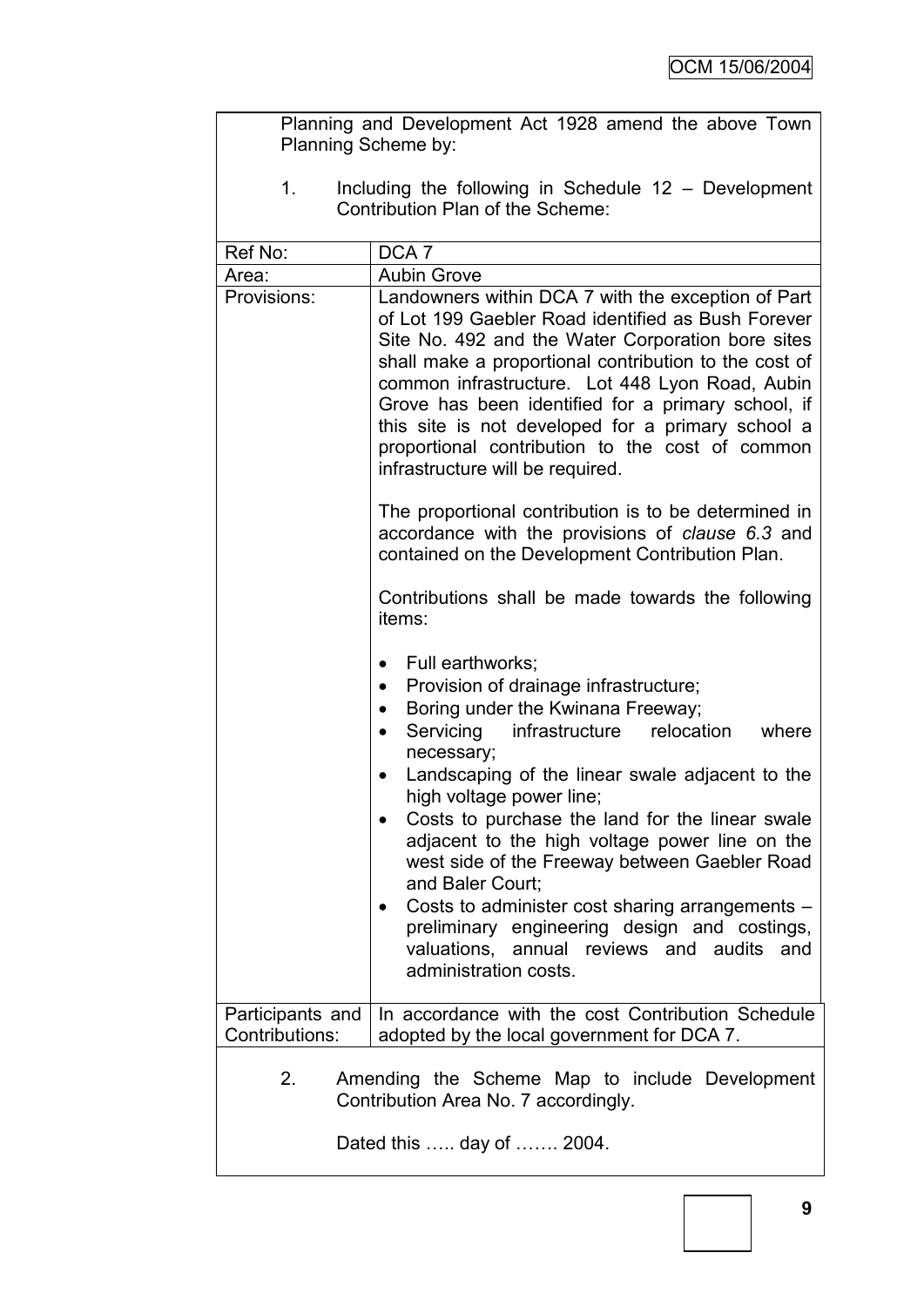| Planning and Development Act 1928 amend the above Town<br>Planning Scheme by:                             |                                                                                                                                                                                                                                                                                                                                                                                                                                                                                                                                                                                                                                                                    |  |  |
|-----------------------------------------------------------------------------------------------------------|--------------------------------------------------------------------------------------------------------------------------------------------------------------------------------------------------------------------------------------------------------------------------------------------------------------------------------------------------------------------------------------------------------------------------------------------------------------------------------------------------------------------------------------------------------------------------------------------------------------------------------------------------------------------|--|--|
| Including the following in Schedule $12 -$ Development<br>$1_{\cdot}$<br>Contribution Plan of the Scheme: |                                                                                                                                                                                                                                                                                                                                                                                                                                                                                                                                                                                                                                                                    |  |  |
| Ref No:                                                                                                   | DCA <sub>7</sub>                                                                                                                                                                                                                                                                                                                                                                                                                                                                                                                                                                                                                                                   |  |  |
| Area:                                                                                                     | <b>Aubin Grove</b>                                                                                                                                                                                                                                                                                                                                                                                                                                                                                                                                                                                                                                                 |  |  |
| Provisions:                                                                                               | Landowners within DCA 7 with the exception of Part<br>of Lot 199 Gaebler Road identified as Bush Forever<br>Site No. 492 and the Water Corporation bore sites<br>shall make a proportional contribution to the cost of<br>common infrastructure. Lot 448 Lyon Road, Aubin<br>Grove has been identified for a primary school, if<br>this site is not developed for a primary school a<br>proportional contribution to the cost of common<br>infrastructure will be required.                                                                                                                                                                                        |  |  |
|                                                                                                           | The proportional contribution is to be determined in<br>accordance with the provisions of clause 6.3 and<br>contained on the Development Contribution Plan.                                                                                                                                                                                                                                                                                                                                                                                                                                                                                                        |  |  |
|                                                                                                           | Contributions shall be made towards the following<br>items:                                                                                                                                                                                                                                                                                                                                                                                                                                                                                                                                                                                                        |  |  |
|                                                                                                           | Full earthworks;<br>٠<br>Provision of drainage infrastructure;<br>٠<br>Boring under the Kwinana Freeway;<br>$\bullet$<br>Servicing<br>infrastructure<br>relocation<br>where<br>$\bullet$<br>necessary;<br>Landscaping of the linear swale adjacent to the<br>$\bullet$<br>high voltage power line;<br>Costs to purchase the land for the linear swale<br>adjacent to the high voltage power line on the<br>west side of the Freeway between Gaebler Road<br>and Baler Court;<br>Costs to administer cost sharing arrangements -<br>$\bullet$<br>preliminary engineering design and costings,<br>valuations, annual reviews and audits and<br>administration costs. |  |  |
| Participants and<br>Contributions:                                                                        | In accordance with the cost Contribution Schedule<br>adopted by the local government for DCA 7.                                                                                                                                                                                                                                                                                                                                                                                                                                                                                                                                                                    |  |  |
| 2.<br>Amending the Scheme Map to include Development<br>Contribution Area No. 7 accordingly.              |                                                                                                                                                                                                                                                                                                                                                                                                                                                                                                                                                                                                                                                                    |  |  |
| Dated this  day of  2004.                                                                                 |                                                                                                                                                                                                                                                                                                                                                                                                                                                                                                                                                                                                                                                                    |  |  |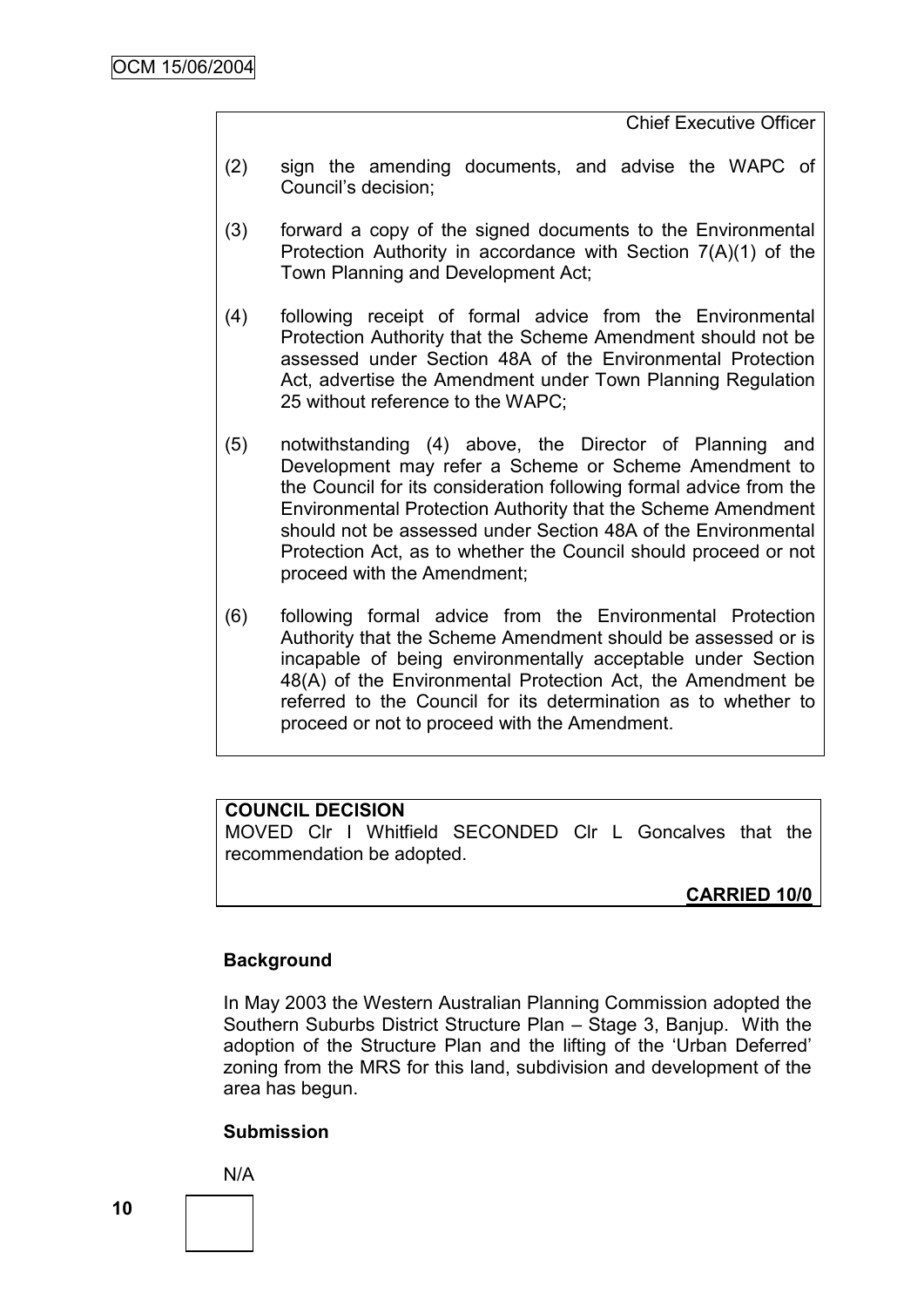Chief Executive Officer

- (2) sign the amending documents, and advise the WAPC of Council"s decision;
- (3) forward a copy of the signed documents to the Environmental Protection Authority in accordance with Section 7(A)(1) of the Town Planning and Development Act;
- (4) following receipt of formal advice from the Environmental Protection Authority that the Scheme Amendment should not be assessed under Section 48A of the Environmental Protection Act, advertise the Amendment under Town Planning Regulation 25 without reference to the WAPC;
- (5) notwithstanding (4) above, the Director of Planning and Development may refer a Scheme or Scheme Amendment to the Council for its consideration following formal advice from the Environmental Protection Authority that the Scheme Amendment should not be assessed under Section 48A of the Environmental Protection Act, as to whether the Council should proceed or not proceed with the Amendment;
- (6) following formal advice from the Environmental Protection Authority that the Scheme Amendment should be assessed or is incapable of being environmentally acceptable under Section 48(A) of the Environmental Protection Act, the Amendment be referred to the Council for its determination as to whether to proceed or not to proceed with the Amendment.

# **COUNCIL DECISION**

MOVED Clr I Whitfield SECONDED Clr L Goncalves that the recommendation be adopted.

# **CARRIED 10/0**

### **Background**

In May 2003 the Western Australian Planning Commission adopted the Southern Suburbs District Structure Plan – Stage 3, Banjup. With the adoption of the Structure Plan and the lifting of the "Urban Deferred" zoning from the MRS for this land, subdivision and development of the area has begun.

### **Submission**

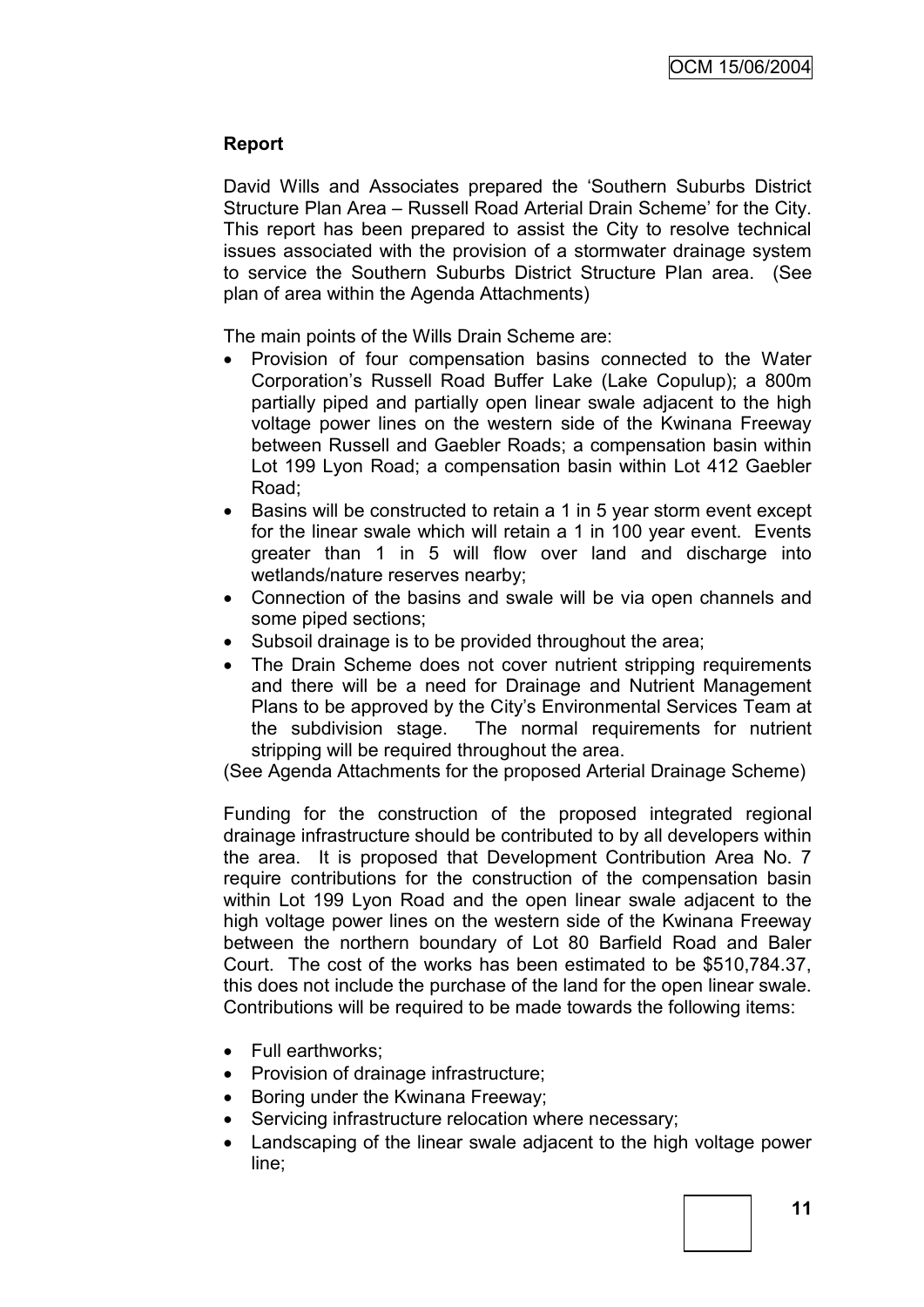### **Report**

David Wills and Associates prepared the "Southern Suburbs District Structure Plan Area – Russell Road Arterial Drain Scheme" for the City. This report has been prepared to assist the City to resolve technical issues associated with the provision of a stormwater drainage system to service the Southern Suburbs District Structure Plan area. (See plan of area within the Agenda Attachments)

The main points of the Wills Drain Scheme are:

- Provision of four compensation basins connected to the Water Corporation"s Russell Road Buffer Lake (Lake Copulup); a 800m partially piped and partially open linear swale adjacent to the high voltage power lines on the western side of the Kwinana Freeway between Russell and Gaebler Roads; a compensation basin within Lot 199 Lyon Road; a compensation basin within Lot 412 Gaebler Road;
- Basins will be constructed to retain a 1 in 5 year storm event except for the linear swale which will retain a 1 in 100 year event. Events greater than 1 in 5 will flow over land and discharge into wetlands/nature reserves nearby;
- Connection of the basins and swale will be via open channels and some piped sections;
- Subsoil drainage is to be provided throughout the area;
- The Drain Scheme does not cover nutrient stripping requirements and there will be a need for Drainage and Nutrient Management Plans to be approved by the City"s Environmental Services Team at the subdivision stage. The normal requirements for nutrient stripping will be required throughout the area.

(See Agenda Attachments for the proposed Arterial Drainage Scheme)

Funding for the construction of the proposed integrated regional drainage infrastructure should be contributed to by all developers within the area. It is proposed that Development Contribution Area No. 7 require contributions for the construction of the compensation basin within Lot 199 Lyon Road and the open linear swale adjacent to the high voltage power lines on the western side of the Kwinana Freeway between the northern boundary of Lot 80 Barfield Road and Baler Court. The cost of the works has been estimated to be \$510,784.37, this does not include the purchase of the land for the open linear swale. Contributions will be required to be made towards the following items:

- Full earthworks:
- Provision of drainage infrastructure;
- Boring under the Kwinana Freeway;
- Servicing infrastructure relocation where necessary;
- Landscaping of the linear swale adjacent to the high voltage power line;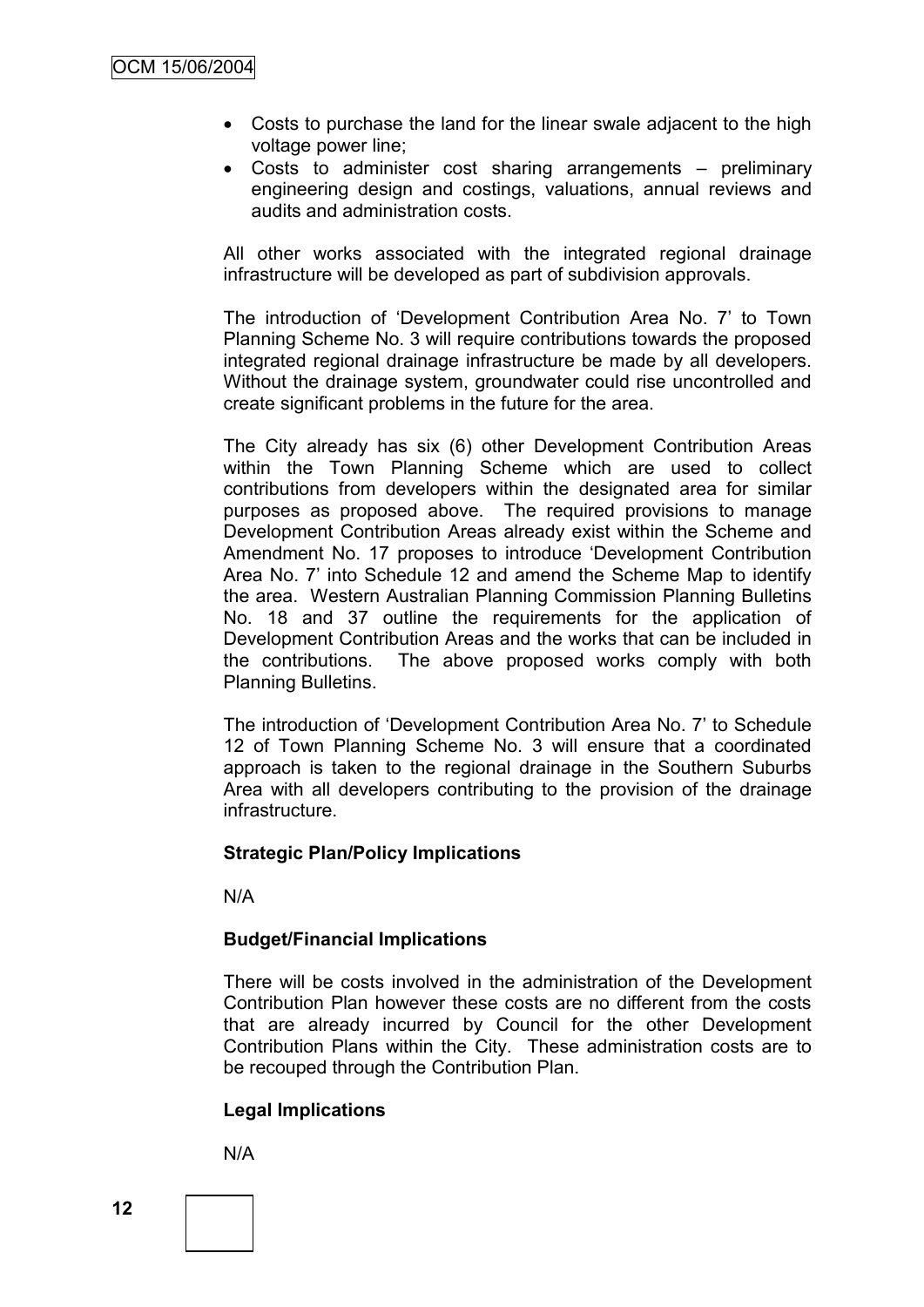- Costs to purchase the land for the linear swale adjacent to the high voltage power line;
- Costs to administer cost sharing arrangements preliminary engineering design and costings, valuations, annual reviews and audits and administration costs.

All other works associated with the integrated regional drainage infrastructure will be developed as part of subdivision approvals.

The introduction of "Development Contribution Area No. 7" to Town Planning Scheme No. 3 will require contributions towards the proposed integrated regional drainage infrastructure be made by all developers. Without the drainage system, groundwater could rise uncontrolled and create significant problems in the future for the area.

The City already has six (6) other Development Contribution Areas within the Town Planning Scheme which are used to collect contributions from developers within the designated area for similar purposes as proposed above. The required provisions to manage Development Contribution Areas already exist within the Scheme and Amendment No. 17 proposes to introduce "Development Contribution Area No. 7" into Schedule 12 and amend the Scheme Map to identify the area. Western Australian Planning Commission Planning Bulletins No. 18 and 37 outline the requirements for the application of Development Contribution Areas and the works that can be included in the contributions. The above proposed works comply with both Planning Bulletins.

The introduction of "Development Contribution Area No. 7" to Schedule 12 of Town Planning Scheme No. 3 will ensure that a coordinated approach is taken to the regional drainage in the Southern Suburbs Area with all developers contributing to the provision of the drainage infrastructure.

### **Strategic Plan/Policy Implications**

N/A

### **Budget/Financial Implications**

There will be costs involved in the administration of the Development Contribution Plan however these costs are no different from the costs that are already incurred by Council for the other Development Contribution Plans within the City. These administration costs are to be recouped through the Contribution Plan.

# **Legal Implications**

N/A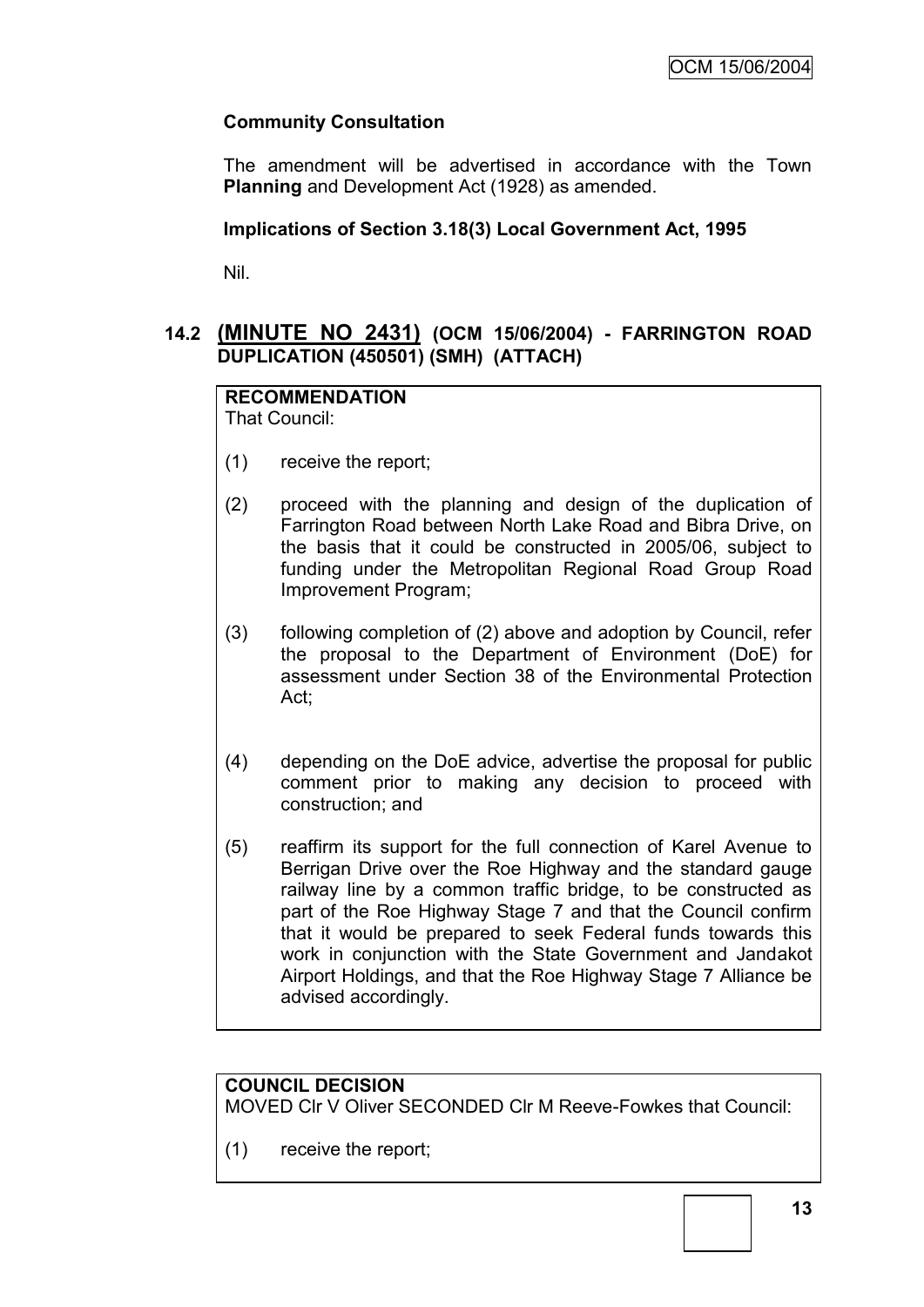# **Community Consultation**

The amendment will be advertised in accordance with the Town **Planning** and Development Act (1928) as amended.

### **Implications of Section 3.18(3) Local Government Act, 1995**

Nil.

# **14.2 (MINUTE NO 2431) (OCM 15/06/2004) - FARRINGTON ROAD DUPLICATION (450501) (SMH) (ATTACH)**

# **RECOMMENDATION**

That Council:

- (1) receive the report;
- (2) proceed with the planning and design of the duplication of Farrington Road between North Lake Road and Bibra Drive, on the basis that it could be constructed in 2005/06, subject to funding under the Metropolitan Regional Road Group Road Improvement Program;
- (3) following completion of (2) above and adoption by Council, refer the proposal to the Department of Environment (DoE) for assessment under Section 38 of the Environmental Protection Act;
- (4) depending on the DoE advice, advertise the proposal for public comment prior to making any decision to proceed with construction; and
- (5) reaffirm its support for the full connection of Karel Avenue to Berrigan Drive over the Roe Highway and the standard gauge railway line by a common traffic bridge, to be constructed as part of the Roe Highway Stage 7 and that the Council confirm that it would be prepared to seek Federal funds towards this work in conjunction with the State Government and Jandakot Airport Holdings, and that the Roe Highway Stage 7 Alliance be advised accordingly.

# **COUNCIL DECISION**

MOVED Clr V Oliver SECONDED Clr M Reeve-Fowkes that Council:

(1) receive the report;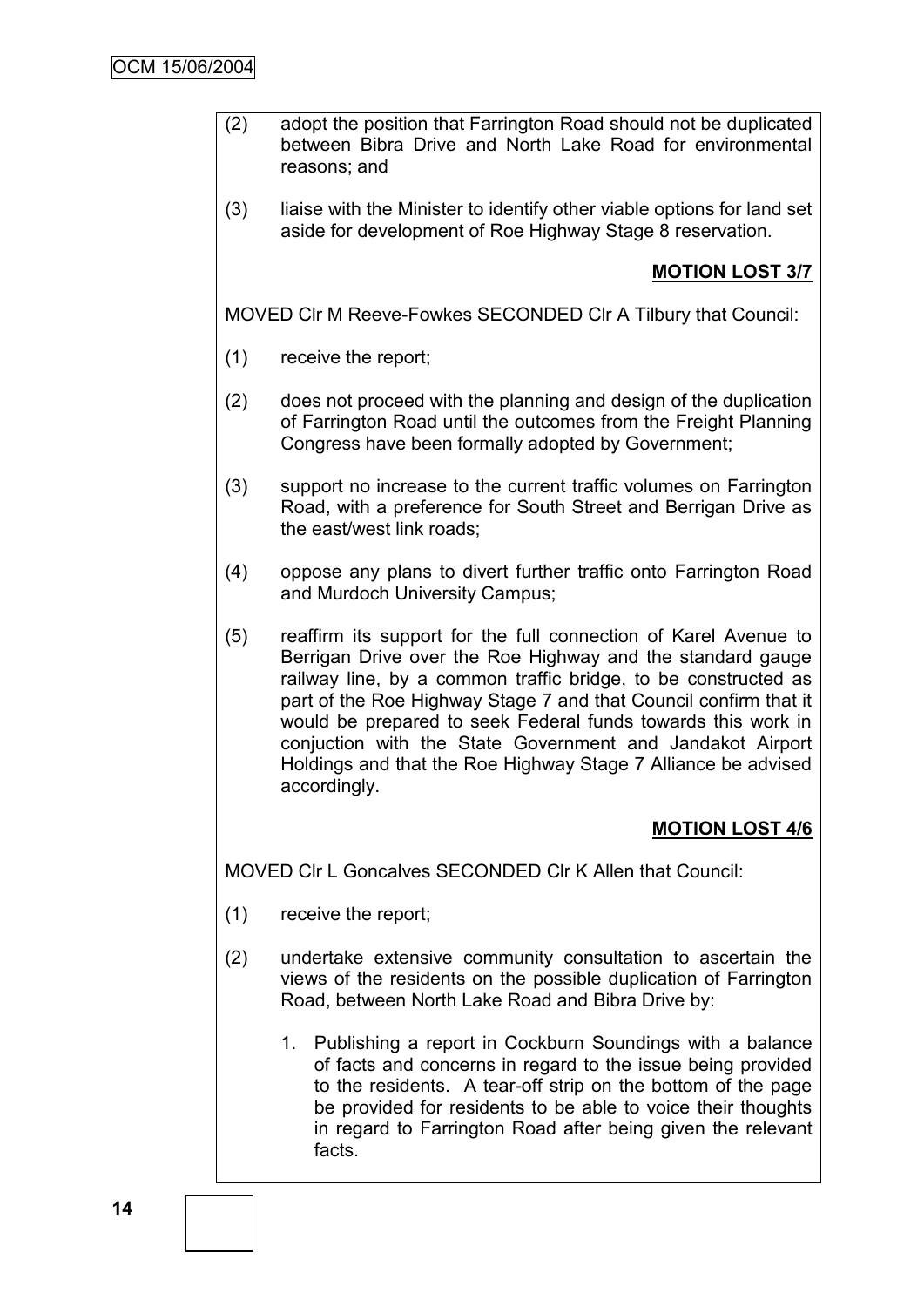- (2) adopt the position that Farrington Road should not be duplicated between Bibra Drive and North Lake Road for environmental reasons; and
- (3) liaise with the Minister to identify other viable options for land set aside for development of Roe Highway Stage 8 reservation.

# **MOTION LOST 3/7**

MOVED Clr M Reeve-Fowkes SECONDED Clr A Tilbury that Council:

- (1) receive the report;
- (2) does not proceed with the planning and design of the duplication of Farrington Road until the outcomes from the Freight Planning Congress have been formally adopted by Government;
- (3) support no increase to the current traffic volumes on Farrington Road, with a preference for South Street and Berrigan Drive as the east/west link roads;
- (4) oppose any plans to divert further traffic onto Farrington Road and Murdoch University Campus;
- (5) reaffirm its support for the full connection of Karel Avenue to Berrigan Drive over the Roe Highway and the standard gauge railway line, by a common traffic bridge, to be constructed as part of the Roe Highway Stage 7 and that Council confirm that it would be prepared to seek Federal funds towards this work in conjuction with the State Government and Jandakot Airport Holdings and that the Roe Highway Stage 7 Alliance be advised accordingly.

### **MOTION LOST 4/6**

MOVED Clr L Goncalves SECONDED Clr K Allen that Council:

- (1) receive the report;
- (2) undertake extensive community consultation to ascertain the views of the residents on the possible duplication of Farrington Road, between North Lake Road and Bibra Drive by:
	- 1. Publishing a report in Cockburn Soundings with a balance of facts and concerns in regard to the issue being provided to the residents. A tear-off strip on the bottom of the page be provided for residents to be able to voice their thoughts in regard to Farrington Road after being given the relevant facts.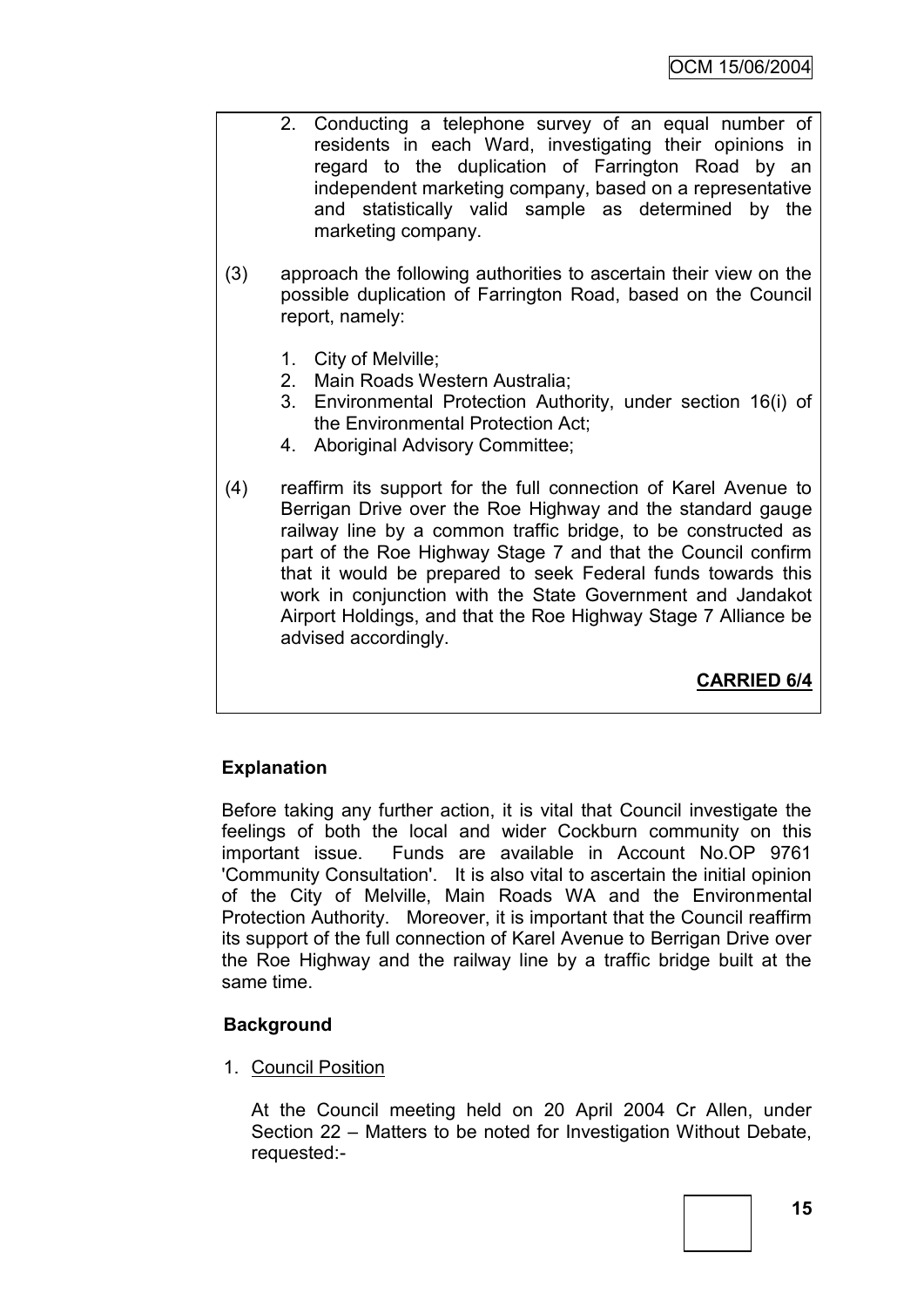- 2. Conducting a telephone survey of an equal number of residents in each Ward, investigating their opinions in regard to the duplication of Farrington Road by an independent marketing company, based on a representative and statistically valid sample as determined by the marketing company.
- (3) approach the following authorities to ascertain their view on the possible duplication of Farrington Road, based on the Council report, namely:
	- 1. City of Melville;
	- 2. Main Roads Western Australia;
	- 3. Environmental Protection Authority, under section 16(i) of the Environmental Protection Act;
	- 4. Aboriginal Advisory Committee;
- (4) reaffirm its support for the full connection of Karel Avenue to Berrigan Drive over the Roe Highway and the standard gauge railway line by a common traffic bridge, to be constructed as part of the Roe Highway Stage 7 and that the Council confirm that it would be prepared to seek Federal funds towards this work in conjunction with the State Government and Jandakot Airport Holdings, and that the Roe Highway Stage 7 Alliance be advised accordingly.

**CARRIED 6/4**

# **Explanation**

Before taking any further action, it is vital that Council investigate the feelings of both the local and wider Cockburn community on this important issue. Funds are available in Account No.OP 9761 'Community Consultation'. It is also vital to ascertain the initial opinion of the City of Melville, Main Roads WA and the Environmental Protection Authority. Moreover, it is important that the Council reaffirm its support of the full connection of Karel Avenue to Berrigan Drive over the Roe Highway and the railway line by a traffic bridge built at the same time.

### **Background**

1. Council Position

At the Council meeting held on 20 April 2004 Cr Allen, under Section 22 – Matters to be noted for Investigation Without Debate, requested:-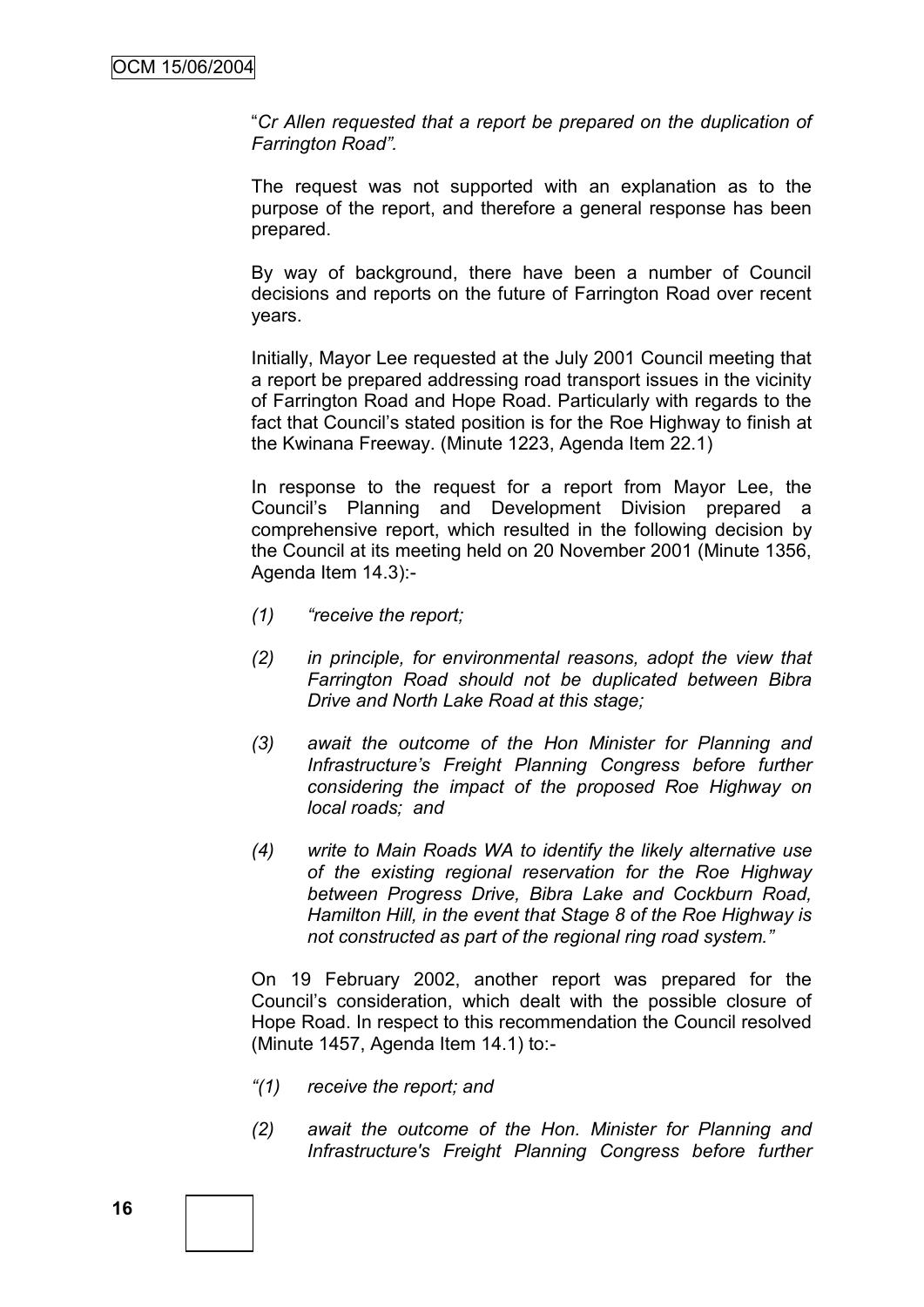"*Cr Allen requested that a report be prepared on the duplication of Farrington Road".*

The request was not supported with an explanation as to the purpose of the report, and therefore a general response has been prepared.

By way of background, there have been a number of Council decisions and reports on the future of Farrington Road over recent years.

Initially, Mayor Lee requested at the July 2001 Council meeting that a report be prepared addressing road transport issues in the vicinity of Farrington Road and Hope Road. Particularly with regards to the fact that Council"s stated position is for the Roe Highway to finish at the Kwinana Freeway. (Minute 1223, Agenda Item 22.1)

In response to the request for a report from Mayor Lee, the Council"s Planning and Development Division prepared a comprehensive report, which resulted in the following decision by the Council at its meeting held on 20 November 2001 (Minute 1356, Agenda Item 14.3):-

- *(1) "receive the report;*
- *(2) in principle, for environmental reasons, adopt the view that Farrington Road should not be duplicated between Bibra Drive and North Lake Road at this stage;*
- *(3) await the outcome of the Hon Minister for Planning and Infrastructure"s Freight Planning Congress before further considering the impact of the proposed Roe Highway on local roads; and*
- *(4) write to Main Roads WA to identify the likely alternative use of the existing regional reservation for the Roe Highway between Progress Drive, Bibra Lake and Cockburn Road, Hamilton Hill, in the event that Stage 8 of the Roe Highway is not constructed as part of the regional ring road system."*

On 19 February 2002, another report was prepared for the Council"s consideration, which dealt with the possible closure of Hope Road. In respect to this recommendation the Council resolved (Minute 1457, Agenda Item 14.1) to:-

- *"(1) receive the report; and*
- *(2) await the outcome of the Hon. Minister for Planning and Infrastructure's Freight Planning Congress before further*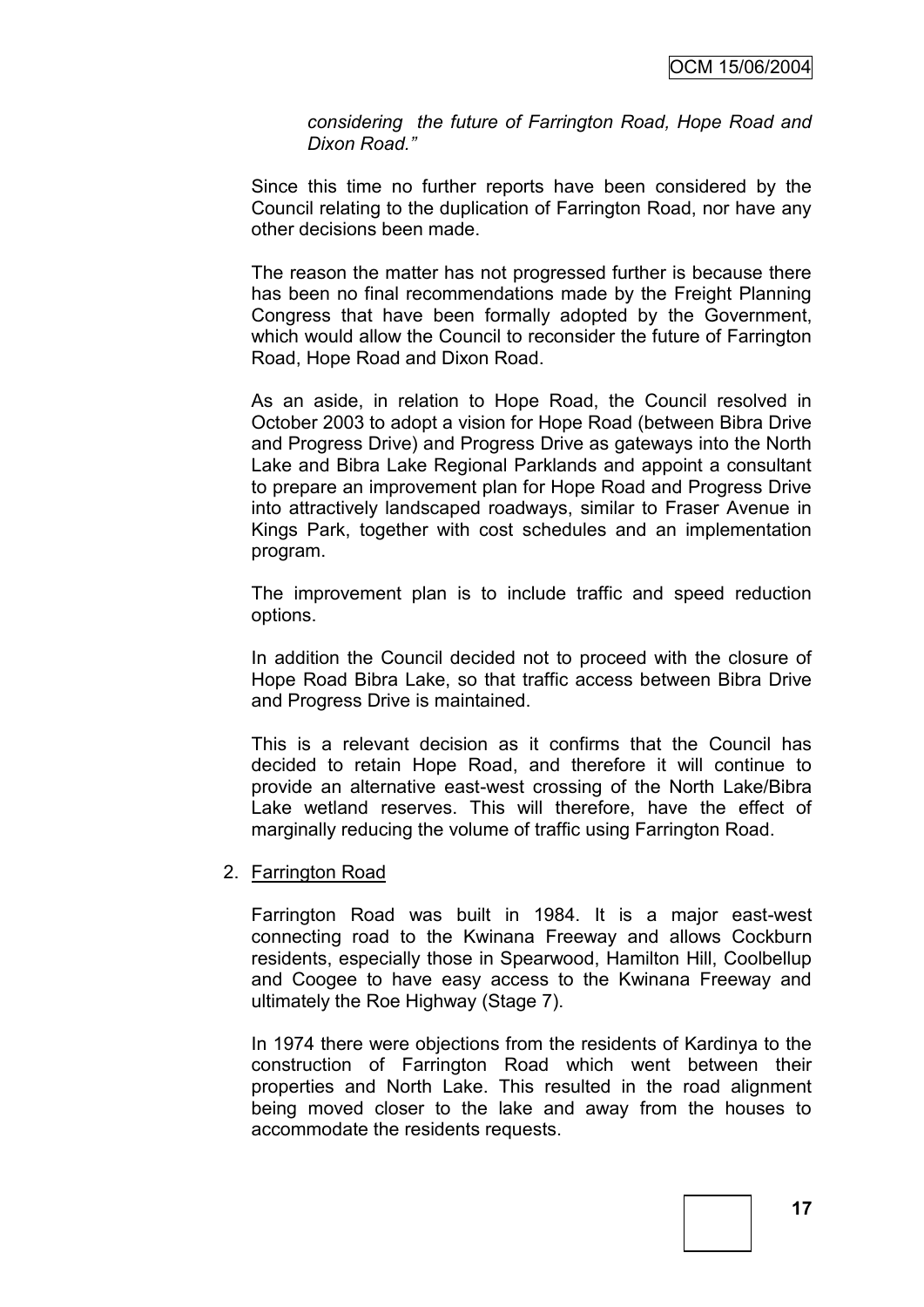*considering the future of Farrington Road, Hope Road and Dixon Road."*

Since this time no further reports have been considered by the Council relating to the duplication of Farrington Road, nor have any other decisions been made.

The reason the matter has not progressed further is because there has been no final recommendations made by the Freight Planning Congress that have been formally adopted by the Government, which would allow the Council to reconsider the future of Farrington Road, Hope Road and Dixon Road.

As an aside, in relation to Hope Road, the Council resolved in October 2003 to adopt a vision for Hope Road (between Bibra Drive and Progress Drive) and Progress Drive as gateways into the North Lake and Bibra Lake Regional Parklands and appoint a consultant to prepare an improvement plan for Hope Road and Progress Drive into attractively landscaped roadways, similar to Fraser Avenue in Kings Park, together with cost schedules and an implementation program.

The improvement plan is to include traffic and speed reduction options.

In addition the Council decided not to proceed with the closure of Hope Road Bibra Lake, so that traffic access between Bibra Drive and Progress Drive is maintained.

This is a relevant decision as it confirms that the Council has decided to retain Hope Road, and therefore it will continue to provide an alternative east-west crossing of the North Lake/Bibra Lake wetland reserves. This will therefore, have the effect of marginally reducing the volume of traffic using Farrington Road.

#### 2. Farrington Road

Farrington Road was built in 1984. It is a major east-west connecting road to the Kwinana Freeway and allows Cockburn residents, especially those in Spearwood, Hamilton Hill, Coolbellup and Coogee to have easy access to the Kwinana Freeway and ultimately the Roe Highway (Stage 7).

In 1974 there were objections from the residents of Kardinya to the construction of Farrington Road which went between their properties and North Lake. This resulted in the road alignment being moved closer to the lake and away from the houses to accommodate the residents requests.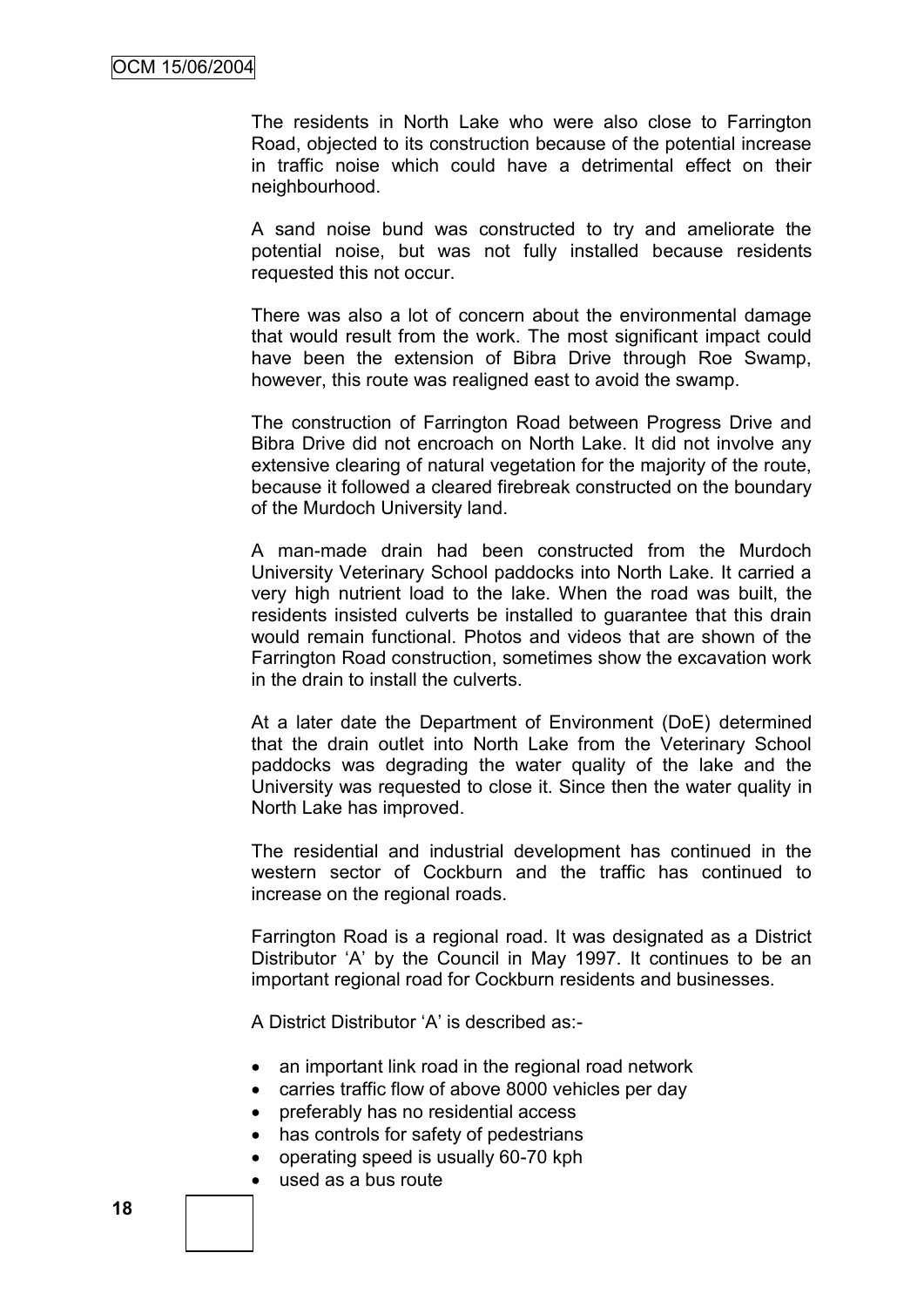The residents in North Lake who were also close to Farrington Road, objected to its construction because of the potential increase in traffic noise which could have a detrimental effect on their neighbourhood.

A sand noise bund was constructed to try and ameliorate the potential noise, but was not fully installed because residents requested this not occur.

There was also a lot of concern about the environmental damage that would result from the work. The most significant impact could have been the extension of Bibra Drive through Roe Swamp, however, this route was realigned east to avoid the swamp.

The construction of Farrington Road between Progress Drive and Bibra Drive did not encroach on North Lake. It did not involve any extensive clearing of natural vegetation for the majority of the route, because it followed a cleared firebreak constructed on the boundary of the Murdoch University land.

A man-made drain had been constructed from the Murdoch University Veterinary School paddocks into North Lake. It carried a very high nutrient load to the lake. When the road was built, the residents insisted culverts be installed to guarantee that this drain would remain functional. Photos and videos that are shown of the Farrington Road construction, sometimes show the excavation work in the drain to install the culverts.

At a later date the Department of Environment (DoE) determined that the drain outlet into North Lake from the Veterinary School paddocks was degrading the water quality of the lake and the University was requested to close it. Since then the water quality in North Lake has improved.

The residential and industrial development has continued in the western sector of Cockburn and the traffic has continued to increase on the regional roads.

Farrington Road is a regional road. It was designated as a District Distributor "A" by the Council in May 1997. It continues to be an important regional road for Cockburn residents and businesses.

A District Distributor "A" is described as:-

- an important link road in the regional road network
- carries traffic flow of above 8000 vehicles per day
- preferably has no residential access
- has controls for safety of pedestrians
- operating speed is usually 60-70 kph
- used as a bus route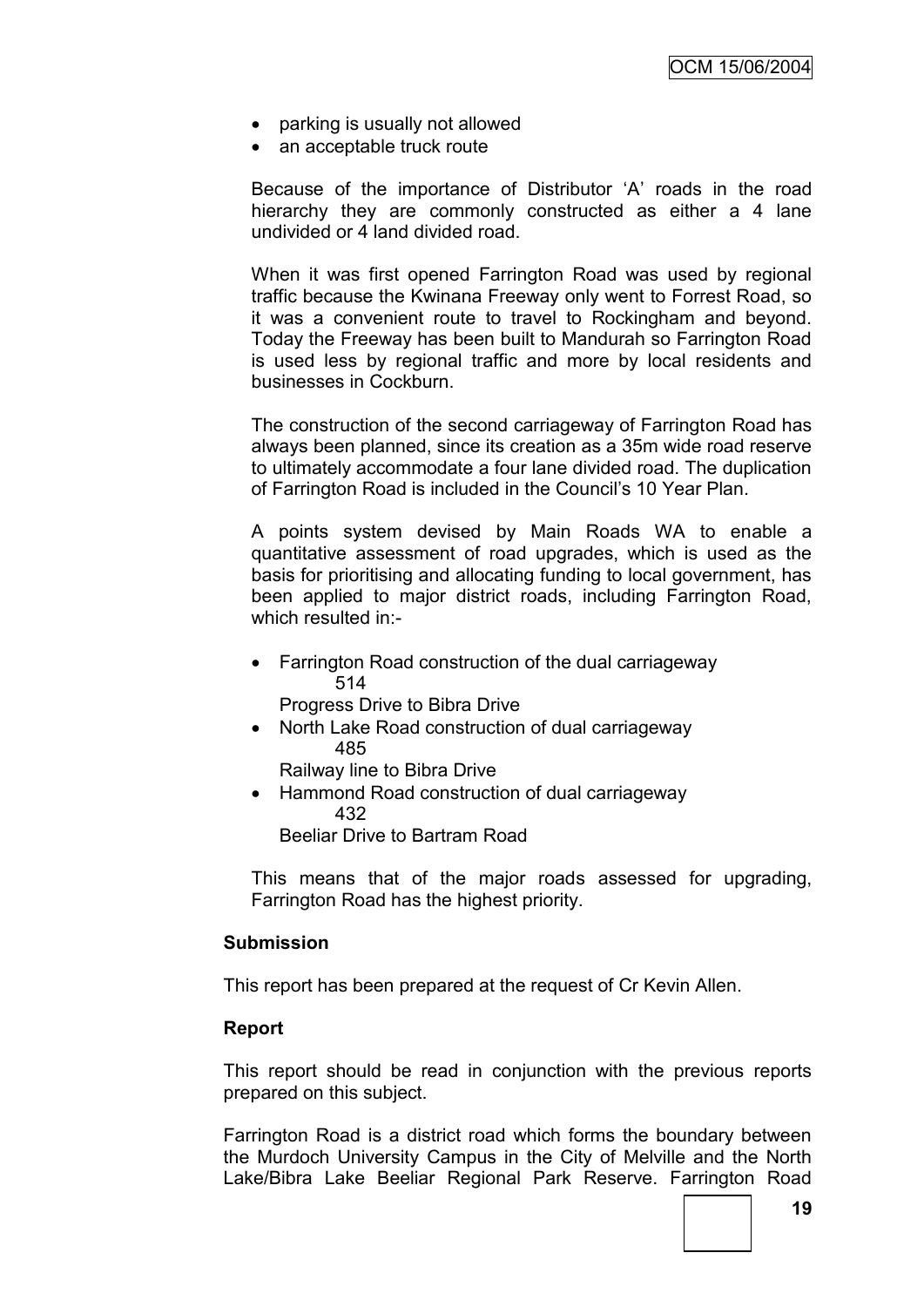- parking is usually not allowed
- an acceptable truck route

Because of the importance of Distributor "A" roads in the road hierarchy they are commonly constructed as either a 4 lane undivided or 4 land divided road.

When it was first opened Farrington Road was used by regional traffic because the Kwinana Freeway only went to Forrest Road, so it was a convenient route to travel to Rockingham and beyond. Today the Freeway has been built to Mandurah so Farrington Road is used less by regional traffic and more by local residents and businesses in Cockburn.

The construction of the second carriageway of Farrington Road has always been planned, since its creation as a 35m wide road reserve to ultimately accommodate a four lane divided road. The duplication of Farrington Road is included in the Council's 10 Year Plan.

A points system devised by Main Roads WA to enable a quantitative assessment of road upgrades, which is used as the basis for prioritising and allocating funding to local government, has been applied to major district roads, including Farrington Road, which resulted in:-

• Farrington Road construction of the dual carriageway 514

Progress Drive to Bibra Drive

• North Lake Road construction of dual carriageway 485

Railway line to Bibra Drive

• Hammond Road construction of dual carriageway 432

Beeliar Drive to Bartram Road

This means that of the major roads assessed for upgrading, Farrington Road has the highest priority.

#### **Submission**

This report has been prepared at the request of Cr Kevin Allen.

### **Report**

This report should be read in conjunction with the previous reports prepared on this subject.

Farrington Road is a district road which forms the boundary between the Murdoch University Campus in the City of Melville and the North Lake/Bibra Lake Beeliar Regional Park Reserve. Farrington Road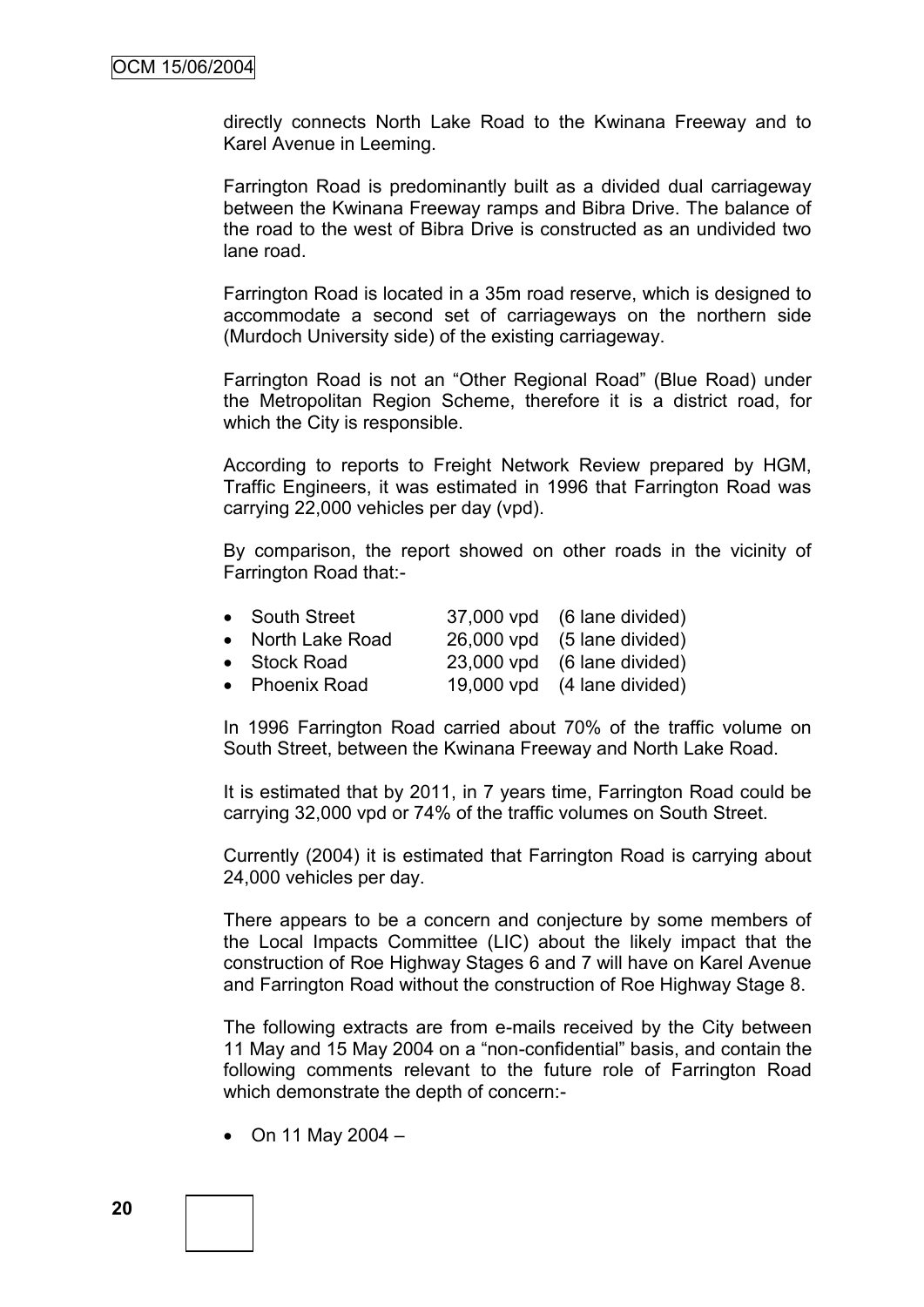directly connects North Lake Road to the Kwinana Freeway and to Karel Avenue in Leeming.

Farrington Road is predominantly built as a divided dual carriageway between the Kwinana Freeway ramps and Bibra Drive. The balance of the road to the west of Bibra Drive is constructed as an undivided two lane road.

Farrington Road is located in a 35m road reserve, which is designed to accommodate a second set of carriageways on the northern side (Murdoch University side) of the existing carriageway.

Farrington Road is not an "Other Regional Road" (Blue Road) under the Metropolitan Region Scheme, therefore it is a district road, for which the City is responsible.

According to reports to Freight Network Review prepared by HGM, Traffic Engineers, it was estimated in 1996 that Farrington Road was carrying 22,000 vehicles per day (vpd).

By comparison, the report showed on other roads in the vicinity of Farrington Road that:-

| • South Street    | 37,000 vpd (6 lane divided) |
|-------------------|-----------------------------|
| • North Lake Road | 26,000 vpd (5 lane divided) |
| • Stock Road      | 23,000 vpd (6 lane divided) |
| • Phoenix Road    | 19,000 vpd (4 lane divided) |

In 1996 Farrington Road carried about 70% of the traffic volume on South Street, between the Kwinana Freeway and North Lake Road.

It is estimated that by 2011, in 7 years time, Farrington Road could be carrying 32,000 vpd or 74% of the traffic volumes on South Street.

Currently (2004) it is estimated that Farrington Road is carrying about 24,000 vehicles per day.

There appears to be a concern and conjecture by some members of the Local Impacts Committee (LIC) about the likely impact that the construction of Roe Highway Stages 6 and 7 will have on Karel Avenue and Farrington Road without the construction of Roe Highway Stage 8.

The following extracts are from e-mails received by the City between 11 May and 15 May 2004 on a "non-confidential" basis, and contain the following comments relevant to the future role of Farrington Road which demonstrate the depth of concern:-

 $\bullet$  On 11 May 2004 -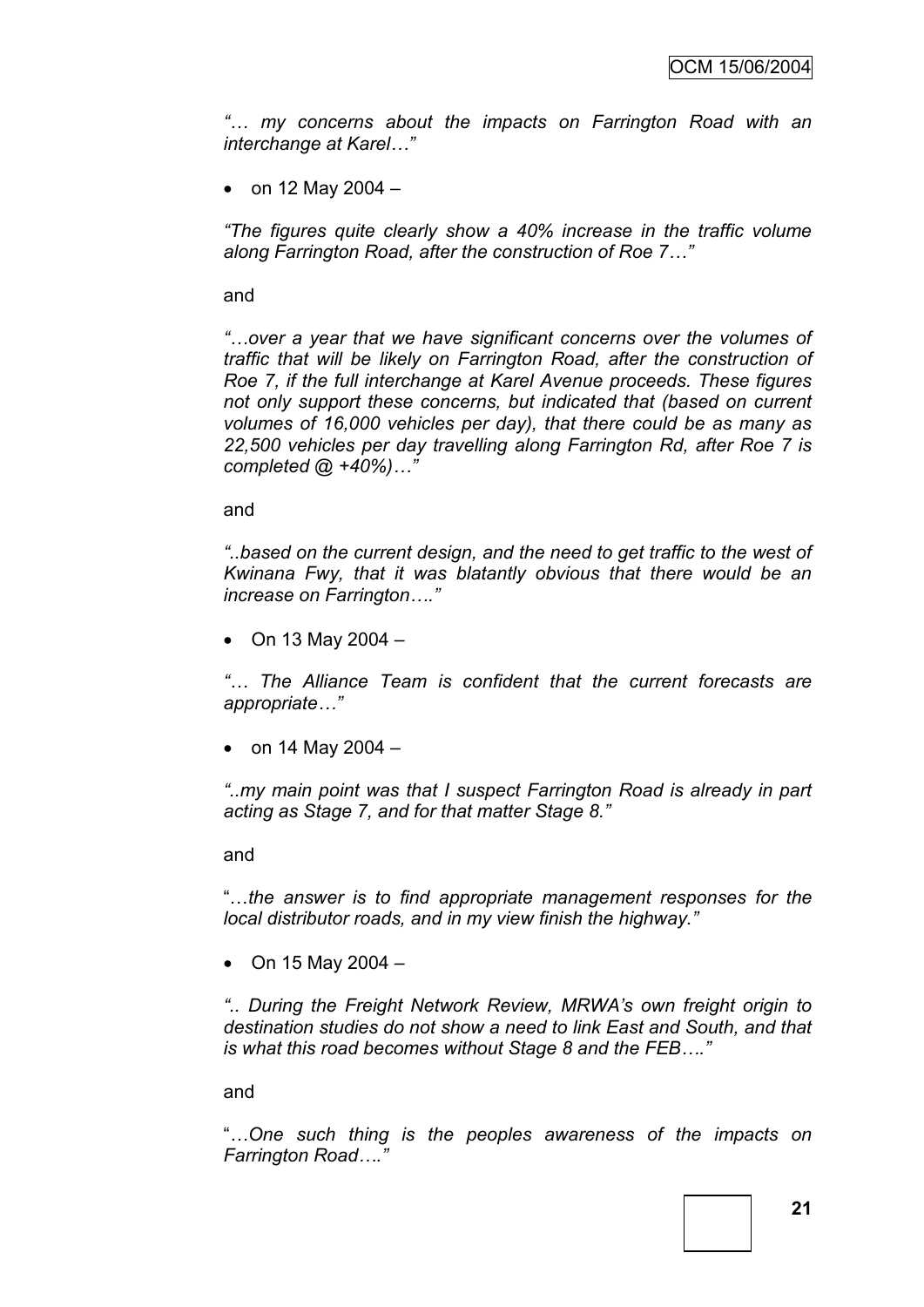*"… my concerns about the impacts on Farrington Road with an interchange at Karel…"*

• on 12 May 2004  $-$ 

*"The figures quite clearly show a 40% increase in the traffic volume along Farrington Road, after the construction of Roe 7…"*

and

*"…over a year that we have significant concerns over the volumes of traffic that will be likely on Farrington Road, after the construction of Roe 7, if the full interchange at Karel Avenue proceeds. These figures not only support these concerns, but indicated that (based on current volumes of 16,000 vehicles per day), that there could be as many as 22,500 vehicles per day travelling along Farrington Rd, after Roe 7 is completed @ +40%)…"*

and

*"..based on the current design, and the need to get traffic to the west of Kwinana Fwy, that it was blatantly obvious that there would be an increase on Farrington…."*

• On 13 May 2004  $-$ 

*"… The Alliance Team is confident that the current forecasts are appropriate…"*

• on 14 May 2004  $-$ 

*"..my main point was that I suspect Farrington Road is already in part acting as Stage 7, and for that matter Stage 8."*

and

"…*the answer is to find appropriate management responses for the local distributor roads, and in my view finish the highway."*

• On 15 May 2004  $-$ 

*".. During the Freight Network Review, MRWA"s own freight origin to destination studies do not show a need to link East and South, and that is what this road becomes without Stage 8 and the FEB…."*

and

"*…One such thing is the peoples awareness of the impacts on Farrington Road…."*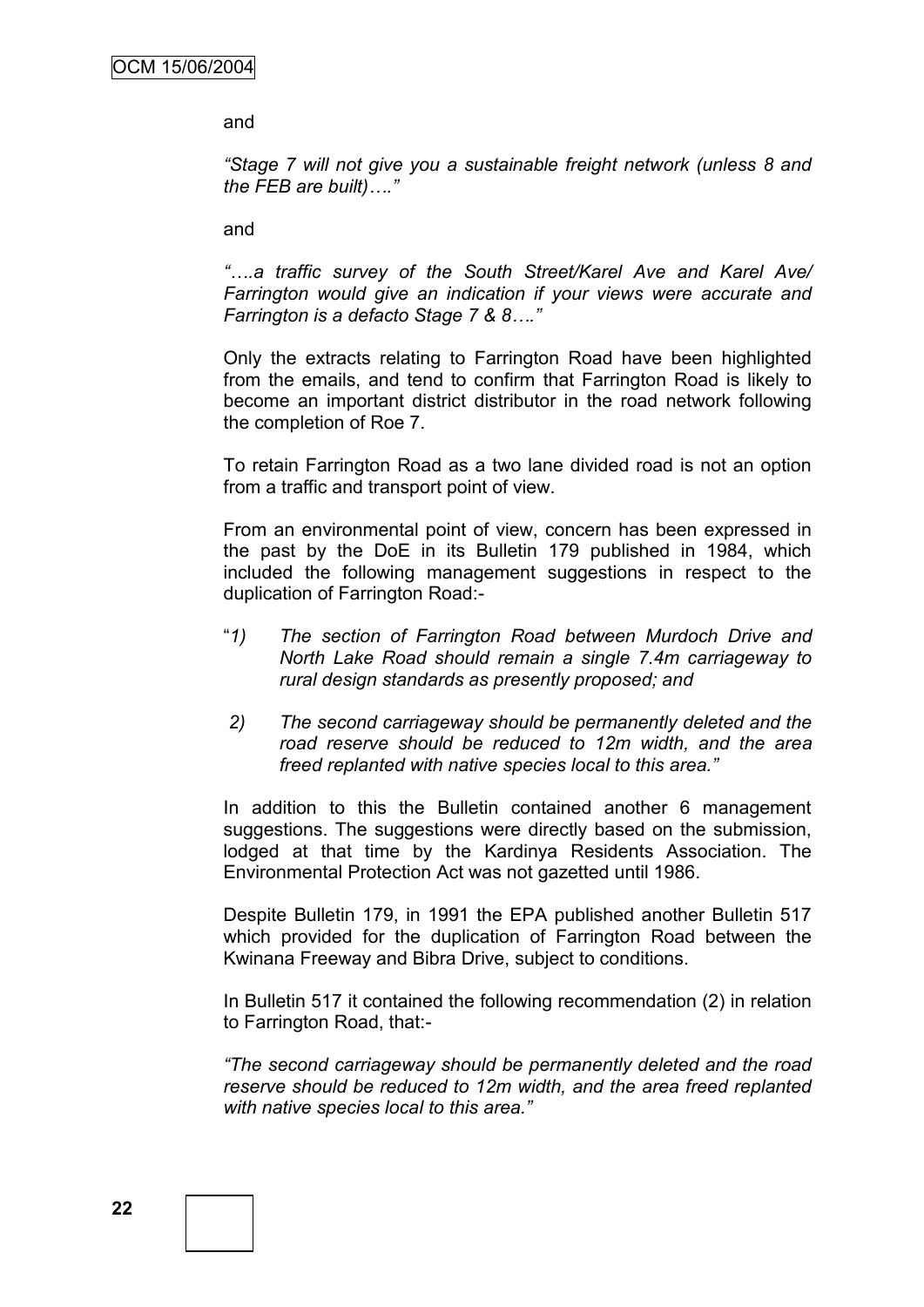and

*"Stage 7 will not give you a sustainable freight network (unless 8 and the FEB are built)…."*

and

*"….a traffic survey of the South Street/Karel Ave and Karel Ave/ Farrington would give an indication if your views were accurate and Farrington is a defacto Stage 7 & 8…."*

Only the extracts relating to Farrington Road have been highlighted from the emails, and tend to confirm that Farrington Road is likely to become an important district distributor in the road network following the completion of Roe 7.

To retain Farrington Road as a two lane divided road is not an option from a traffic and transport point of view.

From an environmental point of view, concern has been expressed in the past by the DoE in its Bulletin 179 published in 1984, which included the following management suggestions in respect to the duplication of Farrington Road:-

- "*1) The section of Farrington Road between Murdoch Drive and North Lake Road should remain a single 7.4m carriageway to rural design standards as presently proposed; and*
- *2) The second carriageway should be permanently deleted and the road reserve should be reduced to 12m width, and the area freed replanted with native species local to this area."*

In addition to this the Bulletin contained another 6 management suggestions. The suggestions were directly based on the submission, lodged at that time by the Kardinya Residents Association. The Environmental Protection Act was not gazetted until 1986.

Despite Bulletin 179, in 1991 the EPA published another Bulletin 517 which provided for the duplication of Farrington Road between the Kwinana Freeway and Bibra Drive, subject to conditions.

In Bulletin 517 it contained the following recommendation (2) in relation to Farrington Road, that:-

*"The second carriageway should be permanently deleted and the road reserve should be reduced to 12m width, and the area freed replanted with native species local to this area."*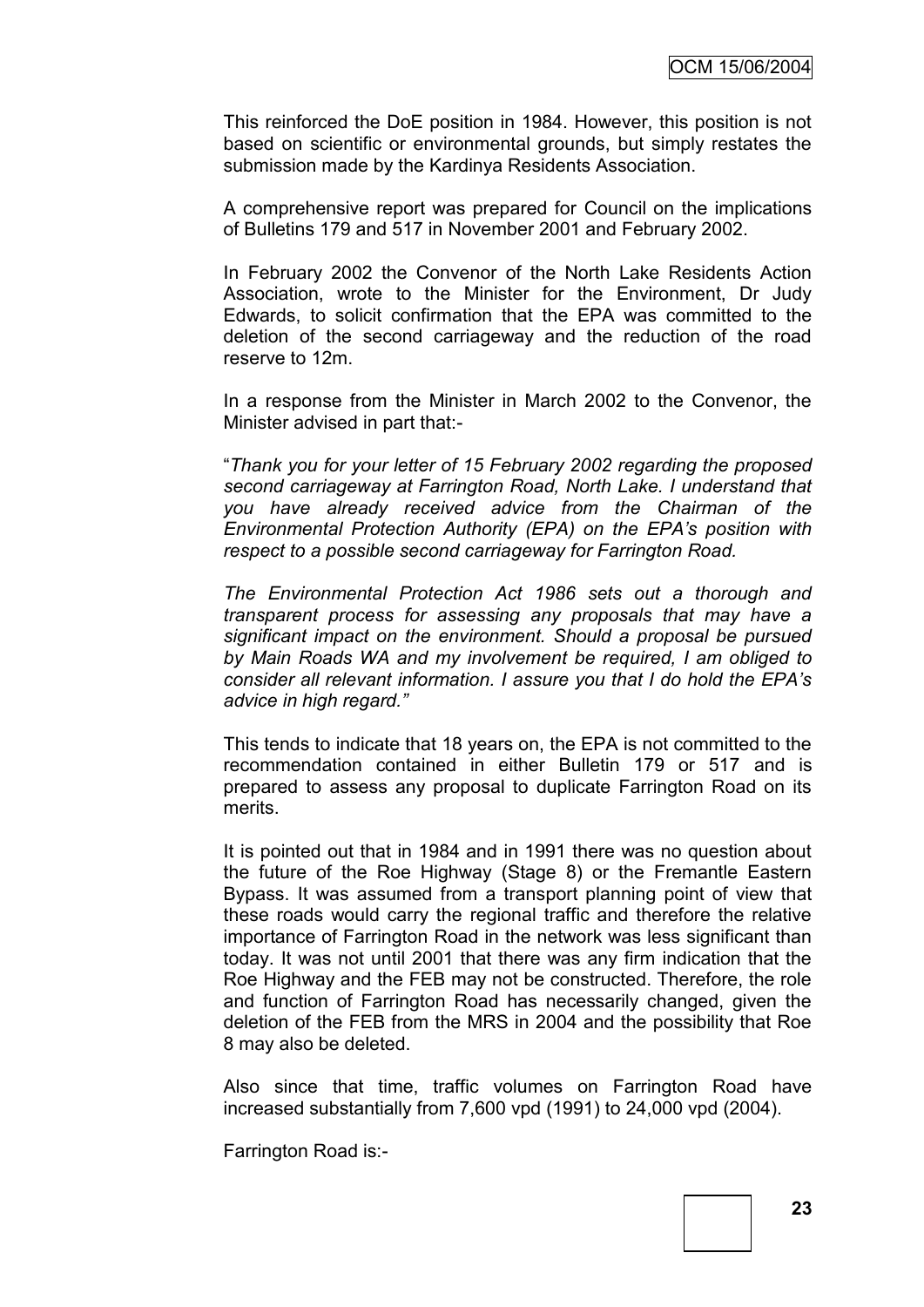This reinforced the DoE position in 1984. However, this position is not based on scientific or environmental grounds, but simply restates the submission made by the Kardinya Residents Association.

A comprehensive report was prepared for Council on the implications of Bulletins 179 and 517 in November 2001 and February 2002.

In February 2002 the Convenor of the North Lake Residents Action Association, wrote to the Minister for the Environment, Dr Judy Edwards, to solicit confirmation that the EPA was committed to the deletion of the second carriageway and the reduction of the road reserve to 12m.

In a response from the Minister in March 2002 to the Convenor, the Minister advised in part that:-

"*Thank you for your letter of 15 February 2002 regarding the proposed second carriageway at Farrington Road, North Lake. I understand that you have already received advice from the Chairman of the Environmental Protection Authority (EPA) on the EPA"s position with respect to a possible second carriageway for Farrington Road.*

*The Environmental Protection Act 1986 sets out a thorough and transparent process for assessing any proposals that may have a significant impact on the environment. Should a proposal be pursued by Main Roads WA and my involvement be required, I am obliged to consider all relevant information. I assure you that I do hold the EPA"s advice in high regard."*

This tends to indicate that 18 years on, the EPA is not committed to the recommendation contained in either Bulletin 179 or 517 and is prepared to assess any proposal to duplicate Farrington Road on its merits.

It is pointed out that in 1984 and in 1991 there was no question about the future of the Roe Highway (Stage 8) or the Fremantle Eastern Bypass. It was assumed from a transport planning point of view that these roads would carry the regional traffic and therefore the relative importance of Farrington Road in the network was less significant than today. It was not until 2001 that there was any firm indication that the Roe Highway and the FEB may not be constructed. Therefore, the role and function of Farrington Road has necessarily changed, given the deletion of the FEB from the MRS in 2004 and the possibility that Roe 8 may also be deleted.

Also since that time, traffic volumes on Farrington Road have increased substantially from 7,600 vpd (1991) to 24,000 vpd (2004).

Farrington Road is:-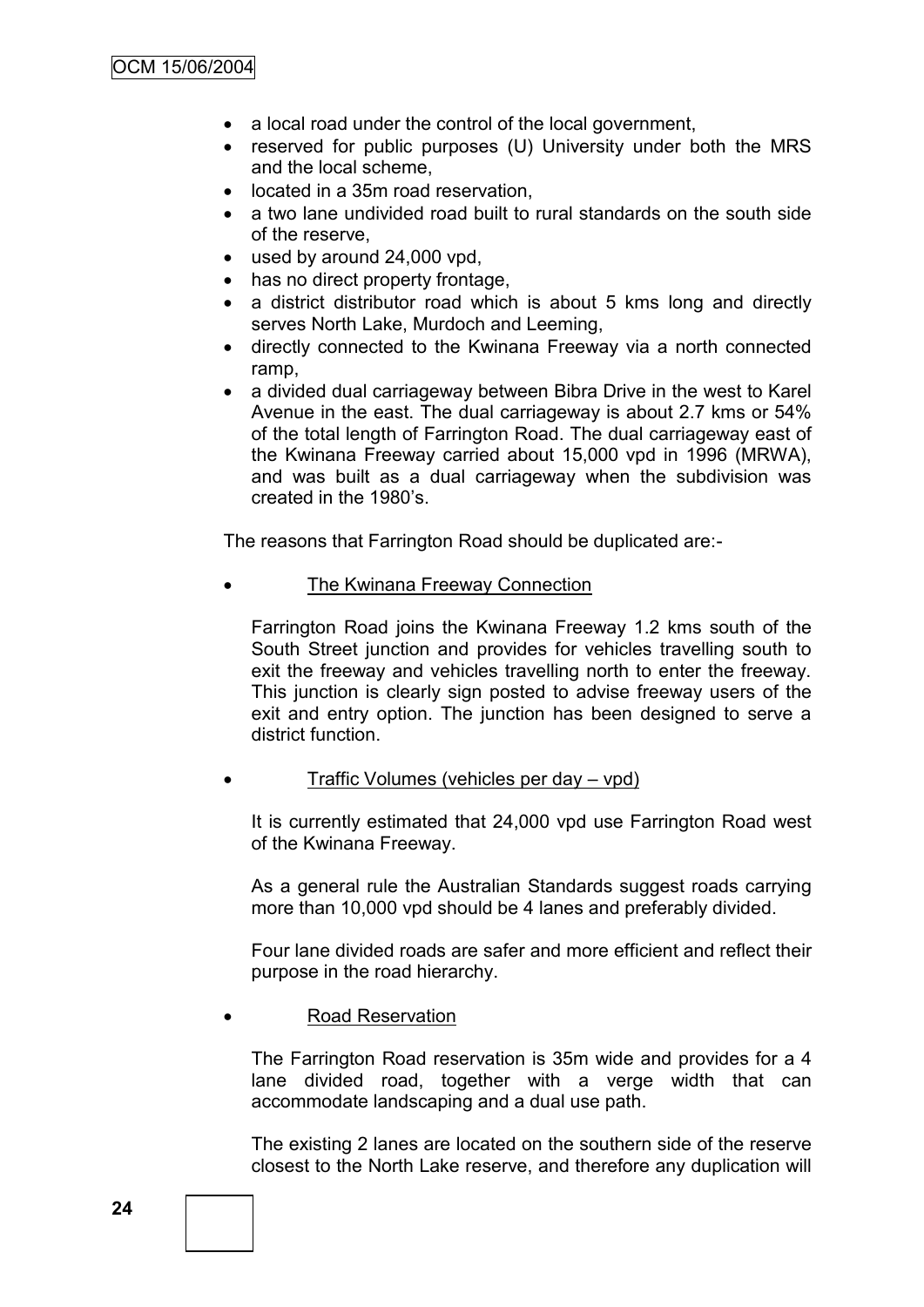- a local road under the control of the local government,
- reserved for public purposes (U) University under both the MRS and the local scheme,
- located in a 35m road reservation,
- a two lane undivided road built to rural standards on the south side of the reserve,
- used by around 24,000 vpd,
- has no direct property frontage,
- a district distributor road which is about 5 kms long and directly serves North Lake, Murdoch and Leeming,
- directly connected to the Kwinana Freeway via a north connected ramp,
- a divided dual carriageway between Bibra Drive in the west to Karel Avenue in the east. The dual carriageway is about 2.7 kms or 54% of the total length of Farrington Road. The dual carriageway east of the Kwinana Freeway carried about 15,000 vpd in 1996 (MRWA), and was built as a dual carriageway when the subdivision was created in the 1980"s.

The reasons that Farrington Road should be duplicated are:-

The Kwinana Freeway Connection

Farrington Road joins the Kwinana Freeway 1.2 kms south of the South Street junction and provides for vehicles travelling south to exit the freeway and vehicles travelling north to enter the freeway. This junction is clearly sign posted to advise freeway users of the exit and entry option. The junction has been designed to serve a district function.

Traffic Volumes (vehicles per day – vpd)

It is currently estimated that 24,000 vpd use Farrington Road west of the Kwinana Freeway.

As a general rule the Australian Standards suggest roads carrying more than 10,000 vpd should be 4 lanes and preferably divided.

Four lane divided roads are safer and more efficient and reflect their purpose in the road hierarchy.

#### Road Reservation

The Farrington Road reservation is 35m wide and provides for a 4 lane divided road, together with a verge width that can accommodate landscaping and a dual use path.

The existing 2 lanes are located on the southern side of the reserve closest to the North Lake reserve, and therefore any duplication will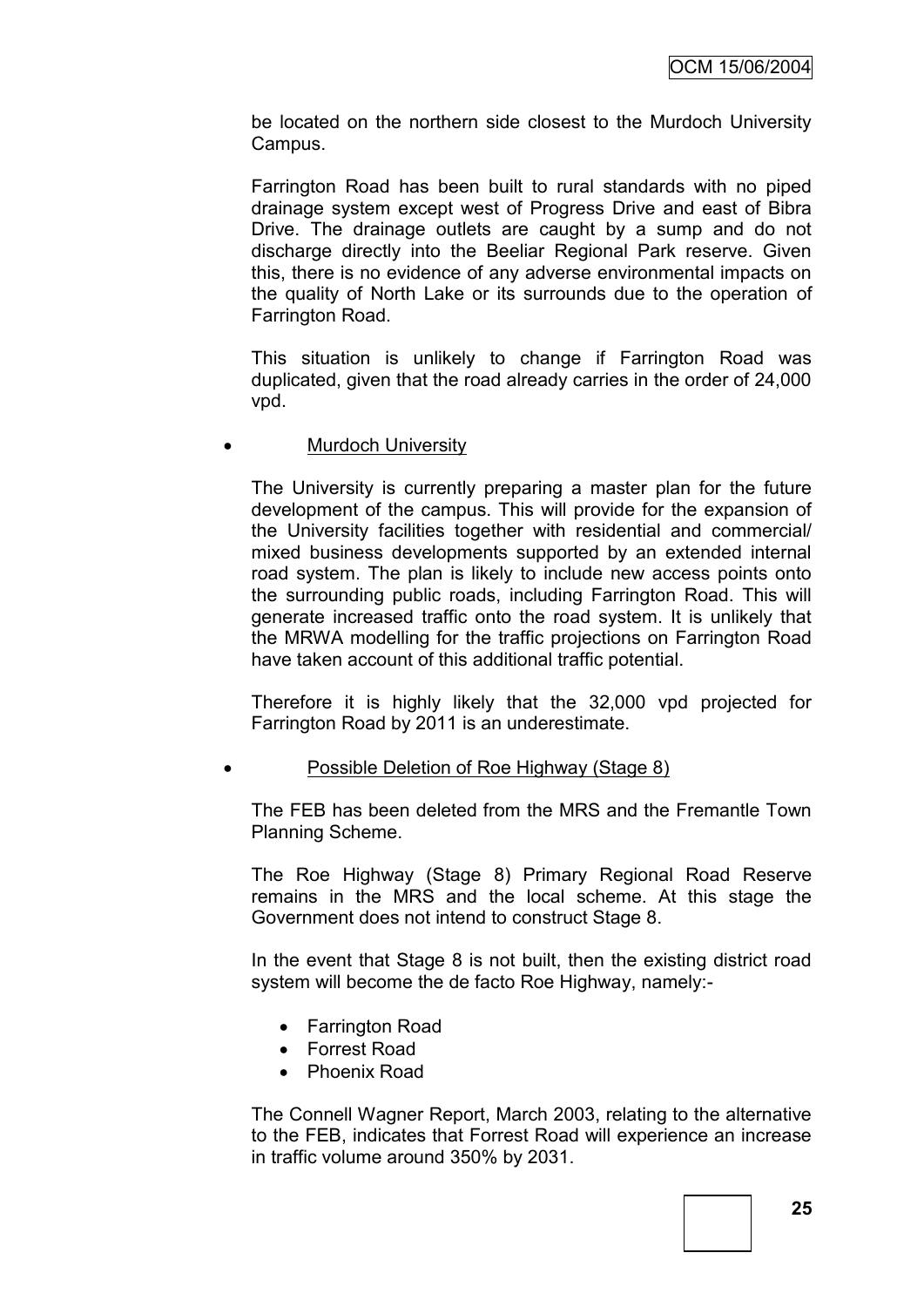be located on the northern side closest to the Murdoch University Campus.

Farrington Road has been built to rural standards with no piped drainage system except west of Progress Drive and east of Bibra Drive. The drainage outlets are caught by a sump and do not discharge directly into the Beeliar Regional Park reserve. Given this, there is no evidence of any adverse environmental impacts on the quality of North Lake or its surrounds due to the operation of Farrington Road.

This situation is unlikely to change if Farrington Road was duplicated, given that the road already carries in the order of 24,000 vpd.

#### Murdoch University

The University is currently preparing a master plan for the future development of the campus. This will provide for the expansion of the University facilities together with residential and commercial/ mixed business developments supported by an extended internal road system. The plan is likely to include new access points onto the surrounding public roads, including Farrington Road. This will generate increased traffic onto the road system. It is unlikely that the MRWA modelling for the traffic projections on Farrington Road have taken account of this additional traffic potential.

Therefore it is highly likely that the 32,000 vpd projected for Farrington Road by 2011 is an underestimate.

### Possible Deletion of Roe Highway (Stage 8)

The FEB has been deleted from the MRS and the Fremantle Town Planning Scheme.

The Roe Highway (Stage 8) Primary Regional Road Reserve remains in the MRS and the local scheme. At this stage the Government does not intend to construct Stage 8.

In the event that Stage 8 is not built, then the existing district road system will become the de facto Roe Highway, namely:-

- Farrington Road
- Forrest Road
- Phoenix Road

The Connell Wagner Report, March 2003, relating to the alternative to the FEB, indicates that Forrest Road will experience an increase in traffic volume around 350% by 2031.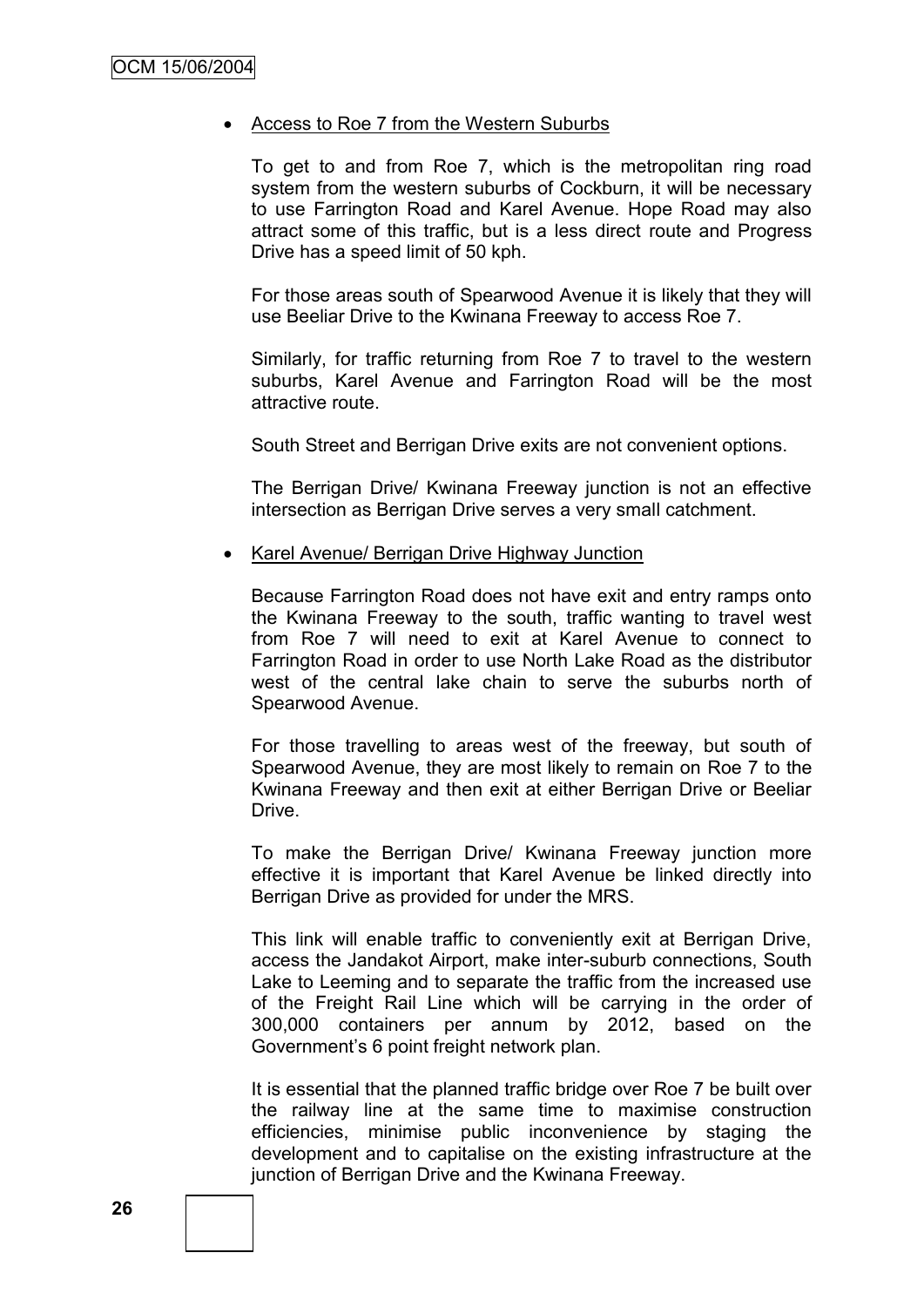#### Access to Roe 7 from the Western Suburbs

To get to and from Roe 7, which is the metropolitan ring road system from the western suburbs of Cockburn, it will be necessary to use Farrington Road and Karel Avenue. Hope Road may also attract some of this traffic, but is a less direct route and Progress Drive has a speed limit of 50 kph.

For those areas south of Spearwood Avenue it is likely that they will use Beeliar Drive to the Kwinana Freeway to access Roe 7.

Similarly, for traffic returning from Roe 7 to travel to the western suburbs, Karel Avenue and Farrington Road will be the most attractive route.

South Street and Berrigan Drive exits are not convenient options.

The Berrigan Drive/ Kwinana Freeway junction is not an effective intersection as Berrigan Drive serves a very small catchment.

• Karel Avenue/ Berrigan Drive Highway Junction

Because Farrington Road does not have exit and entry ramps onto the Kwinana Freeway to the south, traffic wanting to travel west from Roe 7 will need to exit at Karel Avenue to connect to Farrington Road in order to use North Lake Road as the distributor west of the central lake chain to serve the suburbs north of Spearwood Avenue.

For those travelling to areas west of the freeway, but south of Spearwood Avenue, they are most likely to remain on Roe 7 to the Kwinana Freeway and then exit at either Berrigan Drive or Beeliar Drive.

To make the Berrigan Drive/ Kwinana Freeway junction more effective it is important that Karel Avenue be linked directly into Berrigan Drive as provided for under the MRS.

This link will enable traffic to conveniently exit at Berrigan Drive, access the Jandakot Airport, make inter-suburb connections, South Lake to Leeming and to separate the traffic from the increased use of the Freight Rail Line which will be carrying in the order of 300,000 containers per annum by 2012, based on the Government"s 6 point freight network plan.

It is essential that the planned traffic bridge over Roe 7 be built over the railway line at the same time to maximise construction efficiencies, minimise public inconvenience by staging the development and to capitalise on the existing infrastructure at the junction of Berrigan Drive and the Kwinana Freeway.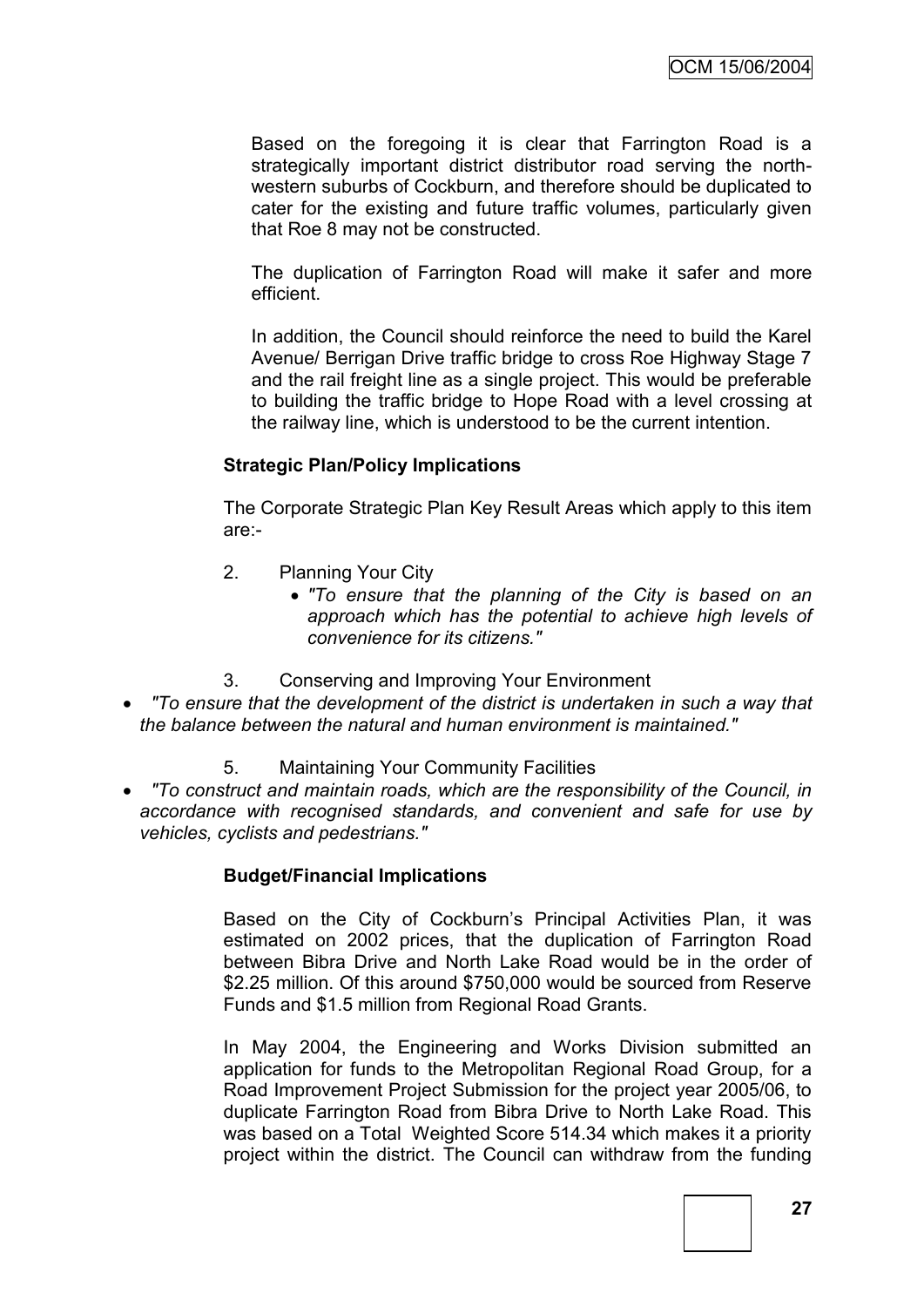Based on the foregoing it is clear that Farrington Road is a strategically important district distributor road serving the northwestern suburbs of Cockburn, and therefore should be duplicated to cater for the existing and future traffic volumes, particularly given that Roe 8 may not be constructed.

The duplication of Farrington Road will make it safer and more efficient.

In addition, the Council should reinforce the need to build the Karel Avenue/ Berrigan Drive traffic bridge to cross Roe Highway Stage 7 and the rail freight line as a single project. This would be preferable to building the traffic bridge to Hope Road with a level crossing at the railway line, which is understood to be the current intention.

### **Strategic Plan/Policy Implications**

The Corporate Strategic Plan Key Result Areas which apply to this item are:-

- 2. Planning Your City
	- *"To ensure that the planning of the City is based on an approach which has the potential to achieve high levels of convenience for its citizens."*
- 3. Conserving and Improving Your Environment
- *"To ensure that the development of the district is undertaken in such a way that the balance between the natural and human environment is maintained."*
	- 5. Maintaining Your Community Facilities
- *"To construct and maintain roads, which are the responsibility of the Council, in accordance with recognised standards, and convenient and safe for use by vehicles, cyclists and pedestrians."*

### **Budget/Financial Implications**

Based on the City of Cockburn"s Principal Activities Plan, it was estimated on 2002 prices, that the duplication of Farrington Road between Bibra Drive and North Lake Road would be in the order of \$2.25 million. Of this around \$750,000 would be sourced from Reserve Funds and \$1.5 million from Regional Road Grants.

In May 2004, the Engineering and Works Division submitted an application for funds to the Metropolitan Regional Road Group, for a Road Improvement Project Submission for the project year 2005/06, to duplicate Farrington Road from Bibra Drive to North Lake Road. This was based on a Total Weighted Score 514.34 which makes it a priority project within the district. The Council can withdraw from the funding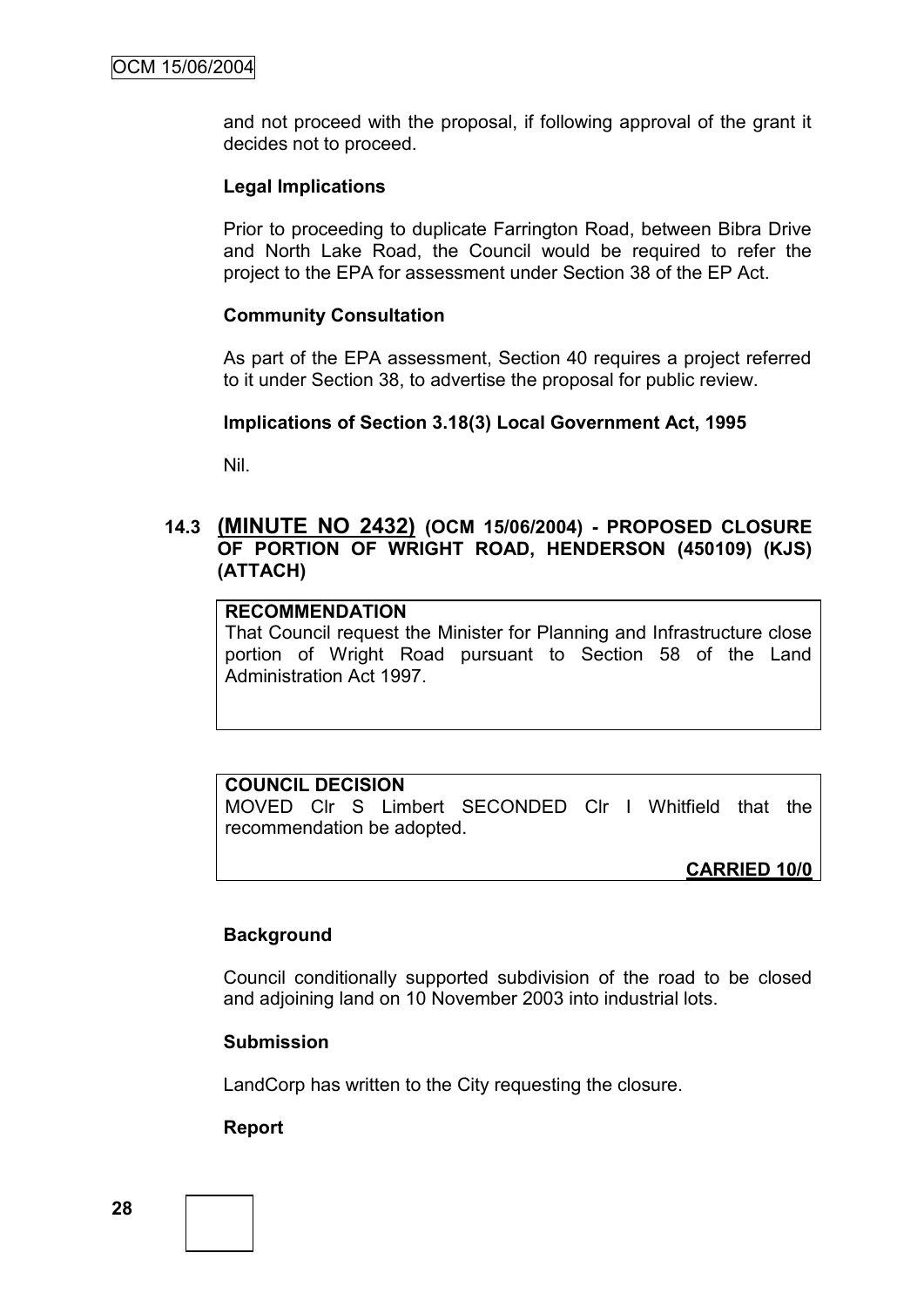and not proceed with the proposal, if following approval of the grant it decides not to proceed.

#### **Legal Implications**

Prior to proceeding to duplicate Farrington Road, between Bibra Drive and North Lake Road, the Council would be required to refer the project to the EPA for assessment under Section 38 of the EP Act.

#### **Community Consultation**

As part of the EPA assessment, Section 40 requires a project referred to it under Section 38, to advertise the proposal for public review.

#### **Implications of Section 3.18(3) Local Government Act, 1995**

Nil.

### **14.3 (MINUTE NO 2432) (OCM 15/06/2004) - PROPOSED CLOSURE OF PORTION OF WRIGHT ROAD, HENDERSON (450109) (KJS) (ATTACH)**

#### **RECOMMENDATION**

That Council request the Minister for Planning and Infrastructure close portion of Wright Road pursuant to Section 58 of the Land Administration Act 1997.

### **COUNCIL DECISION**

MOVED Clr S Limbert SECONDED Clr I Whitfield that the recommendation be adopted.

**CARRIED 10/0**

#### **Background**

Council conditionally supported subdivision of the road to be closed and adjoining land on 10 November 2003 into industrial lots.

#### **Submission**

LandCorp has written to the City requesting the closure.

#### **Report**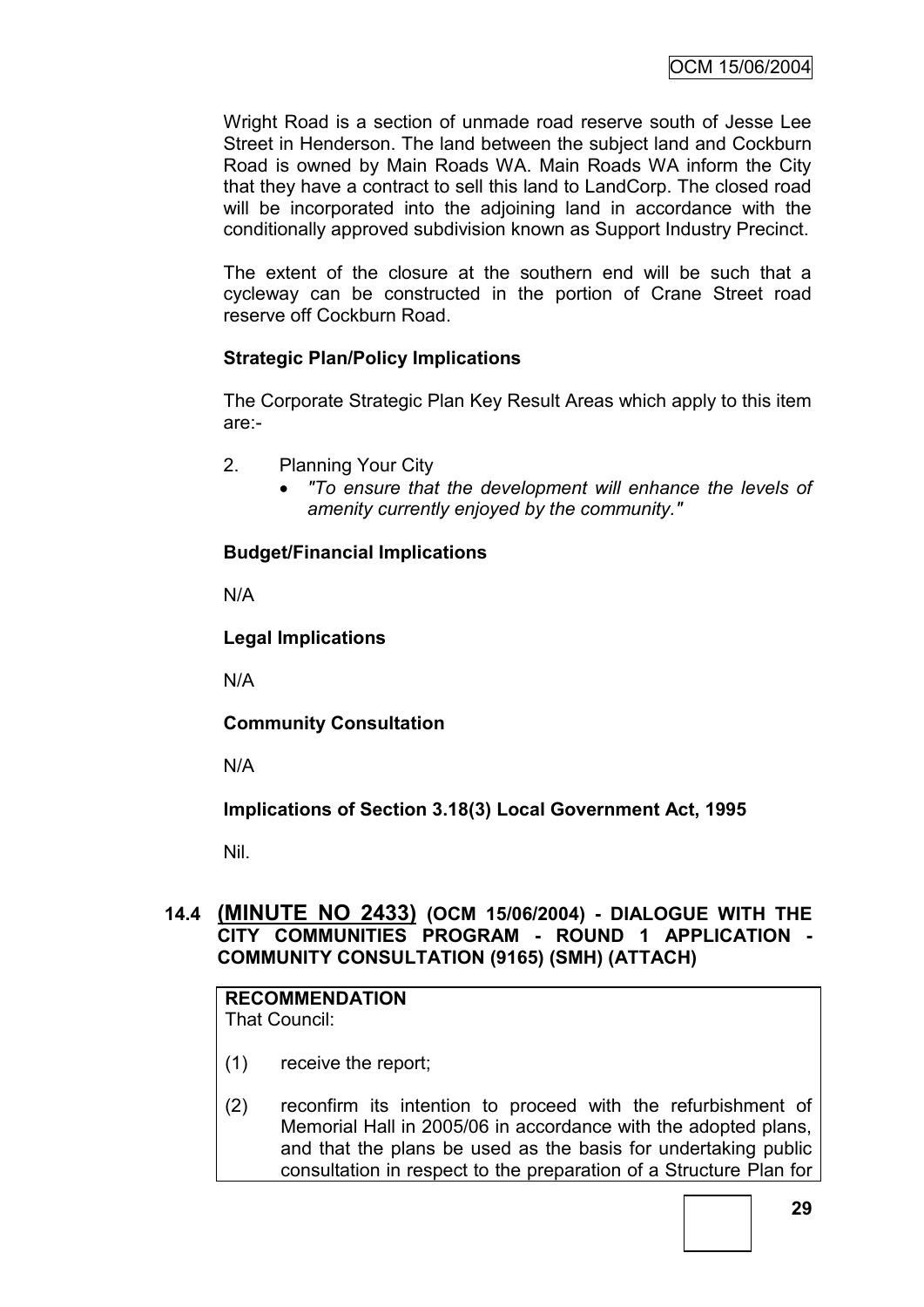Wright Road is a section of unmade road reserve south of Jesse Lee Street in Henderson. The land between the subject land and Cockburn Road is owned by Main Roads WA. Main Roads WA inform the City that they have a contract to sell this land to LandCorp. The closed road will be incorporated into the adjoining land in accordance with the conditionally approved subdivision known as Support Industry Precinct.

The extent of the closure at the southern end will be such that a cycleway can be constructed in the portion of Crane Street road reserve off Cockburn Road.

# **Strategic Plan/Policy Implications**

The Corporate Strategic Plan Key Result Areas which apply to this item are:-

- 2. Planning Your City
	- *"To ensure that the development will enhance the levels of amenity currently enjoyed by the community."*

### **Budget/Financial Implications**

N/A

# **Legal Implications**

N/A

**Community Consultation**

N/A

**Implications of Section 3.18(3) Local Government Act, 1995**

Nil.

# **14.4 (MINUTE NO 2433) (OCM 15/06/2004) - DIALOGUE WITH THE CITY COMMUNITIES PROGRAM - ROUND 1 APPLICATION - COMMUNITY CONSULTATION (9165) (SMH) (ATTACH)**

# **RECOMMENDATION**

That Council:

- (1) receive the report;
- (2) reconfirm its intention to proceed with the refurbishment of Memorial Hall in 2005/06 in accordance with the adopted plans, and that the plans be used as the basis for undertaking public consultation in respect to the preparation of a Structure Plan for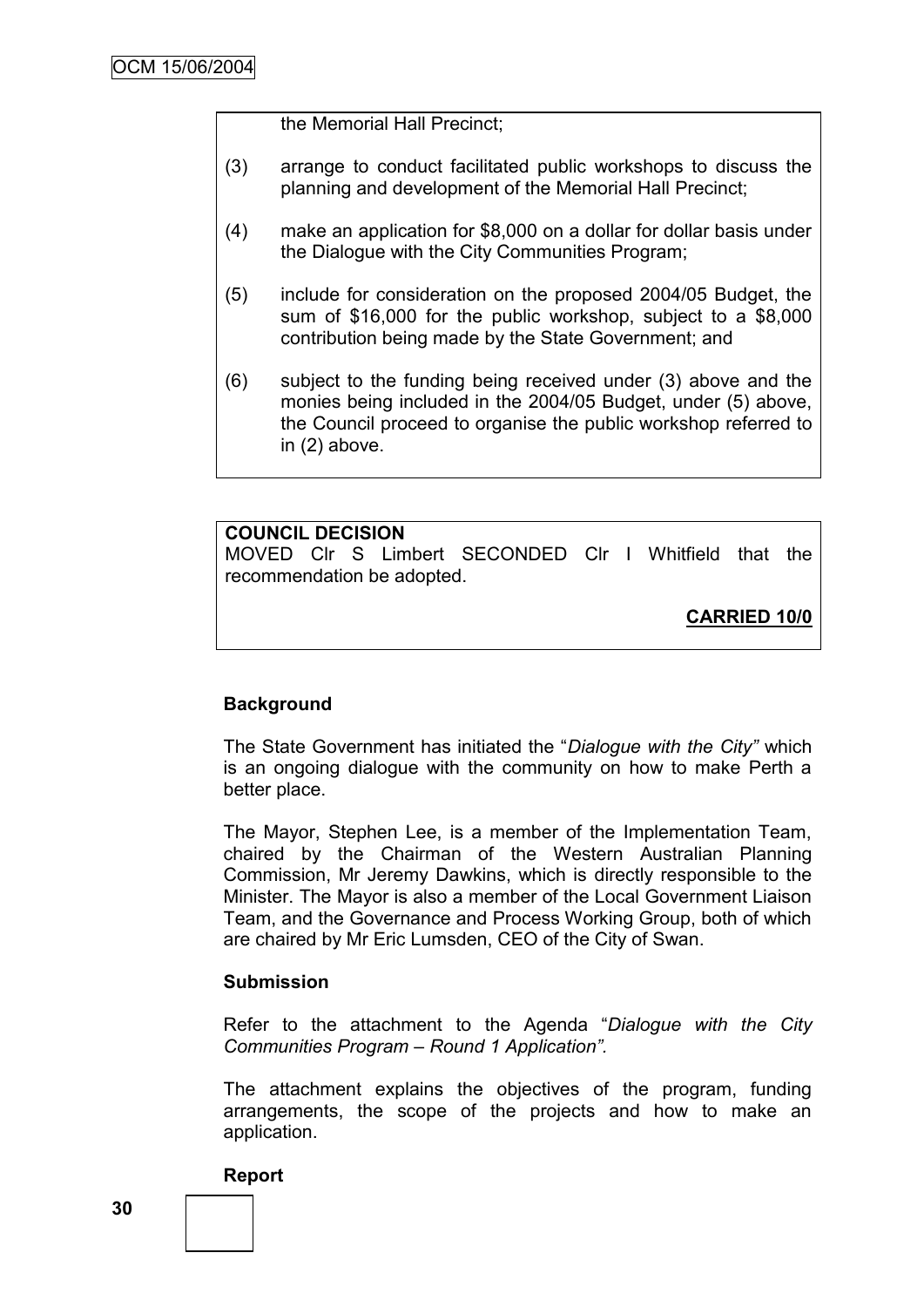the Memorial Hall Precinct;

- (3) arrange to conduct facilitated public workshops to discuss the planning and development of the Memorial Hall Precinct;
- (4) make an application for \$8,000 on a dollar for dollar basis under the Dialogue with the City Communities Program;
- (5) include for consideration on the proposed 2004/05 Budget, the sum of \$16,000 for the public workshop, subject to a \$8,000 contribution being made by the State Government; and
- (6) subject to the funding being received under (3) above and the monies being included in the 2004/05 Budget, under (5) above, the Council proceed to organise the public workshop referred to in (2) above.

#### **COUNCIL DECISION**

MOVED Clr S Limbert SECONDED Clr I Whitfield that the recommendation be adopted.

**CARRIED 10/0**

### **Background**

The State Government has initiated the "*Dialogue with the City"* which is an ongoing dialogue with the community on how to make Perth a better place.

The Mayor, Stephen Lee, is a member of the Implementation Team, chaired by the Chairman of the Western Australian Planning Commission, Mr Jeremy Dawkins, which is directly responsible to the Minister. The Mayor is also a member of the Local Government Liaison Team, and the Governance and Process Working Group, both of which are chaired by Mr Eric Lumsden, CEO of the City of Swan.

#### **Submission**

Refer to the attachment to the Agenda "*Dialogue with the City Communities Program – Round 1 Application".* 

The attachment explains the objectives of the program, funding arrangements, the scope of the projects and how to make an application.

#### **Report**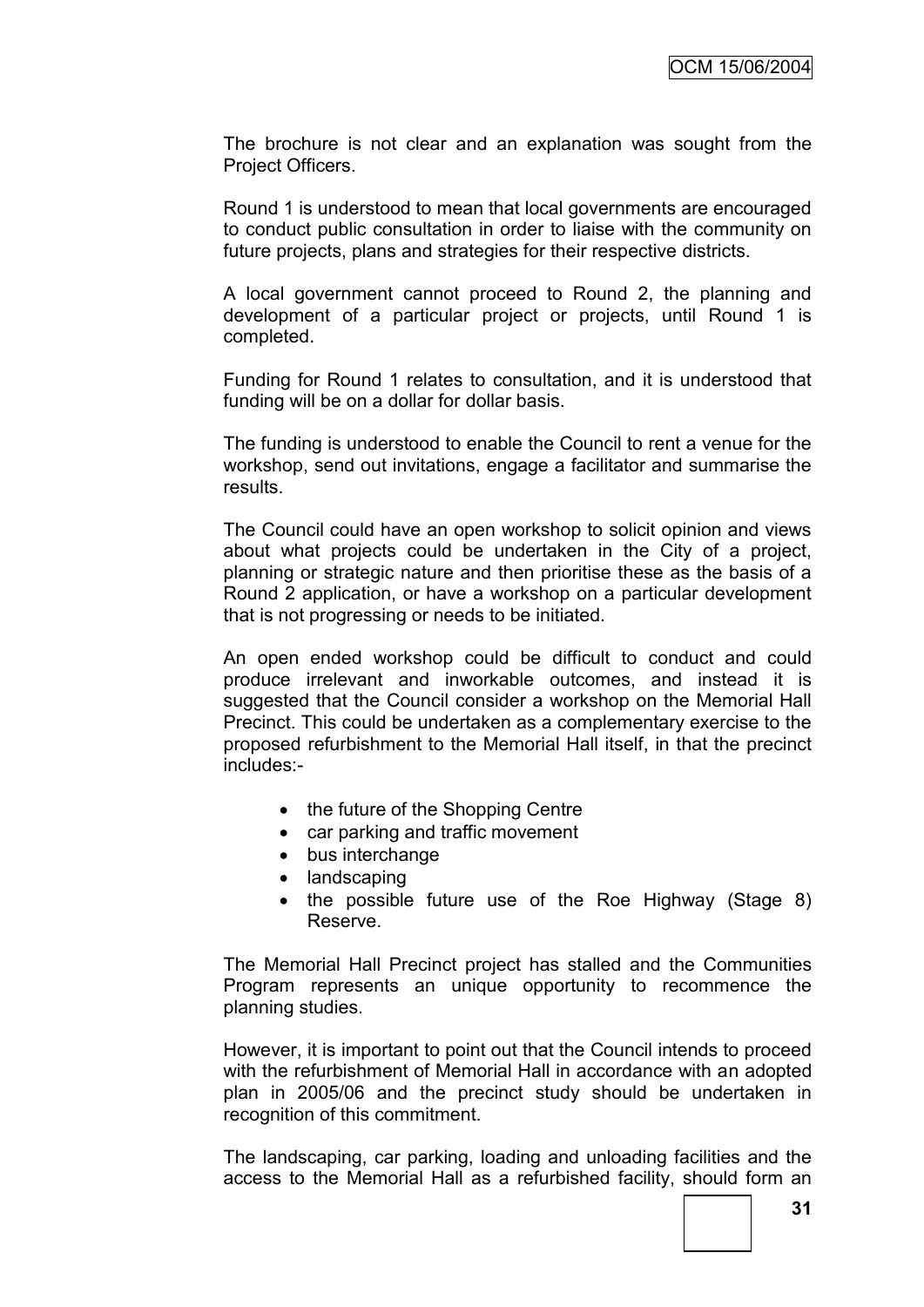The brochure is not clear and an explanation was sought from the Project Officers.

Round 1 is understood to mean that local governments are encouraged to conduct public consultation in order to liaise with the community on future projects, plans and strategies for their respective districts.

A local government cannot proceed to Round 2, the planning and development of a particular project or projects, until Round 1 is completed.

Funding for Round 1 relates to consultation, and it is understood that funding will be on a dollar for dollar basis.

The funding is understood to enable the Council to rent a venue for the workshop, send out invitations, engage a facilitator and summarise the results.

The Council could have an open workshop to solicit opinion and views about what projects could be undertaken in the City of a project, planning or strategic nature and then prioritise these as the basis of a Round 2 application, or have a workshop on a particular development that is not progressing or needs to be initiated.

An open ended workshop could be difficult to conduct and could produce irrelevant and inworkable outcomes, and instead it is suggested that the Council consider a workshop on the Memorial Hall Precinct. This could be undertaken as a complementary exercise to the proposed refurbishment to the Memorial Hall itself, in that the precinct includes:-

- the future of the Shopping Centre
- car parking and traffic movement
- bus interchange
- landscaping
- the possible future use of the Roe Highway (Stage 8) Reserve.

The Memorial Hall Precinct project has stalled and the Communities Program represents an unique opportunity to recommence the planning studies.

However, it is important to point out that the Council intends to proceed with the refurbishment of Memorial Hall in accordance with an adopted plan in 2005/06 and the precinct study should be undertaken in recognition of this commitment.

The landscaping, car parking, loading and unloading facilities and the access to the Memorial Hall as a refurbished facility, should form an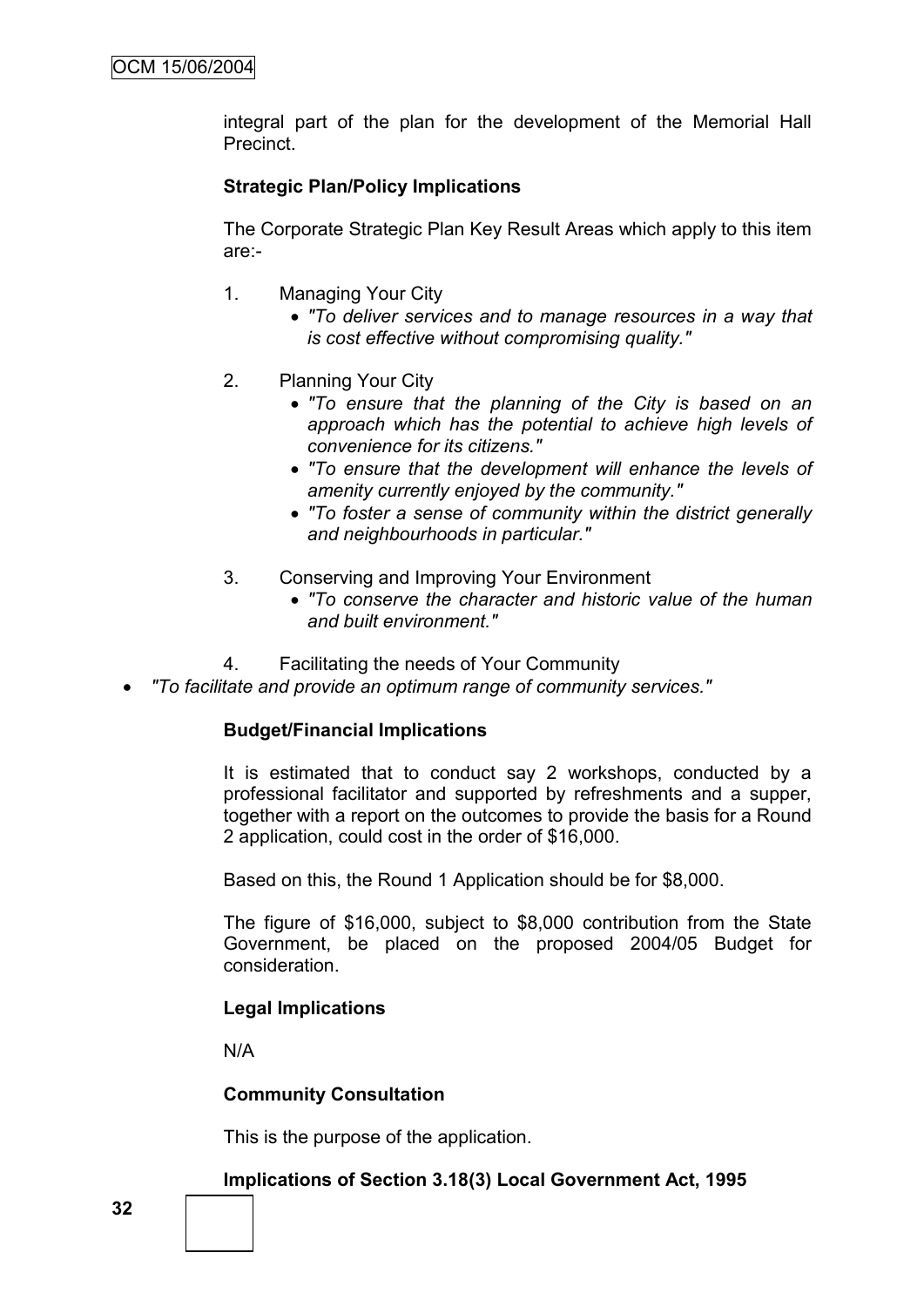integral part of the plan for the development of the Memorial Hall Precinct.

# **Strategic Plan/Policy Implications**

The Corporate Strategic Plan Key Result Areas which apply to this item are:-

- 1. Managing Your City
	- *"To deliver services and to manage resources in a way that is cost effective without compromising quality."*
- 2. Planning Your City
	- *"To ensure that the planning of the City is based on an approach which has the potential to achieve high levels of convenience for its citizens."*
	- *"To ensure that the development will enhance the levels of amenity currently enjoyed by the community."*
	- *"To foster a sense of community within the district generally and neighbourhoods in particular."*
- 3. Conserving and Improving Your Environment
	- *"To conserve the character and historic value of the human and built environment."*
- 4. Facilitating the needs of Your Community
- *"To facilitate and provide an optimum range of community services."*

## **Budget/Financial Implications**

It is estimated that to conduct say 2 workshops, conducted by a professional facilitator and supported by refreshments and a supper, together with a report on the outcomes to provide the basis for a Round 2 application, could cost in the order of \$16,000.

Based on this, the Round 1 Application should be for \$8,000.

The figure of \$16,000, subject to \$8,000 contribution from the State Government, be placed on the proposed 2004/05 Budget for consideration.

## **Legal Implications**

N/A

## **Community Consultation**

This is the purpose of the application.

#### **Implications of Section 3.18(3) Local Government Act, 1995**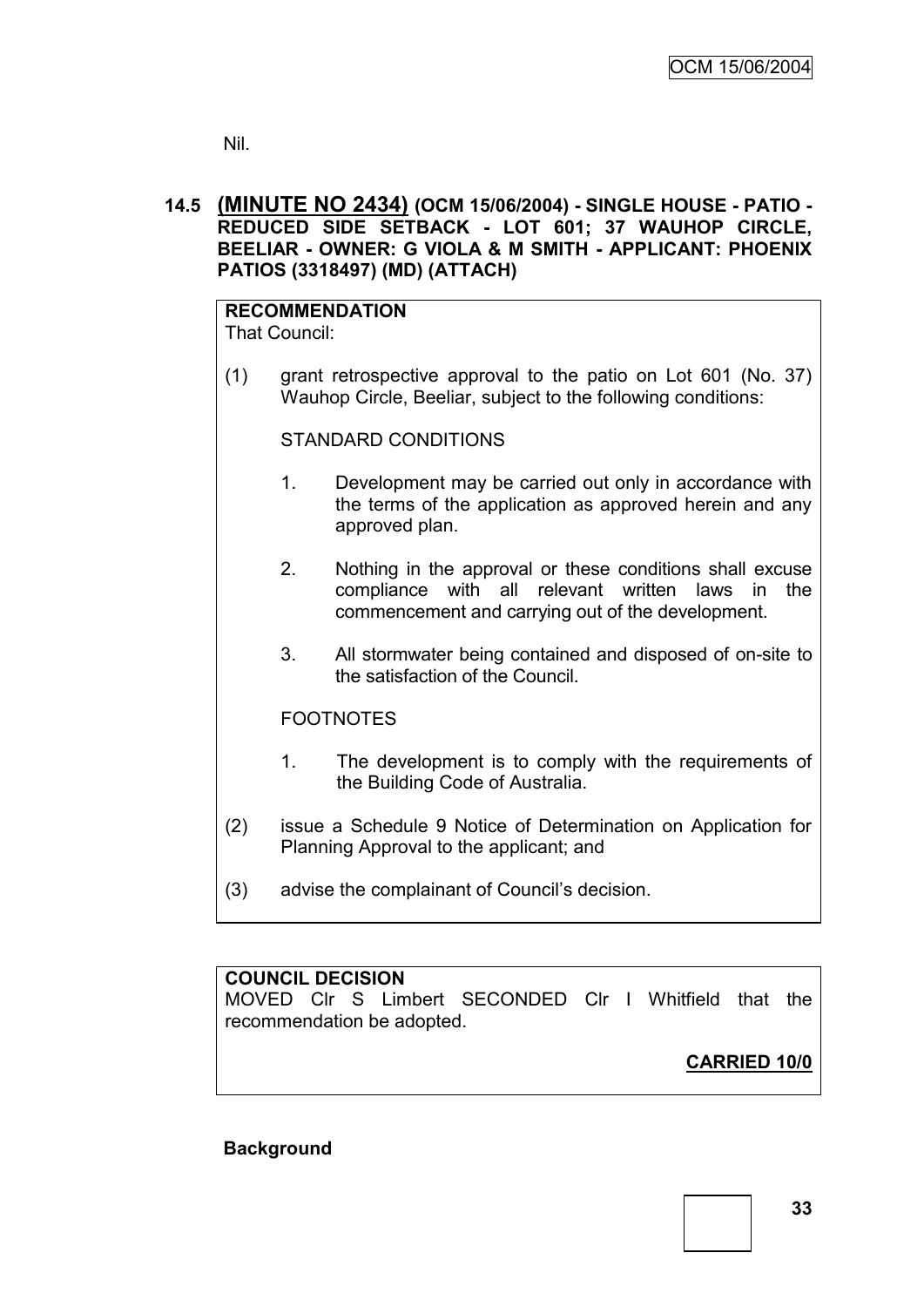Nil.

## **14.5 (MINUTE NO 2434) (OCM 15/06/2004) - SINGLE HOUSE - PATIO - REDUCED SIDE SETBACK - LOT 601; 37 WAUHOP CIRCLE, BEELIAR - OWNER: G VIOLA & M SMITH - APPLICANT: PHOENIX PATIOS (3318497) (MD) (ATTACH)**

#### **RECOMMENDATION** That Council:

(1) grant retrospective approval to the patio on Lot 601 (No. 37) Wauhop Circle, Beeliar, subject to the following conditions:

## STANDARD CONDITIONS

- 1. Development may be carried out only in accordance with the terms of the application as approved herein and any approved plan.
- 2. Nothing in the approval or these conditions shall excuse compliance with all relevant written laws in the commencement and carrying out of the development.
- 3. All stormwater being contained and disposed of on-site to the satisfaction of the Council.

## FOOTNOTES

- 1. The development is to comply with the requirements of the Building Code of Australia.
- (2) issue a Schedule 9 Notice of Determination on Application for Planning Approval to the applicant; and
- (3) advise the complainant of Council"s decision.

# **COUNCIL DECISION**

MOVED Clr S Limbert SECONDED Clr I Whitfield that the recommendation be adopted.

# **CARRIED 10/0**

## **Background**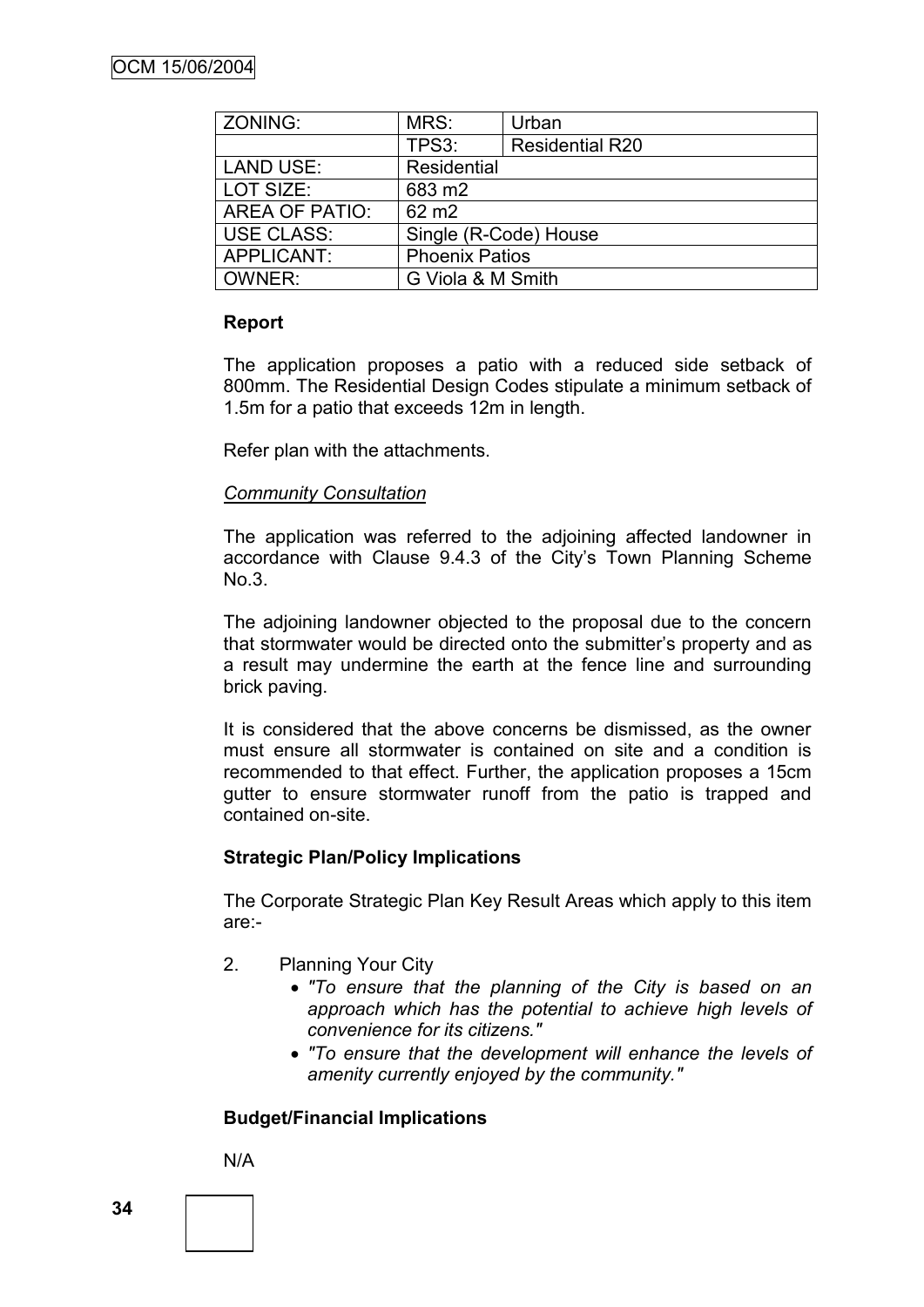| ZONING:           | MRS:                  | Urban                  |  |
|-------------------|-----------------------|------------------------|--|
|                   | TPS3:                 | <b>Residential R20</b> |  |
| <b>LAND USE:</b>  | Residential           |                        |  |
| LOT SIZE:         | 683 m2                |                        |  |
| AREA OF PATIO:    | 62 m <sub>2</sub>     |                        |  |
| <b>USE CLASS:</b> | Single (R-Code) House |                        |  |
| APPLICANT:        | <b>Phoenix Patios</b> |                        |  |
| OWNER:            | G Viola & M Smith     |                        |  |

# **Report**

The application proposes a patio with a reduced side setback of 800mm. The Residential Design Codes stipulate a minimum setback of 1.5m for a patio that exceeds 12m in length.

Refer plan with the attachments.

## *Community Consultation*

The application was referred to the adjoining affected landowner in accordance with Clause 9.4.3 of the City"s Town Planning Scheme No.3.

The adjoining landowner objected to the proposal due to the concern that stormwater would be directed onto the submitter's property and as a result may undermine the earth at the fence line and surrounding brick paving.

It is considered that the above concerns be dismissed, as the owner must ensure all stormwater is contained on site and a condition is recommended to that effect. Further, the application proposes a 15cm gutter to ensure stormwater runoff from the patio is trapped and contained on-site.

# **Strategic Plan/Policy Implications**

The Corporate Strategic Plan Key Result Areas which apply to this item are:-

- 2. Planning Your City
	- *"To ensure that the planning of the City is based on an approach which has the potential to achieve high levels of convenience for its citizens."*
	- *"To ensure that the development will enhance the levels of amenity currently enjoyed by the community."*

# **Budget/Financial Implications**

N/A

**34**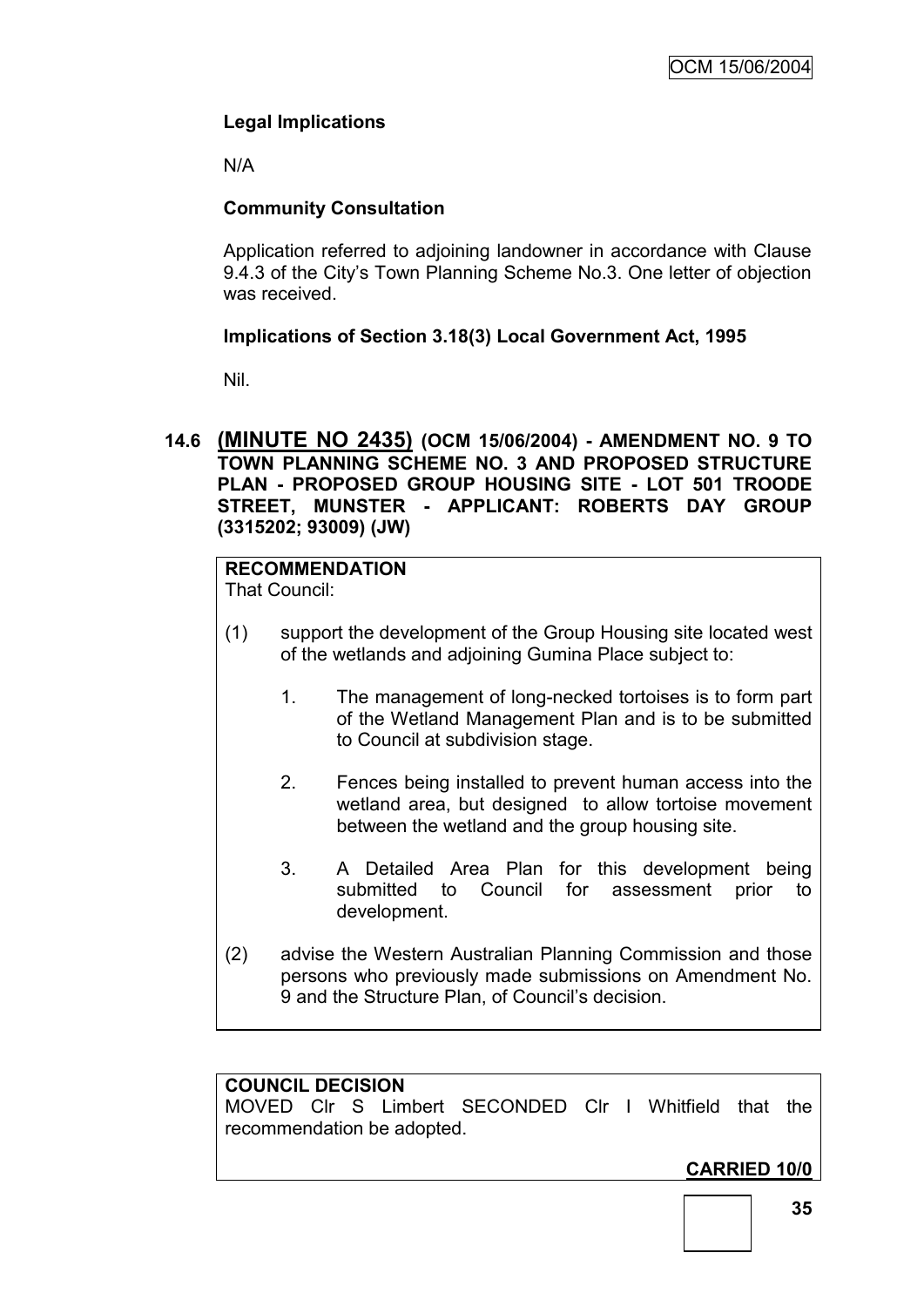# **Legal Implications**

N/A

# **Community Consultation**

Application referred to adjoining landowner in accordance with Clause 9.4.3 of the City"s Town Planning Scheme No.3. One letter of objection was received.

# **Implications of Section 3.18(3) Local Government Act, 1995**

Nil.

**14.6 (MINUTE NO 2435) (OCM 15/06/2004) - AMENDMENT NO. 9 TO TOWN PLANNING SCHEME NO. 3 AND PROPOSED STRUCTURE PLAN - PROPOSED GROUP HOUSING SITE - LOT 501 TROODE STREET, MUNSTER - APPLICANT: ROBERTS DAY GROUP (3315202; 93009) (JW)**

# **RECOMMENDATION**

That Council:

- (1) support the development of the Group Housing site located west of the wetlands and adjoining Gumina Place subject to:
	- 1. The management of long-necked tortoises is to form part of the Wetland Management Plan and is to be submitted to Council at subdivision stage.
	- 2. Fences being installed to prevent human access into the wetland area, but designed to allow tortoise movement between the wetland and the group housing site.
	- 3. A Detailed Area Plan for this development being submitted to Council for assessment prior to development.
- (2) advise the Western Australian Planning Commission and those persons who previously made submissions on Amendment No. 9 and the Structure Plan, of Council"s decision.

# **COUNCIL DECISION**

MOVED Clr S Limbert SECONDED Clr I Whitfield that the recommendation be adopted.

**CARRIED 10/0**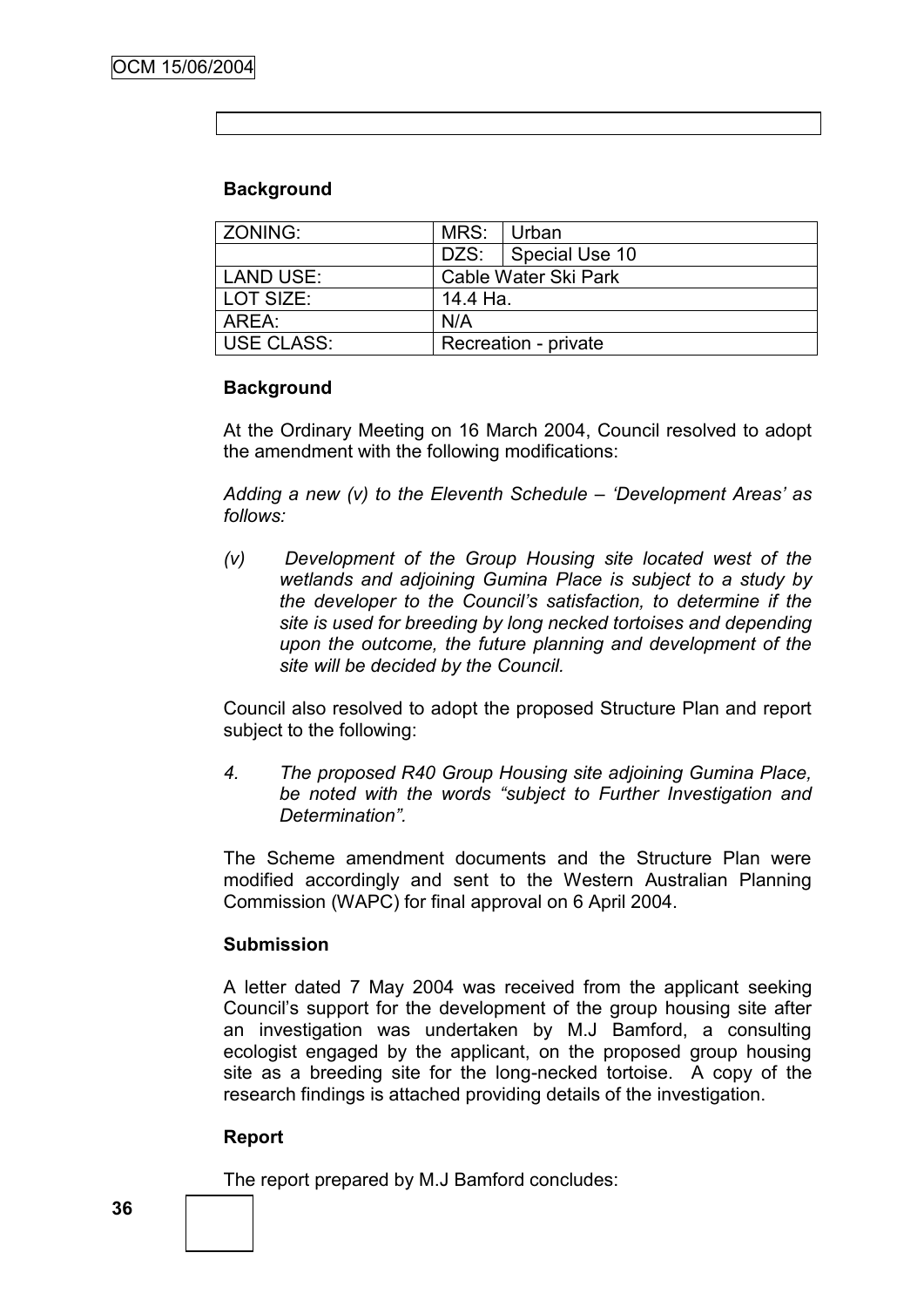# **Background**

| <b>ZONING:</b> | MRS:                 | l Urban               |
|----------------|----------------------|-----------------------|
|                |                      | DZS:   Special Use 10 |
| LAND USE:      | Cable Water Ski Park |                       |
| LOT SIZE:      | 14.4 Ha.             |                       |
| ARFA :         | N/A                  |                       |
| USE CLASS:     | Recreation - private |                       |

## **Background**

At the Ordinary Meeting on 16 March 2004, Council resolved to adopt the amendment with the following modifications:

*Adding a new (v) to the Eleventh Schedule – "Development Areas" as follows:*

*(v) Development of the Group Housing site located west of the wetlands and adjoining Gumina Place is subject to a study by the developer to the Council"s satisfaction, to determine if the site is used for breeding by long necked tortoises and depending upon the outcome, the future planning and development of the site will be decided by the Council.*

Council also resolved to adopt the proposed Structure Plan and report subject to the following:

*4. The proposed R40 Group Housing site adjoining Gumina Place, be noted with the words "subject to Further Investigation and Determination".* 

The Scheme amendment documents and the Structure Plan were modified accordingly and sent to the Western Australian Planning Commission (WAPC) for final approval on 6 April 2004.

# **Submission**

A letter dated 7 May 2004 was received from the applicant seeking Council"s support for the development of the group housing site after an investigation was undertaken by M.J Bamford, a consulting ecologist engaged by the applicant, on the proposed group housing site as a breeding site for the long-necked tortoise. A copy of the research findings is attached providing details of the investigation.

# **Report**

The report prepared by M.J Bamford concludes: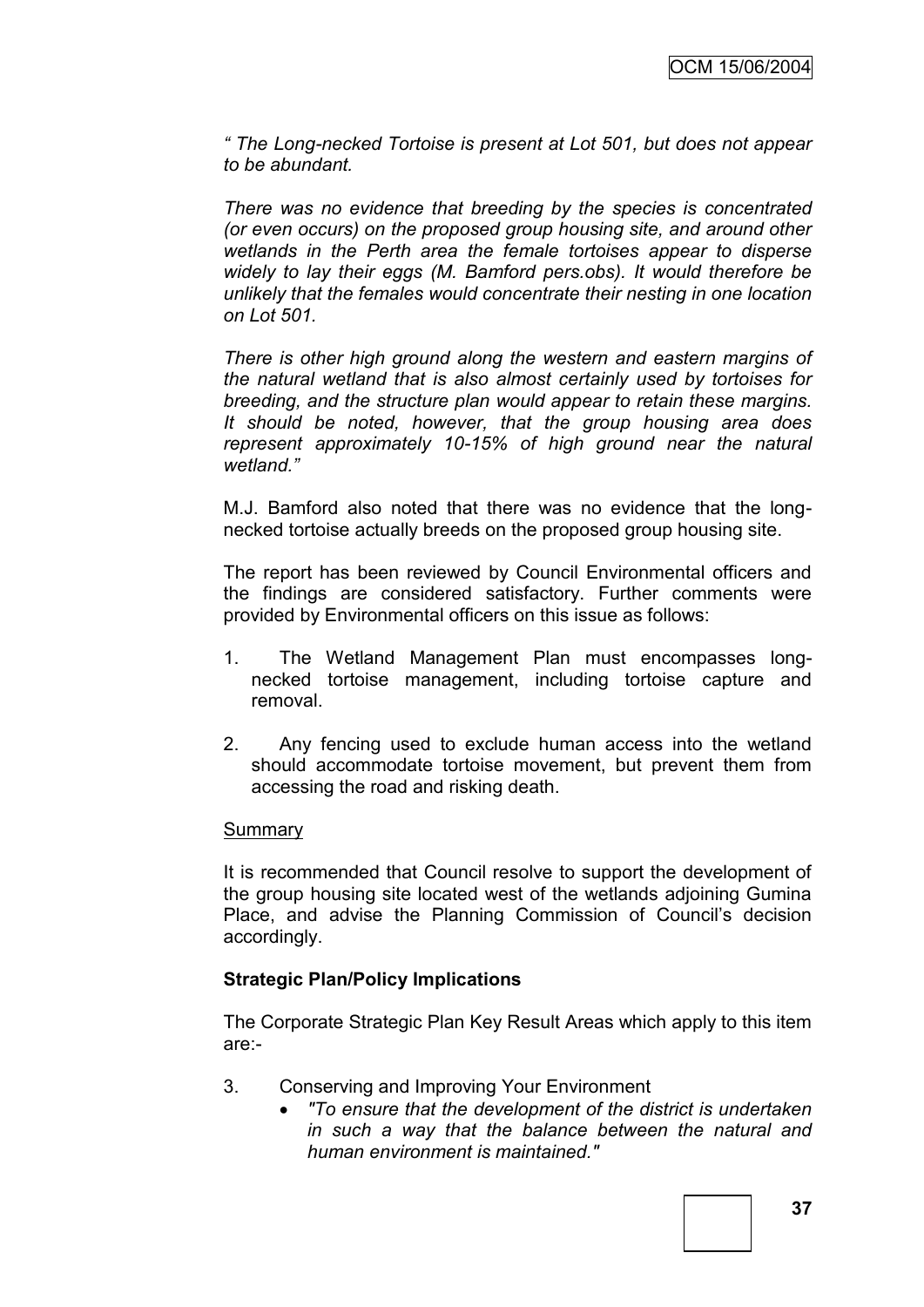*" The Long-necked Tortoise is present at Lot 501, but does not appear to be abundant.* 

*There was no evidence that breeding by the species is concentrated (or even occurs) on the proposed group housing site, and around other wetlands in the Perth area the female tortoises appear to disperse widely to lay their eggs (M. Bamford pers.obs). It would therefore be unlikely that the females would concentrate their nesting in one location on Lot 501.* 

*There is other high ground along the western and eastern margins of the natural wetland that is also almost certainly used by tortoises for breeding, and the structure plan would appear to retain these margins. It should be noted, however, that the group housing area does represent approximately 10-15% of high ground near the natural wetland."*

M.J. Bamford also noted that there was no evidence that the longnecked tortoise actually breeds on the proposed group housing site.

The report has been reviewed by Council Environmental officers and the findings are considered satisfactory. Further comments were provided by Environmental officers on this issue as follows:

- 1. The Wetland Management Plan must encompasses longnecked tortoise management, including tortoise capture and removal.
- 2. Any fencing used to exclude human access into the wetland should accommodate tortoise movement, but prevent them from accessing the road and risking death.

#### Summary

It is recommended that Council resolve to support the development of the group housing site located west of the wetlands adjoining Gumina Place, and advise the Planning Commission of Council"s decision accordingly.

## **Strategic Plan/Policy Implications**

The Corporate Strategic Plan Key Result Areas which apply to this item are:-

- 3. Conserving and Improving Your Environment
	- *"To ensure that the development of the district is undertaken in such a way that the balance between the natural and human environment is maintained."*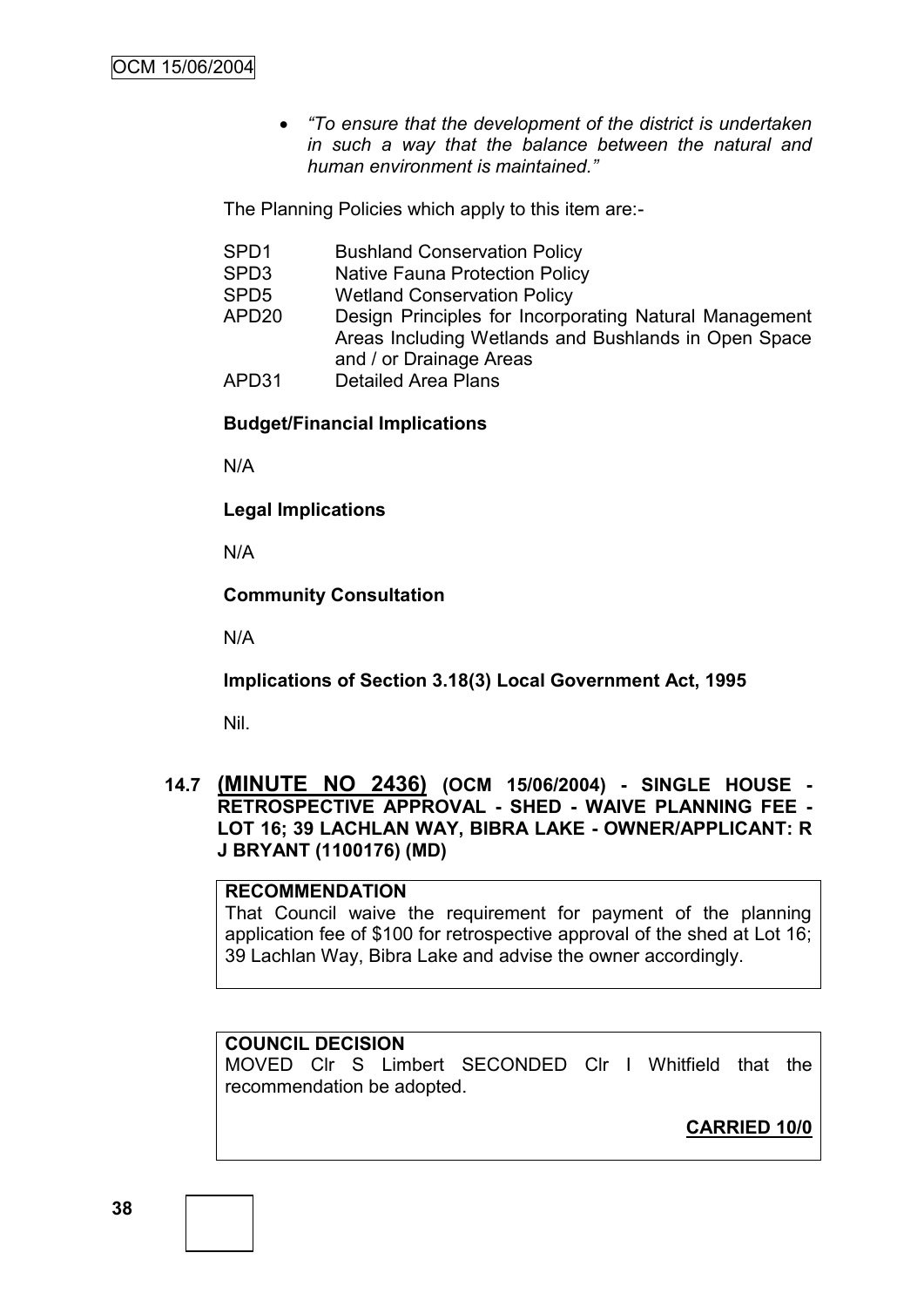*"To ensure that the development of the district is undertaken in such a way that the balance between the natural and human environment is maintained."*

The Planning Policies which apply to this item are:-

- SPD1 Bushland Conservation Policy
- SPD3 Native Fauna Protection Policy
- SPD5 Wetland Conservation Policy
- APD20 Design Principles for Incorporating Natural Management Areas Including Wetlands and Bushlands in Open Space and / or Drainage Areas
- APD31 Detailed Area Plans

# **Budget/Financial Implications**

N/A

**Legal Implications**

N/A

**Community Consultation**

N/A

**Implications of Section 3.18(3) Local Government Act, 1995**

Nil.

**14.7 (MINUTE NO 2436) (OCM 15/06/2004) - SINGLE HOUSE - RETROSPECTIVE APPROVAL - SHED - WAIVE PLANNING FEE - LOT 16; 39 LACHLAN WAY, BIBRA LAKE - OWNER/APPLICANT: R J BRYANT (1100176) (MD)**

#### **RECOMMENDATION**

That Council waive the requirement for payment of the planning application fee of \$100 for retrospective approval of the shed at Lot 16; 39 Lachlan Way, Bibra Lake and advise the owner accordingly.

## **COUNCIL DECISION**

MOVED Clr S Limbert SECONDED Clr I Whitfield that the recommendation be adopted.

**CARRIED 10/0**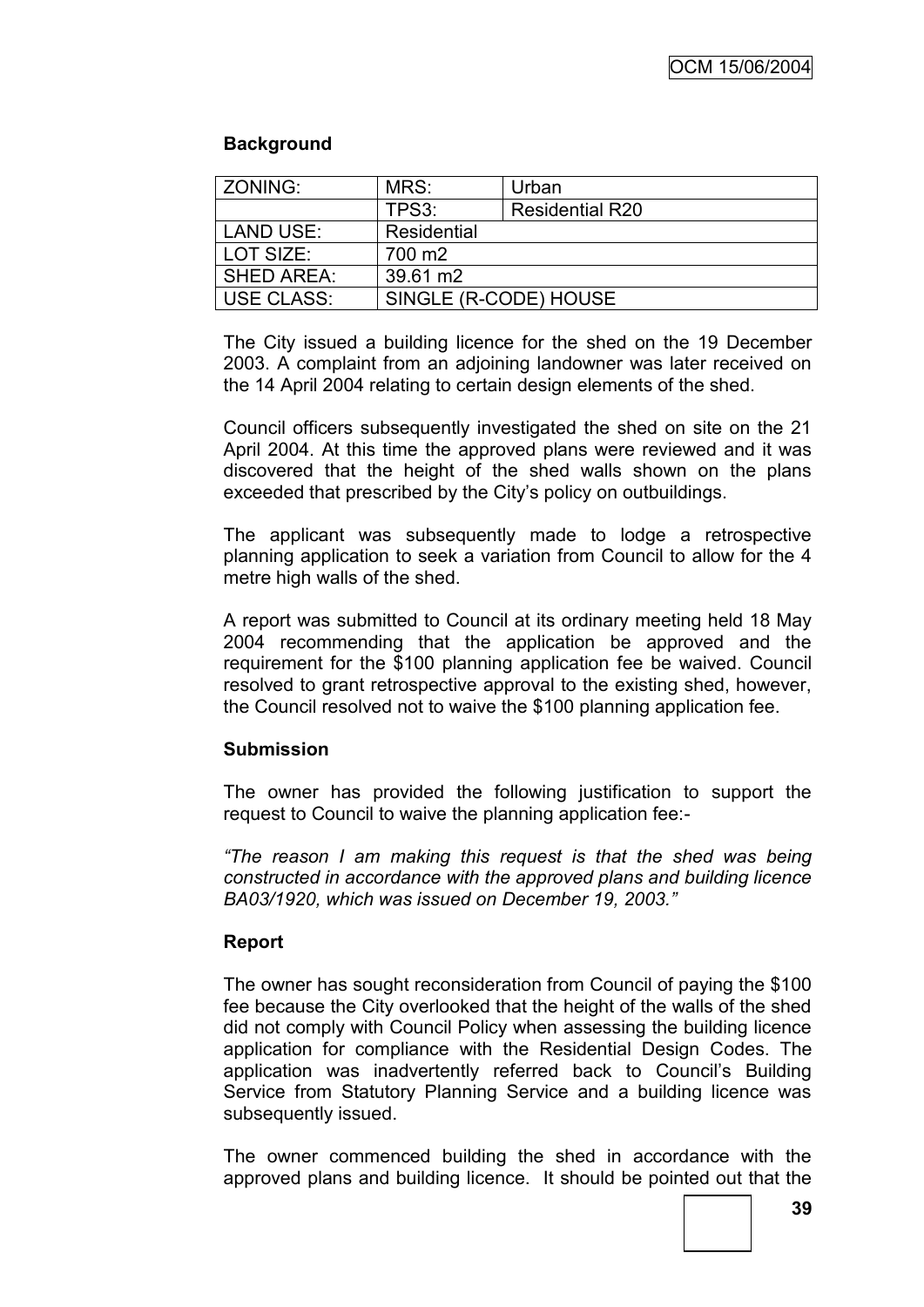# **Background**

| ZONING:           | MRS:                  | Urban                  |  |
|-------------------|-----------------------|------------------------|--|
|                   | TPS3:                 | <b>Residential R20</b> |  |
| <b>LAND USE:</b>  | Residential           |                        |  |
| LOT SIZE:         | 700 m <sub>2</sub>    |                        |  |
| <b>SHED AREA:</b> | 39.61 m2              |                        |  |
| <b>USE CLASS:</b> | SINGLE (R-CODE) HOUSE |                        |  |

The City issued a building licence for the shed on the 19 December 2003. A complaint from an adjoining landowner was later received on the 14 April 2004 relating to certain design elements of the shed.

Council officers subsequently investigated the shed on site on the 21 April 2004. At this time the approved plans were reviewed and it was discovered that the height of the shed walls shown on the plans exceeded that prescribed by the City"s policy on outbuildings.

The applicant was subsequently made to lodge a retrospective planning application to seek a variation from Council to allow for the 4 metre high walls of the shed.

A report was submitted to Council at its ordinary meeting held 18 May 2004 recommending that the application be approved and the requirement for the \$100 planning application fee be waived. Council resolved to grant retrospective approval to the existing shed, however, the Council resolved not to waive the \$100 planning application fee.

## **Submission**

The owner has provided the following justification to support the request to Council to waive the planning application fee:-

*"The reason I am making this request is that the shed was being constructed in accordance with the approved plans and building licence BA03/1920, which was issued on December 19, 2003."*

## **Report**

The owner has sought reconsideration from Council of paying the \$100 fee because the City overlooked that the height of the walls of the shed did not comply with Council Policy when assessing the building licence application for compliance with the Residential Design Codes. The application was inadvertently referred back to Council"s Building Service from Statutory Planning Service and a building licence was subsequently issued.

The owner commenced building the shed in accordance with the approved plans and building licence. It should be pointed out that the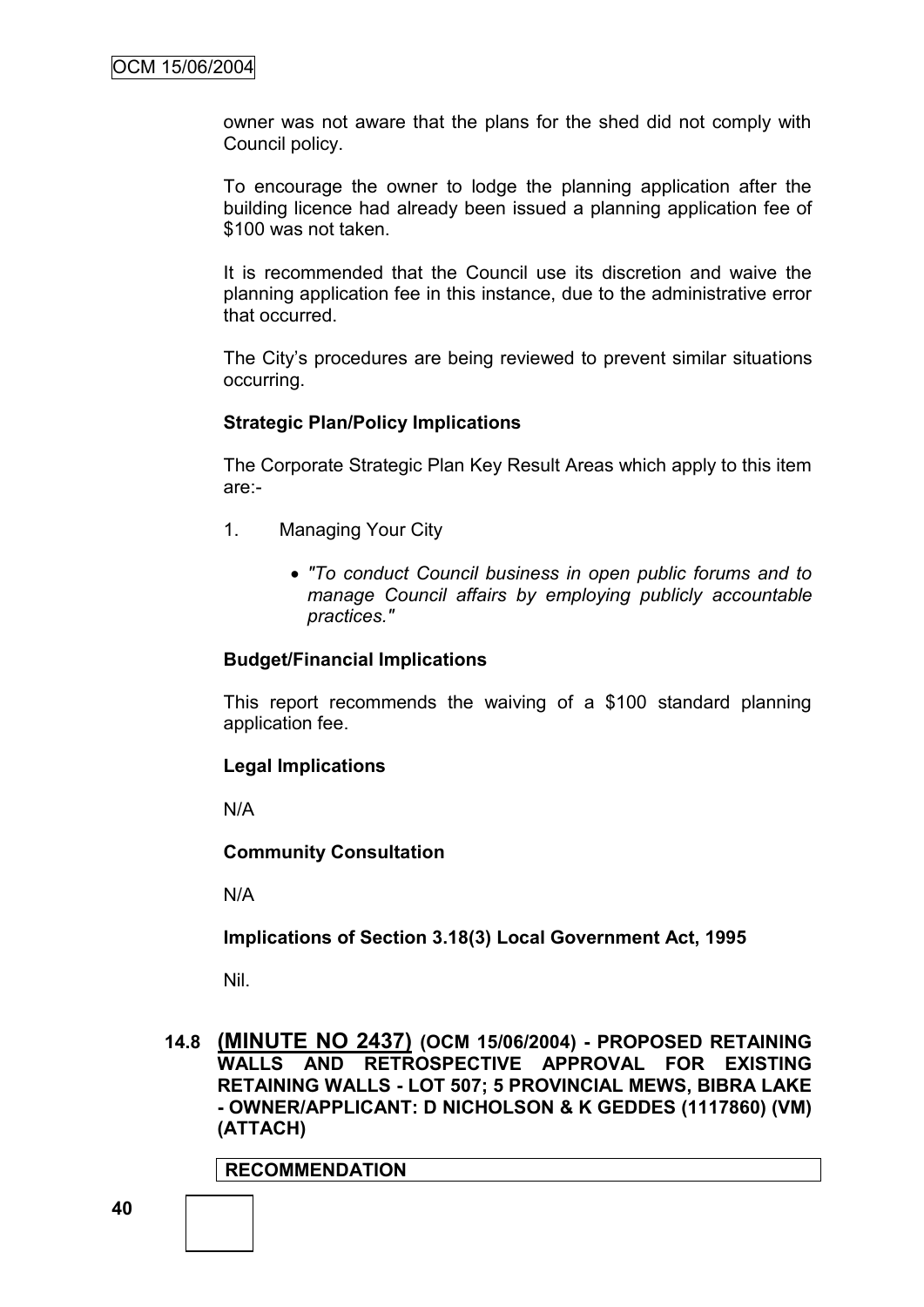owner was not aware that the plans for the shed did not comply with Council policy.

To encourage the owner to lodge the planning application after the building licence had already been issued a planning application fee of \$100 was not taken.

It is recommended that the Council use its discretion and waive the planning application fee in this instance, due to the administrative error that occurred.

The City"s procedures are being reviewed to prevent similar situations occurring.

## **Strategic Plan/Policy Implications**

The Corporate Strategic Plan Key Result Areas which apply to this item are:-

- 1. Managing Your City
	- *"To conduct Council business in open public forums and to manage Council affairs by employing publicly accountable practices."*

## **Budget/Financial Implications**

This report recommends the waiving of a \$100 standard planning application fee.

#### **Legal Implications**

N/A

## **Community Consultation**

N/A

**Implications of Section 3.18(3) Local Government Act, 1995**

Nil.

**14.8 (MINUTE NO 2437) (OCM 15/06/2004) - PROPOSED RETAINING WALLS AND RETROSPECTIVE APPROVAL FOR EXISTING RETAINING WALLS - LOT 507; 5 PROVINCIAL MEWS, BIBRA LAKE - OWNER/APPLICANT: D NICHOLSON & K GEDDES (1117860) (VM) (ATTACH)**

## **RECOMMENDATION**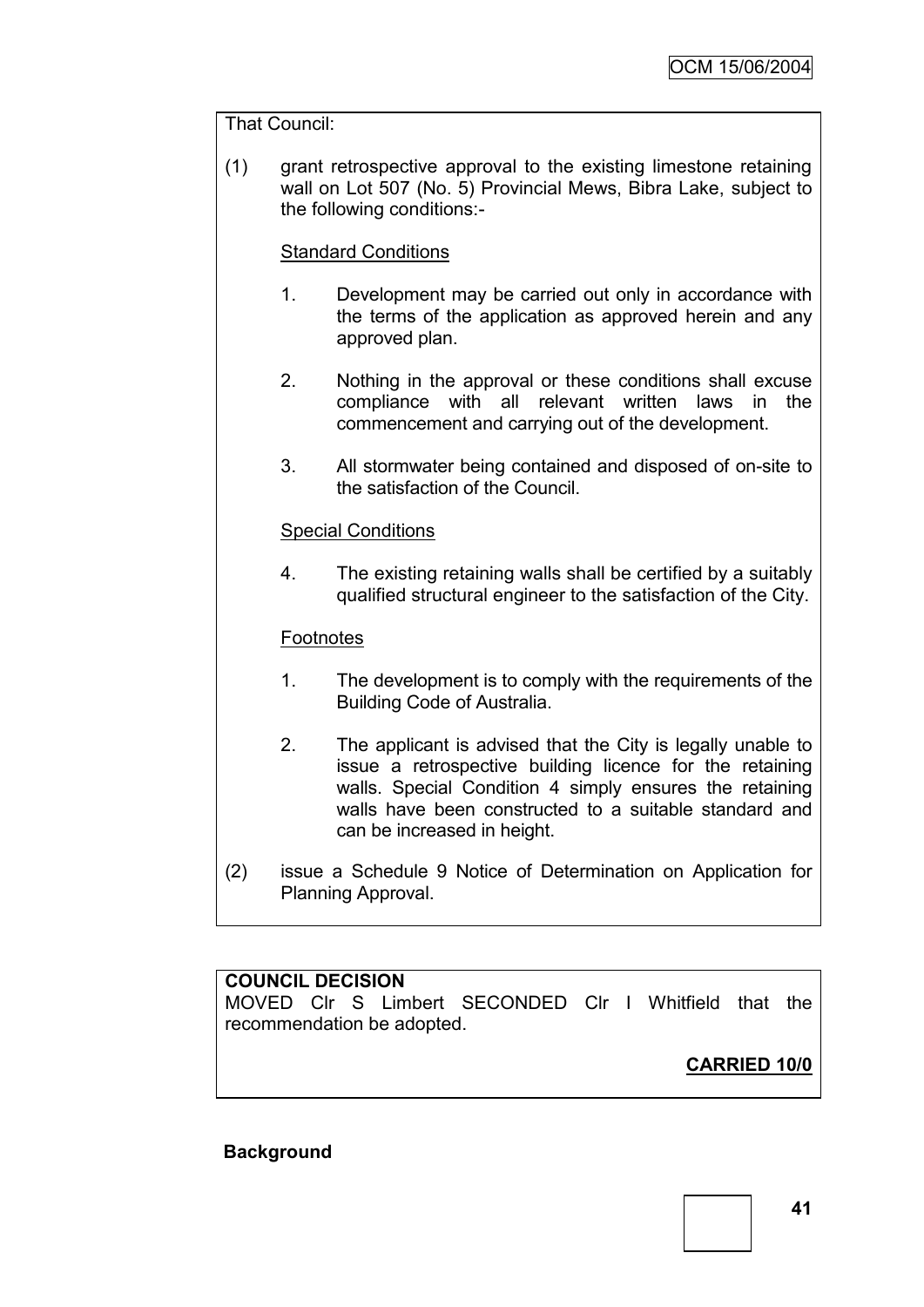## That Council:

(1) grant retrospective approval to the existing limestone retaining wall on Lot 507 (No. 5) Provincial Mews, Bibra Lake, subject to the following conditions:-

# Standard Conditions

- 1. Development may be carried out only in accordance with the terms of the application as approved herein and any approved plan.
- 2. Nothing in the approval or these conditions shall excuse compliance with all relevant written laws in the commencement and carrying out of the development.
- 3. All stormwater being contained and disposed of on-site to the satisfaction of the Council.

## Special Conditions

4. The existing retaining walls shall be certified by a suitably qualified structural engineer to the satisfaction of the City.

## **Footnotes**

- 1. The development is to comply with the requirements of the Building Code of Australia.
- 2. The applicant is advised that the City is legally unable to issue a retrospective building licence for the retaining walls. Special Condition 4 simply ensures the retaining walls have been constructed to a suitable standard and can be increased in height.
- (2) issue a Schedule 9 Notice of Determination on Application for Planning Approval.

## **COUNCIL DECISION**

MOVED Clr S Limbert SECONDED Clr I Whitfield that the recommendation be adopted.

**CARRIED 10/0**

#### **Background**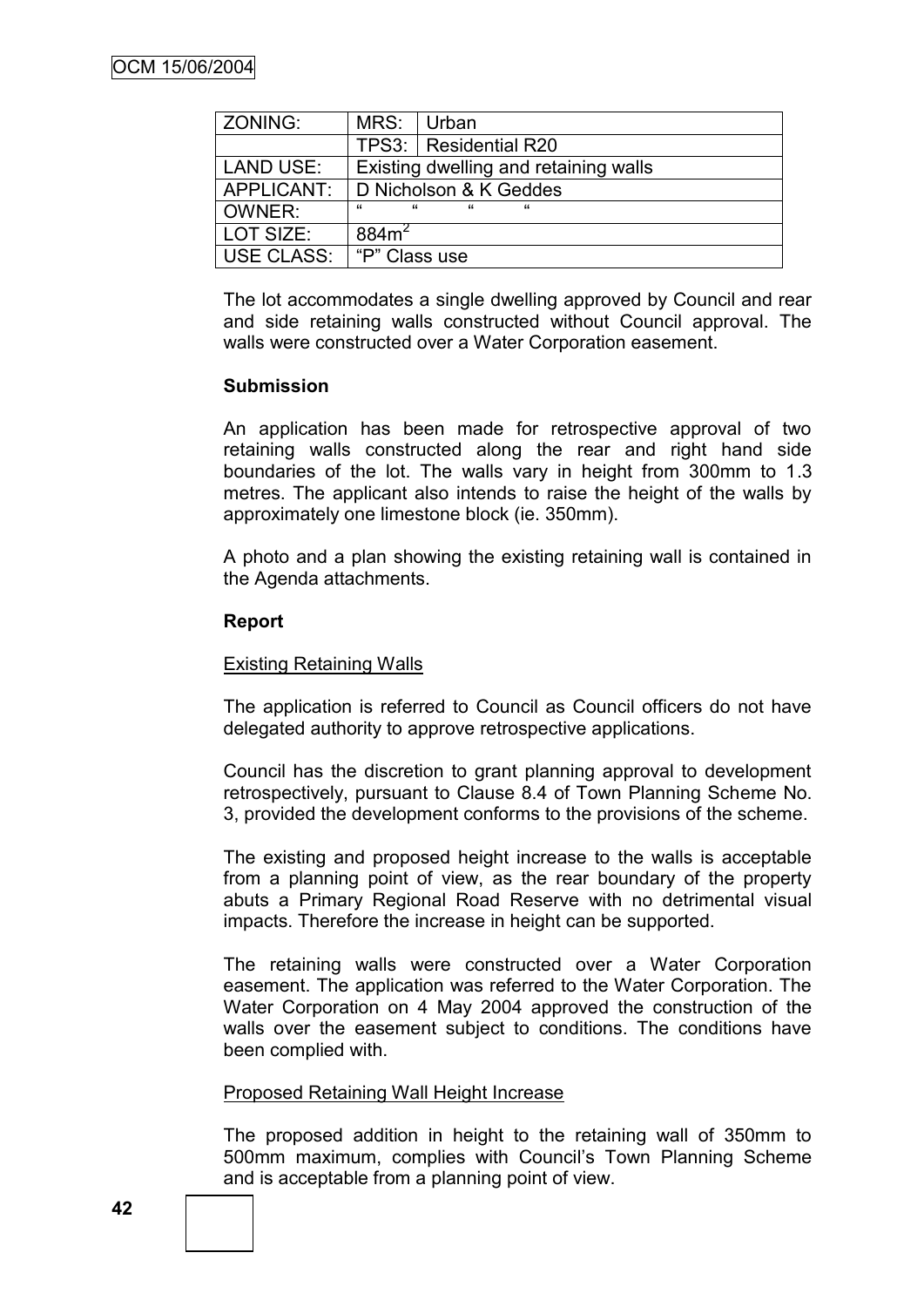| ZONING:    | MRS:                                  | Urban                    |  |
|------------|---------------------------------------|--------------------------|--|
|            |                                       | TPS3:   Residential R20  |  |
| LAND USE:  | Existing dwelling and retaining walls |                          |  |
| APPLICANT: | D Nicholson & K Geddes                |                          |  |
| OWNER:     | $\mu$<br>$\epsilon$                   | $\epsilon$<br>$\epsilon$ |  |
| LOT SIZE:  | 884m <sup>2</sup>                     |                          |  |
| USE CLASS: | I "P" Class use                       |                          |  |

The lot accommodates a single dwelling approved by Council and rear and side retaining walls constructed without Council approval. The walls were constructed over a Water Corporation easement.

### **Submission**

An application has been made for retrospective approval of two retaining walls constructed along the rear and right hand side boundaries of the lot. The walls vary in height from 300mm to 1.3 metres. The applicant also intends to raise the height of the walls by approximately one limestone block (ie. 350mm).

A photo and a plan showing the existing retaining wall is contained in the Agenda attachments.

### **Report**

## Existing Retaining Walls

The application is referred to Council as Council officers do not have delegated authority to approve retrospective applications.

Council has the discretion to grant planning approval to development retrospectively, pursuant to Clause 8.4 of Town Planning Scheme No. 3, provided the development conforms to the provisions of the scheme.

The existing and proposed height increase to the walls is acceptable from a planning point of view, as the rear boundary of the property abuts a Primary Regional Road Reserve with no detrimental visual impacts. Therefore the increase in height can be supported.

The retaining walls were constructed over a Water Corporation easement. The application was referred to the Water Corporation. The Water Corporation on 4 May 2004 approved the construction of the walls over the easement subject to conditions. The conditions have been complied with.

#### Proposed Retaining Wall Height Increase

The proposed addition in height to the retaining wall of 350mm to 500mm maximum, complies with Council"s Town Planning Scheme and is acceptable from a planning point of view.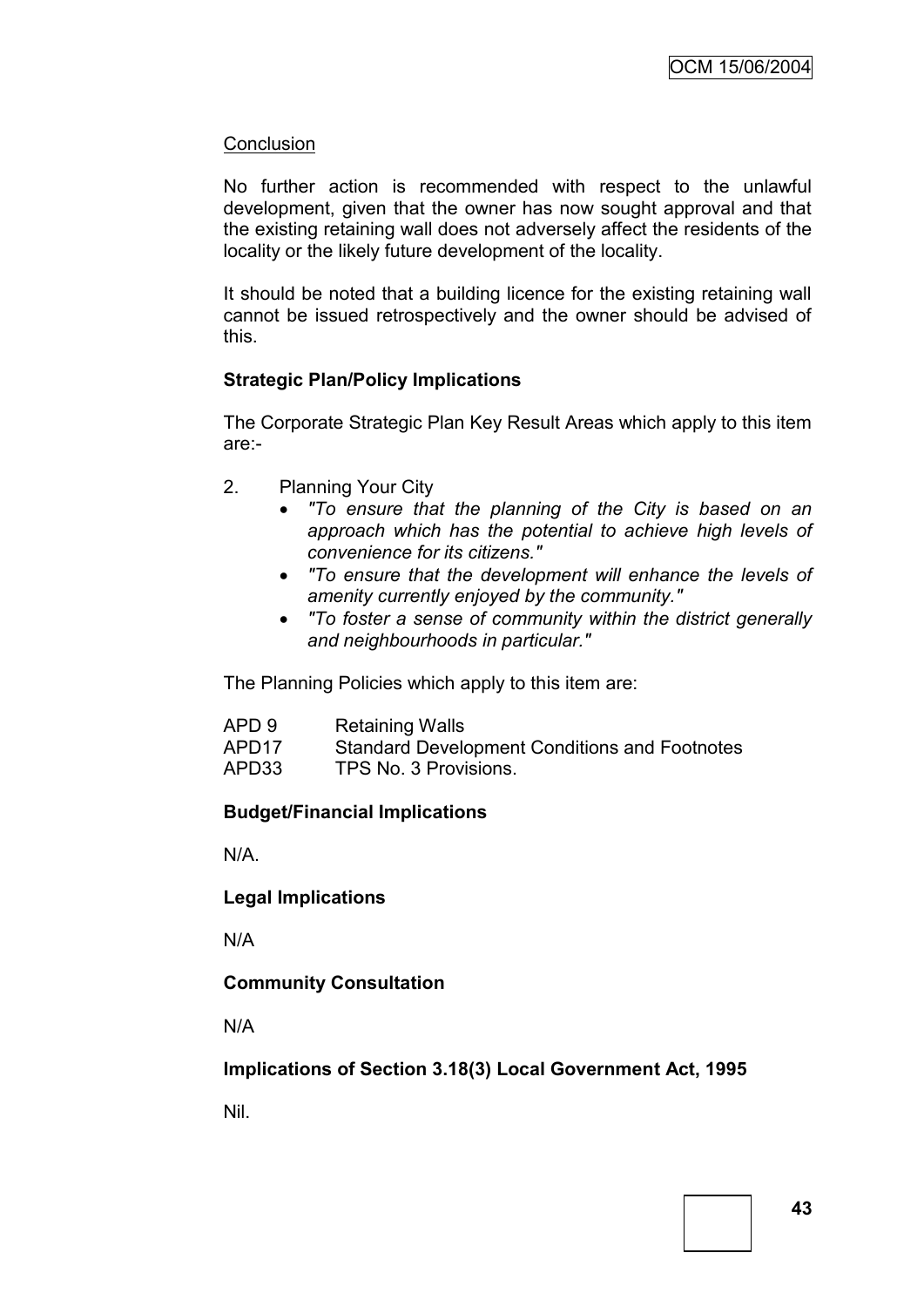## **Conclusion**

No further action is recommended with respect to the unlawful development, given that the owner has now sought approval and that the existing retaining wall does not adversely affect the residents of the locality or the likely future development of the locality.

It should be noted that a building licence for the existing retaining wall cannot be issued retrospectively and the owner should be advised of this.

## **Strategic Plan/Policy Implications**

The Corporate Strategic Plan Key Result Areas which apply to this item are:-

- 2. Planning Your City
	- *"To ensure that the planning of the City is based on an approach which has the potential to achieve high levels of convenience for its citizens."*
	- *"To ensure that the development will enhance the levels of amenity currently enjoyed by the community."*
	- *"To foster a sense of community within the district generally and neighbourhoods in particular."*

The Planning Policies which apply to this item are:

| APD 9             | <b>Retaining Walls</b>                               |
|-------------------|------------------------------------------------------|
| APD <sub>17</sub> | <b>Standard Development Conditions and Footnotes</b> |
| APD33             | TPS No. 3 Provisions.                                |

## **Budget/Financial Implications**

N/A.

**Legal Implications**

N/A

## **Community Consultation**

N/A

**Implications of Section 3.18(3) Local Government Act, 1995**

Nil.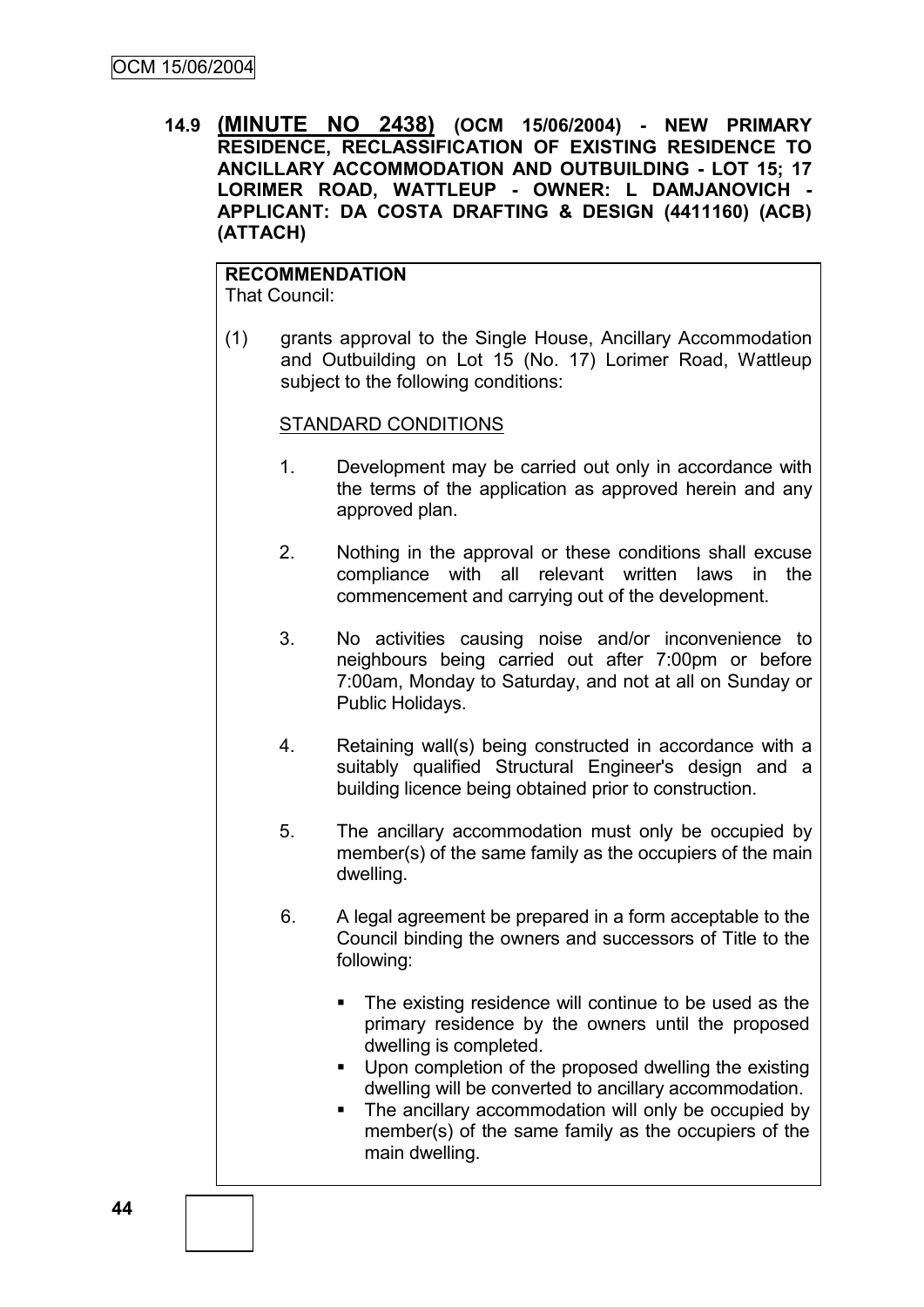**14.9 (MINUTE NO 2438) (OCM 15/06/2004) - NEW PRIMARY RESIDENCE, RECLASSIFICATION OF EXISTING RESIDENCE TO ANCILLARY ACCOMMODATION AND OUTBUILDING - LOT 15; 17 LORIMER ROAD, WATTLEUP - OWNER: L DAMJANOVICH - APPLICANT: DA COSTA DRAFTING & DESIGN (4411160) (ACB) (ATTACH)**

# **RECOMMENDATION**

That Council:

(1) grants approval to the Single House, Ancillary Accommodation and Outbuilding on Lot 15 (No. 17) Lorimer Road, Wattleup subject to the following conditions:

## STANDARD CONDITIONS

- 1. Development may be carried out only in accordance with the terms of the application as approved herein and any approved plan.
- 2. Nothing in the approval or these conditions shall excuse compliance with all relevant written laws in the commencement and carrying out of the development.
- 3. No activities causing noise and/or inconvenience to neighbours being carried out after 7:00pm or before 7:00am, Monday to Saturday, and not at all on Sunday or Public Holidays.
- 4. Retaining wall(s) being constructed in accordance with a suitably qualified Structural Engineer's design and a building licence being obtained prior to construction.
- 5. The ancillary accommodation must only be occupied by member(s) of the same family as the occupiers of the main dwelling.
- 6. A legal agreement be prepared in a form acceptable to the Council binding the owners and successors of Title to the following:
	- The existing residence will continue to be used as the primary residence by the owners until the proposed dwelling is completed.
	- **Upon completion of the proposed dwelling the existing** dwelling will be converted to ancillary accommodation.
	- The ancillary accommodation will only be occupied by member(s) of the same family as the occupiers of the main dwelling.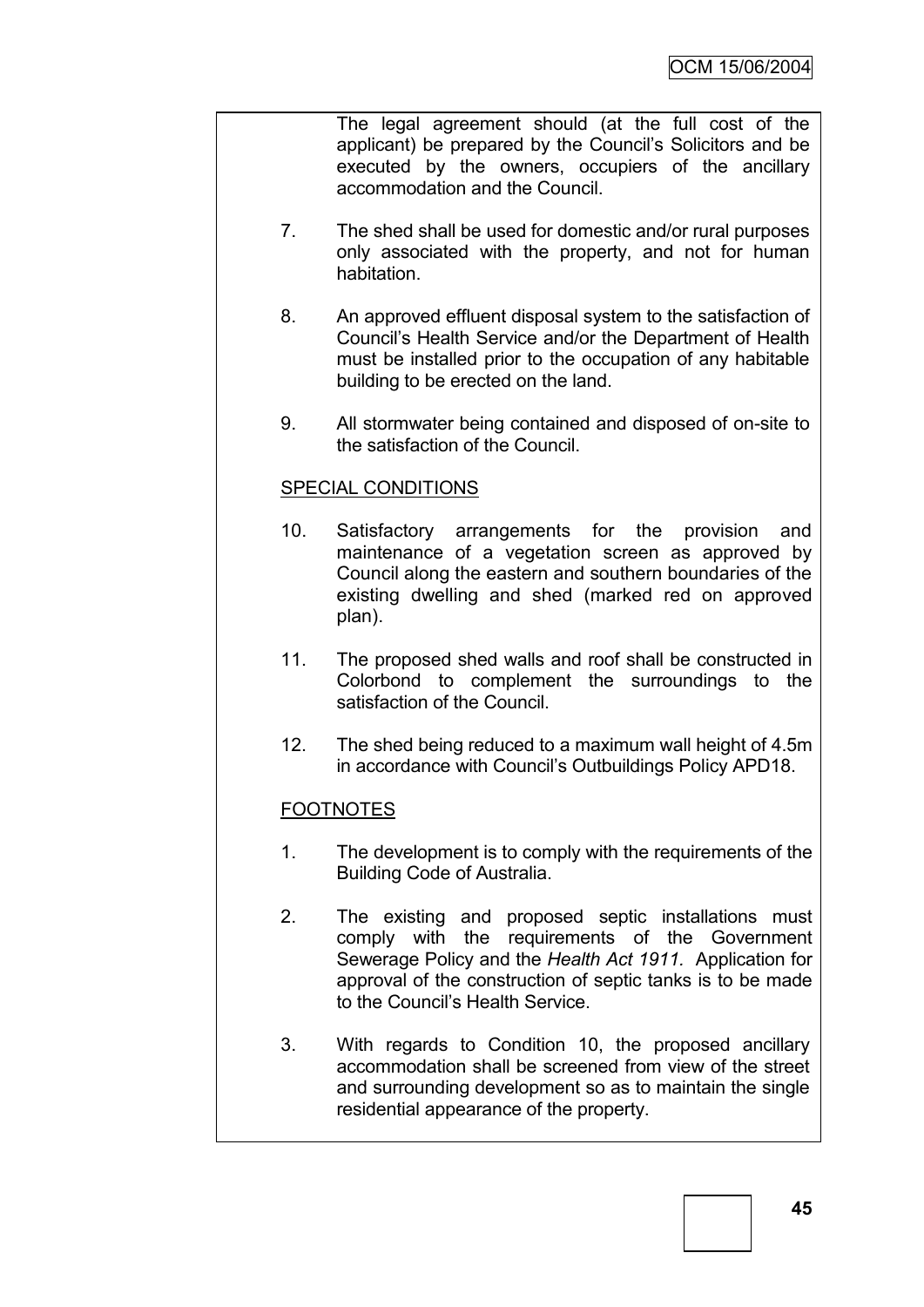The legal agreement should (at the full cost of the applicant) be prepared by the Council"s Solicitors and be executed by the owners, occupiers of the ancillary accommodation and the Council.

- 7. The shed shall be used for domestic and/or rural purposes only associated with the property, and not for human habitation.
- 8. An approved effluent disposal system to the satisfaction of Council"s Health Service and/or the Department of Health must be installed prior to the occupation of any habitable building to be erected on the land.
- 9. All stormwater being contained and disposed of on-site to the satisfaction of the Council.

# SPECIAL CONDITIONS

- 10. Satisfactory arrangements for the provision and maintenance of a vegetation screen as approved by Council along the eastern and southern boundaries of the existing dwelling and shed (marked red on approved plan).
- 11. The proposed shed walls and roof shall be constructed in Colorbond to complement the surroundings to the satisfaction of the Council.
- 12. The shed being reduced to a maximum wall height of 4.5m in accordance with Council"s Outbuildings Policy APD18.

# FOOTNOTES

- 1. The development is to comply with the requirements of the Building Code of Australia.
- 2. The existing and proposed septic installations must comply with the requirements of the Government Sewerage Policy and the *Health Act 1911.* Application for approval of the construction of septic tanks is to be made to the Council"s Health Service.
- 3. With regards to Condition 10, the proposed ancillary accommodation shall be screened from view of the street and surrounding development so as to maintain the single residential appearance of the property.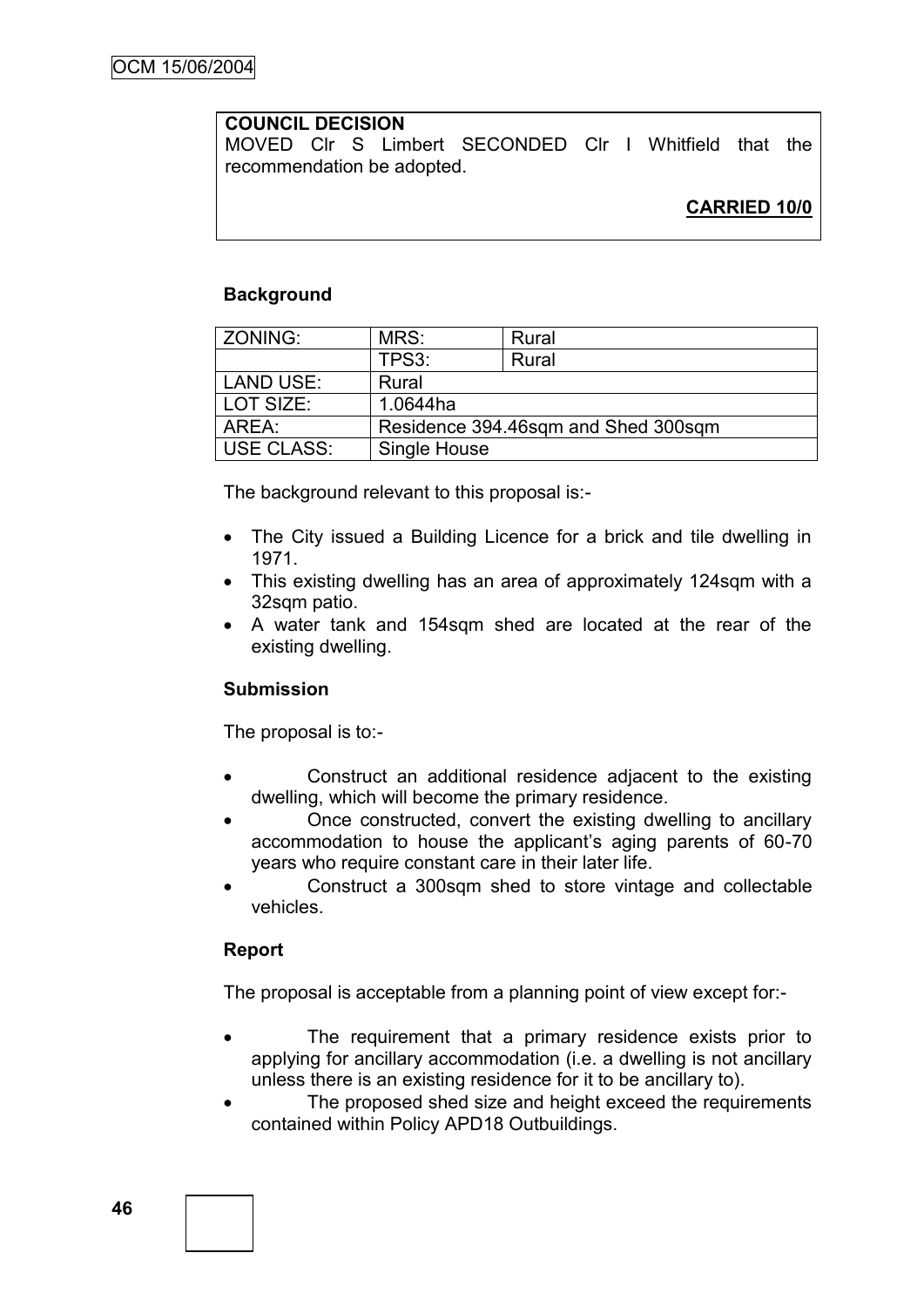# **COUNCIL DECISION**

MOVED Clr S Limbert SECONDED Clr I Whitfield that the recommendation be adopted.

## **Background**

| ZONING:           | MRS:                                | Rural |  |
|-------------------|-------------------------------------|-------|--|
|                   | TPS3:                               | Rural |  |
| <b>LAND USE:</b>  | Rural                               |       |  |
| LOT SIZE:         | 1.0644ha                            |       |  |
| AREA:             | Residence 394.46sqm and Shed 300sqm |       |  |
| <b>USE CLASS:</b> | Single House                        |       |  |

The background relevant to this proposal is:-

- The City issued a Building Licence for a brick and tile dwelling in 1971.
- This existing dwelling has an area of approximately 124sqm with a 32sqm patio.
- A water tank and 154sqm shed are located at the rear of the existing dwelling.

## **Submission**

The proposal is to:-

- Construct an additional residence adjacent to the existing dwelling, which will become the primary residence.
- Once constructed, convert the existing dwelling to ancillary accommodation to house the applicant"s aging parents of 60-70 years who require constant care in their later life.
- Construct a 300sqm shed to store vintage and collectable vehicles.

## **Report**

The proposal is acceptable from a planning point of view except for:-

- The requirement that a primary residence exists prior to applying for ancillary accommodation (i.e. a dwelling is not ancillary unless there is an existing residence for it to be ancillary to).
- The proposed shed size and height exceed the requirements contained within Policy APD18 Outbuildings.

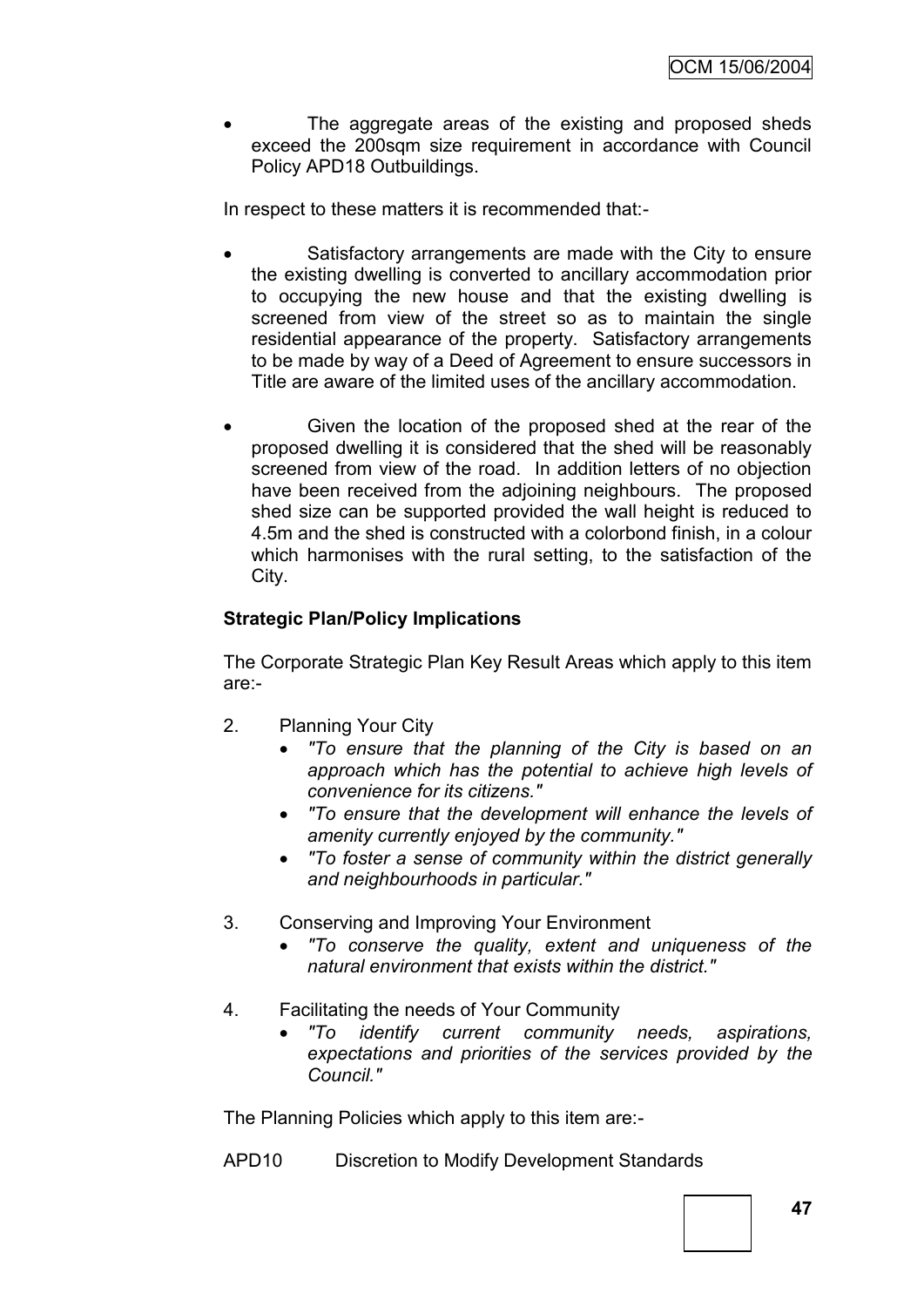The aggregate areas of the existing and proposed sheds exceed the 200sqm size requirement in accordance with Council Policy APD18 Outbuildings.

In respect to these matters it is recommended that:-

- Satisfactory arrangements are made with the City to ensure the existing dwelling is converted to ancillary accommodation prior to occupying the new house and that the existing dwelling is screened from view of the street so as to maintain the single residential appearance of the property. Satisfactory arrangements to be made by way of a Deed of Agreement to ensure successors in Title are aware of the limited uses of the ancillary accommodation.
- Given the location of the proposed shed at the rear of the proposed dwelling it is considered that the shed will be reasonably screened from view of the road. In addition letters of no objection have been received from the adjoining neighbours. The proposed shed size can be supported provided the wall height is reduced to 4.5m and the shed is constructed with a colorbond finish, in a colour which harmonises with the rural setting, to the satisfaction of the City.

# **Strategic Plan/Policy Implications**

The Corporate Strategic Plan Key Result Areas which apply to this item are:-

- 2. Planning Your City
	- *"To ensure that the planning of the City is based on an approach which has the potential to achieve high levels of convenience for its citizens."*
	- *"To ensure that the development will enhance the levels of amenity currently enjoyed by the community."*
	- *"To foster a sense of community within the district generally and neighbourhoods in particular."*
- 3. Conserving and Improving Your Environment
	- *"To conserve the quality, extent and uniqueness of the natural environment that exists within the district."*
- 4. Facilitating the needs of Your Community
	- *"To identify current community needs, aspirations, expectations and priorities of the services provided by the Council."*

The Planning Policies which apply to this item are:-

APD10 Discretion to Modify Development Standards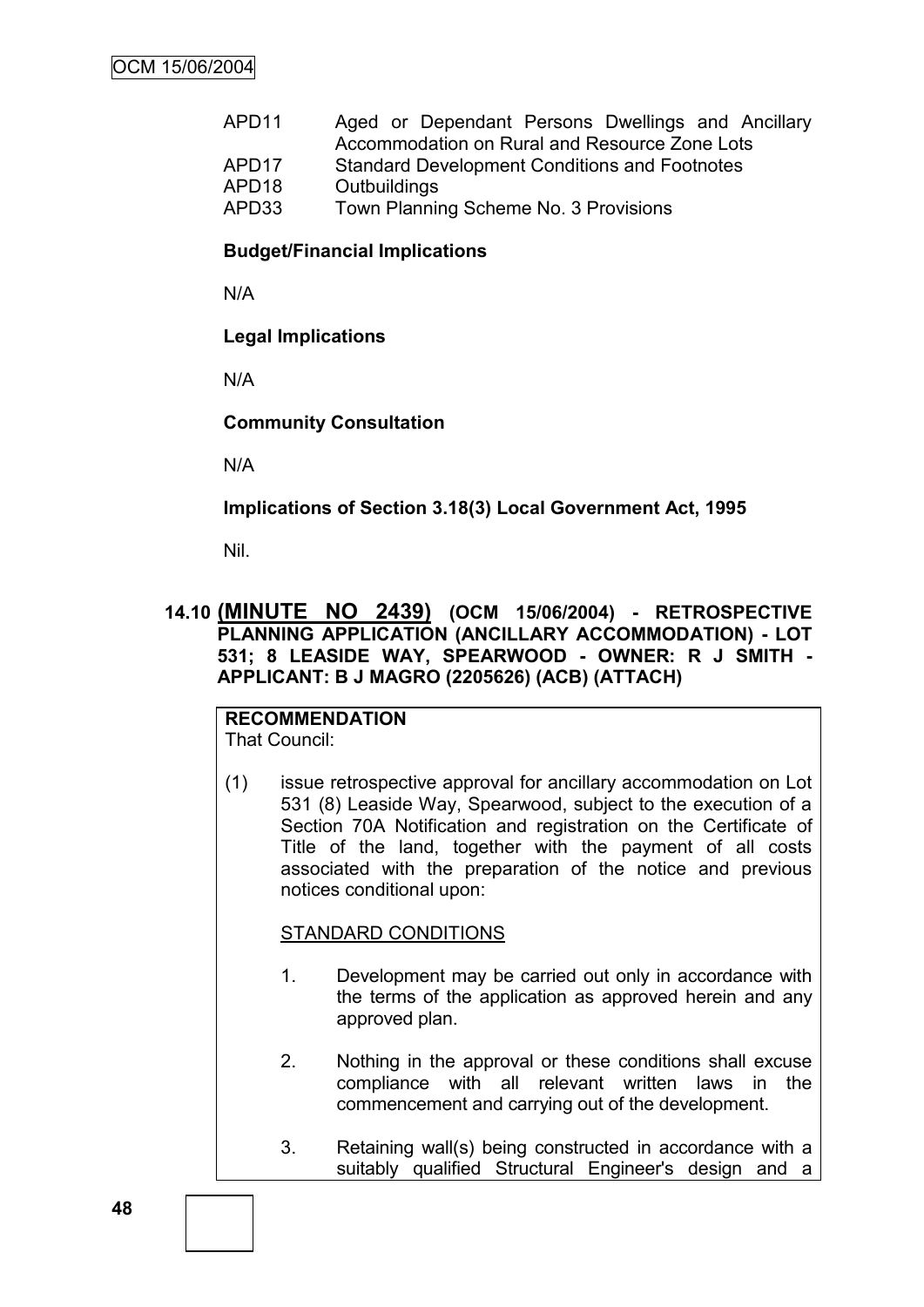| APD <sub>11</sub> | Aged or Dependant Persons Dwellings and Ancillary    |
|-------------------|------------------------------------------------------|
|                   | Accommodation on Rural and Resource Zone Lots        |
| APD <sub>17</sub> | <b>Standard Development Conditions and Footnotes</b> |
| APD <sub>18</sub> | Outbuildings                                         |
| APD33             | Town Planning Scheme No. 3 Provisions                |

## **Budget/Financial Implications**

N/A

## **Legal Implications**

N/A

## **Community Consultation**

N/A

### **Implications of Section 3.18(3) Local Government Act, 1995**

Nil.

## **14.10 (MINUTE NO 2439) (OCM 15/06/2004) - RETROSPECTIVE PLANNING APPLICATION (ANCILLARY ACCOMMODATION) - LOT 531; 8 LEASIDE WAY, SPEARWOOD - OWNER: R J SMITH - APPLICANT: B J MAGRO (2205626) (ACB) (ATTACH)**

#### **RECOMMENDATION** That Council:

(1) issue retrospective approval for ancillary accommodation on Lot 531 (8) Leaside Way, Spearwood, subject to the execution of a Section 70A Notification and registration on the Certificate of Title of the land, together with the payment of all costs associated with the preparation of the notice and previous notices conditional upon:

## STANDARD CONDITIONS

- 1. Development may be carried out only in accordance with the terms of the application as approved herein and any approved plan.
- 2. Nothing in the approval or these conditions shall excuse compliance with all relevant written laws in the commencement and carrying out of the development.
- 3. Retaining wall(s) being constructed in accordance with a suitably qualified Structural Engineer's design and a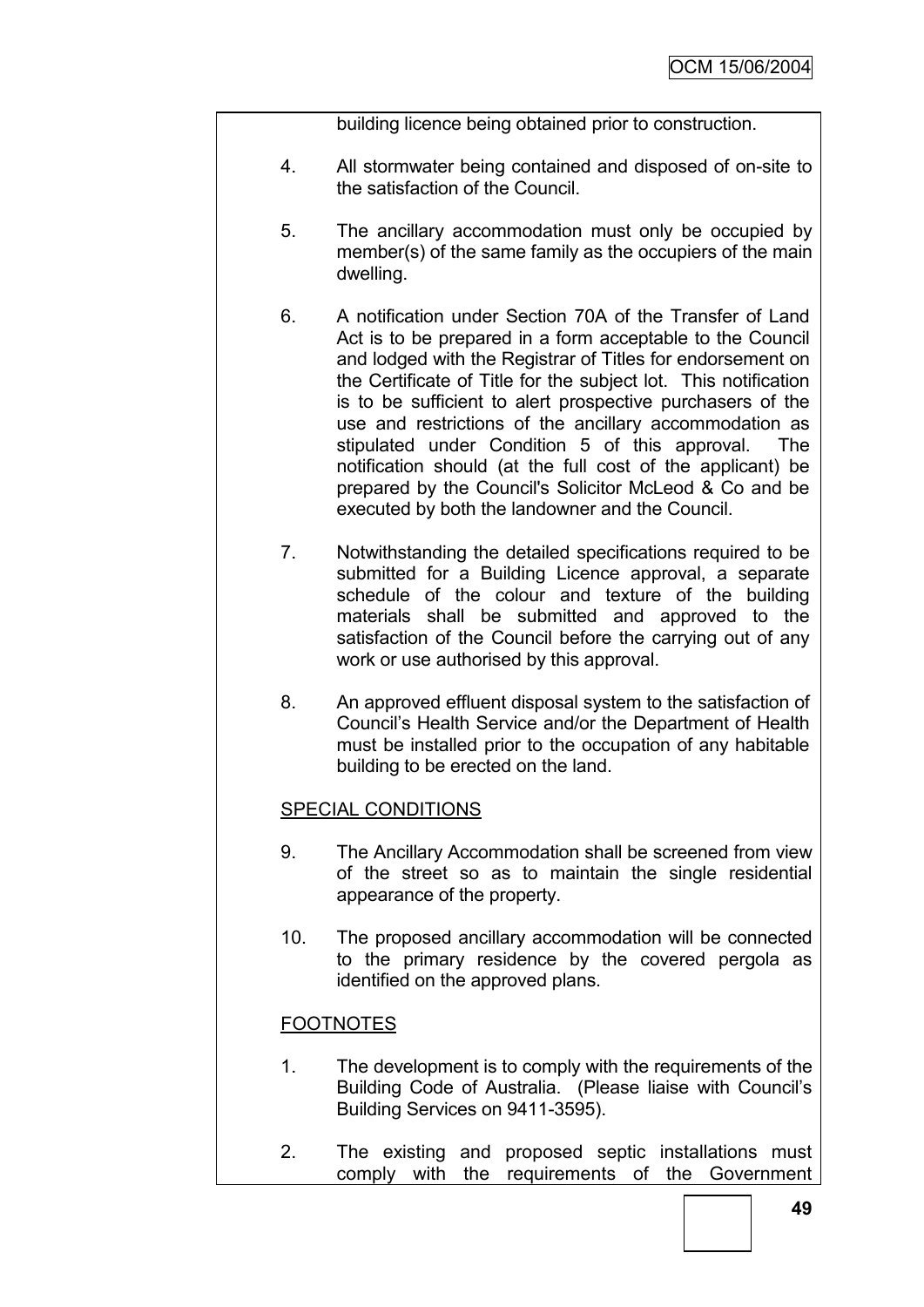building licence being obtained prior to construction.

- 4. All stormwater being contained and disposed of on-site to the satisfaction of the Council.
- 5. The ancillary accommodation must only be occupied by member(s) of the same family as the occupiers of the main dwelling.
- 6. A notification under Section 70A of the Transfer of Land Act is to be prepared in a form acceptable to the Council and lodged with the Registrar of Titles for endorsement on the Certificate of Title for the subject lot. This notification is to be sufficient to alert prospective purchasers of the use and restrictions of the ancillary accommodation as stipulated under Condition 5 of this approval. The notification should (at the full cost of the applicant) be prepared by the Council's Solicitor McLeod & Co and be executed by both the landowner and the Council.
- 7. Notwithstanding the detailed specifications required to be submitted for a Building Licence approval, a separate schedule of the colour and texture of the building materials shall be submitted and approved to the satisfaction of the Council before the carrying out of any work or use authorised by this approval.
- 8. An approved effluent disposal system to the satisfaction of Council"s Health Service and/or the Department of Health must be installed prior to the occupation of any habitable building to be erected on the land.

## SPECIAL CONDITIONS

- 9. The Ancillary Accommodation shall be screened from view of the street so as to maintain the single residential appearance of the property.
- 10. The proposed ancillary accommodation will be connected to the primary residence by the covered pergola as identified on the approved plans.

## FOOTNOTES

- 1. The development is to comply with the requirements of the Building Code of Australia. (Please liaise with Council"s Building Services on 9411-3595).
- 2. The existing and proposed septic installations must comply with the requirements of the Government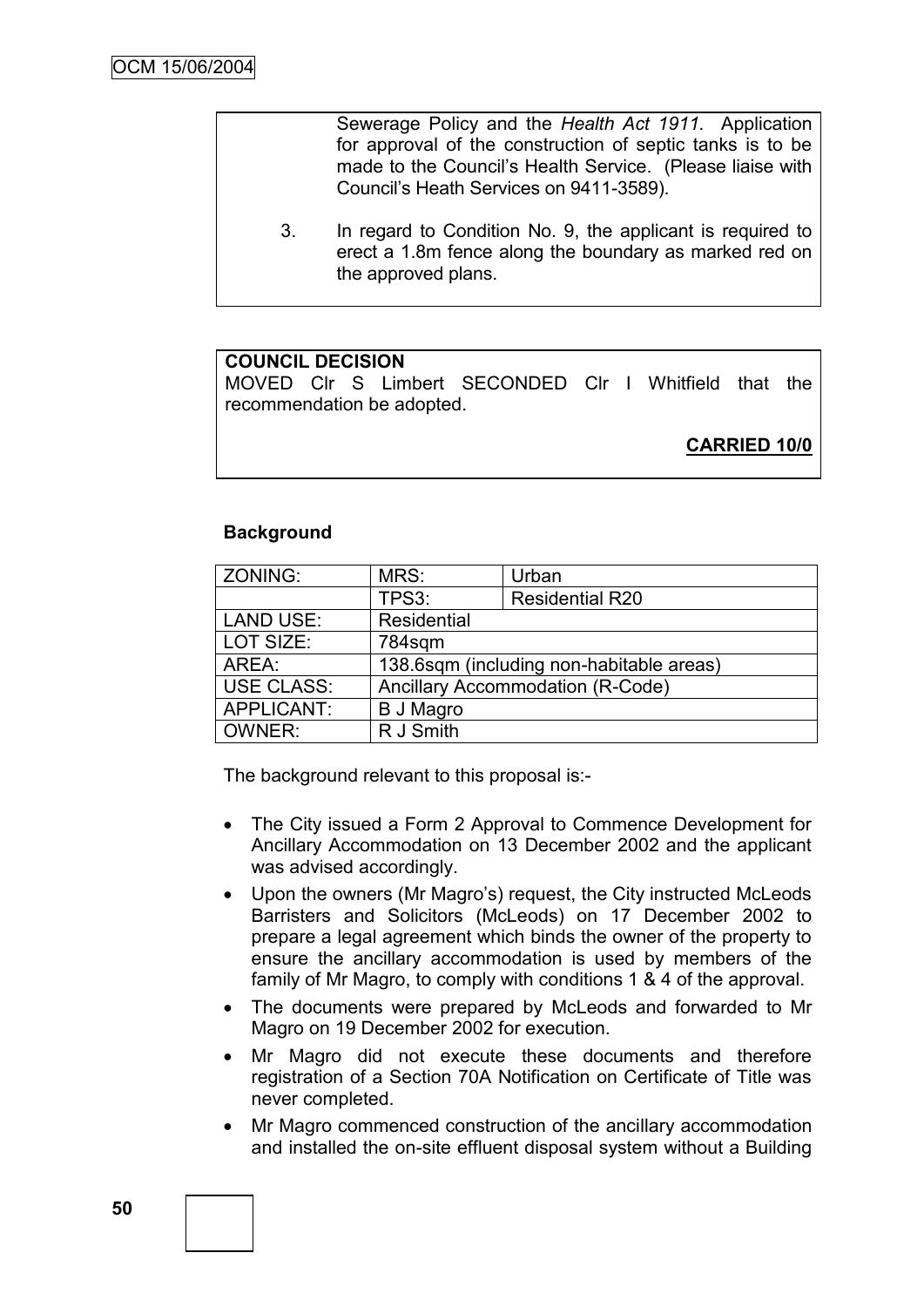Sewerage Policy and the *Health Act 1911.* Application for approval of the construction of septic tanks is to be made to the Council"s Health Service. (Please liaise with Council"s Heath Services on 9411-3589).

3. In regard to Condition No. 9, the applicant is required to erect a 1.8m fence along the boundary as marked red on the approved plans.

## **COUNCIL DECISION**

MOVED Clr S Limbert SECONDED Clr I Whitfield that the recommendation be adopted.

**CARRIED 10/0**

## **Background**

| ZONING:           | MRS:                                     | Urban                  |  |
|-------------------|------------------------------------------|------------------------|--|
|                   | TPS3:                                    | <b>Residential R20</b> |  |
| <b>LAND USE:</b>  | Residential                              |                        |  |
| LOT SIZE:         | 784sqm                                   |                        |  |
| AREA:             | 138.6sqm (including non-habitable areas) |                        |  |
| <b>USE CLASS:</b> | <b>Ancillary Accommodation (R-Code)</b>  |                        |  |
| APPLICANT:        | <b>B J Magro</b>                         |                        |  |
| OWNER:            | R J Smith                                |                        |  |

The background relevant to this proposal is:-

- The City issued a Form 2 Approval to Commence Development for Ancillary Accommodation on 13 December 2002 and the applicant was advised accordingly.
- Upon the owners (Mr Magro's) request, the City instructed McLeods Barristers and Solicitors (McLeods) on 17 December 2002 to prepare a legal agreement which binds the owner of the property to ensure the ancillary accommodation is used by members of the family of Mr Magro, to comply with conditions 1 & 4 of the approval.
- The documents were prepared by McLeods and forwarded to Mr Magro on 19 December 2002 for execution.
- Mr Magro did not execute these documents and therefore registration of a Section 70A Notification on Certificate of Title was never completed.
- Mr Magro commenced construction of the ancillary accommodation and installed the on-site effluent disposal system without a Building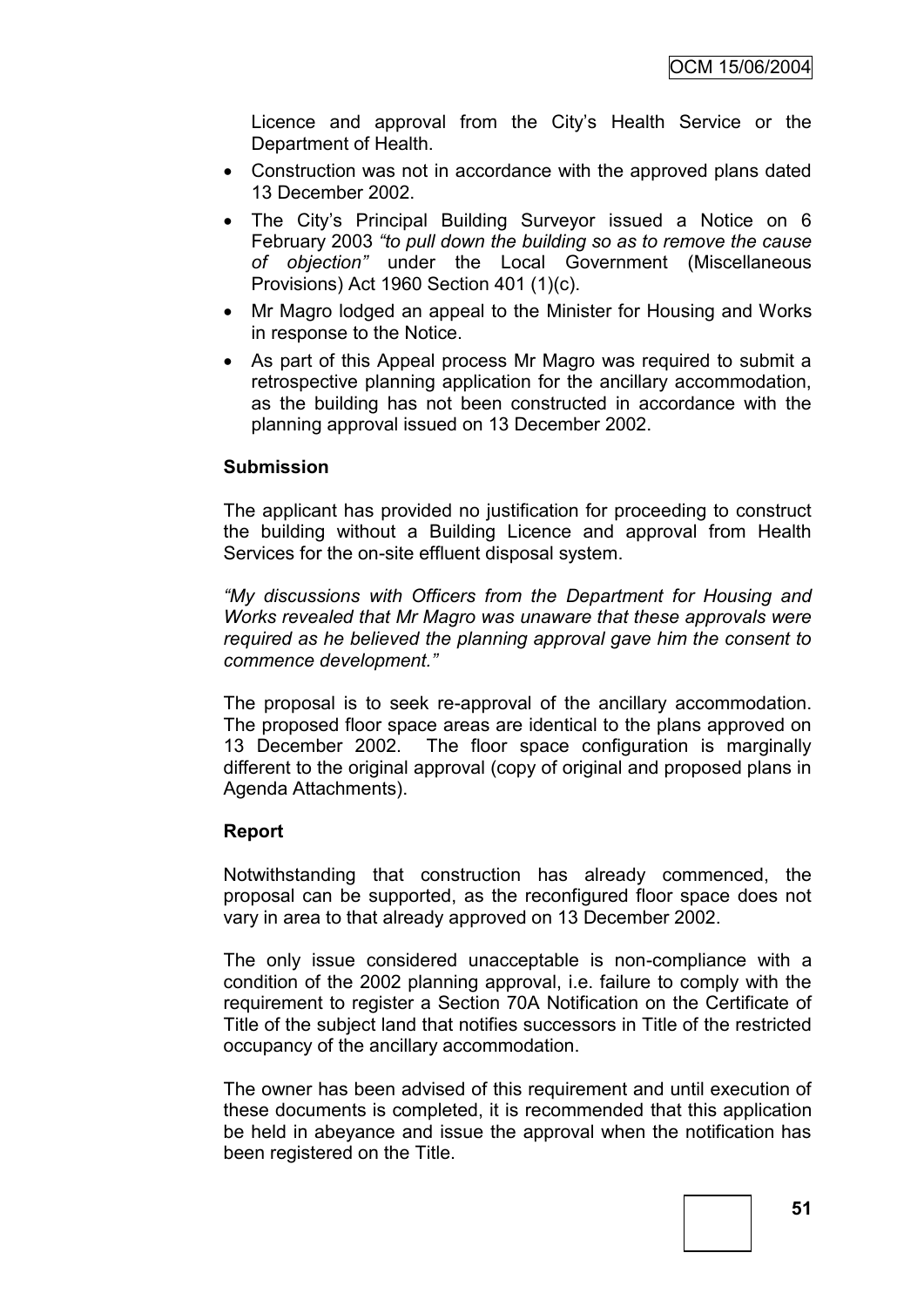Licence and approval from the City"s Health Service or the Department of Health.

- Construction was not in accordance with the approved plans dated 13 December 2002.
- The City's Principal Building Surveyor issued a Notice on 6 February 2003 *"to pull down the building so as to remove the cause of objection"* under the Local Government (Miscellaneous Provisions) Act 1960 Section 401 (1)(c).
- Mr Magro lodged an appeal to the Minister for Housing and Works in response to the Notice.
- As part of this Appeal process Mr Magro was required to submit a retrospective planning application for the ancillary accommodation, as the building has not been constructed in accordance with the planning approval issued on 13 December 2002.

### **Submission**

The applicant has provided no justification for proceeding to construct the building without a Building Licence and approval from Health Services for the on-site effluent disposal system.

*"My discussions with Officers from the Department for Housing and Works revealed that Mr Magro was unaware that these approvals were required as he believed the planning approval gave him the consent to commence development."*

The proposal is to seek re-approval of the ancillary accommodation. The proposed floor space areas are identical to the plans approved on 13 December 2002. The floor space configuration is marginally different to the original approval (copy of original and proposed plans in Agenda Attachments).

#### **Report**

Notwithstanding that construction has already commenced, the proposal can be supported, as the reconfigured floor space does not vary in area to that already approved on 13 December 2002.

The only issue considered unacceptable is non-compliance with a condition of the 2002 planning approval, i.e. failure to comply with the requirement to register a Section 70A Notification on the Certificate of Title of the subject land that notifies successors in Title of the restricted occupancy of the ancillary accommodation.

The owner has been advised of this requirement and until execution of these documents is completed, it is recommended that this application be held in abeyance and issue the approval when the notification has been registered on the Title.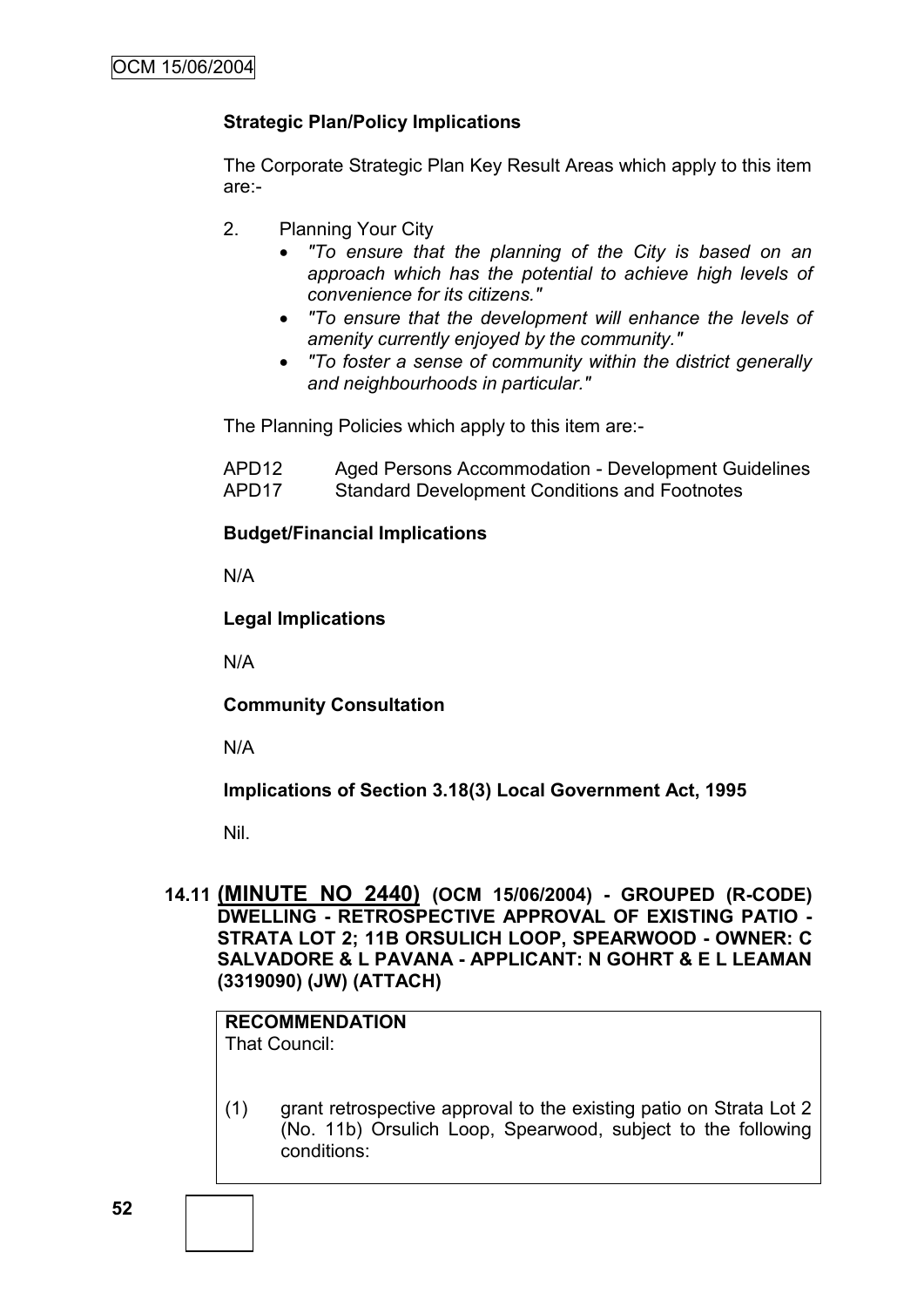# **Strategic Plan/Policy Implications**

The Corporate Strategic Plan Key Result Areas which apply to this item are:-

- 2. Planning Your City
	- *"To ensure that the planning of the City is based on an approach which has the potential to achieve high levels of convenience for its citizens."*
	- *"To ensure that the development will enhance the levels of amenity currently enjoyed by the community."*
	- *"To foster a sense of community within the district generally and neighbourhoods in particular."*

The Planning Policies which apply to this item are:-

APD12 Aged Persons Accommodation - Development Guidelines APD17 Standard Development Conditions and Footnotes

## **Budget/Financial Implications**

N/A

## **Legal Implications**

N/A

**Community Consultation**

N/A

**Implications of Section 3.18(3) Local Government Act, 1995**

Nil.

**14.11 (MINUTE NO 2440) (OCM 15/06/2004) - GROUPED (R-CODE) DWELLING - RETROSPECTIVE APPROVAL OF EXISTING PATIO - STRATA LOT 2; 11B ORSULICH LOOP, SPEARWOOD - OWNER: C SALVADORE & L PAVANA - APPLICANT: N GOHRT & E L LEAMAN (3319090) (JW) (ATTACH)**

**RECOMMENDATION** That Council:

(1) grant retrospective approval to the existing patio on Strata Lot 2 (No. 11b) Orsulich Loop, Spearwood, subject to the following conditions: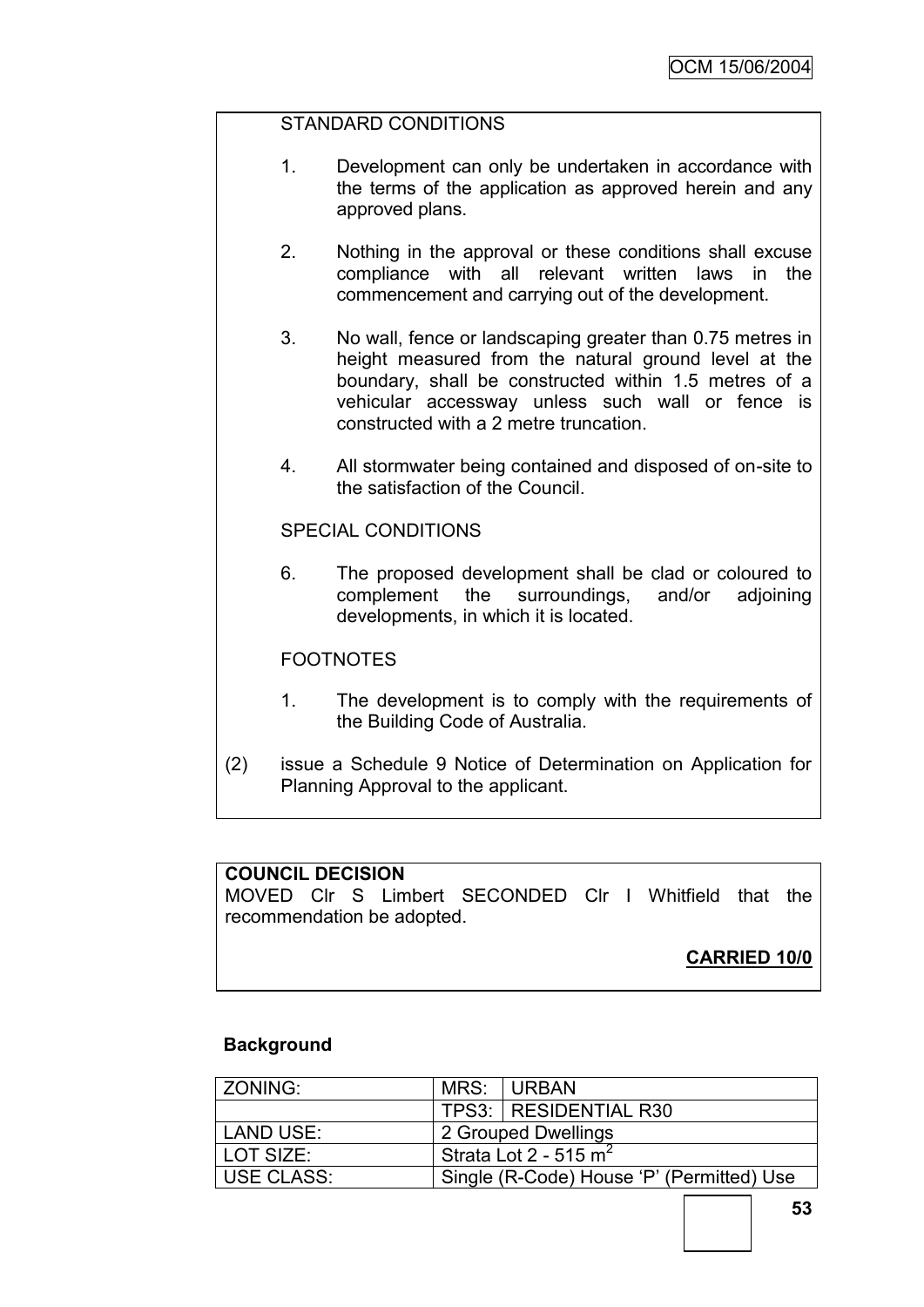## STANDARD CONDITIONS

- 1. Development can only be undertaken in accordance with the terms of the application as approved herein and any approved plans.
- 2. Nothing in the approval or these conditions shall excuse compliance with all relevant written laws in the commencement and carrying out of the development.
- 3. No wall, fence or landscaping greater than 0.75 metres in height measured from the natural ground level at the boundary, shall be constructed within 1.5 metres of a vehicular accessway unless such wall or fence is constructed with a 2 metre truncation.
- 4. All stormwater being contained and disposed of on-site to the satisfaction of the Council.

SPECIAL CONDITIONS

6. The proposed development shall be clad or coloured to complement the surroundings, and/or adjoining developments, in which it is located.

#### **FOOTNOTES**

- 1. The development is to comply with the requirements of the Building Code of Australia.
- (2) issue a Schedule 9 Notice of Determination on Application for Planning Approval to the applicant.

#### **COUNCIL DECISION**

MOVED Clr S Limbert SECONDED Clr I Whitfield that the recommendation be adopted.

**CARRIED 10/0**

#### **Background**

| ZONING:    | MRS:                    | I URBAN                                   |
|------------|-------------------------|-------------------------------------------|
|            |                         | TPS3: RESIDENTIAL R30                     |
| LAND USE:  | 2 Grouped Dwellings     |                                           |
| LOT SIZE:  | Strata Lot 2 - 515 $m2$ |                                           |
| USE CLASS: |                         | Single (R-Code) House 'P' (Permitted) Use |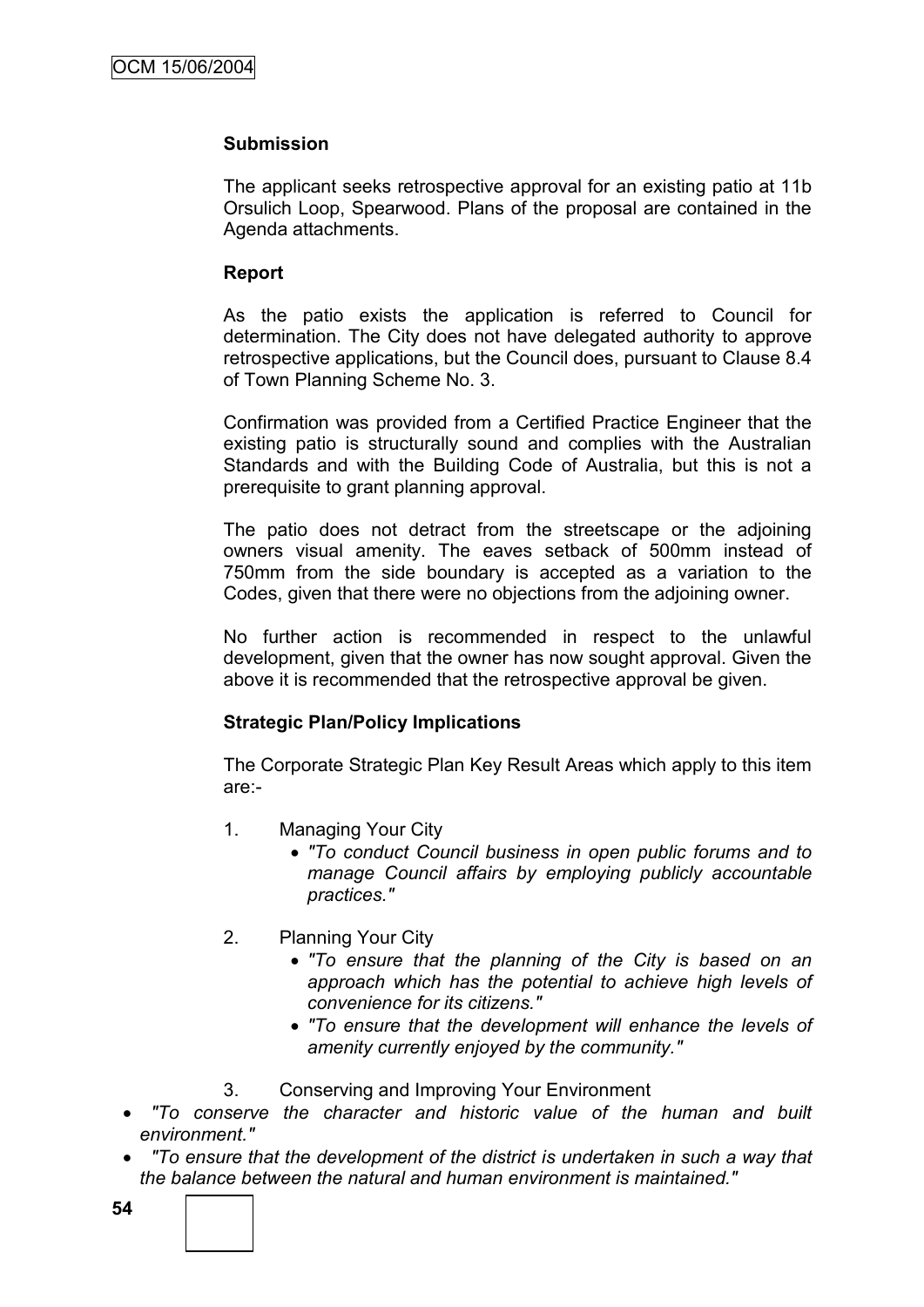## **Submission**

The applicant seeks retrospective approval for an existing patio at 11b Orsulich Loop, Spearwood. Plans of the proposal are contained in the Agenda attachments.

## **Report**

As the patio exists the application is referred to Council for determination. The City does not have delegated authority to approve retrospective applications, but the Council does, pursuant to Clause 8.4 of Town Planning Scheme No. 3.

Confirmation was provided from a Certified Practice Engineer that the existing patio is structurally sound and complies with the Australian Standards and with the Building Code of Australia, but this is not a prerequisite to grant planning approval.

The patio does not detract from the streetscape or the adjoining owners visual amenity. The eaves setback of 500mm instead of 750mm from the side boundary is accepted as a variation to the Codes, given that there were no objections from the adjoining owner.

No further action is recommended in respect to the unlawful development, given that the owner has now sought approval. Given the above it is recommended that the retrospective approval be given.

## **Strategic Plan/Policy Implications**

The Corporate Strategic Plan Key Result Areas which apply to this item are:-

- 1. Managing Your City
	- *"To conduct Council business in open public forums and to manage Council affairs by employing publicly accountable practices."*
- 2. Planning Your City
	- *"To ensure that the planning of the City is based on an approach which has the potential to achieve high levels of convenience for its citizens."*
	- *"To ensure that the development will enhance the levels of amenity currently enjoyed by the community."*
- 3. Conserving and Improving Your Environment
- *"To conserve the character and historic value of the human and built environment."*
- *"To ensure that the development of the district is undertaken in such a way that the balance between the natural and human environment is maintained."*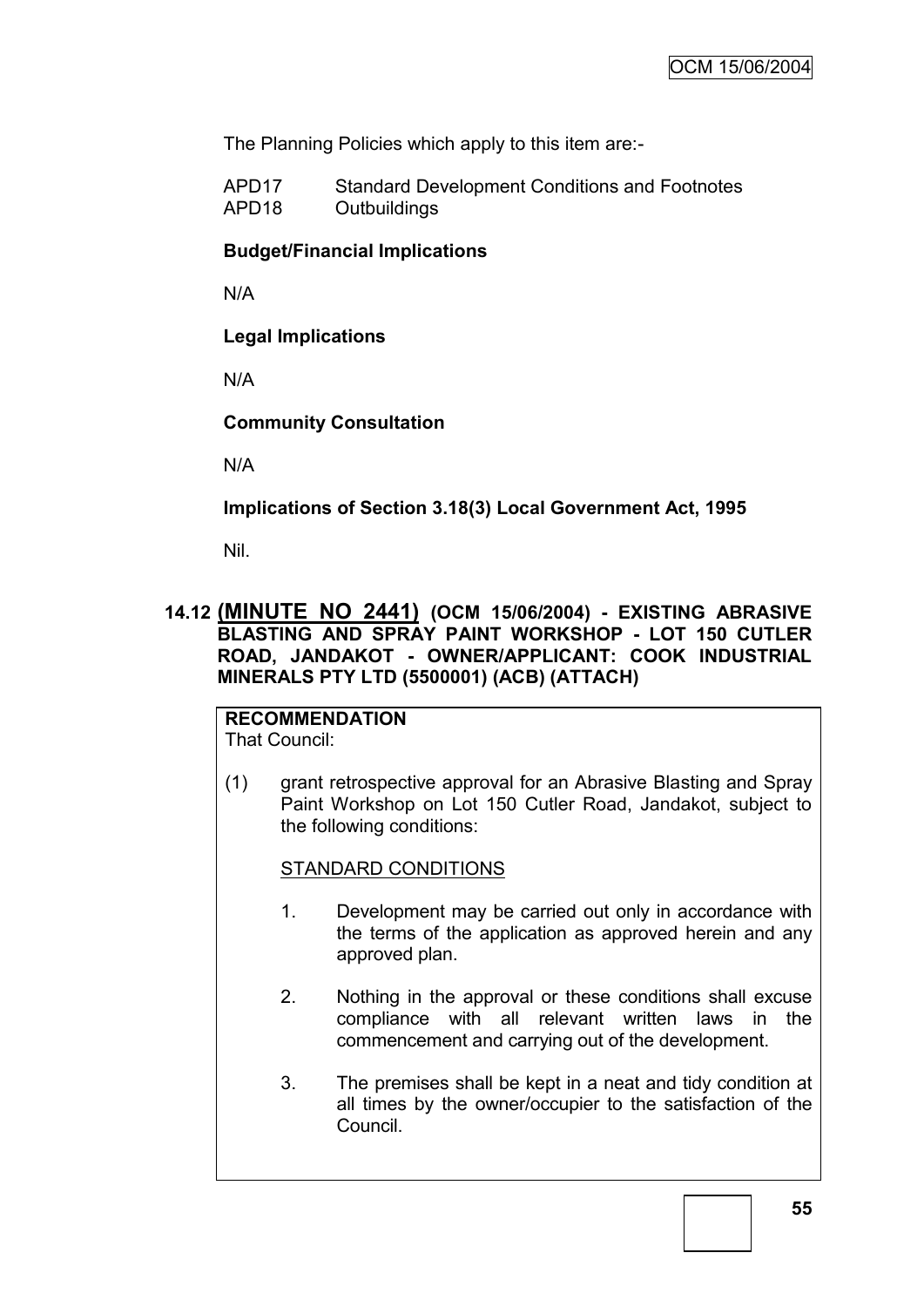The Planning Policies which apply to this item are:-

APD17 Standard Development Conditions and Footnotes APD18 Outbuildings

## **Budget/Financial Implications**

N/A

**Legal Implications**

N/A

## **Community Consultation**

N/A

**Implications of Section 3.18(3) Local Government Act, 1995**

Nil.

# **14.12 (MINUTE NO 2441) (OCM 15/06/2004) - EXISTING ABRASIVE BLASTING AND SPRAY PAINT WORKSHOP - LOT 150 CUTLER ROAD, JANDAKOT - OWNER/APPLICANT: COOK INDUSTRIAL MINERALS PTY LTD (5500001) (ACB) (ATTACH)**

# **RECOMMENDATION**

That Council:

(1) grant retrospective approval for an Abrasive Blasting and Spray Paint Workshop on Lot 150 Cutler Road, Jandakot, subject to the following conditions:

## STANDARD CONDITIONS

- 1. Development may be carried out only in accordance with the terms of the application as approved herein and any approved plan.
- 2. Nothing in the approval or these conditions shall excuse compliance with all relevant written laws in the commencement and carrying out of the development.
- 3. The premises shall be kept in a neat and tidy condition at all times by the owner/occupier to the satisfaction of the Council.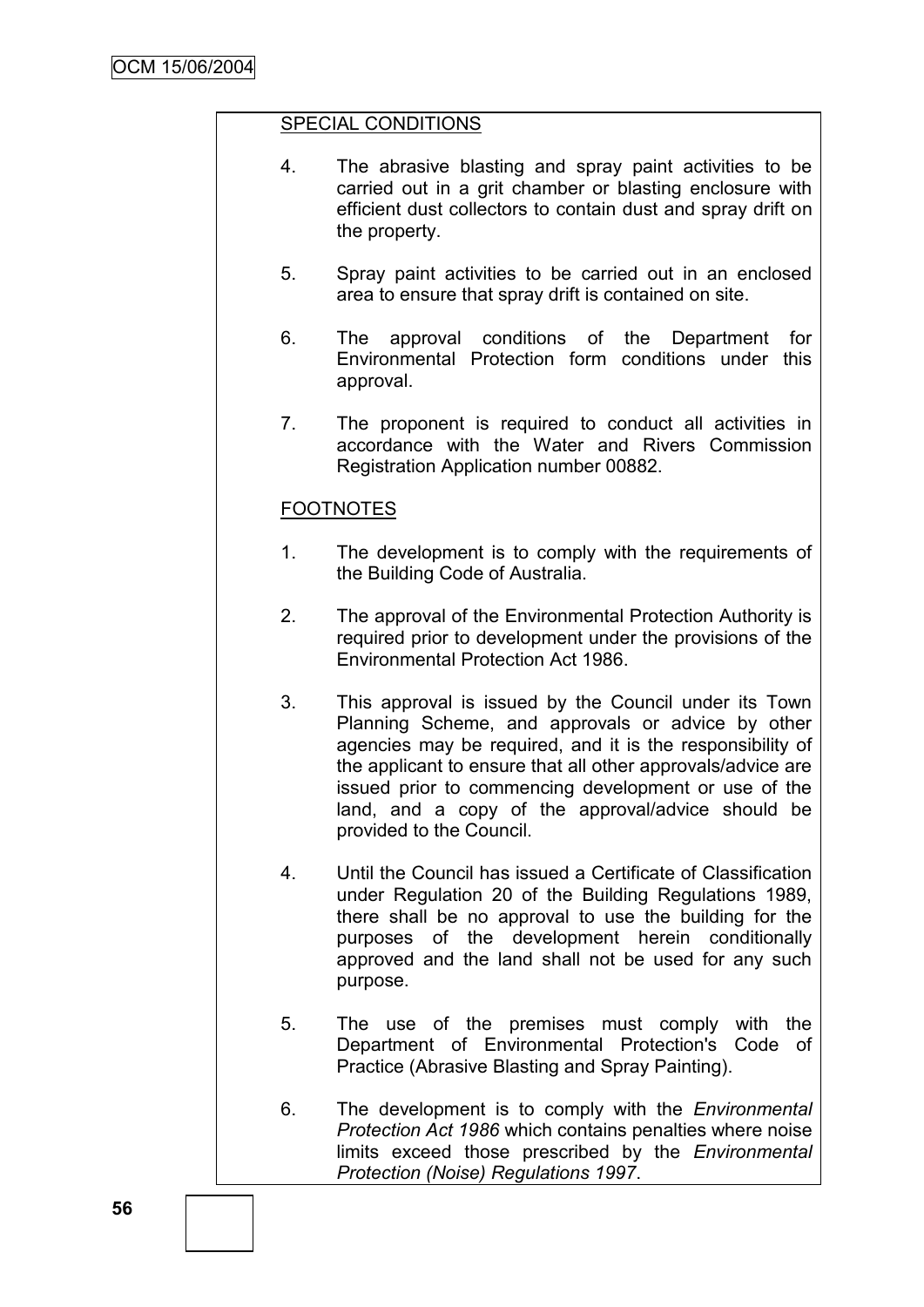## SPECIAL CONDITIONS

- 4. The abrasive blasting and spray paint activities to be carried out in a grit chamber or blasting enclosure with efficient dust collectors to contain dust and spray drift on the property.
- 5. Spray paint activities to be carried out in an enclosed area to ensure that spray drift is contained on site.
- 6. The approval conditions of the Department for Environmental Protection form conditions under this approval.
- 7. The proponent is required to conduct all activities in accordance with the Water and Rivers Commission Registration Application number 00882.

# FOOTNOTES

- 1. The development is to comply with the requirements of the Building Code of Australia.
- 2. The approval of the Environmental Protection Authority is required prior to development under the provisions of the Environmental Protection Act 1986.
- 3. This approval is issued by the Council under its Town Planning Scheme, and approvals or advice by other agencies may be required, and it is the responsibility of the applicant to ensure that all other approvals/advice are issued prior to commencing development or use of the land, and a copy of the approval/advice should be provided to the Council.
- 4. Until the Council has issued a Certificate of Classification under Regulation 20 of the Building Regulations 1989, there shall be no approval to use the building for the purposes of the development herein conditionally approved and the land shall not be used for any such purpose.
- 5. The use of the premises must comply with the Department of Environmental Protection's Code of Practice (Abrasive Blasting and Spray Painting).
- 6. The development is to comply with the *Environmental Protection Act 1986* which contains penalties where noise limits exceed those prescribed by the *Environmental Protection (Noise) Regulations 1997*.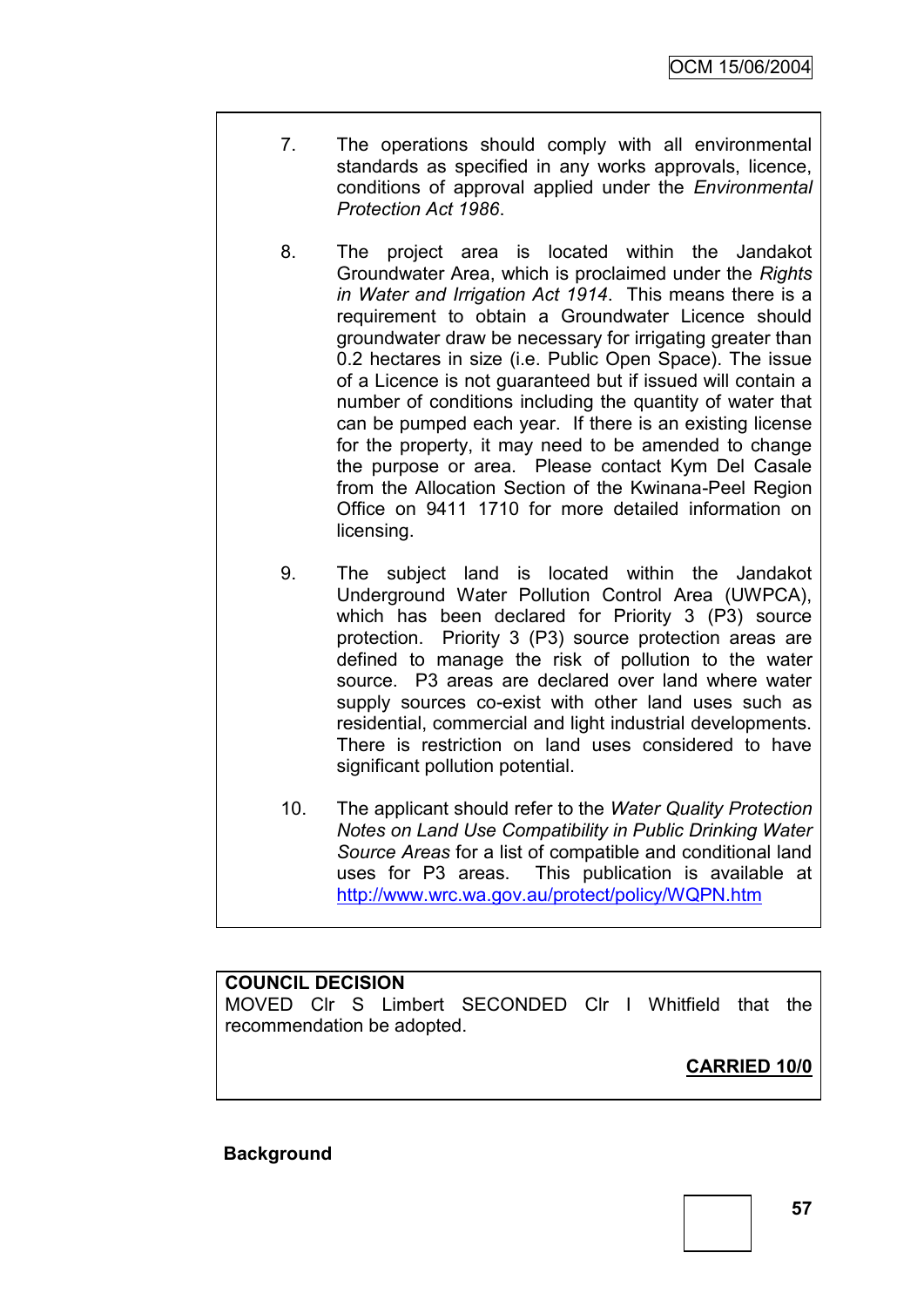- 7. The operations should comply with all environmental standards as specified in any works approvals, licence, conditions of approval applied under the *Environmental Protection Act 1986*.
- 8. The project area is located within the Jandakot Groundwater Area, which is proclaimed under the *Rights in Water and Irrigation Act 1914*. This means there is a requirement to obtain a Groundwater Licence should groundwater draw be necessary for irrigating greater than 0.2 hectares in size (i.e. Public Open Space). The issue of a Licence is not guaranteed but if issued will contain a number of conditions including the quantity of water that can be pumped each year. If there is an existing license for the property, it may need to be amended to change the purpose or area. Please contact Kym Del Casale from the Allocation Section of the Kwinana-Peel Region Office on 9411 1710 for more detailed information on licensing.
- 9. The subject land is located within the Jandakot Underground Water Pollution Control Area (UWPCA), which has been declared for Priority 3 (P3) source protection. Priority 3 (P3) source protection areas are defined to manage the risk of pollution to the water source. P3 areas are declared over land where water supply sources co-exist with other land uses such as residential, commercial and light industrial developments. There is restriction on land uses considered to have significant pollution potential.
- 10. The applicant should refer to the *Water Quality Protection Notes on Land Use Compatibility in Public Drinking Water Source Areas* for a list of compatible and conditional land uses for P3 areas. This publication is available at <http://www.wrc.wa.gov.au/protect/policy/WQPN.htm>

## **COUNCIL DECISION**

MOVED Clr S Limbert SECONDED Clr I Whitfield that the recommendation be adopted.

**CARRIED 10/0**

#### **Background**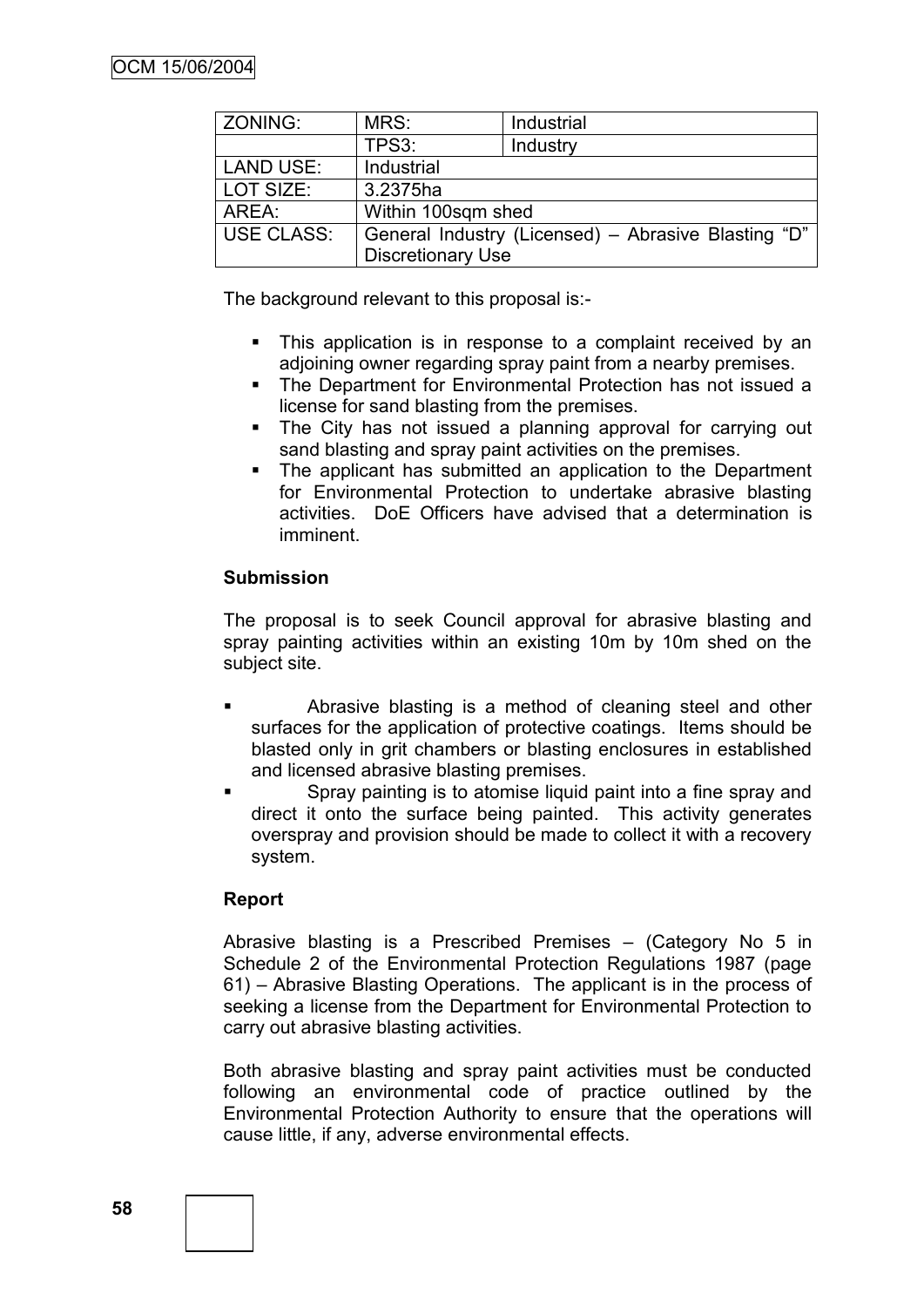| ZONING:           | MRS:                                                | Industrial |  |
|-------------------|-----------------------------------------------------|------------|--|
|                   | TPS3:                                               | Industry   |  |
| <b>LAND USE:</b>  | Industrial                                          |            |  |
| LOT SIZE:         | 3.2375ha                                            |            |  |
| AREA:             | Within 100sqm shed                                  |            |  |
| <b>USE CLASS:</b> | General Industry (Licensed) – Abrasive Blasting "D" |            |  |
|                   | <b>Discretionary Use</b>                            |            |  |

The background relevant to this proposal is:-

- This application is in response to a complaint received by an adjoining owner regarding spray paint from a nearby premises.
- The Department for Environmental Protection has not issued a license for sand blasting from the premises.
- The City has not issued a planning approval for carrying out sand blasting and spray paint activities on the premises.
- The applicant has submitted an application to the Department for Environmental Protection to undertake abrasive blasting activities. DoE Officers have advised that a determination is imminent.

## **Submission**

The proposal is to seek Council approval for abrasive blasting and spray painting activities within an existing 10m by 10m shed on the subject site.

- Abrasive blasting is a method of cleaning steel and other surfaces for the application of protective coatings. Items should be blasted only in grit chambers or blasting enclosures in established and licensed abrasive blasting premises.
- Spray painting is to atomise liquid paint into a fine spray and direct it onto the surface being painted. This activity generates overspray and provision should be made to collect it with a recovery system.

## **Report**

Abrasive blasting is a Prescribed Premises – (Category No 5 in Schedule 2 of the Environmental Protection Regulations 1987 (page 61) – Abrasive Blasting Operations. The applicant is in the process of seeking a license from the Department for Environmental Protection to carry out abrasive blasting activities.

Both abrasive blasting and spray paint activities must be conducted following an environmental code of practice outlined by the Environmental Protection Authority to ensure that the operations will cause little, if any, adverse environmental effects.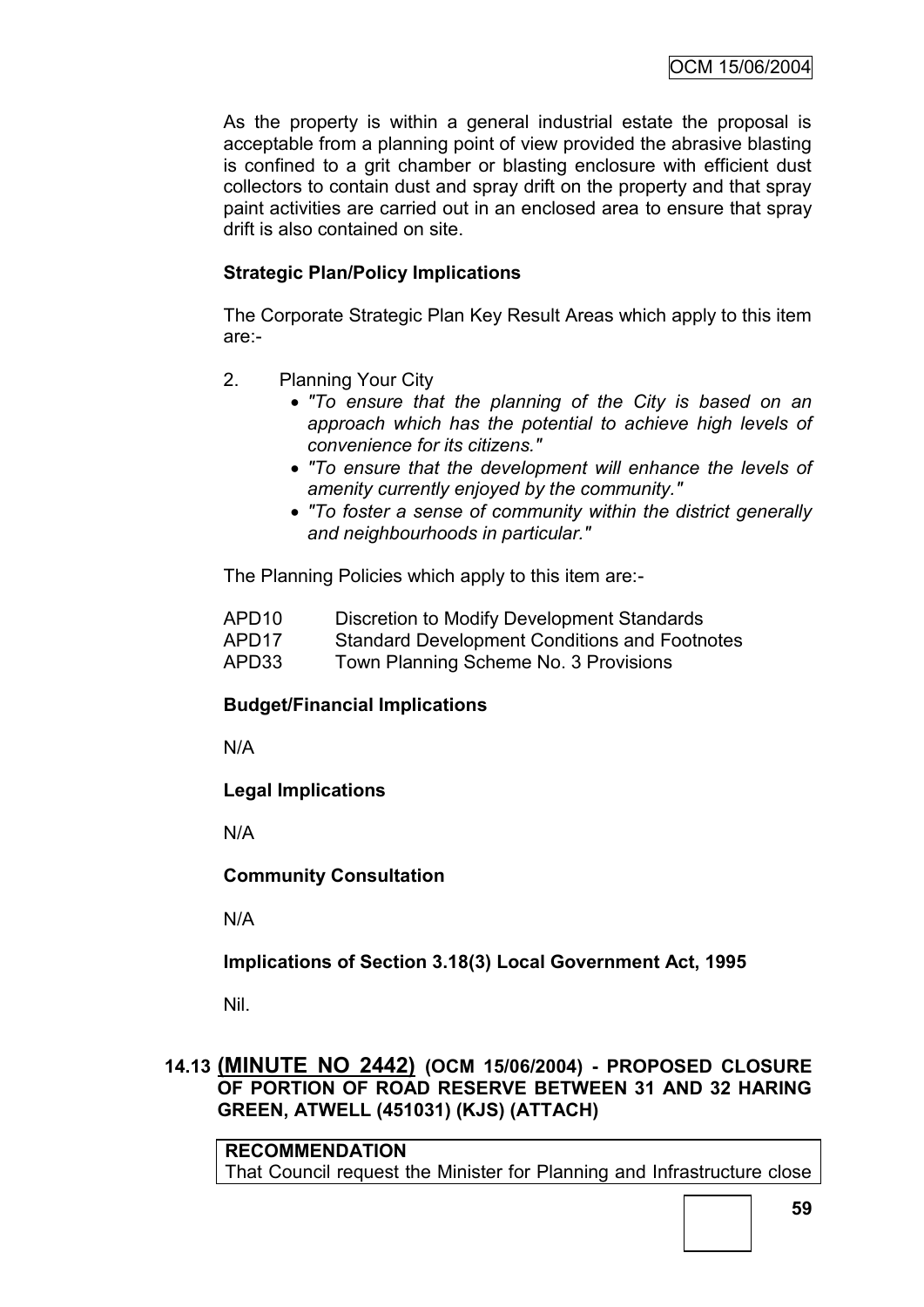As the property is within a general industrial estate the proposal is acceptable from a planning point of view provided the abrasive blasting is confined to a grit chamber or blasting enclosure with efficient dust collectors to contain dust and spray drift on the property and that spray paint activities are carried out in an enclosed area to ensure that spray drift is also contained on site.

# **Strategic Plan/Policy Implications**

The Corporate Strategic Plan Key Result Areas which apply to this item are:-

- 2. Planning Your City
	- *"To ensure that the planning of the City is based on an approach which has the potential to achieve high levels of convenience for its citizens."*
	- *"To ensure that the development will enhance the levels of amenity currently enjoyed by the community."*
	- *"To foster a sense of community within the district generally and neighbourhoods in particular."*

The Planning Policies which apply to this item are:-

- APD10 Discretion to Modify Development Standards
- APD17 Standard Development Conditions and Footnotes
- APD33 Town Planning Scheme No. 3 Provisions

# **Budget/Financial Implications**

N/A

# **Legal Implications**

N/A

**Community Consultation**

N/A

**Implications of Section 3.18(3) Local Government Act, 1995**

Nil.

# **14.13 (MINUTE NO 2442) (OCM 15/06/2004) - PROPOSED CLOSURE OF PORTION OF ROAD RESERVE BETWEEN 31 AND 32 HARING GREEN, ATWELL (451031) (KJS) (ATTACH)**

**RECOMMENDATION** That Council request the Minister for Planning and Infrastructure close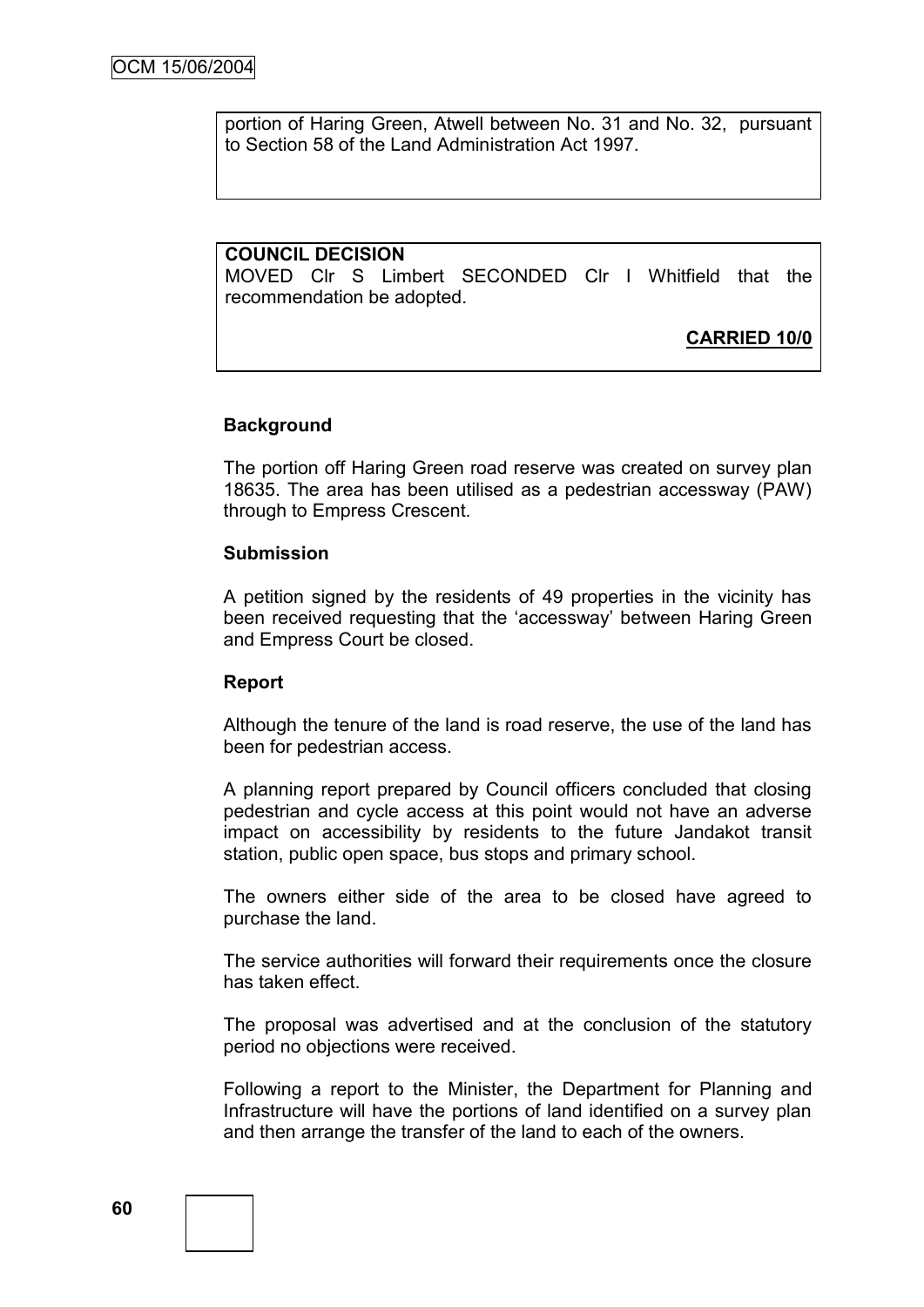portion of Haring Green, Atwell between No. 31 and No. 32, pursuant to Section 58 of the Land Administration Act 1997.

### **COUNCIL DECISION**

MOVED Clr S Limbert SECONDED Clr I Whitfield that the recommendation be adopted.

**CARRIED 10/0**

### **Background**

The portion off Haring Green road reserve was created on survey plan 18635. The area has been utilised as a pedestrian accessway (PAW) through to Empress Crescent.

#### **Submission**

A petition signed by the residents of 49 properties in the vicinity has been received requesting that the "accessway" between Haring Green and Empress Court be closed.

#### **Report**

Although the tenure of the land is road reserve, the use of the land has been for pedestrian access.

A planning report prepared by Council officers concluded that closing pedestrian and cycle access at this point would not have an adverse impact on accessibility by residents to the future Jandakot transit station, public open space, bus stops and primary school.

The owners either side of the area to be closed have agreed to purchase the land.

The service authorities will forward their requirements once the closure has taken effect.

The proposal was advertised and at the conclusion of the statutory period no objections were received.

Following a report to the Minister, the Department for Planning and Infrastructure will have the portions of land identified on a survey plan and then arrange the transfer of the land to each of the owners.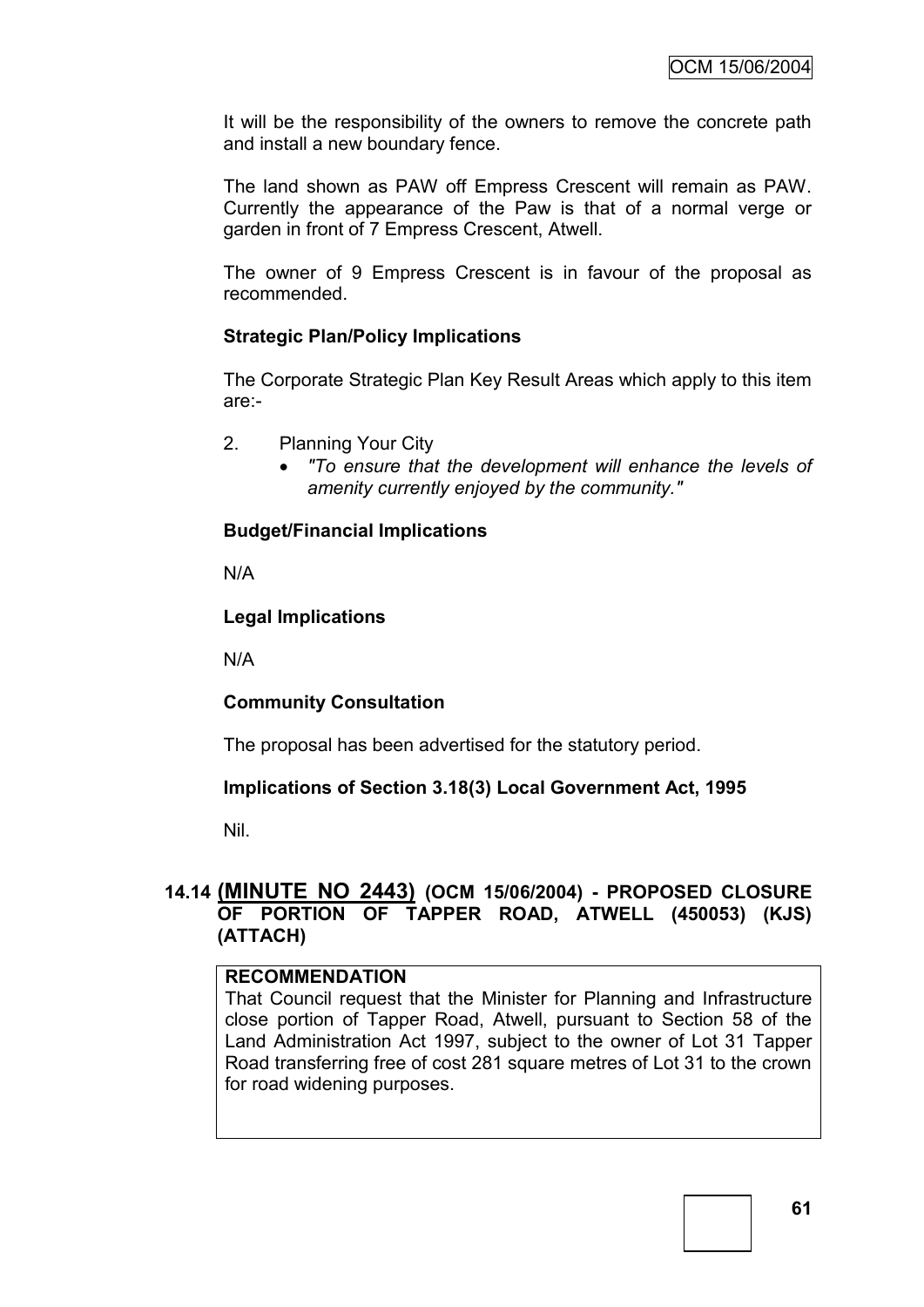It will be the responsibility of the owners to remove the concrete path and install a new boundary fence.

The land shown as PAW off Empress Crescent will remain as PAW. Currently the appearance of the Paw is that of a normal verge or garden in front of 7 Empress Crescent, Atwell.

The owner of 9 Empress Crescent is in favour of the proposal as recommended.

# **Strategic Plan/Policy Implications**

The Corporate Strategic Plan Key Result Areas which apply to this item are:-

- 2. Planning Your City
	- *"To ensure that the development will enhance the levels of amenity currently enjoyed by the community."*

# **Budget/Financial Implications**

N/A

## **Legal Implications**

N/A

## **Community Consultation**

The proposal has been advertised for the statutory period.

## **Implications of Section 3.18(3) Local Government Act, 1995**

Nil.

# **14.14 (MINUTE NO 2443) (OCM 15/06/2004) - PROPOSED CLOSURE OF PORTION OF TAPPER ROAD, ATWELL (450053) (KJS) (ATTACH)**

## **RECOMMENDATION**

That Council request that the Minister for Planning and Infrastructure close portion of Tapper Road, Atwell, pursuant to Section 58 of the Land Administration Act 1997, subject to the owner of Lot 31 Tapper Road transferring free of cost 281 square metres of Lot 31 to the crown for road widening purposes.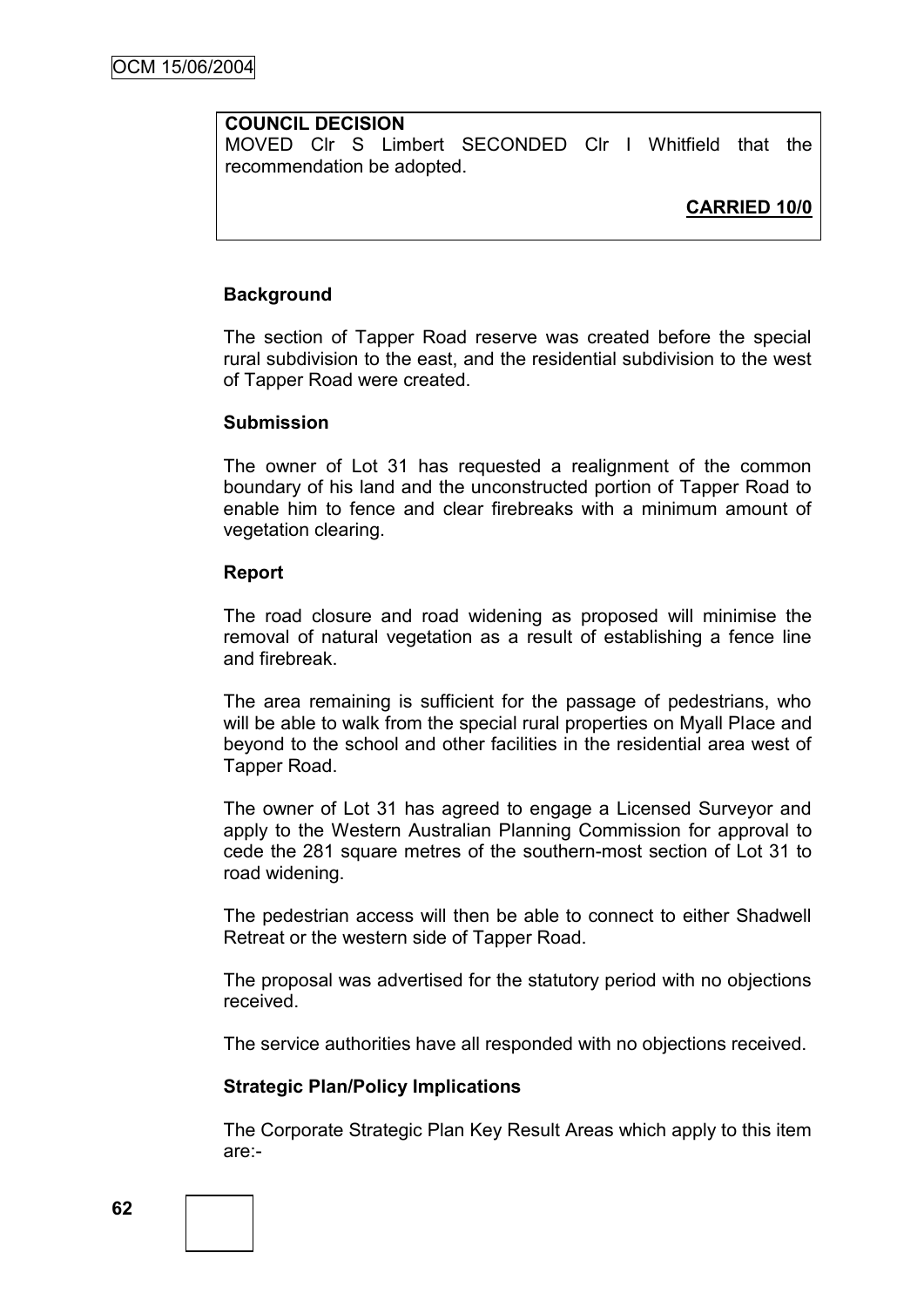## **COUNCIL DECISION**

MOVED Clr S Limbert SECONDED Clr I Whitfield that the recommendation be adopted.

# **CARRIED 10/0**

## **Background**

The section of Tapper Road reserve was created before the special rural subdivision to the east, and the residential subdivision to the west of Tapper Road were created.

#### **Submission**

The owner of Lot 31 has requested a realignment of the common boundary of his land and the unconstructed portion of Tapper Road to enable him to fence and clear firebreaks with a minimum amount of vegetation clearing.

### **Report**

The road closure and road widening as proposed will minimise the removal of natural vegetation as a result of establishing a fence line and firebreak.

The area remaining is sufficient for the passage of pedestrians, who will be able to walk from the special rural properties on Myall Place and beyond to the school and other facilities in the residential area west of Tapper Road.

The owner of Lot 31 has agreed to engage a Licensed Surveyor and apply to the Western Australian Planning Commission for approval to cede the 281 square metres of the southern-most section of Lot 31 to road widening.

The pedestrian access will then be able to connect to either Shadwell Retreat or the western side of Tapper Road.

The proposal was advertised for the statutory period with no objections received.

The service authorities have all responded with no objections received.

## **Strategic Plan/Policy Implications**

The Corporate Strategic Plan Key Result Areas which apply to this item are:-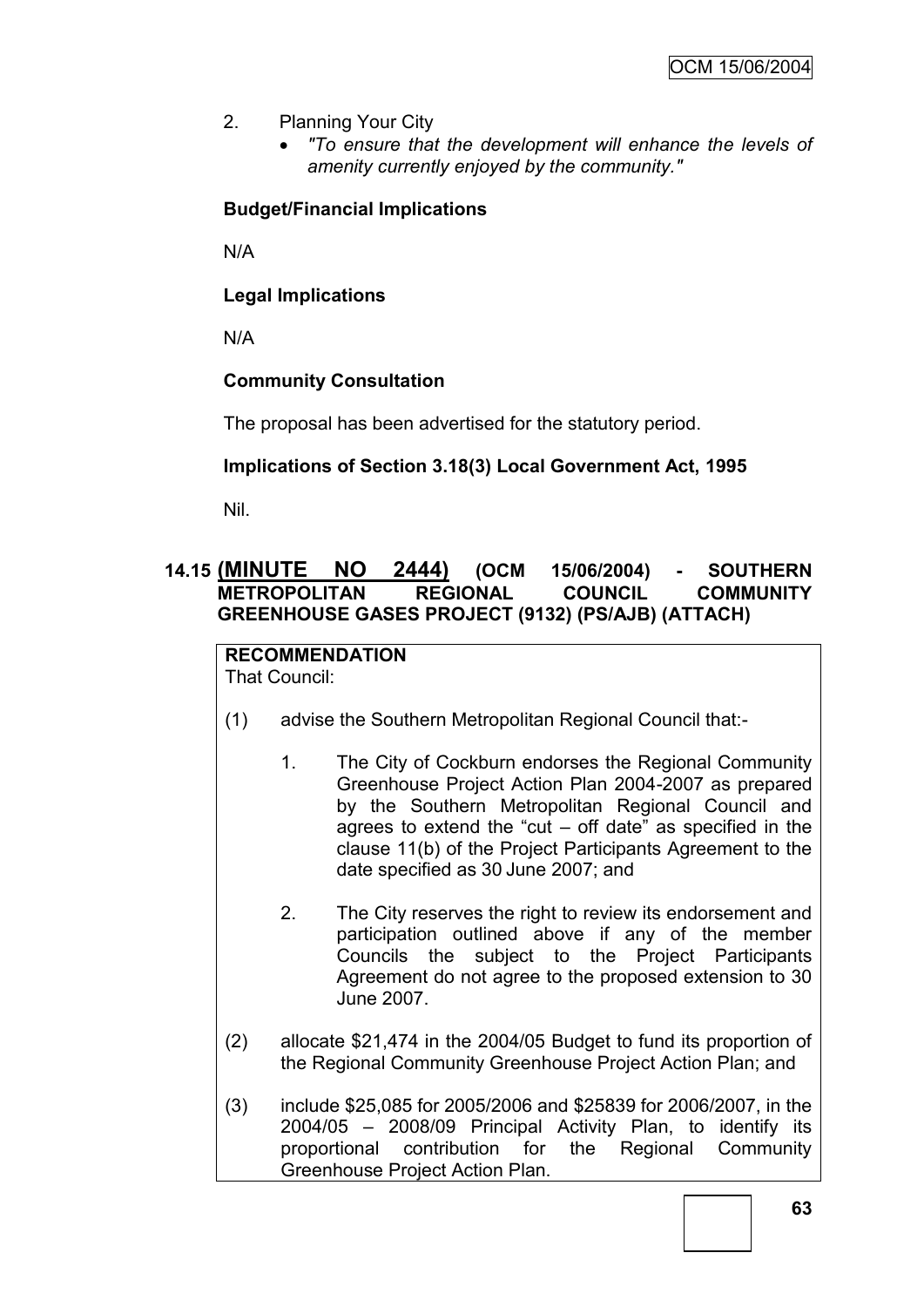- 2. Planning Your City
	- *"To ensure that the development will enhance the levels of amenity currently enjoyed by the community."*

# **Budget/Financial Implications**

N/A

**Legal Implications**

N/A

# **Community Consultation**

The proposal has been advertised for the statutory period.

# **Implications of Section 3.18(3) Local Government Act, 1995**

Nil.

# **14.15 (MINUTE NO 2444) (OCM 15/06/2004) - SOUTHERN METROPOLITAN REGIONAL COUNCIL COMMUNITY GREENHOUSE GASES PROJECT (9132) (PS/AJB) (ATTACH)**

**RECOMMENDATION** That Council:

- (1) advise the Southern Metropolitan Regional Council that:-
	- 1. The City of Cockburn endorses the Regional Community Greenhouse Project Action Plan 2004-2007 as prepared by the Southern Metropolitan Regional Council and agrees to extend the "cut  $-$  off date" as specified in the clause 11(b) of the Project Participants Agreement to the date specified as 30 June 2007; and
	- 2. The City reserves the right to review its endorsement and participation outlined above if any of the member Councils the subject to the Project Participants Agreement do not agree to the proposed extension to 30 June 2007.
- (2) allocate \$21,474 in the 2004/05 Budget to fund its proportion of the Regional Community Greenhouse Project Action Plan; and
- (3) include \$25,085 for 2005/2006 and \$25839 for 2006/2007, in the 2004/05 – 2008/09 Principal Activity Plan, to identify its proportional contribution for the Regional Community Greenhouse Project Action Plan.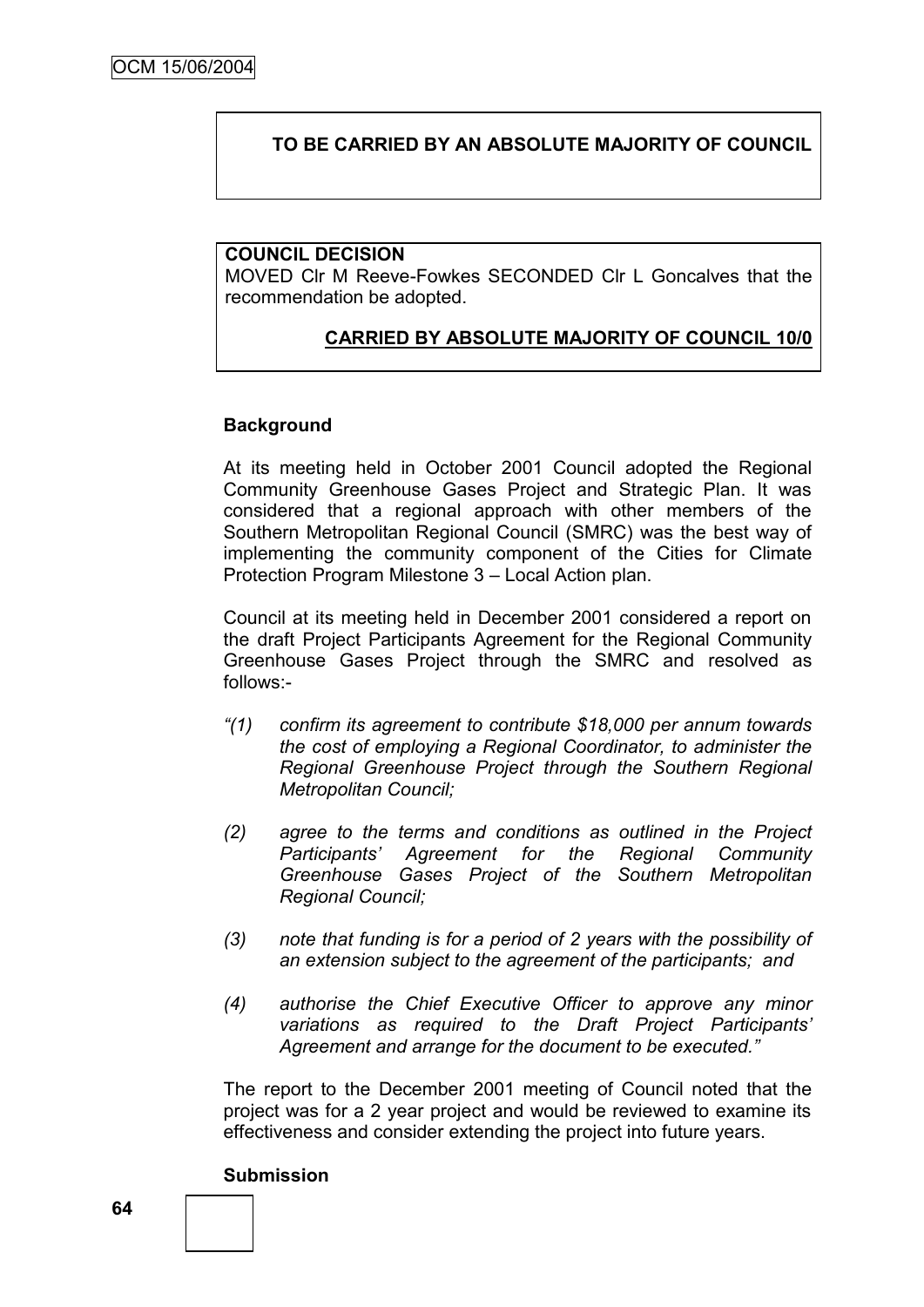## **TO BE CARRIED BY AN ABSOLUTE MAJORITY OF COUNCIL**

### **COUNCIL DECISION**

MOVED Clr M Reeve-Fowkes SECONDED Clr L Goncalves that the recommendation be adopted.

# **CARRIED BY ABSOLUTE MAJORITY OF COUNCIL 10/0**

### **Background**

At its meeting held in October 2001 Council adopted the Regional Community Greenhouse Gases Project and Strategic Plan. It was considered that a regional approach with other members of the Southern Metropolitan Regional Council (SMRC) was the best way of implementing the community component of the Cities for Climate Protection Program Milestone 3 – Local Action plan.

Council at its meeting held in December 2001 considered a report on the draft Project Participants Agreement for the Regional Community Greenhouse Gases Project through the SMRC and resolved as follows:-

- *"(1) confirm its agreement to contribute \$18,000 per annum towards the cost of employing a Regional Coordinator, to administer the Regional Greenhouse Project through the Southern Regional Metropolitan Council;*
- *(2) agree to the terms and conditions as outlined in the Project Participants" Agreement for the Regional Community Greenhouse Gases Project of the Southern Metropolitan Regional Council;*
- *(3) note that funding is for a period of 2 years with the possibility of an extension subject to the agreement of the participants; and*
- *(4) authorise the Chief Executive Officer to approve any minor variations as required to the Draft Project Participants" Agreement and arrange for the document to be executed."*

The report to the December 2001 meeting of Council noted that the project was for a 2 year project and would be reviewed to examine its effectiveness and consider extending the project into future years.

#### **Submission**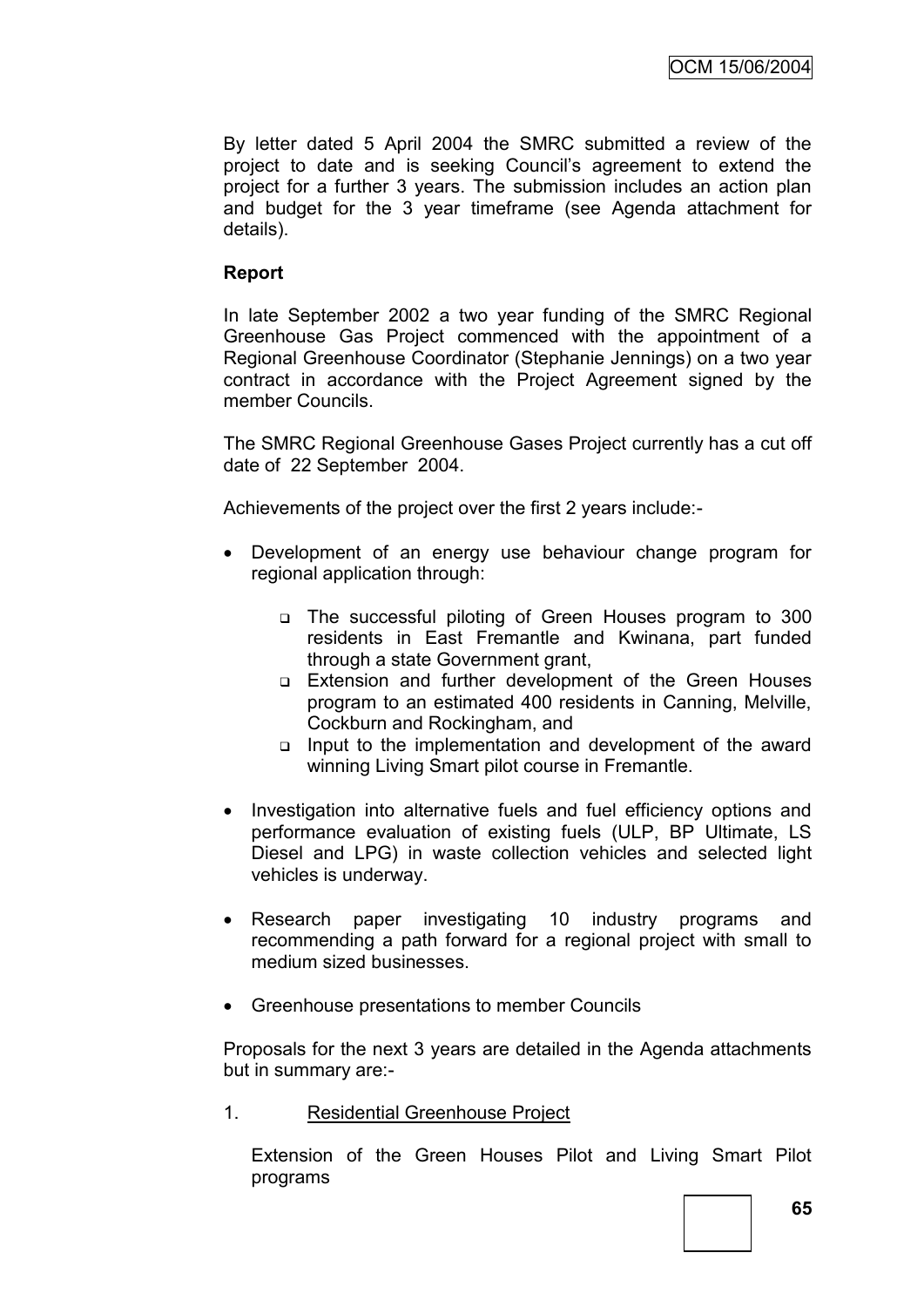By letter dated 5 April 2004 the SMRC submitted a review of the project to date and is seeking Council"s agreement to extend the project for a further 3 years. The submission includes an action plan and budget for the 3 year timeframe (see Agenda attachment for details).

# **Report**

In late September 2002 a two year funding of the SMRC Regional Greenhouse Gas Project commenced with the appointment of a Regional Greenhouse Coordinator (Stephanie Jennings) on a two year contract in accordance with the Project Agreement signed by the member Councils.

The SMRC Regional Greenhouse Gases Project currently has a cut off date of 22 September 2004.

Achievements of the project over the first 2 years include:-

- Development of an energy use behaviour change program for regional application through:
	- The successful piloting of Green Houses program to 300 residents in East Fremantle and Kwinana, part funded through a state Government grant,
	- Extension and further development of the Green Houses program to an estimated 400 residents in Canning, Melville, Cockburn and Rockingham, and
	- $\Box$  Input to the implementation and development of the award winning Living Smart pilot course in Fremantle.
- Investigation into alternative fuels and fuel efficiency options and performance evaluation of existing fuels (ULP, BP Ultimate, LS Diesel and LPG) in waste collection vehicles and selected light vehicles is underway.
- Research paper investigating 10 industry programs and recommending a path forward for a regional project with small to medium sized businesses.
- Greenhouse presentations to member Councils

Proposals for the next 3 years are detailed in the Agenda attachments but in summary are:-

1. Residential Greenhouse Project

Extension of the Green Houses Pilot and Living Smart Pilot programs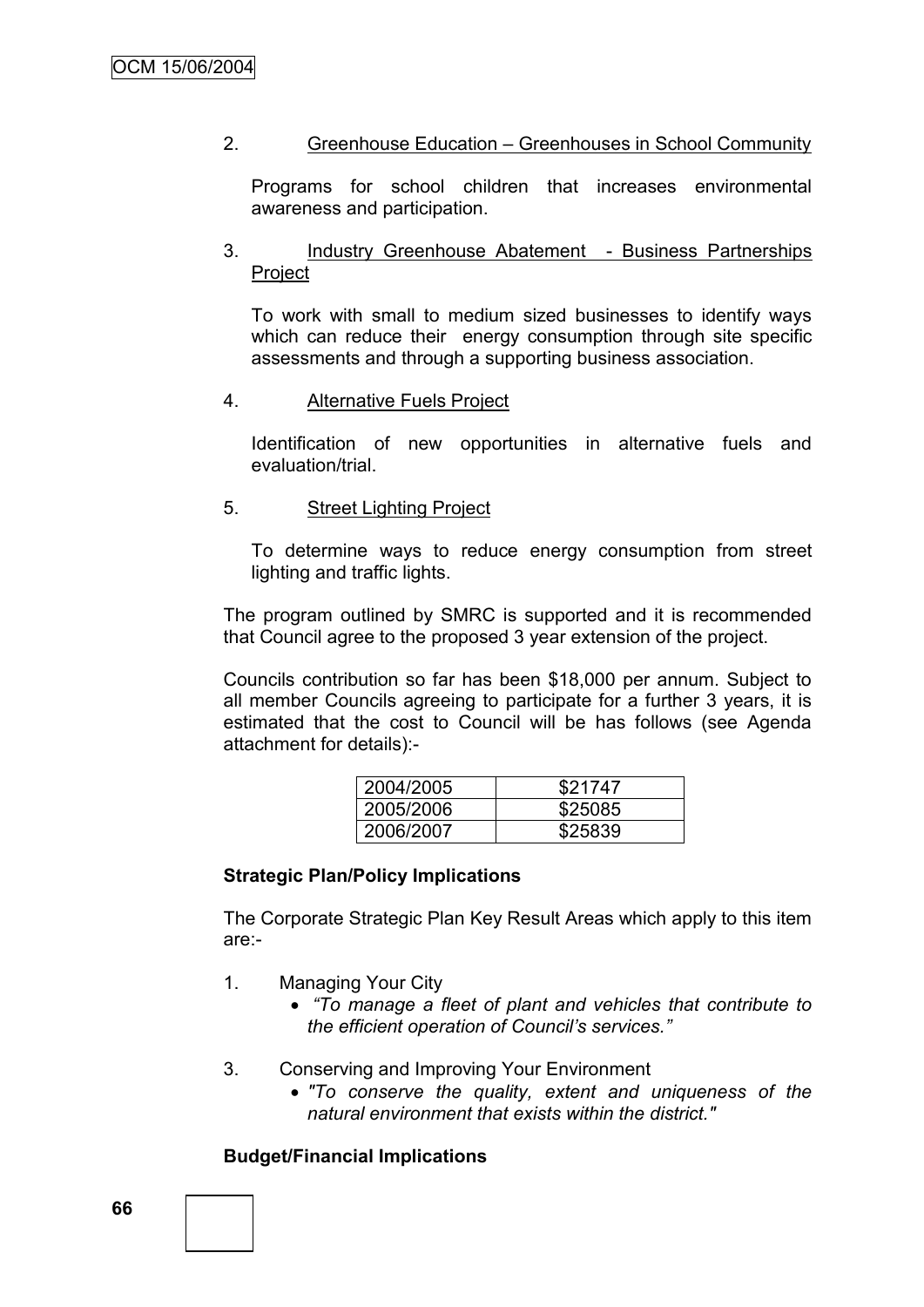## 2. Greenhouse Education – Greenhouses in School Community

Programs for school children that increases environmental awareness and participation.

## 3. Industry Greenhouse Abatement - Business Partnerships Project

To work with small to medium sized businesses to identify ways which can reduce their energy consumption through site specific assessments and through a supporting business association.

### 4. Alternative Fuels Project

Identification of new opportunities in alternative fuels and evaluation/trial.

### 5. Street Lighting Project

To determine ways to reduce energy consumption from street lighting and traffic lights.

The program outlined by SMRC is supported and it is recommended that Council agree to the proposed 3 year extension of the project.

Councils contribution so far has been \$18,000 per annum. Subject to all member Councils agreeing to participate for a further 3 years, it is estimated that the cost to Council will be has follows (see Agenda attachment for details):-

| 2004/2005 | \$21747 |
|-----------|---------|
| 2005/2006 | \$25085 |
| 2006/2007 | \$25839 |

## **Strategic Plan/Policy Implications**

The Corporate Strategic Plan Key Result Areas which apply to this item are:-

- 1. Managing Your City
	- *"To manage a fleet of plant and vehicles that contribute to the efficient operation of Council"s services."*
- 3. Conserving and Improving Your Environment
	- *"To conserve the quality, extent and uniqueness of the natural environment that exists within the district."*

## **Budget/Financial Implications**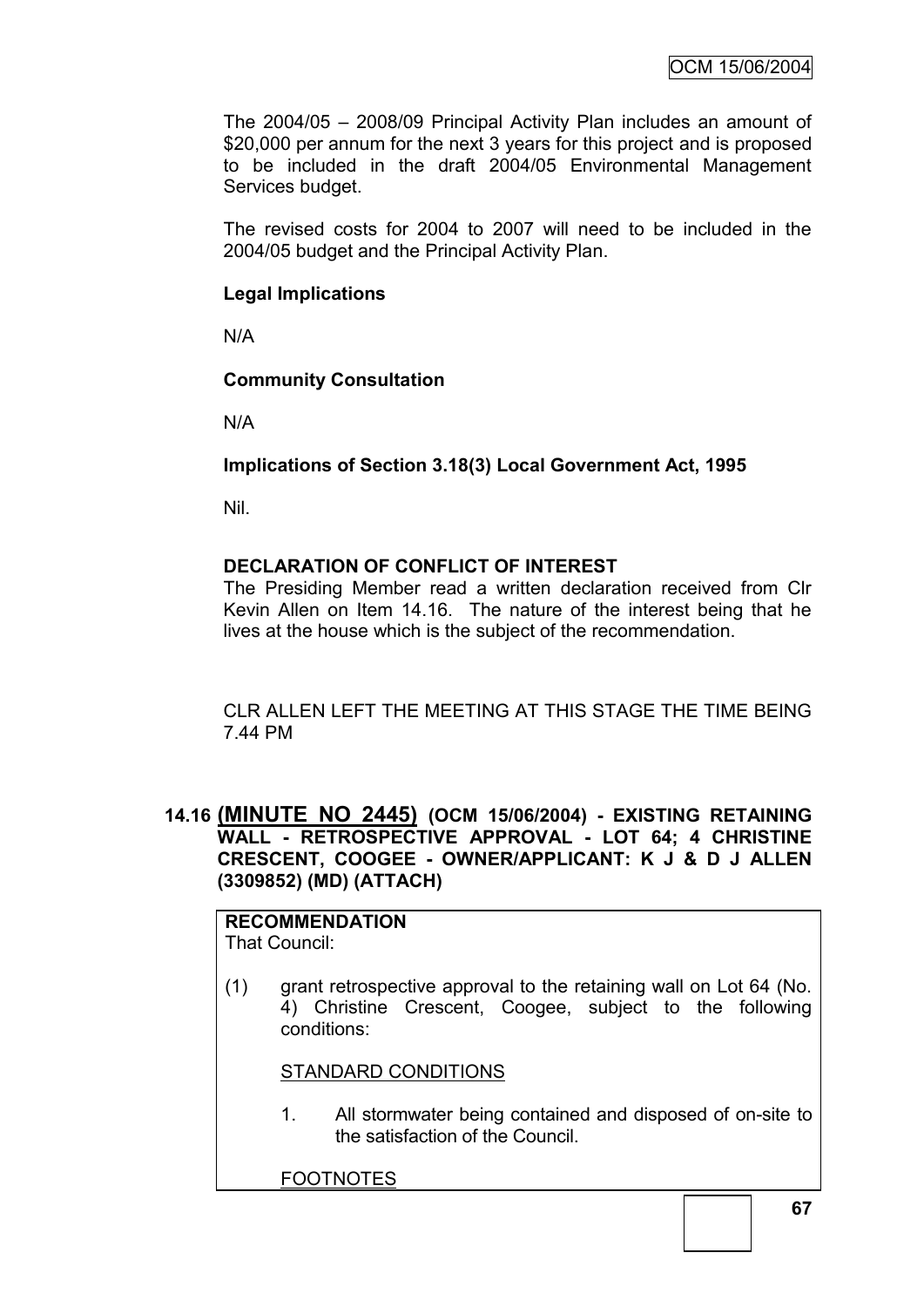The 2004/05 – 2008/09 Principal Activity Plan includes an amount of \$20,000 per annum for the next 3 years for this project and is proposed to be included in the draft 2004/05 Environmental Management Services budget.

The revised costs for 2004 to 2007 will need to be included in the 2004/05 budget and the Principal Activity Plan.

# **Legal Implications**

N/A

### **Community Consultation**

N/A

# **Implications of Section 3.18(3) Local Government Act, 1995**

Nil.

# **DECLARATION OF CONFLICT OF INTEREST**

The Presiding Member read a written declaration received from Clr Kevin Allen on Item 14.16. The nature of the interest being that he lives at the house which is the subject of the recommendation.

CLR ALLEN LEFT THE MEETING AT THIS STAGE THE TIME BEING 7.44 PM

# **14.16 (MINUTE NO 2445) (OCM 15/06/2004) - EXISTING RETAINING WALL - RETROSPECTIVE APPROVAL - LOT 64; 4 CHRISTINE CRESCENT, COOGEE - OWNER/APPLICANT: K J & D J ALLEN (3309852) (MD) (ATTACH)**

#### **RECOMMENDATION** That Council:

(1) grant retrospective approval to the retaining wall on Lot 64 (No. 4) Christine Crescent, Coogee, subject to the following conditions:

### STANDARD CONDITIONS

1. All stormwater being contained and disposed of on-site to the satisfaction of the Council.

FOOTNOTES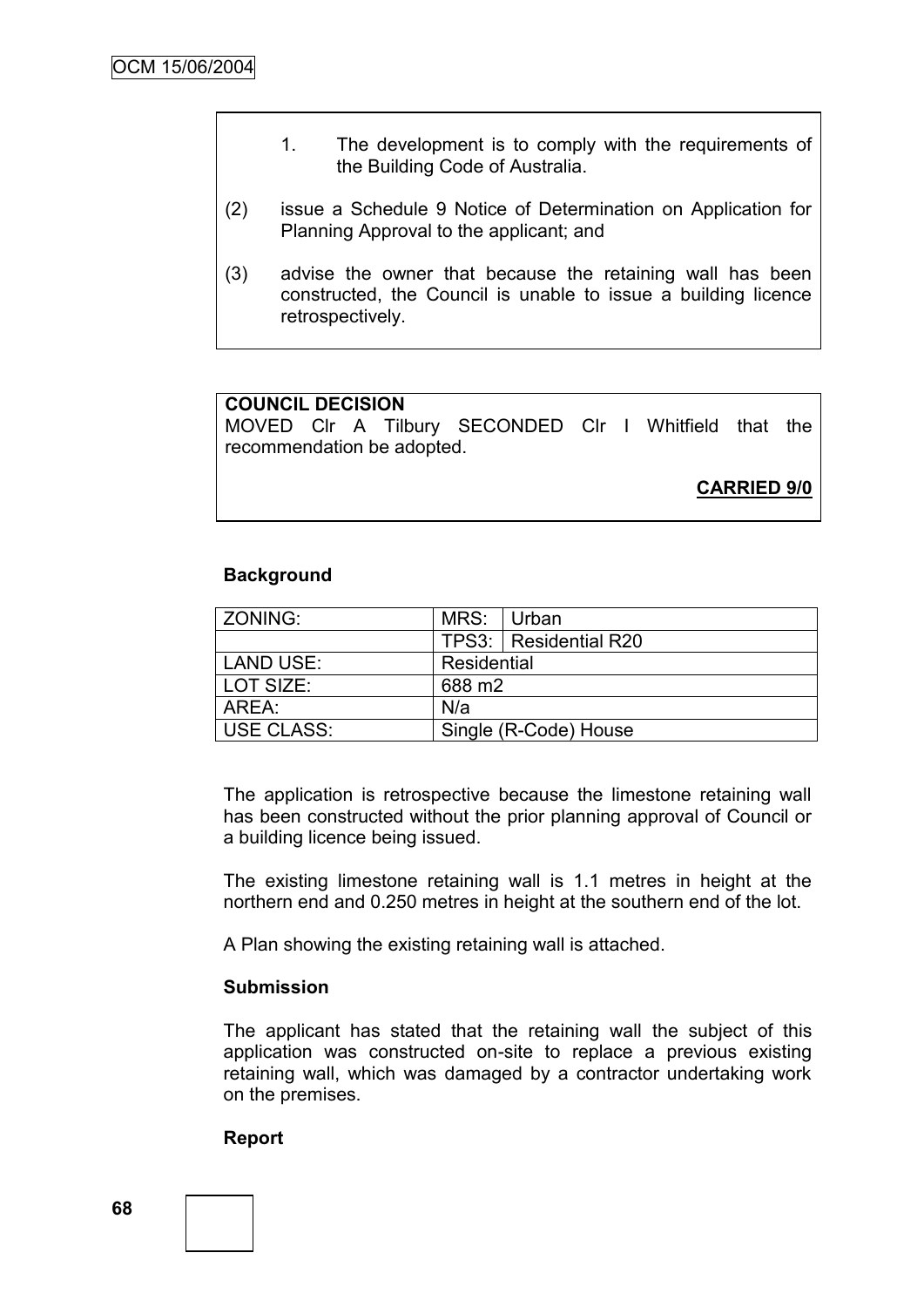- 1. The development is to comply with the requirements of the Building Code of Australia.
- (2) issue a Schedule 9 Notice of Determination on Application for Planning Approval to the applicant; and
- (3) advise the owner that because the retaining wall has been constructed, the Council is unable to issue a building licence retrospectively.

### **COUNCIL DECISION**

MOVED Clr A Tilbury SECONDED Clr I Whitfield that the recommendation be adopted.

**CARRIED 9/0**

#### **Background**

| ZONING:    | MRS: Urban            |                         |
|------------|-----------------------|-------------------------|
|            |                       | TPS3:   Residential R20 |
| LAND USE:  | Residential           |                         |
| LOT SIZE:  | 688 m2                |                         |
| AREA:      | N/a                   |                         |
| USE CLASS: | Single (R-Code) House |                         |

The application is retrospective because the limestone retaining wall has been constructed without the prior planning approval of Council or a building licence being issued.

The existing limestone retaining wall is 1.1 metres in height at the northern end and 0.250 metres in height at the southern end of the lot.

A Plan showing the existing retaining wall is attached.

#### **Submission**

The applicant has stated that the retaining wall the subject of this application was constructed on-site to replace a previous existing retaining wall, which was damaged by a contractor undertaking work on the premises.

#### **Report**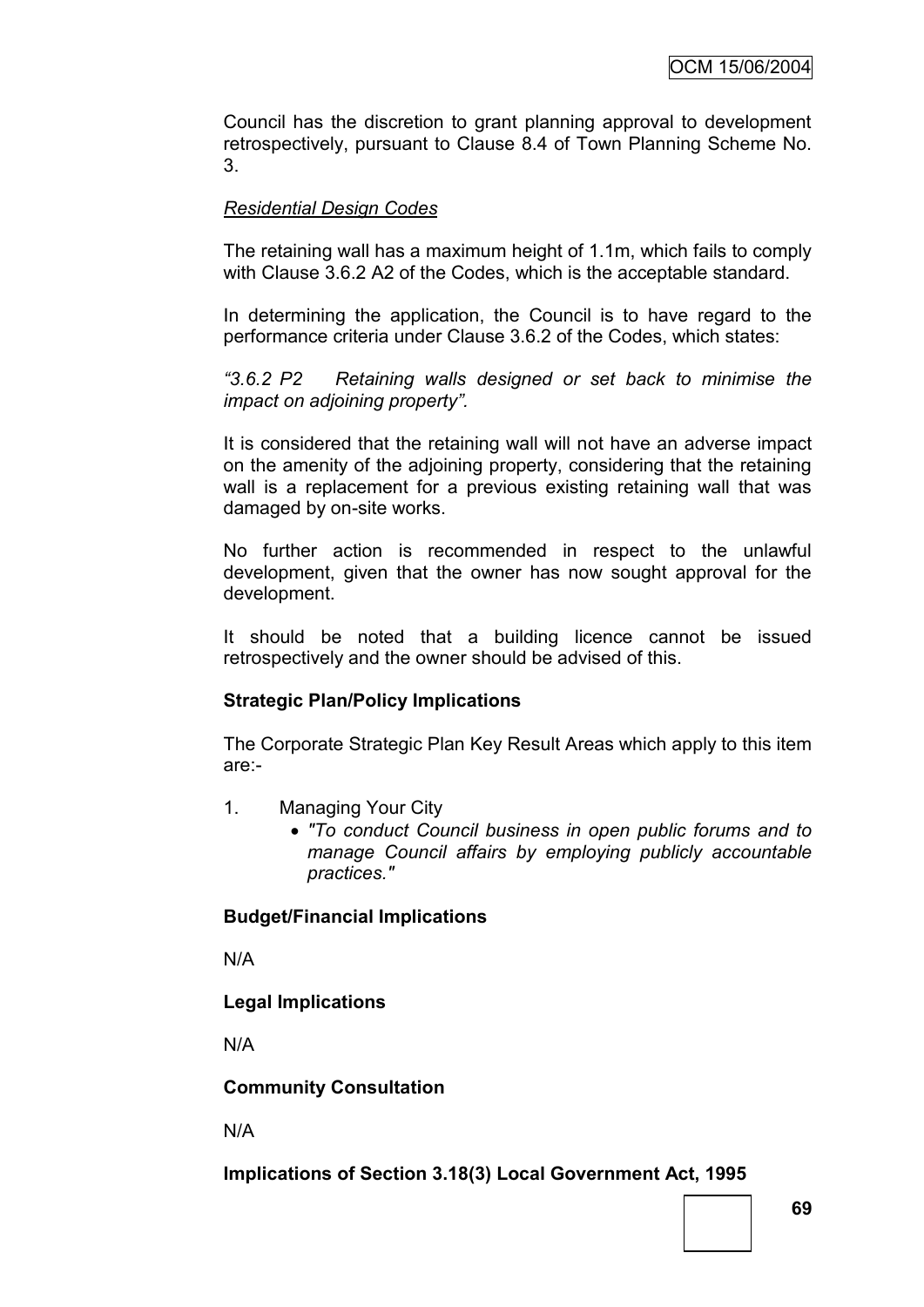Council has the discretion to grant planning approval to development retrospectively, pursuant to Clause 8.4 of Town Planning Scheme No. 3.

### *Residential Design Codes*

The retaining wall has a maximum height of 1.1m, which fails to comply with Clause 3.6.2 A2 of the Codes, which is the acceptable standard.

In determining the application, the Council is to have regard to the performance criteria under Clause 3.6.2 of the Codes, which states:

*"3.6.2 P2 Retaining walls designed or set back to minimise the impact on adjoining property".*

It is considered that the retaining wall will not have an adverse impact on the amenity of the adjoining property, considering that the retaining wall is a replacement for a previous existing retaining wall that was damaged by on-site works.

No further action is recommended in respect to the unlawful development, given that the owner has now sought approval for the development.

It should be noted that a building licence cannot be issued retrospectively and the owner should be advised of this.

#### **Strategic Plan/Policy Implications**

The Corporate Strategic Plan Key Result Areas which apply to this item are:-

- 1. Managing Your City
	- *"To conduct Council business in open public forums and to manage Council affairs by employing publicly accountable practices."*

#### **Budget/Financial Implications**

N/A

### **Legal Implications**

N/A

#### **Community Consultation**

N/A

### **Implications of Section 3.18(3) Local Government Act, 1995**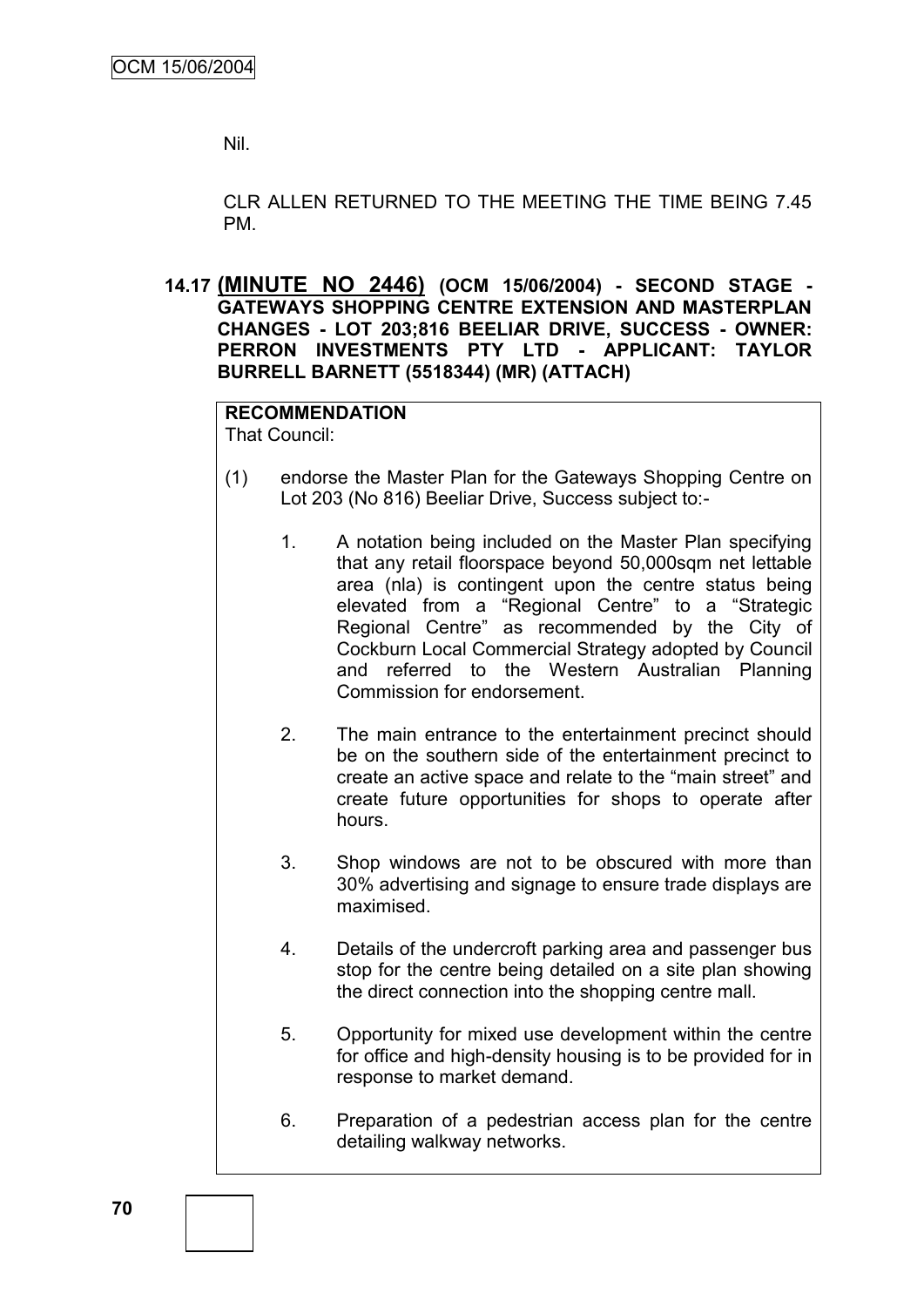Nil.

CLR ALLEN RETURNED TO THE MEETING THE TIME BEING 7.45 PM.

**14.17 (MINUTE NO 2446) (OCM 15/06/2004) - SECOND STAGE - GATEWAYS SHOPPING CENTRE EXTENSION AND MASTERPLAN CHANGES - LOT 203;816 BEELIAR DRIVE, SUCCESS - OWNER: PERRON INVESTMENTS PTY LTD - APPLICANT: TAYLOR BURRELL BARNETT (5518344) (MR) (ATTACH)**

**RECOMMENDATION** That Council:

- (1) endorse the Master Plan for the Gateways Shopping Centre on Lot 203 (No 816) Beeliar Drive, Success subject to:-
	- 1. A notation being included on the Master Plan specifying that any retail floorspace beyond 50,000sqm net lettable area (nla) is contingent upon the centre status being elevated from a "Regional Centre" to a "Strategic Regional Centre" as recommended by the City of Cockburn Local Commercial Strategy adopted by Council and referred to the Western Australian Planning Commission for endorsement.
	- 2. The main entrance to the entertainment precinct should be on the southern side of the entertainment precinct to create an active space and relate to the "main street" and create future opportunities for shops to operate after hours.
	- 3. Shop windows are not to be obscured with more than 30% advertising and signage to ensure trade displays are maximised.
	- 4. Details of the undercroft parking area and passenger bus stop for the centre being detailed on a site plan showing the direct connection into the shopping centre mall.
	- 5. Opportunity for mixed use development within the centre for office and high-density housing is to be provided for in response to market demand.
	- 6. Preparation of a pedestrian access plan for the centre detailing walkway networks.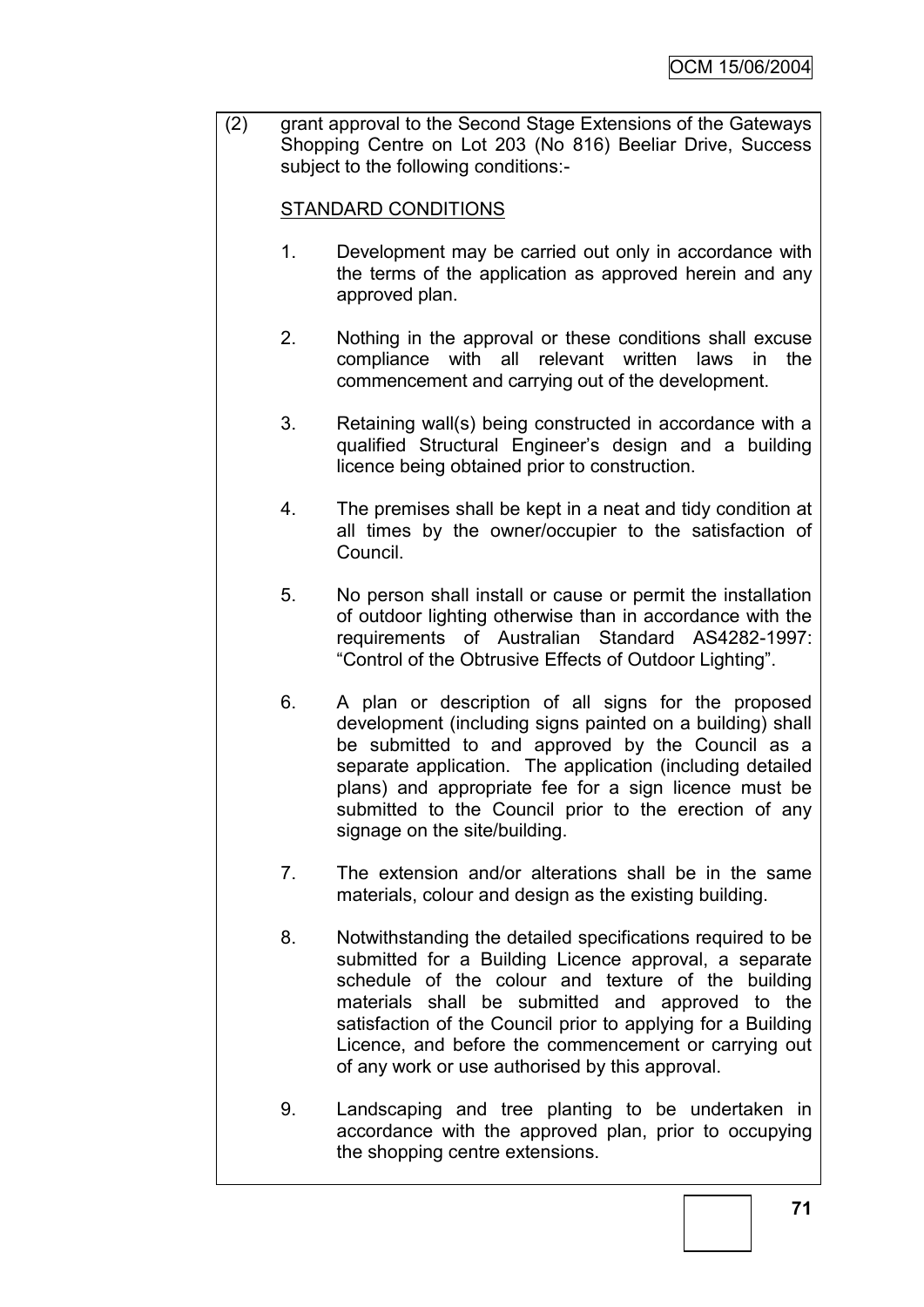(2) grant approval to the Second Stage Extensions of the Gateways Shopping Centre on Lot 203 (No 816) Beeliar Drive, Success subject to the following conditions:-

# STANDARD CONDITIONS

- 1. Development may be carried out only in accordance with the terms of the application as approved herein and any approved plan.
- 2. Nothing in the approval or these conditions shall excuse compliance with all relevant written laws in the commencement and carrying out of the development.
- 3. Retaining wall(s) being constructed in accordance with a qualified Structural Engineer"s design and a building licence being obtained prior to construction.
- 4. The premises shall be kept in a neat and tidy condition at all times by the owner/occupier to the satisfaction of Council.
- 5. No person shall install or cause or permit the installation of outdoor lighting otherwise than in accordance with the requirements of Australian Standard AS4282-1997: "Control of the Obtrusive Effects of Outdoor Lighting".
- 6. A plan or description of all signs for the proposed development (including signs painted on a building) shall be submitted to and approved by the Council as a separate application. The application (including detailed plans) and appropriate fee for a sign licence must be submitted to the Council prior to the erection of any signage on the site/building.
- 7. The extension and/or alterations shall be in the same materials, colour and design as the existing building.
- 8. Notwithstanding the detailed specifications required to be submitted for a Building Licence approval, a separate schedule of the colour and texture of the building materials shall be submitted and approved to the satisfaction of the Council prior to applying for a Building Licence, and before the commencement or carrying out of any work or use authorised by this approval.
- 9. Landscaping and tree planting to be undertaken in accordance with the approved plan, prior to occupying the shopping centre extensions.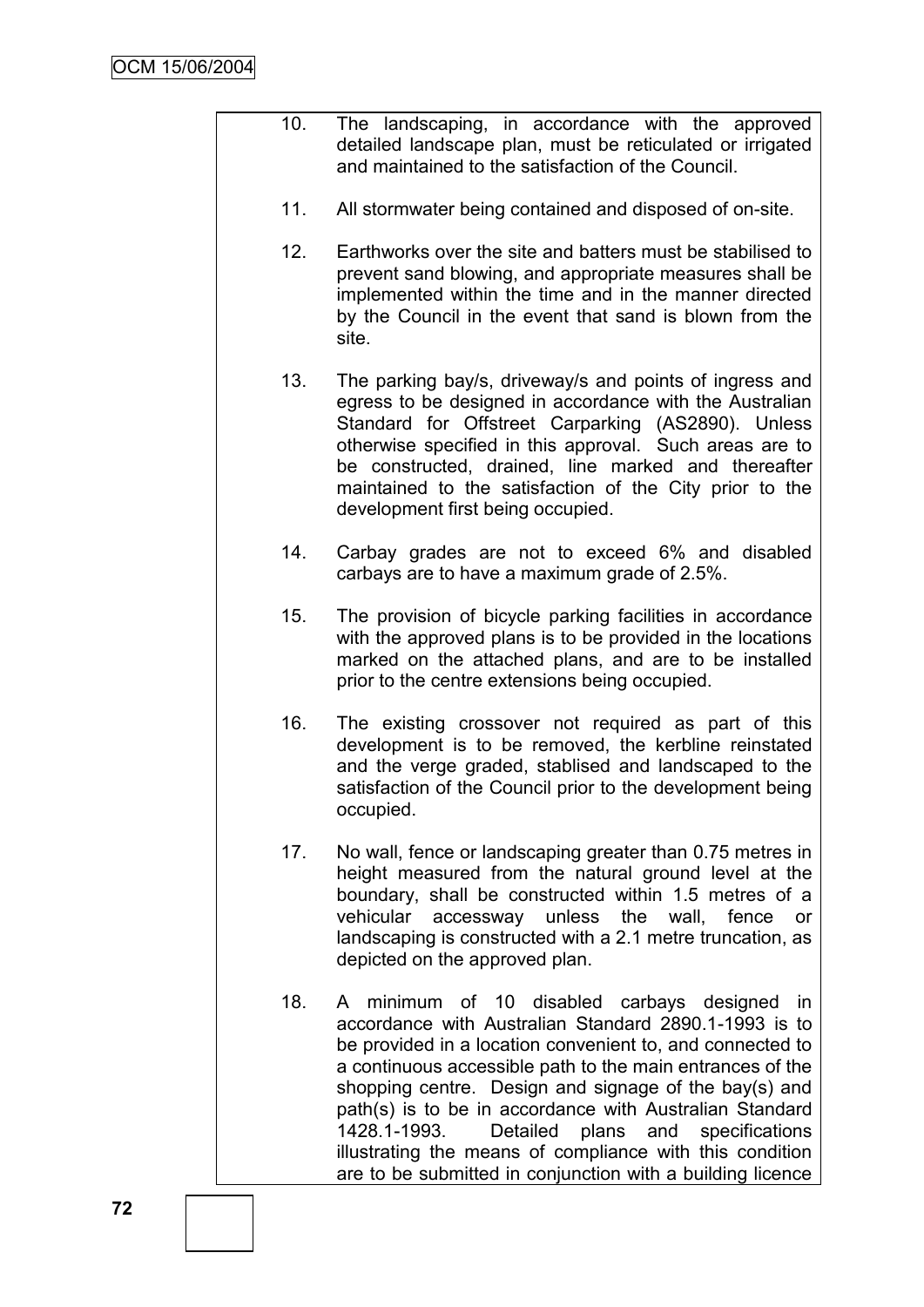- 10. The landscaping, in accordance with the approved detailed landscape plan, must be reticulated or irrigated and maintained to the satisfaction of the Council.
	- 11. All stormwater being contained and disposed of on-site.
	- 12. Earthworks over the site and batters must be stabilised to prevent sand blowing, and appropriate measures shall be implemented within the time and in the manner directed by the Council in the event that sand is blown from the site.
	- 13. The parking bay/s, driveway/s and points of ingress and egress to be designed in accordance with the Australian Standard for Offstreet Carparking (AS2890). Unless otherwise specified in this approval. Such areas are to be constructed, drained, line marked and thereafter maintained to the satisfaction of the City prior to the development first being occupied.
	- 14. Carbay grades are not to exceed 6% and disabled carbays are to have a maximum grade of 2.5%.
	- 15. The provision of bicycle parking facilities in accordance with the approved plans is to be provided in the locations marked on the attached plans, and are to be installed prior to the centre extensions being occupied.
	- 16. The existing crossover not required as part of this development is to be removed, the kerbline reinstated and the verge graded, stablised and landscaped to the satisfaction of the Council prior to the development being occupied.
	- 17. No wall, fence or landscaping greater than 0.75 metres in height measured from the natural ground level at the boundary, shall be constructed within 1.5 metres of a vehicular accessway unless the wall, fence or landscaping is constructed with a 2.1 metre truncation, as depicted on the approved plan.
	- 18. A minimum of 10 disabled carbays designed in accordance with Australian Standard 2890.1-1993 is to be provided in a location convenient to, and connected to a continuous accessible path to the main entrances of the shopping centre. Design and signage of the bay(s) and path(s) is to be in accordance with Australian Standard 1428.1-1993. Detailed plans and specifications illustrating the means of compliance with this condition are to be submitted in conjunction with a building licence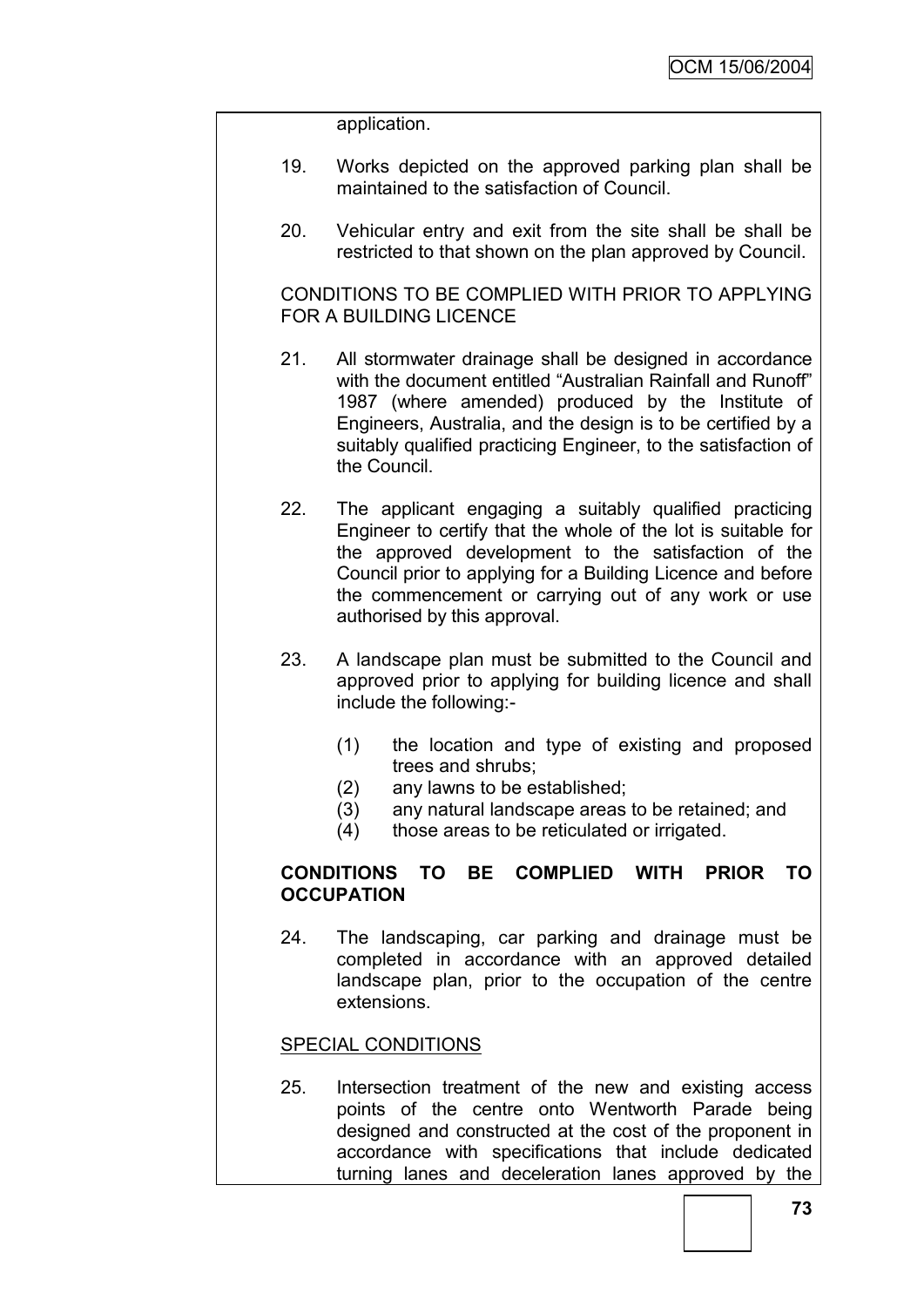application.

- 19. Works depicted on the approved parking plan shall be maintained to the satisfaction of Council.
- 20. Vehicular entry and exit from the site shall be shall be restricted to that shown on the plan approved by Council.

CONDITIONS TO BE COMPLIED WITH PRIOR TO APPLYING FOR A BUILDING LICENCE

- 21. All stormwater drainage shall be designed in accordance with the document entitled "Australian Rainfall and Runoff" 1987 (where amended) produced by the Institute of Engineers, Australia, and the design is to be certified by a suitably qualified practicing Engineer, to the satisfaction of the Council.
- 22. The applicant engaging a suitably qualified practicing Engineer to certify that the whole of the lot is suitable for the approved development to the satisfaction of the Council prior to applying for a Building Licence and before the commencement or carrying out of any work or use authorised by this approval.
- 23. A landscape plan must be submitted to the Council and approved prior to applying for building licence and shall include the following:-
	- (1) the location and type of existing and proposed trees and shrubs;
	- (2) any lawns to be established;
	- (3) any natural landscape areas to be retained; and
	- (4) those areas to be reticulated or irrigated.

# **CONDITIONS TO BE COMPLIED WITH PRIOR TO OCCUPATION**

24. The landscaping, car parking and drainage must be completed in accordance with an approved detailed landscape plan, prior to the occupation of the centre extensions.

### SPECIAL CONDITIONS

25. Intersection treatment of the new and existing access points of the centre onto Wentworth Parade being designed and constructed at the cost of the proponent in accordance with specifications that include dedicated turning lanes and deceleration lanes approved by the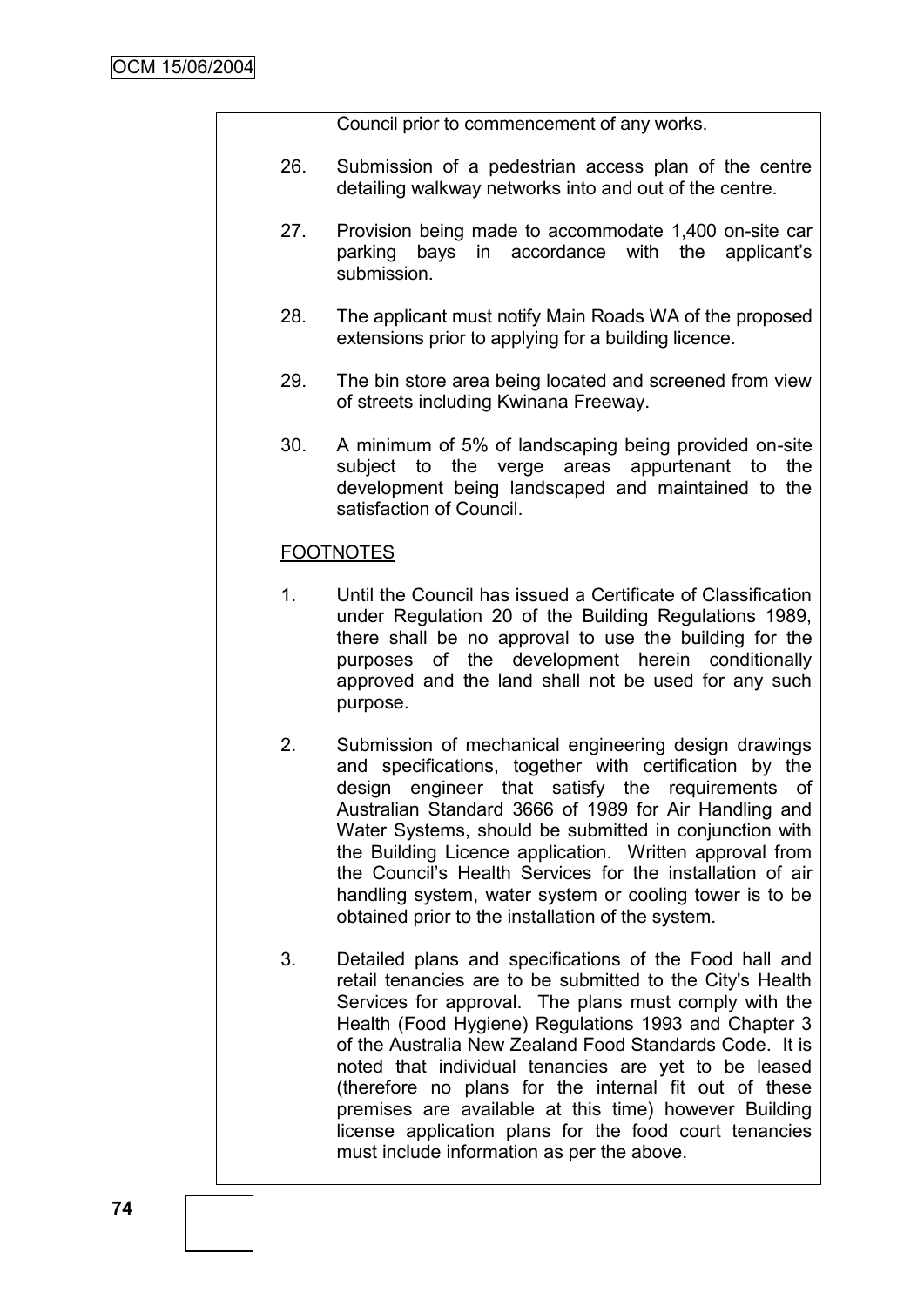Council prior to commencement of any works.

- 26. Submission of a pedestrian access plan of the centre detailing walkway networks into and out of the centre.
- 27. Provision being made to accommodate 1,400 on-site car parking bays in accordance with the applicant"s submission.
- 28. The applicant must notify Main Roads WA of the proposed extensions prior to applying for a building licence.
- 29. The bin store area being located and screened from view of streets including Kwinana Freeway.
- 30. A minimum of 5% of landscaping being provided on-site subject to the verge areas appurtenant to the development being landscaped and maintained to the satisfaction of Council.

### **FOOTNOTES**

- 1. Until the Council has issued a Certificate of Classification under Regulation 20 of the Building Regulations 1989, there shall be no approval to use the building for the purposes of the development herein conditionally approved and the land shall not be used for any such purpose.
- 2. Submission of mechanical engineering design drawings and specifications, together with certification by the design engineer that satisfy the requirements of Australian Standard 3666 of 1989 for Air Handling and Water Systems, should be submitted in conjunction with the Building Licence application. Written approval from the Council"s Health Services for the installation of air handling system, water system or cooling tower is to be obtained prior to the installation of the system.
- 3. Detailed plans and specifications of the Food hall and retail tenancies are to be submitted to the City's Health Services for approval. The plans must comply with the Health (Food Hygiene) Regulations 1993 and Chapter 3 of the Australia New Zealand Food Standards Code. It is noted that individual tenancies are yet to be leased (therefore no plans for the internal fit out of these premises are available at this time) however Building license application plans for the food court tenancies must include information as per the above.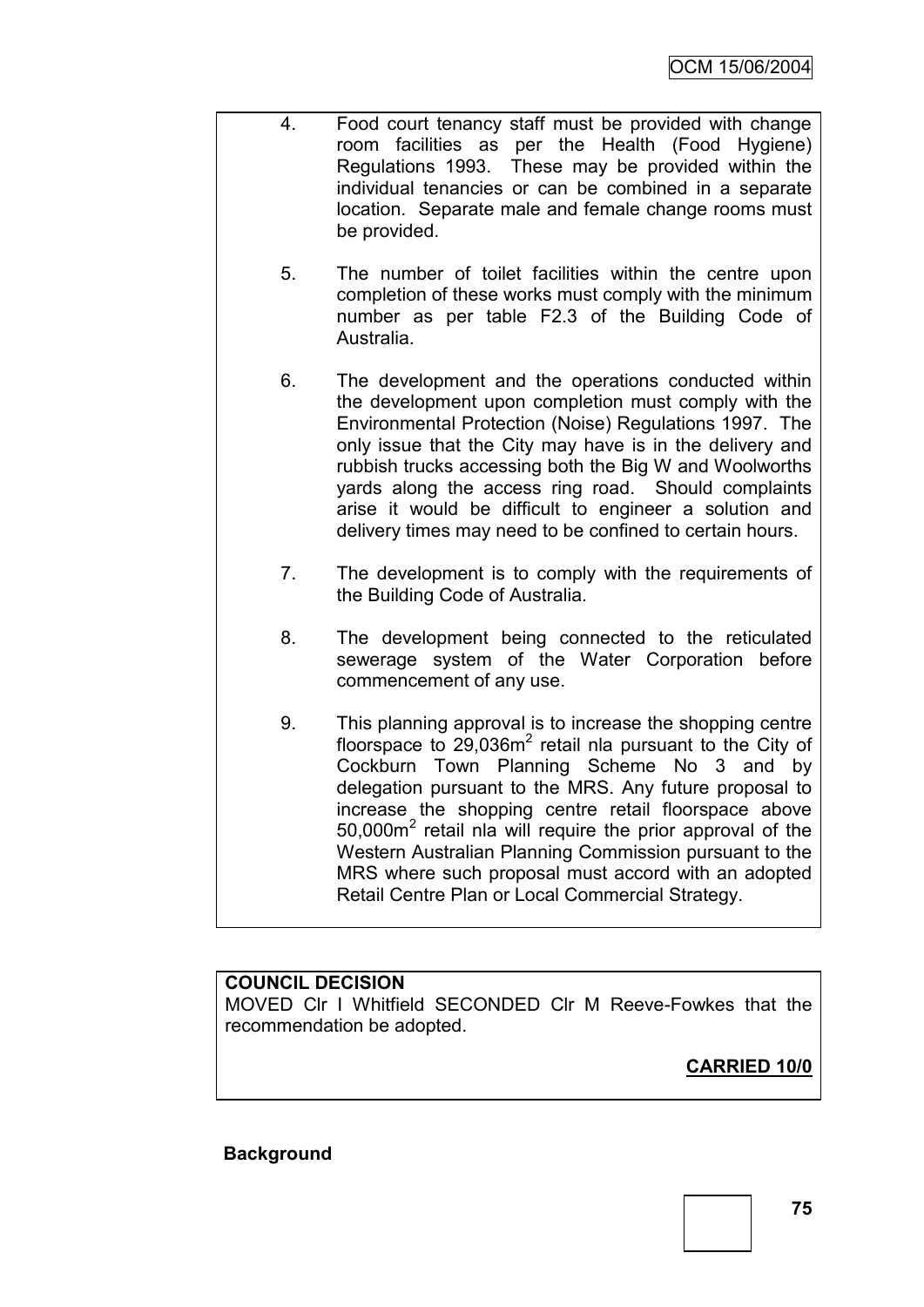- 4. Food court tenancy staff must be provided with change room facilities as per the Health (Food Hygiene) Regulations 1993. These may be provided within the individual tenancies or can be combined in a separate location. Separate male and female change rooms must be provided.
	- 5. The number of toilet facilities within the centre upon completion of these works must comply with the minimum number as per table F2.3 of the Building Code of Australia.
	- 6. The development and the operations conducted within the development upon completion must comply with the Environmental Protection (Noise) Regulations 1997. The only issue that the City may have is in the delivery and rubbish trucks accessing both the Big W and Woolworths yards along the access ring road. Should complaints arise it would be difficult to engineer a solution and delivery times may need to be confined to certain hours.
	- 7. The development is to comply with the requirements of the Building Code of Australia.
	- 8. The development being connected to the reticulated sewerage system of the Water Corporation before commencement of any use.
	- 9. This planning approval is to increase the shopping centre floorspace to  $29,036m^2$  retail nla pursuant to the City of Cockburn Town Planning Scheme No 3 and by delegation pursuant to the MRS. Any future proposal to increase the shopping centre retail floorspace above 50,000m<sup>2</sup> retail nla will require the prior approval of the Western Australian Planning Commission pursuant to the MRS where such proposal must accord with an adopted Retail Centre Plan or Local Commercial Strategy.

### **COUNCIL DECISION**

MOVED Clr I Whitfield SECONDED Clr M Reeve-Fowkes that the recommendation be adopted.

**CARRIED 10/0**

### **Background**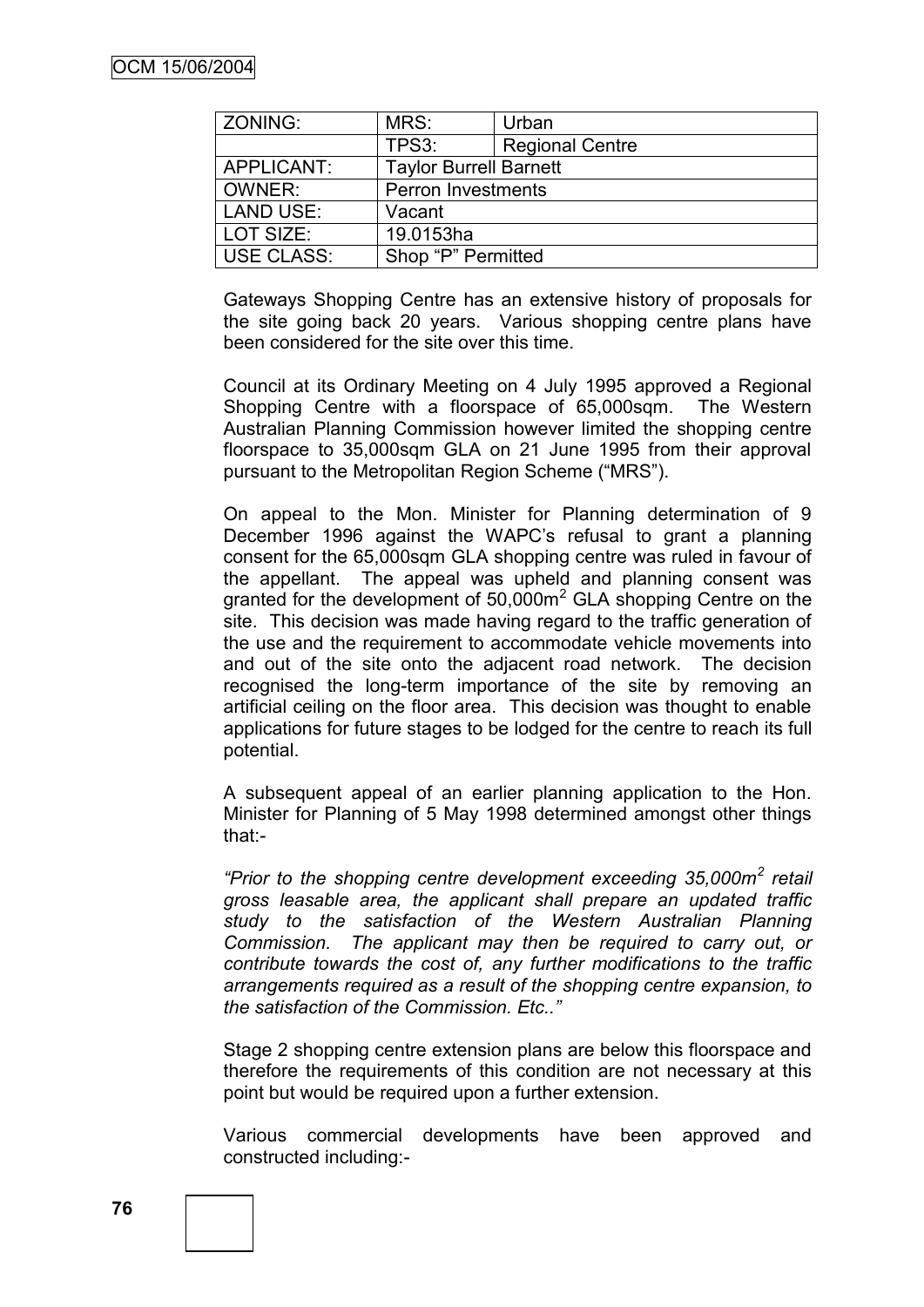| ZONING:          | MRS:                          | Urban                  |
|------------------|-------------------------------|------------------------|
|                  | TPS3:                         | <b>Regional Centre</b> |
| APPLICANT:       | <b>Taylor Burrell Barnett</b> |                        |
| OWNER:           | <b>Perron Investments</b>     |                        |
| <b>LAND USE:</b> | Vacant                        |                        |
| LOT SIZE:        | 19.0153ha                     |                        |
| USE CLASS:       | Shop "P" Permitted            |                        |

Gateways Shopping Centre has an extensive history of proposals for the site going back 20 years. Various shopping centre plans have been considered for the site over this time.

Council at its Ordinary Meeting on 4 July 1995 approved a Regional Shopping Centre with a floorspace of 65,000sqm. The Western Australian Planning Commission however limited the shopping centre floorspace to 35,000sqm GLA on 21 June 1995 from their approval pursuant to the Metropolitan Region Scheme ("MRS").

On appeal to the Mon. Minister for Planning determination of 9 December 1996 against the WAPC"s refusal to grant a planning consent for the 65,000sqm GLA shopping centre was ruled in favour of the appellant. The appeal was upheld and planning consent was granted for the development of 50,000m<sup>2</sup> GLA shopping Centre on the site. This decision was made having regard to the traffic generation of the use and the requirement to accommodate vehicle movements into and out of the site onto the adjacent road network. The decision recognised the long-term importance of the site by removing an artificial ceiling on the floor area. This decision was thought to enable applications for future stages to be lodged for the centre to reach its full potential.

A subsequent appeal of an earlier planning application to the Hon. Minister for Planning of 5 May 1998 determined amongst other things that:-

*"Prior to the shopping centre development exceeding 35,000m<sup>2</sup> retail gross leasable area, the applicant shall prepare an updated traffic study to the satisfaction of the Western Australian Planning Commission. The applicant may then be required to carry out, or contribute towards the cost of, any further modifications to the traffic arrangements required as a result of the shopping centre expansion, to the satisfaction of the Commission. Etc.."*

Stage 2 shopping centre extension plans are below this floorspace and therefore the requirements of this condition are not necessary at this point but would be required upon a further extension.

Various commercial developments have been approved and constructed including:-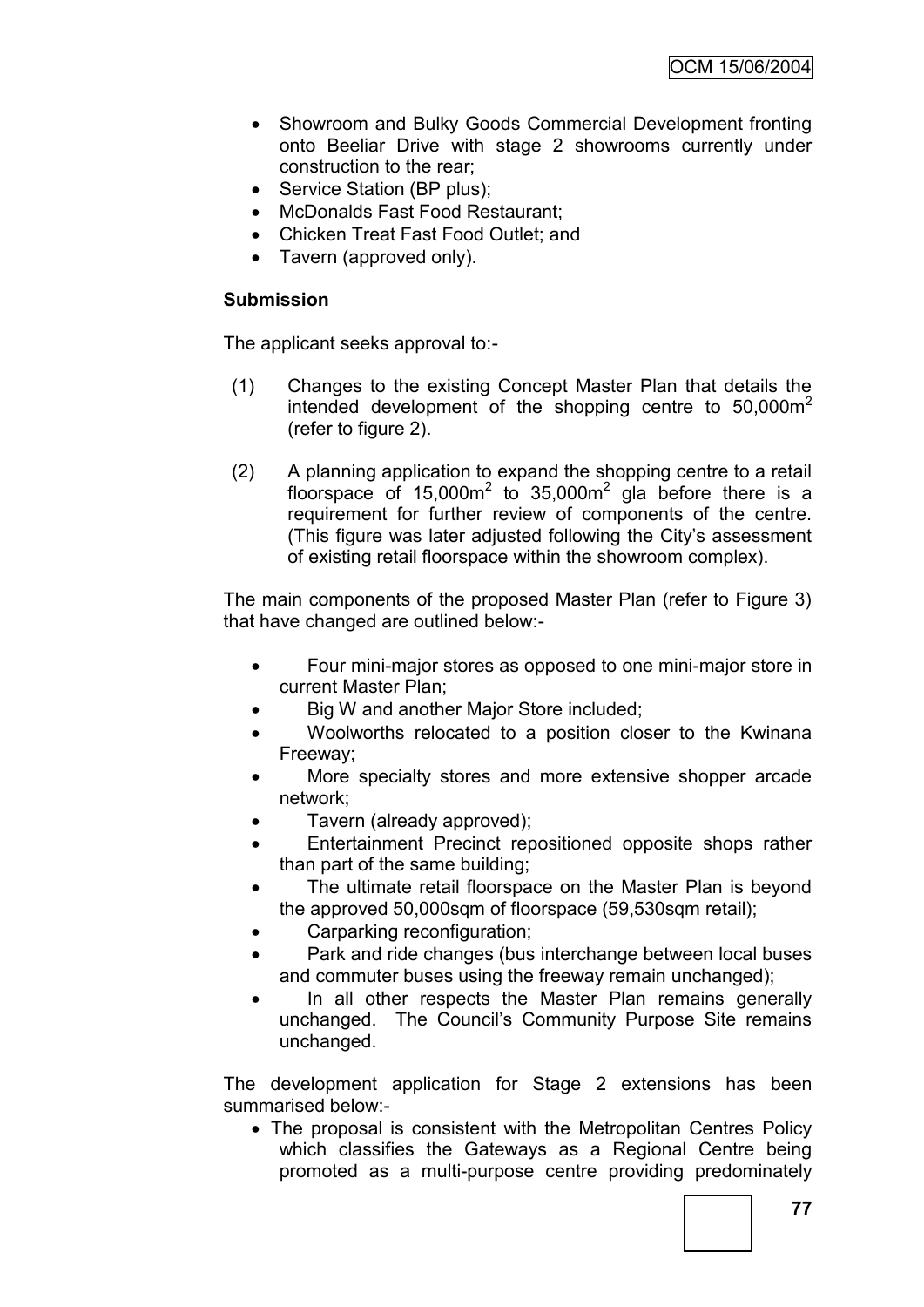- Showroom and Bulky Goods Commercial Development fronting onto Beeliar Drive with stage 2 showrooms currently under construction to the rear;
- Service Station (BP plus):
- McDonalds Fast Food Restaurant;
- Chicken Treat Fast Food Outlet; and
- Tavern (approved only).

# **Submission**

The applicant seeks approval to:-

- (1) Changes to the existing Concept Master Plan that details the intended development of the shopping centre to  $50,000$ m<sup>2</sup> (refer to figure 2).
- (2) A planning application to expand the shopping centre to a retail floorspace of  $15,000m^2$  to  $35,000m^2$  gla before there is a requirement for further review of components of the centre. (This figure was later adjusted following the City"s assessment of existing retail floorspace within the showroom complex).

The main components of the proposed Master Plan (refer to Figure 3) that have changed are outlined below:-

- Four mini-major stores as opposed to one mini-major store in current Master Plan;
- Big W and another Major Store included;
- Woolworths relocated to a position closer to the Kwinana Freeway;
- More specialty stores and more extensive shopper arcade network;
- Tavern (already approved);
- Entertainment Precinct repositioned opposite shops rather than part of the same building;
- The ultimate retail floorspace on the Master Plan is beyond the approved 50,000sqm of floorspace (59,530sqm retail);
- Carparking reconfiguration;
- Park and ride changes (bus interchange between local buses and commuter buses using the freeway remain unchanged);
- In all other respects the Master Plan remains generally unchanged. The Council"s Community Purpose Site remains unchanged.

The development application for Stage 2 extensions has been summarised below:-

 The proposal is consistent with the Metropolitan Centres Policy which classifies the Gateways as a Regional Centre being promoted as a multi-purpose centre providing predominately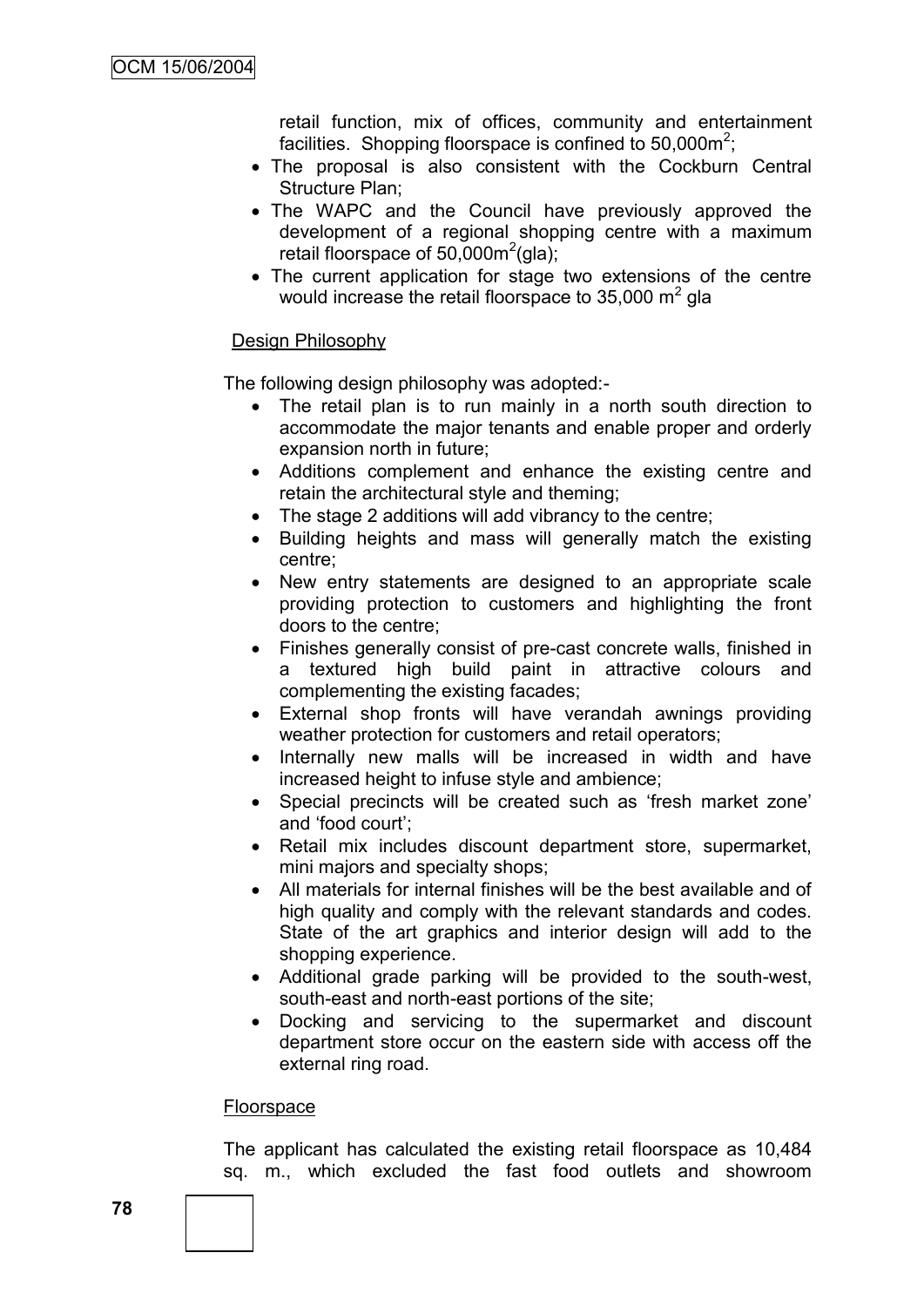retail function, mix of offices, community and entertainment facilities. Shopping floorspace is confined to 50,000m<sup>2</sup>;

- The proposal is also consistent with the Cockburn Central Structure Plan;
- The WAPC and the Council have previously approved the development of a regional shopping centre with a maximum retail floorspace of  $50,000m^2$ (gla);
- The current application for stage two extensions of the centre would increase the retail floorspace to 35,000  $\text{m}^2$  gla

### Design Philosophy

The following design philosophy was adopted:-

- The retail plan is to run mainly in a north south direction to accommodate the major tenants and enable proper and orderly expansion north in future;
- Additions complement and enhance the existing centre and retain the architectural style and theming;
- The stage 2 additions will add vibrancy to the centre;
- Building heights and mass will generally match the existing centre;
- New entry statements are designed to an appropriate scale providing protection to customers and highlighting the front doors to the centre;
- Finishes generally consist of pre-cast concrete walls, finished in a textured high build paint in attractive colours and complementing the existing facades;
- External shop fronts will have verandah awnings providing weather protection for customers and retail operators;
- Internally new malls will be increased in width and have increased height to infuse style and ambience;
- Special precincts will be created such as 'fresh market zone' and "food court";
- Retail mix includes discount department store, supermarket, mini majors and specialty shops;
- All materials for internal finishes will be the best available and of high quality and comply with the relevant standards and codes. State of the art graphics and interior design will add to the shopping experience.
- Additional grade parking will be provided to the south-west, south-east and north-east portions of the site;
- Docking and servicing to the supermarket and discount department store occur on the eastern side with access off the external ring road.

### Floorspace

The applicant has calculated the existing retail floorspace as 10,484 sq. m., which excluded the fast food outlets and showroom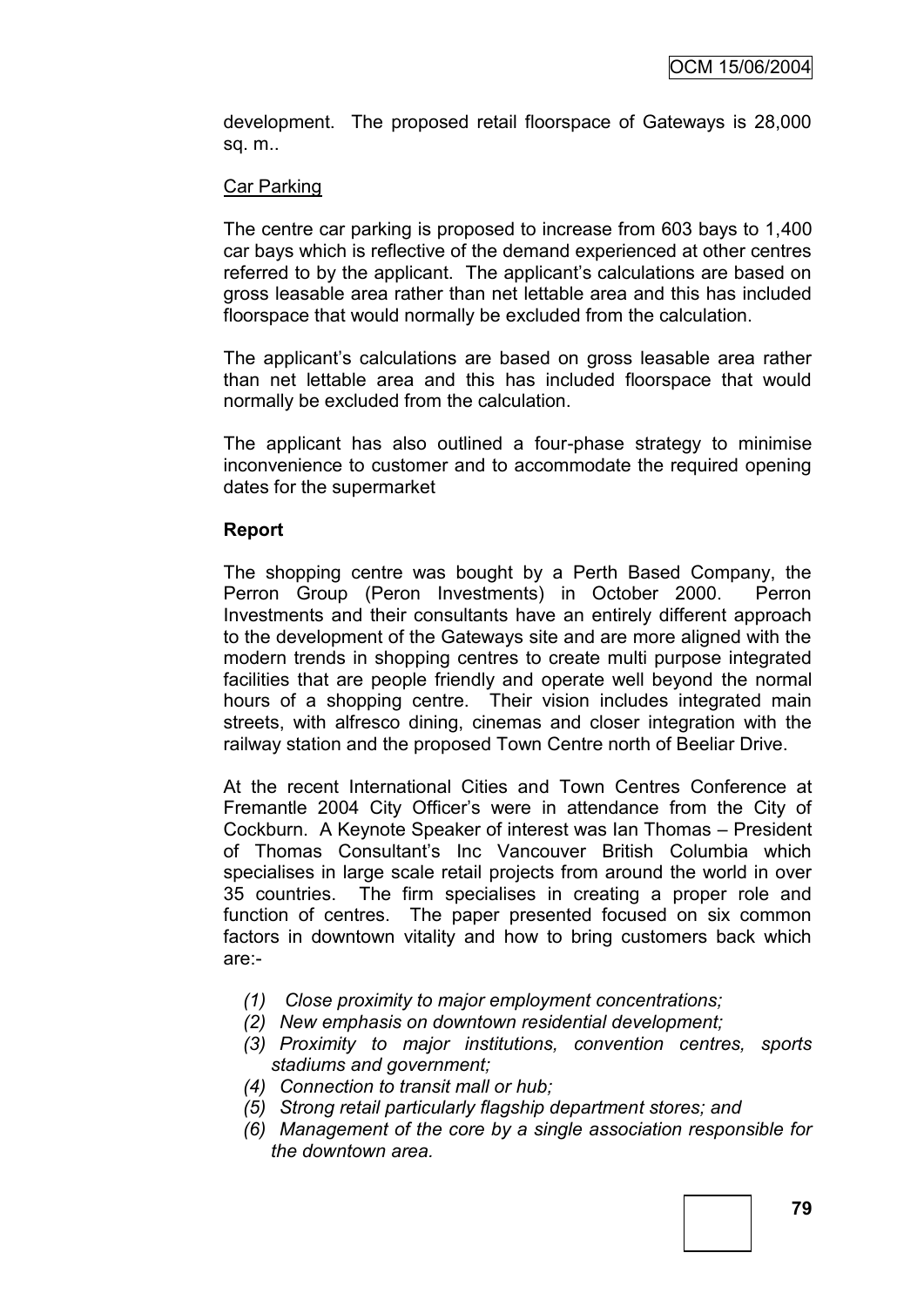development. The proposed retail floorspace of Gateways is 28,000 sq. m..

### Car Parking

The centre car parking is proposed to increase from 603 bays to 1,400 car bays which is reflective of the demand experienced at other centres referred to by the applicant. The applicant"s calculations are based on gross leasable area rather than net lettable area and this has included floorspace that would normally be excluded from the calculation.

The applicant's calculations are based on gross leasable area rather than net lettable area and this has included floorspace that would normally be excluded from the calculation.

The applicant has also outlined a four-phase strategy to minimise inconvenience to customer and to accommodate the required opening dates for the supermarket

### **Report**

The shopping centre was bought by a Perth Based Company, the Perron Group (Peron Investments) in October 2000. Perron Investments and their consultants have an entirely different approach to the development of the Gateways site and are more aligned with the modern trends in shopping centres to create multi purpose integrated facilities that are people friendly and operate well beyond the normal hours of a shopping centre. Their vision includes integrated main streets, with alfresco dining, cinemas and closer integration with the railway station and the proposed Town Centre north of Beeliar Drive.

At the recent International Cities and Town Centres Conference at Fremantle 2004 City Officer"s were in attendance from the City of Cockburn. A Keynote Speaker of interest was Ian Thomas – President of Thomas Consultant"s Inc Vancouver British Columbia which specialises in large scale retail projects from around the world in over 35 countries. The firm specialises in creating a proper role and function of centres. The paper presented focused on six common factors in downtown vitality and how to bring customers back which are:-

- *(1) Close proximity to major employment concentrations;*
- *(2) New emphasis on downtown residential development;*
- *(3) Proximity to major institutions, convention centres, sports stadiums and government;*
- *(4) Connection to transit mall or hub;*
- *(5) Strong retail particularly flagship department stores; and*
- *(6) Management of the core by a single association responsible for the downtown area.*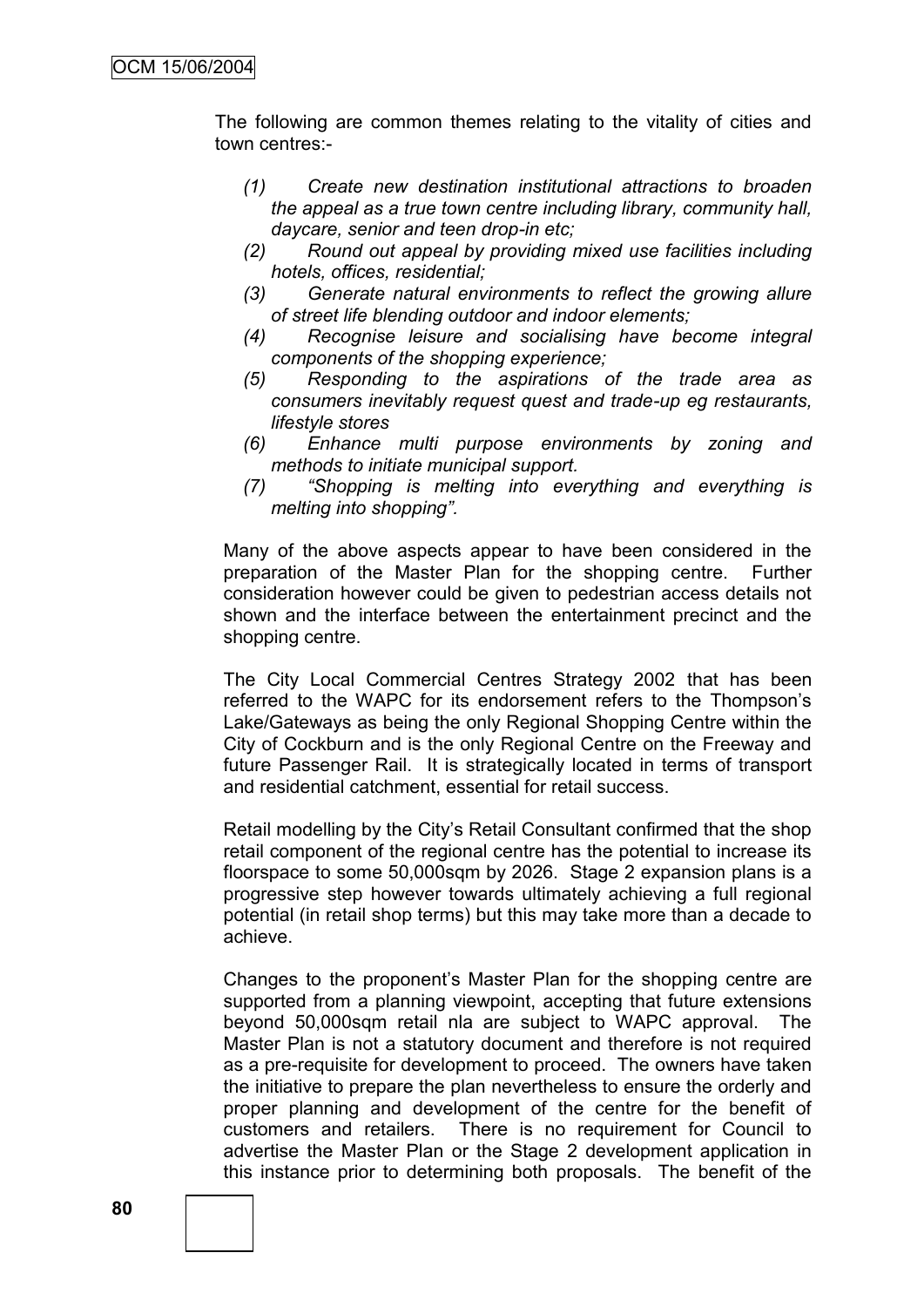The following are common themes relating to the vitality of cities and town centres:-

- *(1) Create new destination institutional attractions to broaden the appeal as a true town centre including library, community hall, daycare, senior and teen drop-in etc;*
- *(2) Round out appeal by providing mixed use facilities including hotels, offices, residential;*
- *(3) Generate natural environments to reflect the growing allure of street life blending outdoor and indoor elements;*
- *(4) Recognise leisure and socialising have become integral components of the shopping experience;*
- *(5) Responding to the aspirations of the trade area as consumers inevitably request quest and trade-up eg restaurants, lifestyle stores*
- *(6) Enhance multi purpose environments by zoning and methods to initiate municipal support.*
- *(7) "Shopping is melting into everything and everything is melting into shopping".*

Many of the above aspects appear to have been considered in the preparation of the Master Plan for the shopping centre. Further consideration however could be given to pedestrian access details not shown and the interface between the entertainment precinct and the shopping centre.

The City Local Commercial Centres Strategy 2002 that has been referred to the WAPC for its endorsement refers to the Thompson"s Lake/Gateways as being the only Regional Shopping Centre within the City of Cockburn and is the only Regional Centre on the Freeway and future Passenger Rail. It is strategically located in terms of transport and residential catchment, essential for retail success.

Retail modelling by the City"s Retail Consultant confirmed that the shop retail component of the regional centre has the potential to increase its floorspace to some 50,000sqm by 2026. Stage 2 expansion plans is a progressive step however towards ultimately achieving a full regional potential (in retail shop terms) but this may take more than a decade to achieve.

Changes to the proponent"s Master Plan for the shopping centre are supported from a planning viewpoint, accepting that future extensions beyond 50,000sqm retail nla are subject to WAPC approval. The Master Plan is not a statutory document and therefore is not required as a pre-requisite for development to proceed. The owners have taken the initiative to prepare the plan nevertheless to ensure the orderly and proper planning and development of the centre for the benefit of customers and retailers. There is no requirement for Council to advertise the Master Plan or the Stage 2 development application in this instance prior to determining both proposals. The benefit of the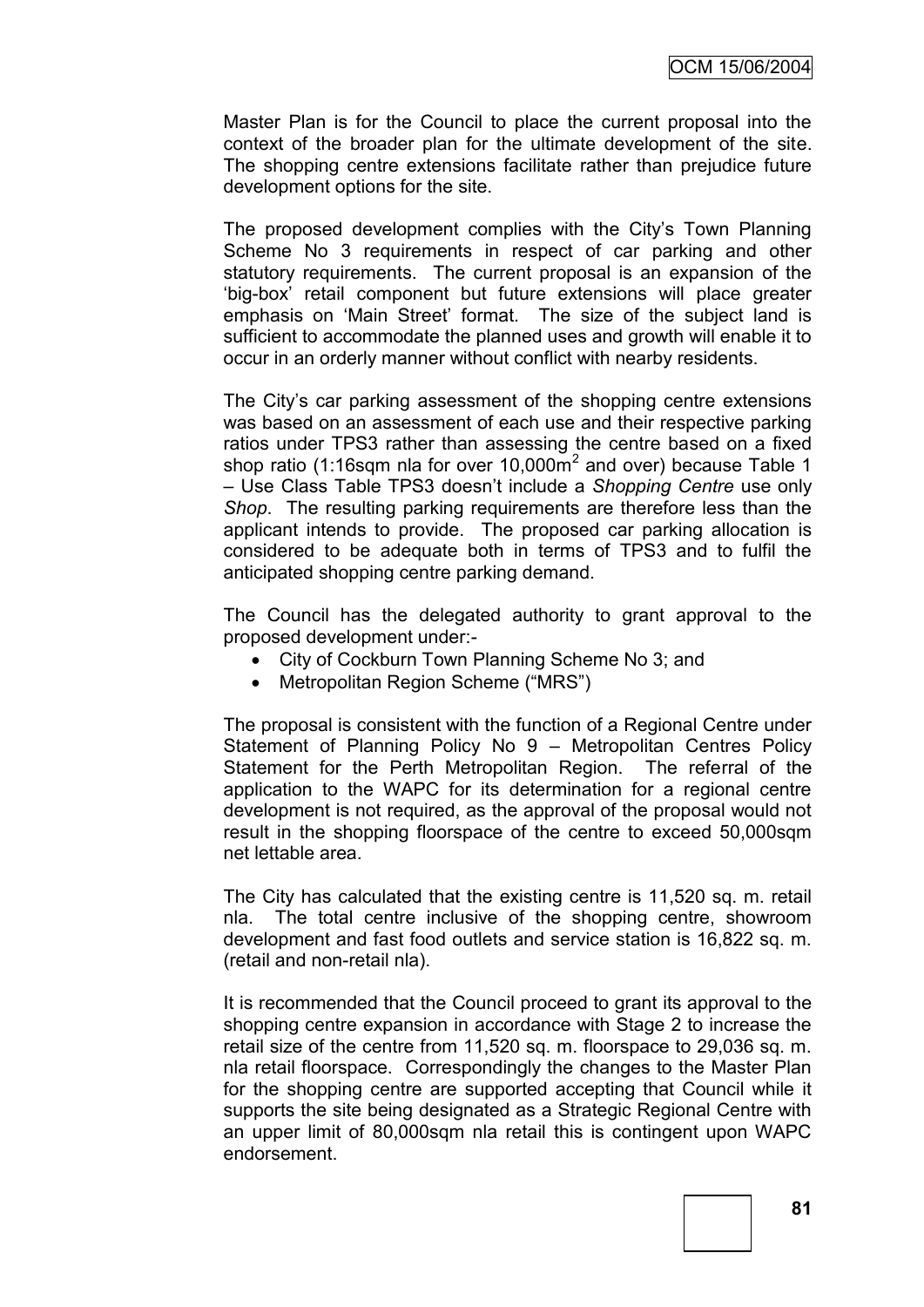Master Plan is for the Council to place the current proposal into the context of the broader plan for the ultimate development of the site. The shopping centre extensions facilitate rather than prejudice future development options for the site.

The proposed development complies with the City's Town Planning Scheme No 3 requirements in respect of car parking and other statutory requirements. The current proposal is an expansion of the "big-box" retail component but future extensions will place greater emphasis on "Main Street" format. The size of the subject land is sufficient to accommodate the planned uses and growth will enable it to occur in an orderly manner without conflict with nearby residents.

The City"s car parking assessment of the shopping centre extensions was based on an assessment of each use and their respective parking ratios under TPS3 rather than assessing the centre based on a fixed shop ratio (1:16sqm nla for over 10,000 $\mathrm{m}^2$  and over) because Table 1 – Use Class Table TPS3 doesn"t include a *Shopping Centre* use only *Shop*. The resulting parking requirements are therefore less than the applicant intends to provide. The proposed car parking allocation is considered to be adequate both in terms of TPS3 and to fulfil the anticipated shopping centre parking demand.

The Council has the delegated authority to grant approval to the proposed development under:-

- City of Cockburn Town Planning Scheme No 3; and
- Metropolitan Region Scheme ("MRS")

The proposal is consistent with the function of a Regional Centre under Statement of Planning Policy No 9 – Metropolitan Centres Policy Statement for the Perth Metropolitan Region. The referral of the application to the WAPC for its determination for a regional centre development is not required, as the approval of the proposal would not result in the shopping floorspace of the centre to exceed 50,000sqm net lettable area.

The City has calculated that the existing centre is 11,520 sq. m. retail nla. The total centre inclusive of the shopping centre, showroom development and fast food outlets and service station is 16,822 sq. m. (retail and non-retail nla).

It is recommended that the Council proceed to grant its approval to the shopping centre expansion in accordance with Stage 2 to increase the retail size of the centre from 11,520 sq. m. floorspace to 29,036 sq. m. nla retail floorspace. Correspondingly the changes to the Master Plan for the shopping centre are supported accepting that Council while it supports the site being designated as a Strategic Regional Centre with an upper limit of 80,000sqm nla retail this is contingent upon WAPC endorsement.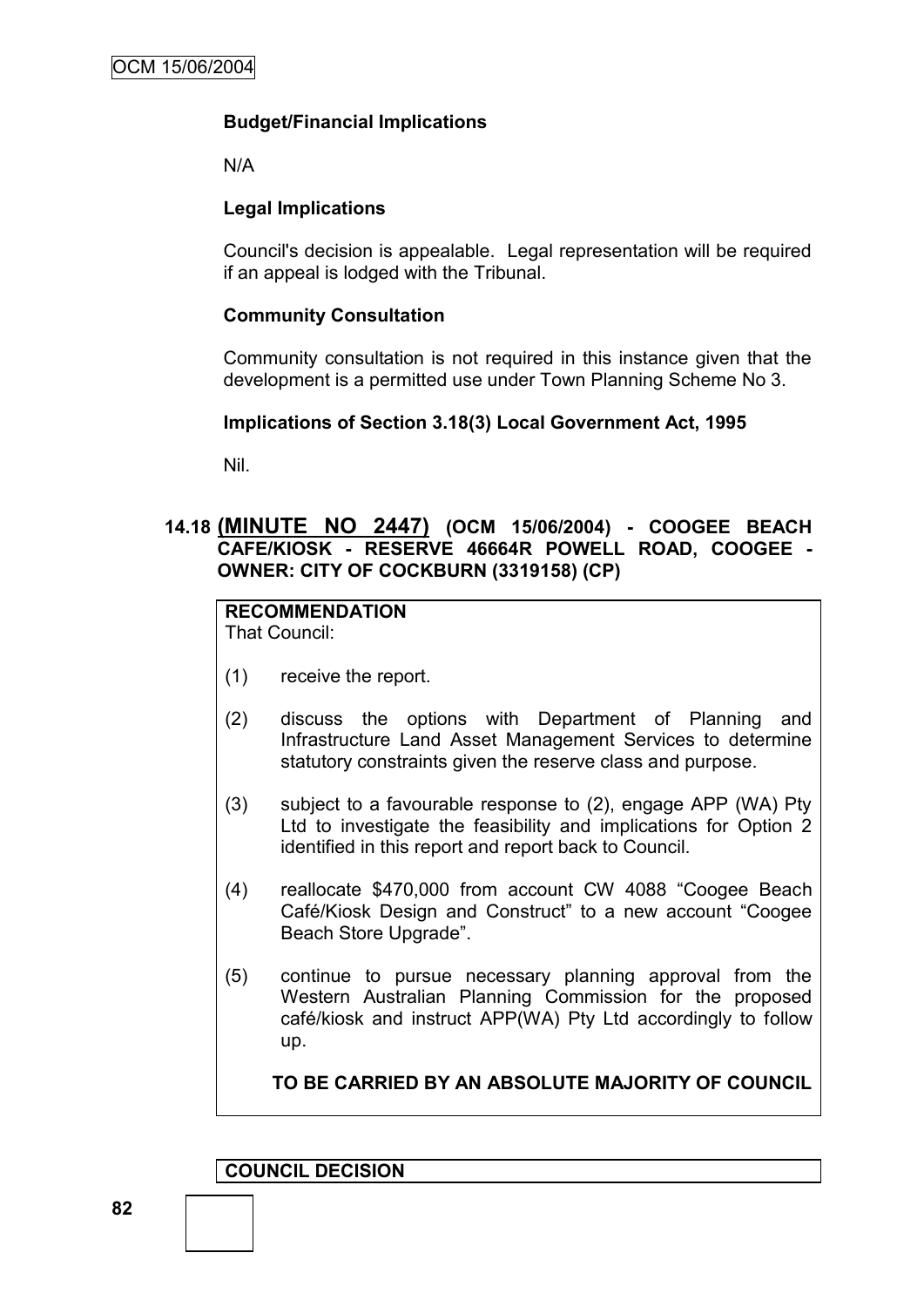# **Budget/Financial Implications**

N/A

# **Legal Implications**

Council's decision is appealable. Legal representation will be required if an appeal is lodged with the Tribunal.

# **Community Consultation**

Community consultation is not required in this instance given that the development is a permitted use under Town Planning Scheme No 3.

# **Implications of Section 3.18(3) Local Government Act, 1995**

Nil.

# **14.18 (MINUTE NO 2447) (OCM 15/06/2004) - COOGEE BEACH CAFE/KIOSK - RESERVE 46664R POWELL ROAD, COOGEE - OWNER: CITY OF COCKBURN (3319158) (CP)**

# **RECOMMENDATION**

That Council:

- (1) receive the report.
- (2) discuss the options with Department of Planning and Infrastructure Land Asset Management Services to determine statutory constraints given the reserve class and purpose.
- (3) subject to a favourable response to (2), engage APP (WA) Pty Ltd to investigate the feasibility and implications for Option 2 identified in this report and report back to Council.
- (4) reallocate \$470,000 from account CW 4088 "Coogee Beach Café/Kiosk Design and Construct" to a new account "Coogee Beach Store Upgrade".
- (5) continue to pursue necessary planning approval from the Western Australian Planning Commission for the proposed café/kiosk and instruct APP(WA) Pty Ltd accordingly to follow up.

**TO BE CARRIED BY AN ABSOLUTE MAJORITY OF COUNCIL**

**COUNCIL DECISION**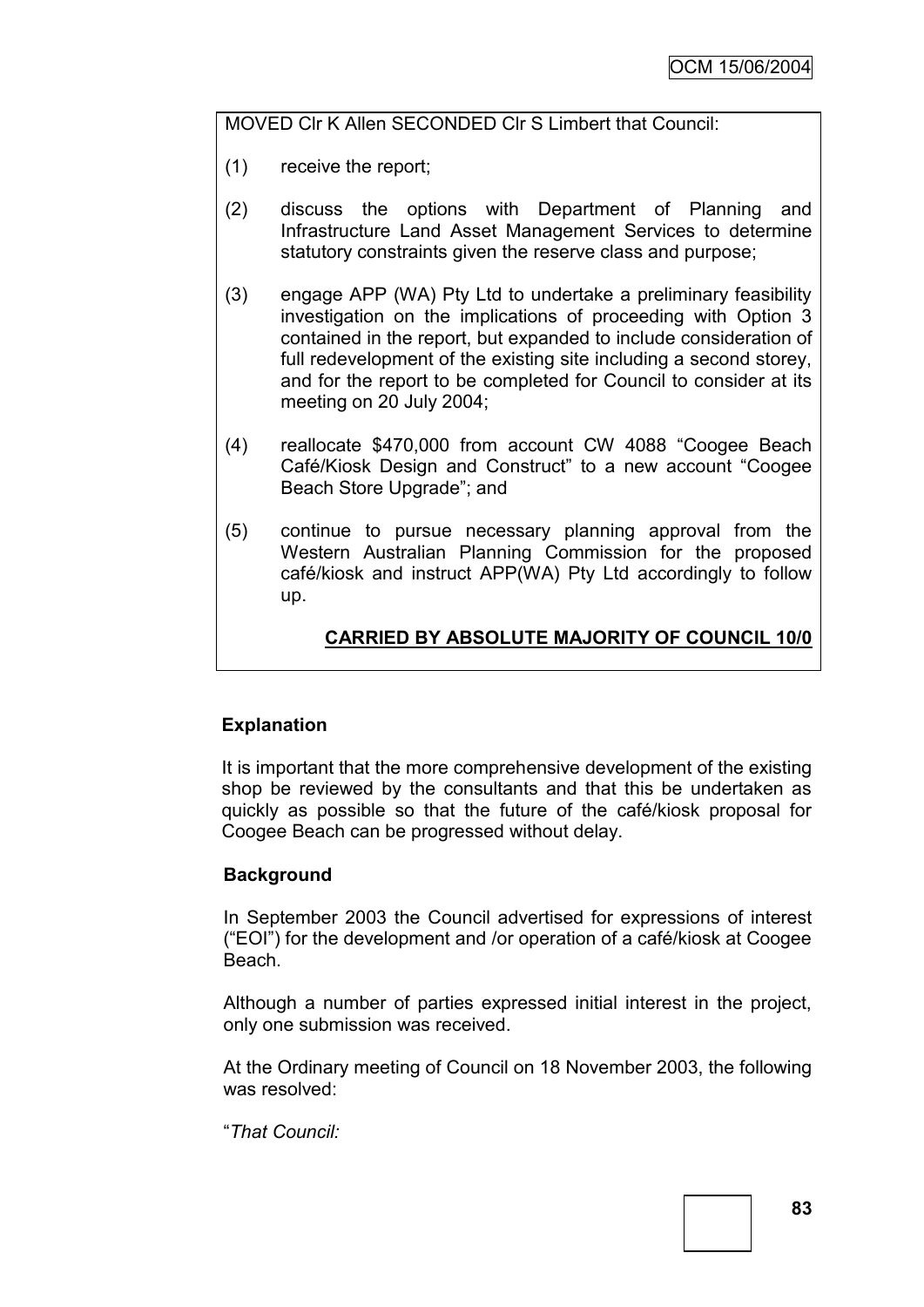MOVED Clr K Allen SECONDED Clr S Limbert that Council:

- (1) receive the report;
- (2) discuss the options with Department of Planning and Infrastructure Land Asset Management Services to determine statutory constraints given the reserve class and purpose;
- (3) engage APP (WA) Pty Ltd to undertake a preliminary feasibility investigation on the implications of proceeding with Option 3 contained in the report, but expanded to include consideration of full redevelopment of the existing site including a second storey, and for the report to be completed for Council to consider at its meeting on 20 July 2004;
- (4) reallocate \$470,000 from account CW 4088 "Coogee Beach Café/Kiosk Design and Construct" to a new account "Coogee Beach Store Upgrade"; and
- (5) continue to pursue necessary planning approval from the Western Australian Planning Commission for the proposed café/kiosk and instruct APP(WA) Pty Ltd accordingly to follow up.

# **CARRIED BY ABSOLUTE MAJORITY OF COUNCIL 10/0**

# **Explanation**

It is important that the more comprehensive development of the existing shop be reviewed by the consultants and that this be undertaken as quickly as possible so that the future of the café/kiosk proposal for Coogee Beach can be progressed without delay.

### **Background**

In September 2003 the Council advertised for expressions of interest ("EOI") for the development and /or operation of a café/kiosk at Coogee Beach.

Although a number of parties expressed initial interest in the project, only one submission was received.

At the Ordinary meeting of Council on 18 November 2003, the following was resolved:

"*That Council:*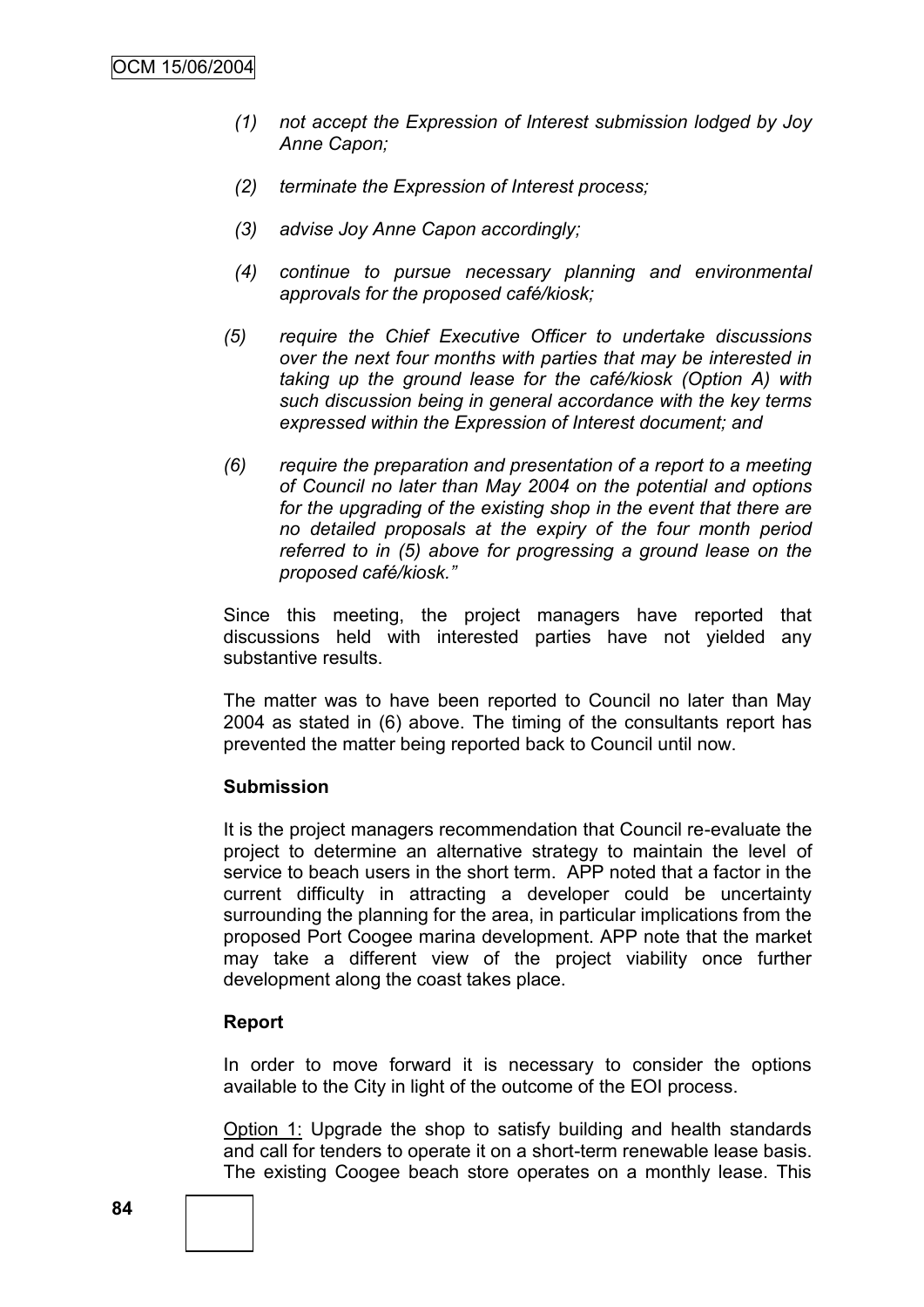- *(1) not accept the Expression of Interest submission lodged by Joy Anne Capon;*
- *(2) terminate the Expression of Interest process;*
- *(3) advise Joy Anne Capon accordingly;*
- *(4) continue to pursue necessary planning and environmental approvals for the proposed café/kiosk;*
- *(5) require the Chief Executive Officer to undertake discussions over the next four months with parties that may be interested in taking up the ground lease for the café/kiosk (Option A) with such discussion being in general accordance with the key terms expressed within the Expression of Interest document; and*
- *(6) require the preparation and presentation of a report to a meeting of Council no later than May 2004 on the potential and options for the upgrading of the existing shop in the event that there are no detailed proposals at the expiry of the four month period referred to in (5) above for progressing a ground lease on the proposed café/kiosk."*

Since this meeting, the project managers have reported that discussions held with interested parties have not yielded any substantive results.

The matter was to have been reported to Council no later than May 2004 as stated in (6) above. The timing of the consultants report has prevented the matter being reported back to Council until now.

### **Submission**

It is the project managers recommendation that Council re-evaluate the project to determine an alternative strategy to maintain the level of service to beach users in the short term. APP noted that a factor in the current difficulty in attracting a developer could be uncertainty surrounding the planning for the area, in particular implications from the proposed Port Coogee marina development. APP note that the market may take a different view of the project viability once further development along the coast takes place.

#### **Report**

In order to move forward it is necessary to consider the options available to the City in light of the outcome of the EOI process.

Option 1: Upgrade the shop to satisfy building and health standards and call for tenders to operate it on a short-term renewable lease basis. The existing Coogee beach store operates on a monthly lease. This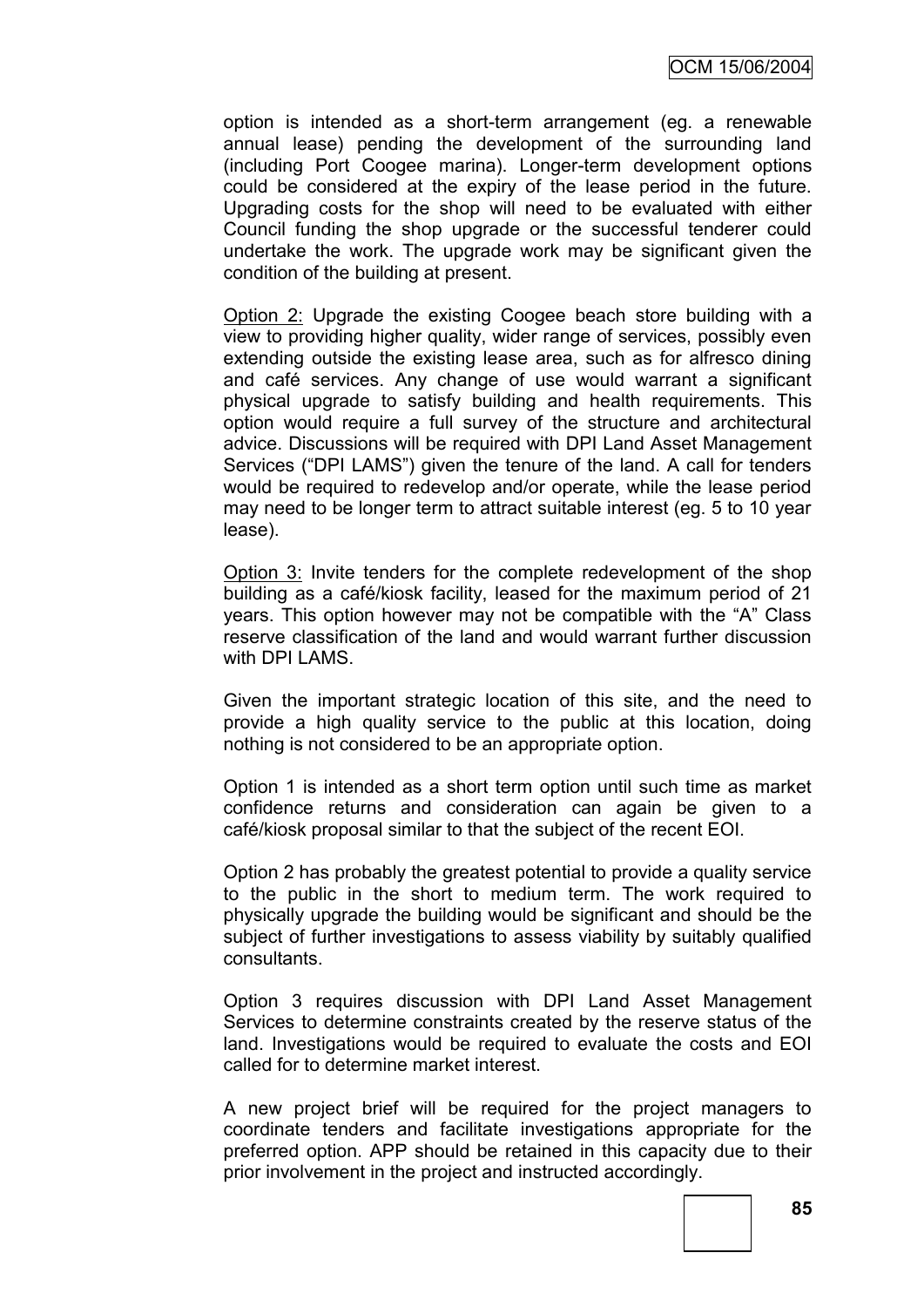option is intended as a short-term arrangement (eg. a renewable annual lease) pending the development of the surrounding land (including Port Coogee marina). Longer-term development options could be considered at the expiry of the lease period in the future. Upgrading costs for the shop will need to be evaluated with either Council funding the shop upgrade or the successful tenderer could undertake the work. The upgrade work may be significant given the condition of the building at present.

Option 2: Upgrade the existing Coogee beach store building with a view to providing higher quality, wider range of services, possibly even extending outside the existing lease area, such as for alfresco dining and café services. Any change of use would warrant a significant physical upgrade to satisfy building and health requirements. This option would require a full survey of the structure and architectural advice. Discussions will be required with DPI Land Asset Management Services ("DPI LAMS") given the tenure of the land. A call for tenders would be required to redevelop and/or operate, while the lease period may need to be longer term to attract suitable interest (eg. 5 to 10 year lease).

Option 3: Invite tenders for the complete redevelopment of the shop building as a café/kiosk facility, leased for the maximum period of 21 years. This option however may not be compatible with the "A" Class reserve classification of the land and would warrant further discussion with DPI LAMS.

Given the important strategic location of this site, and the need to provide a high quality service to the public at this location, doing nothing is not considered to be an appropriate option.

Option 1 is intended as a short term option until such time as market confidence returns and consideration can again be given to a café/kiosk proposal similar to that the subject of the recent EOI.

Option 2 has probably the greatest potential to provide a quality service to the public in the short to medium term. The work required to physically upgrade the building would be significant and should be the subject of further investigations to assess viability by suitably qualified consultants.

Option 3 requires discussion with DPI Land Asset Management Services to determine constraints created by the reserve status of the land. Investigations would be required to evaluate the costs and EOI called for to determine market interest.

A new project brief will be required for the project managers to coordinate tenders and facilitate investigations appropriate for the preferred option. APP should be retained in this capacity due to their prior involvement in the project and instructed accordingly.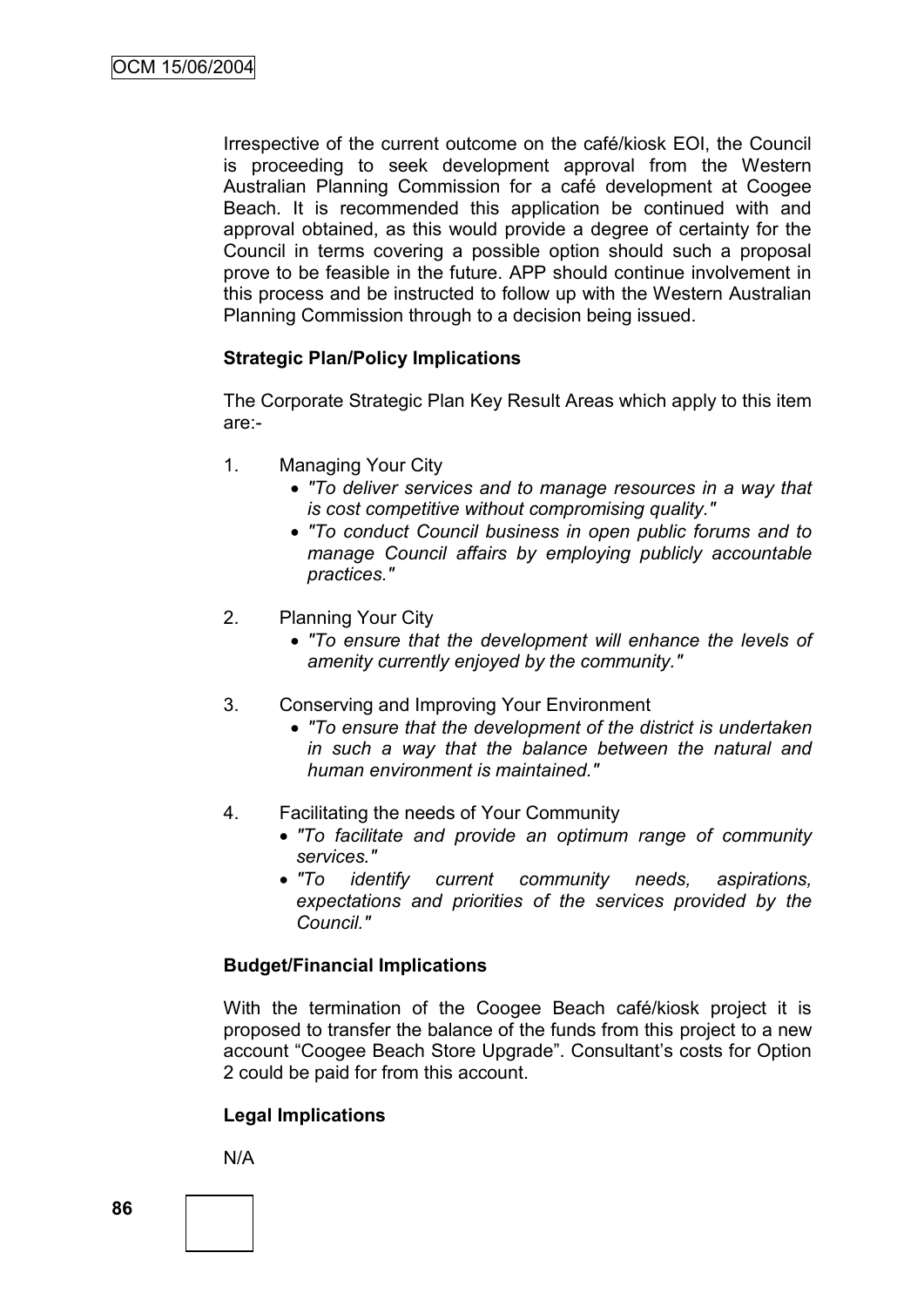Irrespective of the current outcome on the café/kiosk EOI, the Council is proceeding to seek development approval from the Western Australian Planning Commission for a café development at Coogee Beach. It is recommended this application be continued with and approval obtained, as this would provide a degree of certainty for the Council in terms covering a possible option should such a proposal prove to be feasible in the future. APP should continue involvement in this process and be instructed to follow up with the Western Australian Planning Commission through to a decision being issued.

# **Strategic Plan/Policy Implications**

The Corporate Strategic Plan Key Result Areas which apply to this item are:-

- 1. Managing Your City
	- *"To deliver services and to manage resources in a way that is cost competitive without compromising quality."*
	- *"To conduct Council business in open public forums and to manage Council affairs by employing publicly accountable practices."*
- 2. Planning Your City
	- *"To ensure that the development will enhance the levels of amenity currently enjoyed by the community."*
- 3. Conserving and Improving Your Environment
	- *"To ensure that the development of the district is undertaken in such a way that the balance between the natural and human environment is maintained."*
- 4. Facilitating the needs of Your Community
	- *"To facilitate and provide an optimum range of community services."*
	- *"To identify current community needs, aspirations, expectations and priorities of the services provided by the Council."*

### **Budget/Financial Implications**

With the termination of the Coogee Beach café/kiosk project it is proposed to transfer the balance of the funds from this project to a new account "Coogee Beach Store Upgrade". Consultant's costs for Option 2 could be paid for from this account.

### **Legal Implications**

N/A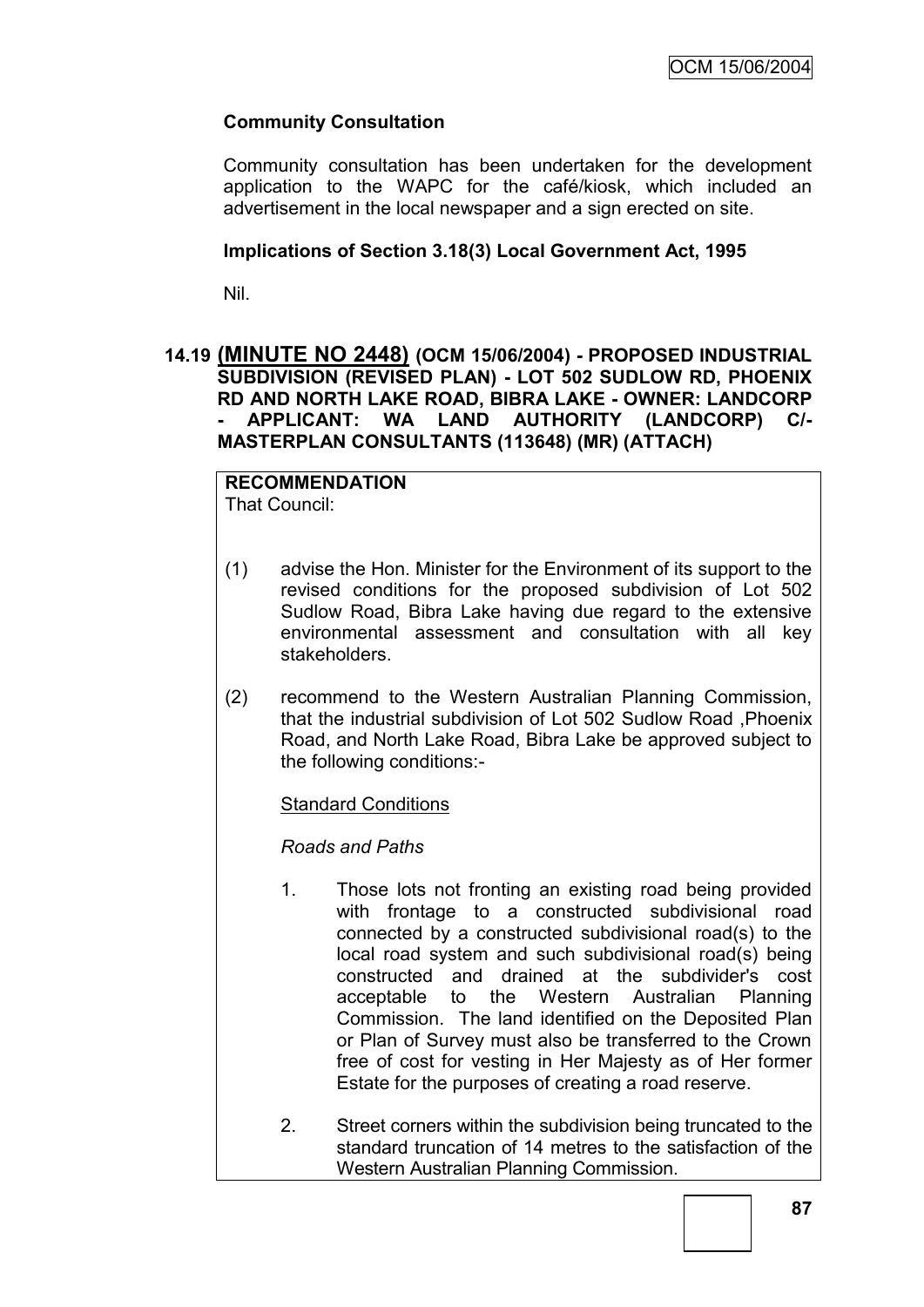# **Community Consultation**

Community consultation has been undertaken for the development application to the WAPC for the café/kiosk, which included an advertisement in the local newspaper and a sign erected on site.

### **Implications of Section 3.18(3) Local Government Act, 1995**

Nil.

### **14.19 (MINUTE NO 2448) (OCM 15/06/2004) - PROPOSED INDUSTRIAL SUBDIVISION (REVISED PLAN) - LOT 502 SUDLOW RD, PHOENIX RD AND NORTH LAKE ROAD, BIBRA LAKE - OWNER: LANDCORP - APPLICANT: WA LAND AUTHORITY (LANDCORP) C/- MASTERPLAN CONSULTANTS (113648) (MR) (ATTACH)**

#### **RECOMMENDATION** That Council:

(1) advise the Hon. Minister for the Environment of its support to the revised conditions for the proposed subdivision of Lot 502 Sudlow Road, Bibra Lake having due regard to the extensive environmental assessment and consultation with all key stakeholders.

(2) recommend to the Western Australian Planning Commission, that the industrial subdivision of Lot 502 Sudlow Road ,Phoenix Road, and North Lake Road, Bibra Lake be approved subject to the following conditions:-

Standard Conditions

*Roads and Paths*

- 1. Those lots not fronting an existing road being provided with frontage to a constructed subdivisional road connected by a constructed subdivisional road(s) to the local road system and such subdivisional road(s) being constructed and drained at the subdivider's cost acceptable to the Western Australian Planning Commission. The land identified on the Deposited Plan or Plan of Survey must also be transferred to the Crown free of cost for vesting in Her Majesty as of Her former Estate for the purposes of creating a road reserve.
- 2. Street corners within the subdivision being truncated to the standard truncation of 14 metres to the satisfaction of the Western Australian Planning Commission.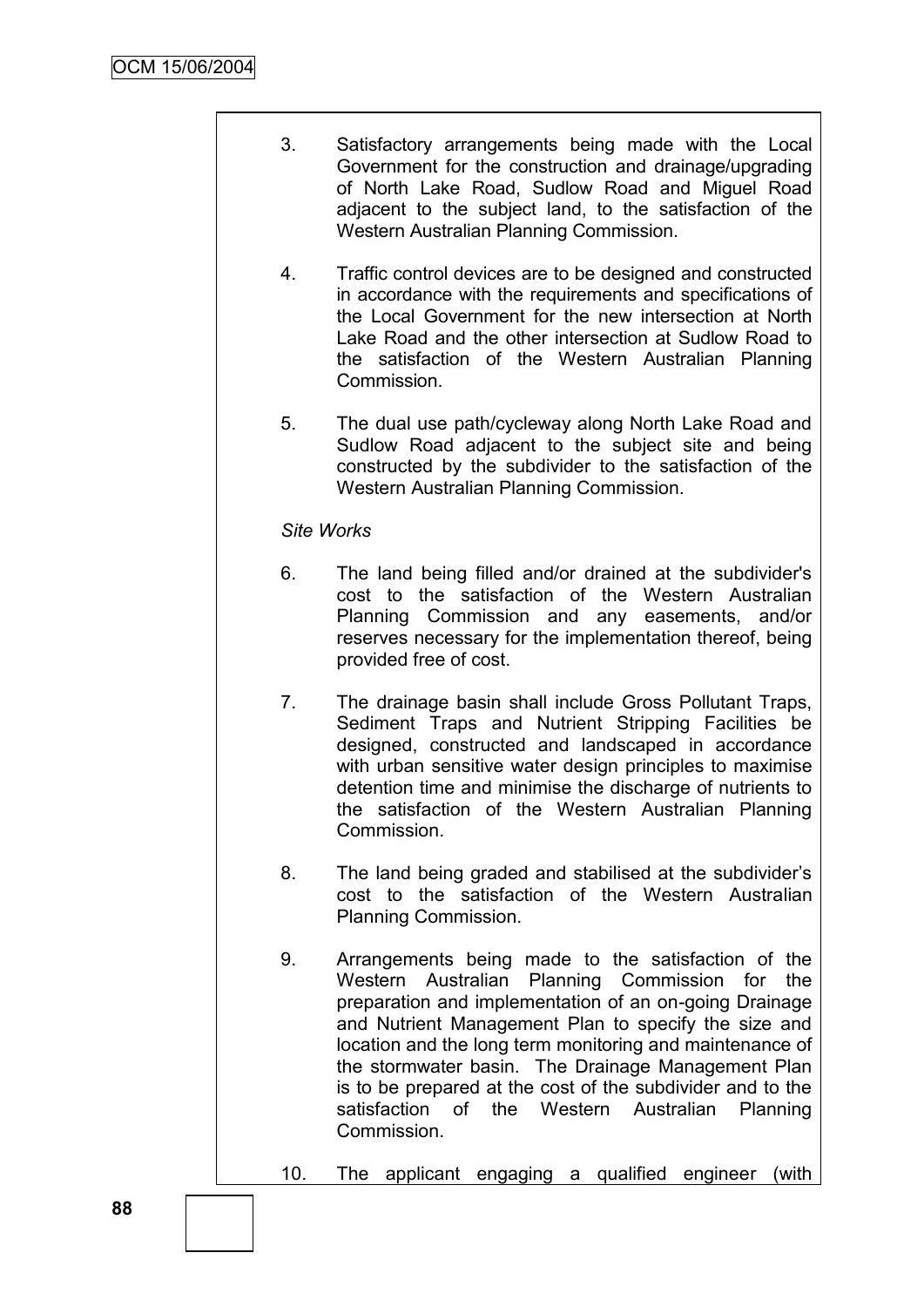- 3. Satisfactory arrangements being made with the Local Government for the construction and drainage/upgrading of North Lake Road, Sudlow Road and Miguel Road adjacent to the subject land, to the satisfaction of the Western Australian Planning Commission.
- 4. Traffic control devices are to be designed and constructed in accordance with the requirements and specifications of the Local Government for the new intersection at North Lake Road and the other intersection at Sudlow Road to the satisfaction of the Western Australian Planning Commission.
- 5. The dual use path/cycleway along North Lake Road and Sudlow Road adjacent to the subject site and being constructed by the subdivider to the satisfaction of the Western Australian Planning Commission.

### *Site Works*

- 6. The land being filled and/or drained at the subdivider's cost to the satisfaction of the Western Australian Planning Commission and any easements, and/or reserves necessary for the implementation thereof, being provided free of cost.
- 7. The drainage basin shall include Gross Pollutant Traps, Sediment Traps and Nutrient Stripping Facilities be designed, constructed and landscaped in accordance with urban sensitive water design principles to maximise detention time and minimise the discharge of nutrients to the satisfaction of the Western Australian Planning Commission.
- 8. The land being graded and stabilised at the subdivider"s cost to the satisfaction of the Western Australian Planning Commission.
- 9. Arrangements being made to the satisfaction of the Western Australian Planning Commission for the preparation and implementation of an on-going Drainage and Nutrient Management Plan to specify the size and location and the long term monitoring and maintenance of the stormwater basin. The Drainage Management Plan is to be prepared at the cost of the subdivider and to the satisfaction of the Western Australian Planning Commission.
- 10. The applicant engaging a qualified engineer (with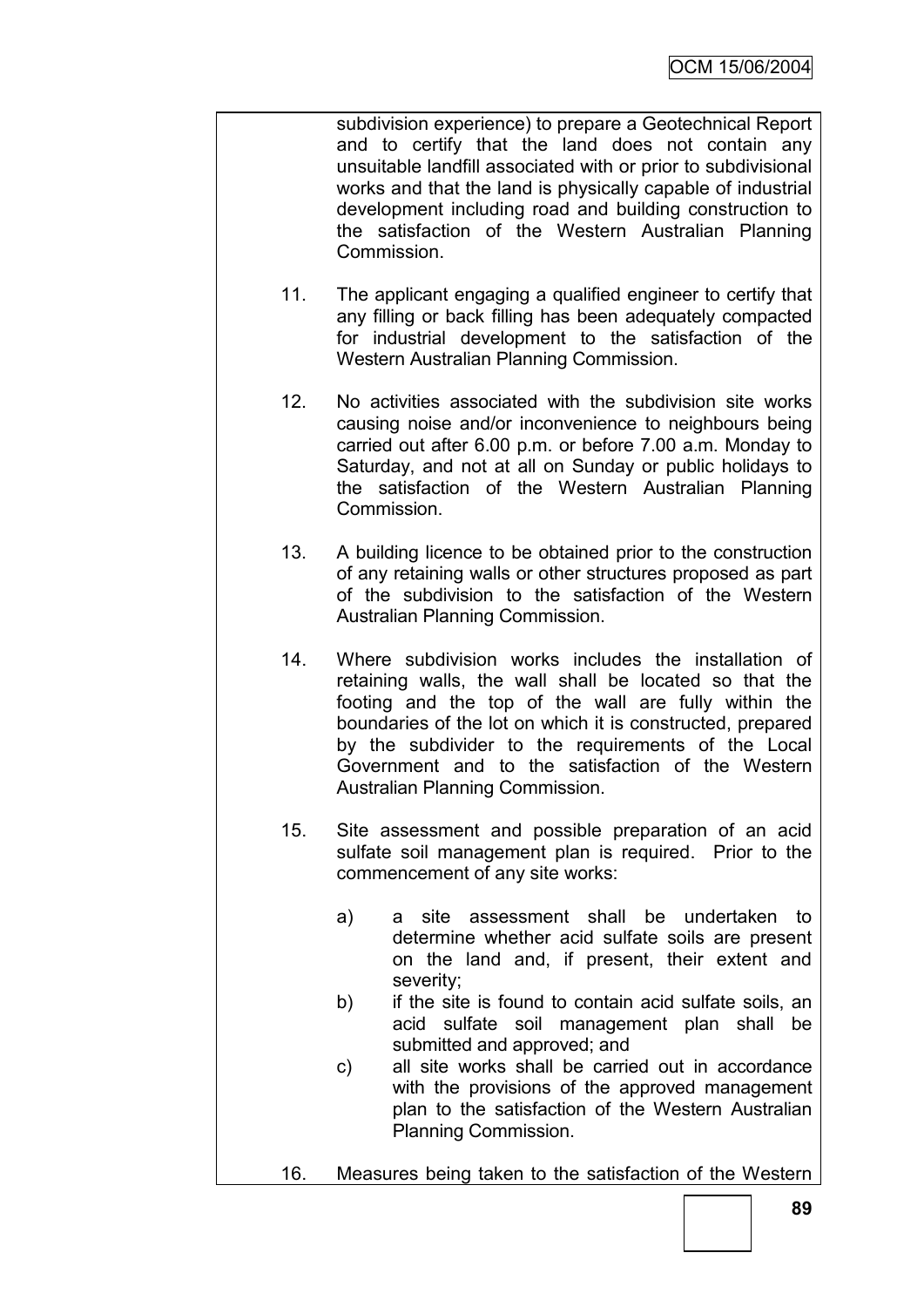subdivision experience) to prepare a Geotechnical Report and to certify that the land does not contain any unsuitable landfill associated with or prior to subdivisional works and that the land is physically capable of industrial development including road and building construction to the satisfaction of the Western Australian Planning Commission.

- 11. The applicant engaging a qualified engineer to certify that any filling or back filling has been adequately compacted for industrial development to the satisfaction of the Western Australian Planning Commission.
- 12. No activities associated with the subdivision site works causing noise and/or inconvenience to neighbours being carried out after 6.00 p.m. or before 7.00 a.m. Monday to Saturday, and not at all on Sunday or public holidays to the satisfaction of the Western Australian Planning Commission.
- 13. A building licence to be obtained prior to the construction of any retaining walls or other structures proposed as part of the subdivision to the satisfaction of the Western Australian Planning Commission.
- 14. Where subdivision works includes the installation of retaining walls, the wall shall be located so that the footing and the top of the wall are fully within the boundaries of the lot on which it is constructed, prepared by the subdivider to the requirements of the Local Government and to the satisfaction of the Western Australian Planning Commission.
- 15. Site assessment and possible preparation of an acid sulfate soil management plan is required. Prior to the commencement of any site works:
	- a) a site assessment shall be undertaken to determine whether acid sulfate soils are present on the land and, if present, their extent and severity;
	- b) if the site is found to contain acid sulfate soils, an acid sulfate soil management plan shall be submitted and approved; and
	- c) all site works shall be carried out in accordance with the provisions of the approved management plan to the satisfaction of the Western Australian Planning Commission.
- 16. Measures being taken to the satisfaction of the Western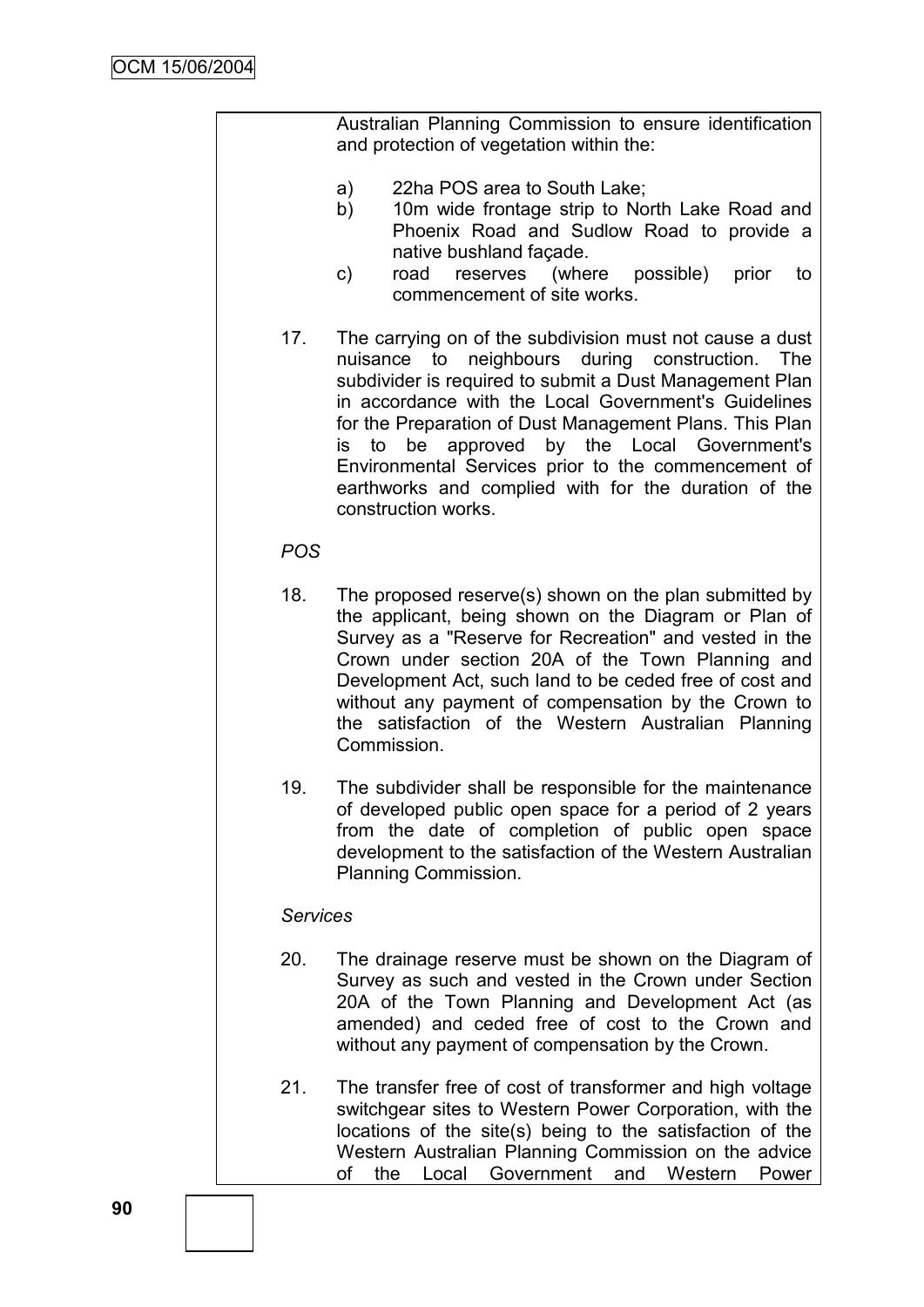Australian Planning Commission to ensure identification and protection of vegetation within the:

- a) 22ha POS area to South Lake;
- b) 10m wide frontage strip to North Lake Road and Phoenix Road and Sudlow Road to provide a native bushland façade.
- c) road reserves (where possible) prior to commencement of site works.
- 17. The carrying on of the subdivision must not cause a dust nuisance to neighbours during construction. The subdivider is required to submit a Dust Management Plan in accordance with the Local Government's Guidelines for the Preparation of Dust Management Plans. This Plan is to be approved by the Local Government's Environmental Services prior to the commencement of earthworks and complied with for the duration of the construction works.

### *POS*

- 18. The proposed reserve(s) shown on the plan submitted by the applicant, being shown on the Diagram or Plan of Survey as a "Reserve for Recreation" and vested in the Crown under section 20A of the Town Planning and Development Act, such land to be ceded free of cost and without any payment of compensation by the Crown to the satisfaction of the Western Australian Planning Commission.
- 19. The subdivider shall be responsible for the maintenance of developed public open space for a period of 2 years from the date of completion of public open space development to the satisfaction of the Western Australian Planning Commission.

#### *Services*

- 20. The drainage reserve must be shown on the Diagram of Survey as such and vested in the Crown under Section 20A of the Town Planning and Development Act (as amended) and ceded free of cost to the Crown and without any payment of compensation by the Crown.
- 21. The transfer free of cost of transformer and high voltage switchgear sites to Western Power Corporation, with the locations of the site(s) being to the satisfaction of the Western Australian Planning Commission on the advice of the Local Government and Western Power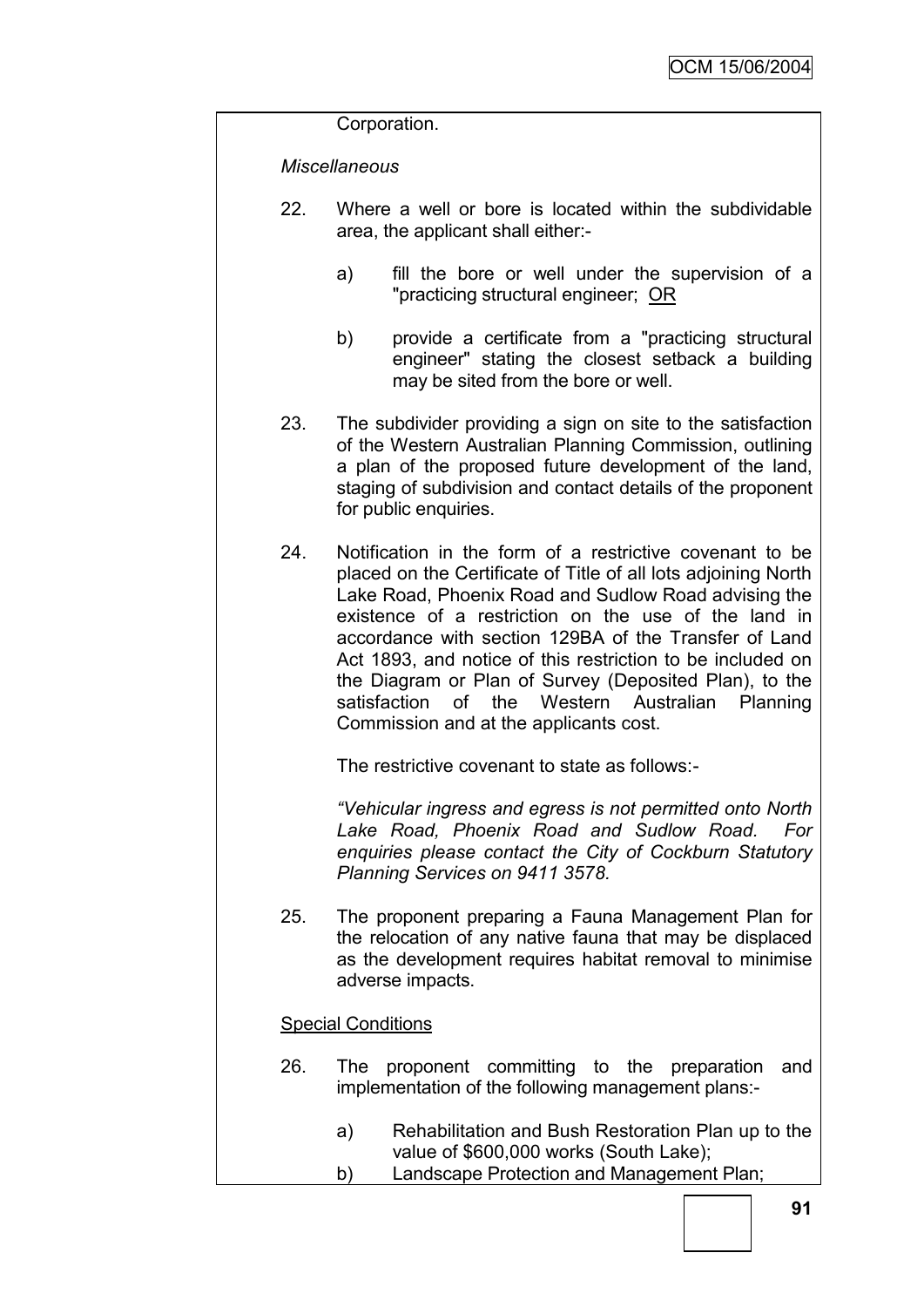Corporation.

### *Miscellaneous*

- 22. Where a well or bore is located within the subdividable area, the applicant shall either:
	- a) fill the bore or well under the supervision of a "practicing structural engineer; OR
	- b) provide a certificate from a "practicing structural engineer" stating the closest setback a building may be sited from the bore or well.
- 23. The subdivider providing a sign on site to the satisfaction of the Western Australian Planning Commission, outlining a plan of the proposed future development of the land, staging of subdivision and contact details of the proponent for public enquiries.
- 24. Notification in the form of a restrictive covenant to be placed on the Certificate of Title of all lots adjoining North Lake Road, Phoenix Road and Sudlow Road advising the existence of a restriction on the use of the land in accordance with section 129BA of the Transfer of Land Act 1893, and notice of this restriction to be included on the Diagram or Plan of Survey (Deposited Plan), to the satisfaction of the Western Australian Planning Commission and at the applicants cost.

The restrictive covenant to state as follows:-

*"Vehicular ingress and egress is not permitted onto North Lake Road, Phoenix Road and Sudlow Road. For enquiries please contact the City of Cockburn Statutory Planning Services on 9411 3578.*

25. The proponent preparing a Fauna Management Plan for the relocation of any native fauna that may be displaced as the development requires habitat removal to minimise adverse impacts.

### Special Conditions

- 26. The proponent committing to the preparation and implementation of the following management plans:
	- a) Rehabilitation and Bush Restoration Plan up to the value of \$600,000 works (South Lake);
	- b) Landscape Protection and Management Plan;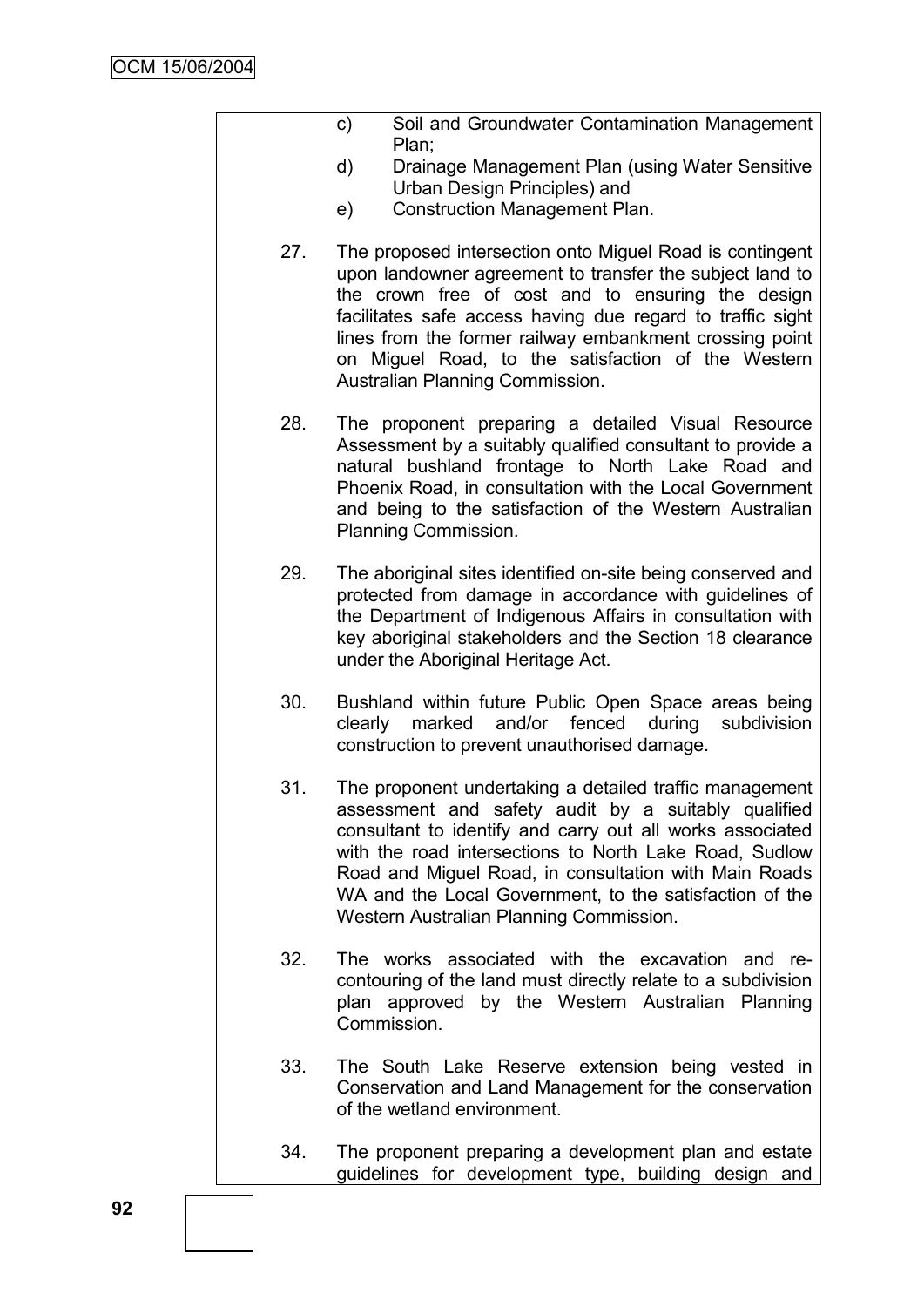- c) Soil and Groundwater Contamination Management Plan;
- d) Drainage Management Plan (using Water Sensitive Urban Design Principles) and
- e) Construction Management Plan.
- 27. The proposed intersection onto Miguel Road is contingent upon landowner agreement to transfer the subject land to the crown free of cost and to ensuring the design facilitates safe access having due regard to traffic sight lines from the former railway embankment crossing point on Miguel Road, to the satisfaction of the Western Australian Planning Commission.
- 28. The proponent preparing a detailed Visual Resource Assessment by a suitably qualified consultant to provide a natural bushland frontage to North Lake Road and Phoenix Road, in consultation with the Local Government and being to the satisfaction of the Western Australian Planning Commission.
- 29. The aboriginal sites identified on-site being conserved and protected from damage in accordance with guidelines of the Department of Indigenous Affairs in consultation with key aboriginal stakeholders and the Section 18 clearance under the Aboriginal Heritage Act.
- 30. Bushland within future Public Open Space areas being clearly marked and/or fenced during subdivision construction to prevent unauthorised damage.
- 31. The proponent undertaking a detailed traffic management assessment and safety audit by a suitably qualified consultant to identify and carry out all works associated with the road intersections to North Lake Road, Sudlow Road and Miguel Road, in consultation with Main Roads WA and the Local Government, to the satisfaction of the Western Australian Planning Commission.
- 32. The works associated with the excavation and recontouring of the land must directly relate to a subdivision plan approved by the Western Australian Planning Commission.
- 33. The South Lake Reserve extension being vested in Conservation and Land Management for the conservation of the wetland environment.
- 34. The proponent preparing a development plan and estate guidelines for development type, building design and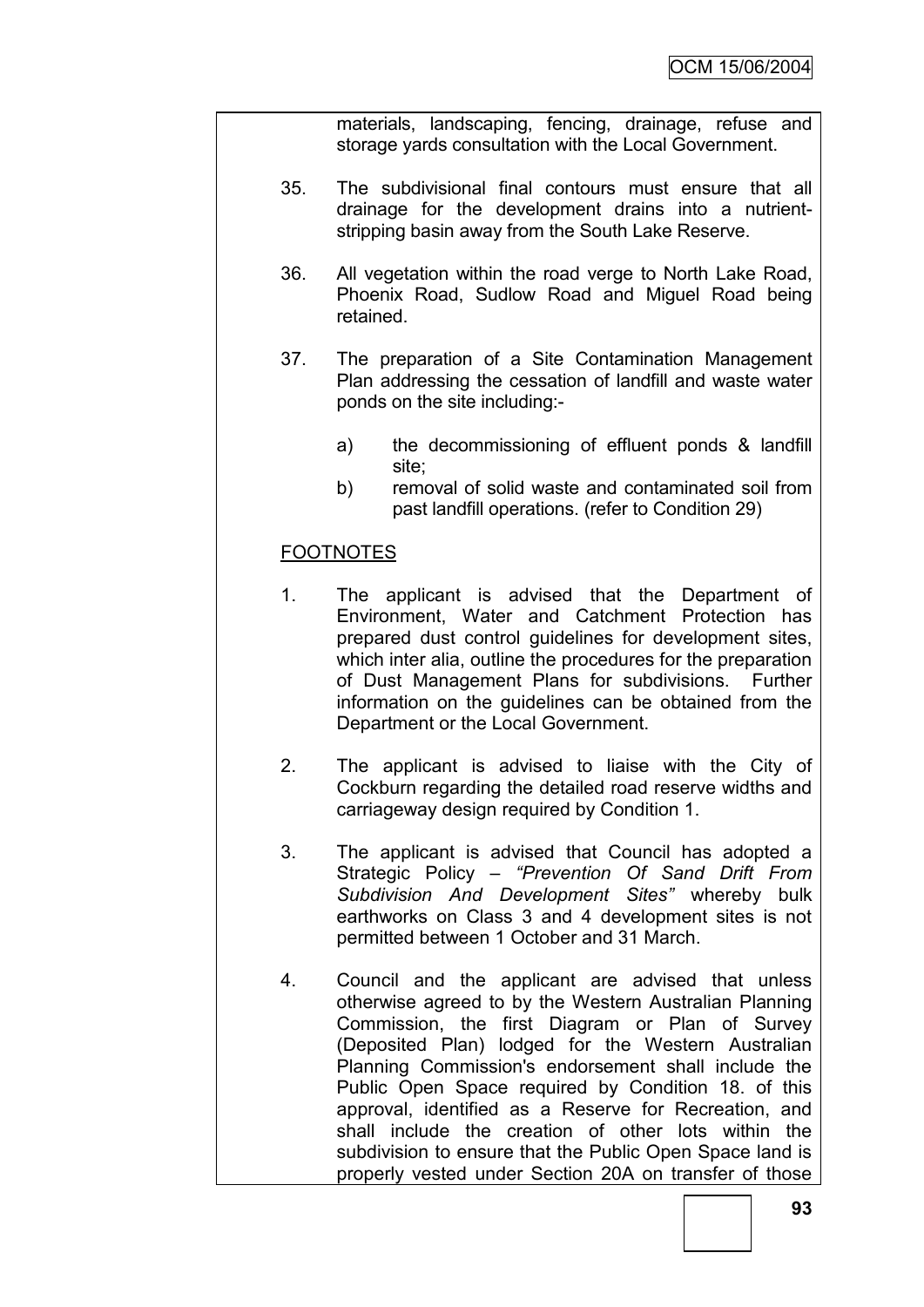materials, landscaping, fencing, drainage, refuse and storage yards consultation with the Local Government.

- 35. The subdivisional final contours must ensure that all drainage for the development drains into a nutrientstripping basin away from the South Lake Reserve.
- 36. All vegetation within the road verge to North Lake Road, Phoenix Road, Sudlow Road and Miguel Road being retained.
- 37. The preparation of a Site Contamination Management Plan addressing the cessation of landfill and waste water ponds on the site including:
	- a) the decommissioning of effluent ponds & landfill site:
	- b) removal of solid waste and contaminated soil from past landfill operations. (refer to Condition 29)

# **FOOTNOTES**

- 1. The applicant is advised that the Department of Environment, Water and Catchment Protection has prepared dust control guidelines for development sites, which inter alia, outline the procedures for the preparation of Dust Management Plans for subdivisions. Further information on the guidelines can be obtained from the Department or the Local Government.
- 2. The applicant is advised to liaise with the City of Cockburn regarding the detailed road reserve widths and carriageway design required by Condition 1.
- 3. The applicant is advised that Council has adopted a Strategic Policy – *"Prevention Of Sand Drift From Subdivision And Development Sites"* whereby bulk earthworks on Class 3 and 4 development sites is not permitted between 1 October and 31 March.
- 4. Council and the applicant are advised that unless otherwise agreed to by the Western Australian Planning Commission, the first Diagram or Plan of Survey (Deposited Plan) lodged for the Western Australian Planning Commission's endorsement shall include the Public Open Space required by Condition 18. of this approval, identified as a Reserve for Recreation, and shall include the creation of other lots within the subdivision to ensure that the Public Open Space land is properly vested under Section 20A on transfer of those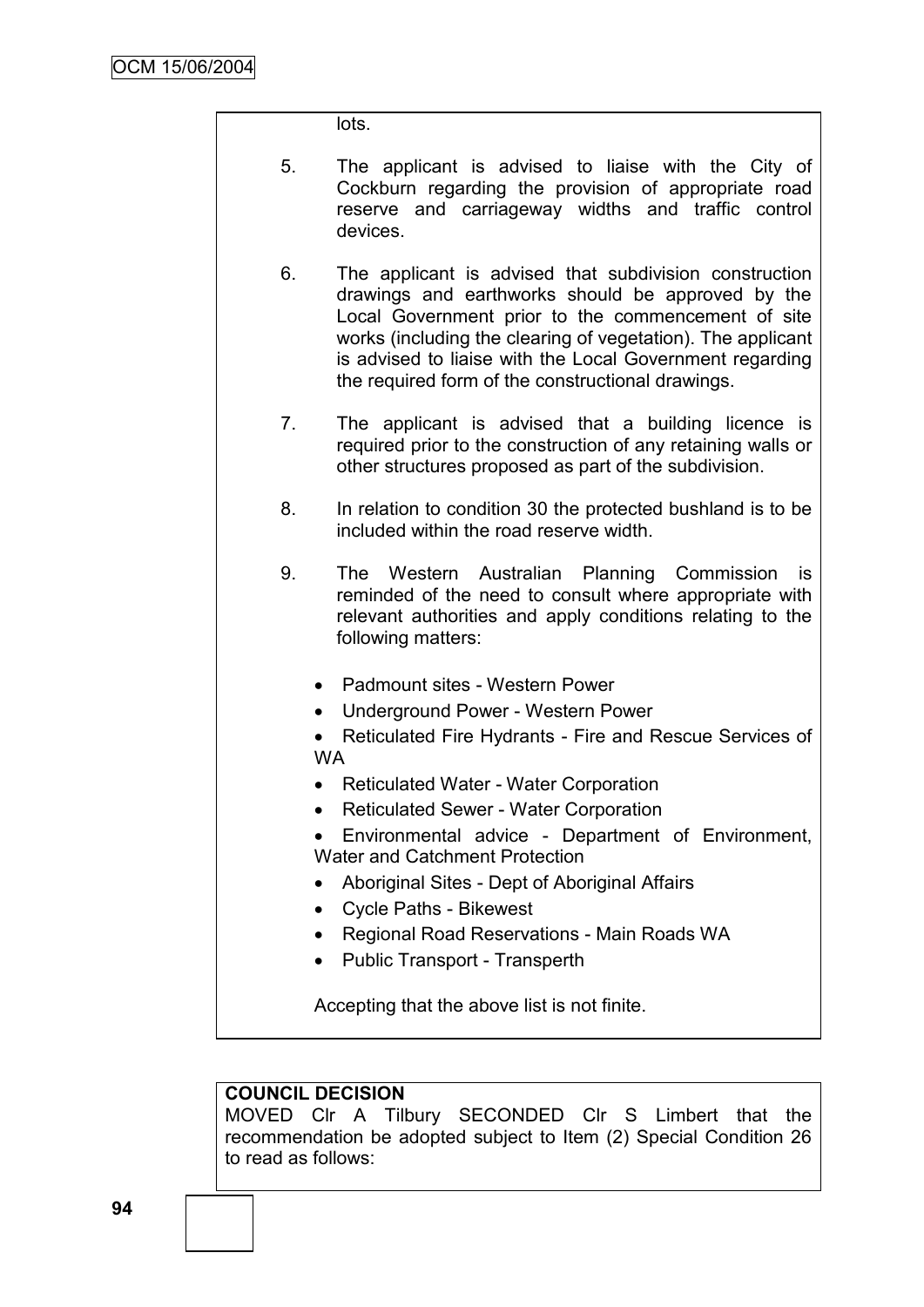#### lots.

- 5. The applicant is advised to liaise with the City of Cockburn regarding the provision of appropriate road reserve and carriageway widths and traffic control devices.
- 6. The applicant is advised that subdivision construction drawings and earthworks should be approved by the Local Government prior to the commencement of site works (including the clearing of vegetation). The applicant is advised to liaise with the Local Government regarding the required form of the constructional drawings.
- 7. The applicant is advised that a building licence is required prior to the construction of any retaining walls or other structures proposed as part of the subdivision.
- 8. In relation to condition 30 the protected bushland is to be included within the road reserve width.
- 9. The Western Australian Planning Commission is reminded of the need to consult where appropriate with relevant authorities and apply conditions relating to the following matters:
	- Padmount sites Western Power
	- Underground Power Western Power
	- Reticulated Fire Hydrants Fire and Rescue Services of WA
	- Reticulated Water Water Corporation
	- Reticulated Sewer Water Corporation
	- Environmental advice Department of Environment, Water and Catchment Protection
	- Aboriginal Sites Dept of Aboriginal Affairs
	- Cycle Paths Bikewest
	- Regional Road Reservations Main Roads WA
	- Public Transport Transperth

Accepting that the above list is not finite.

### **COUNCIL DECISION**

MOVED Clr A Tilbury SECONDED Clr S Limbert that the recommendation be adopted subject to Item (2) Special Condition 26 to read as follows: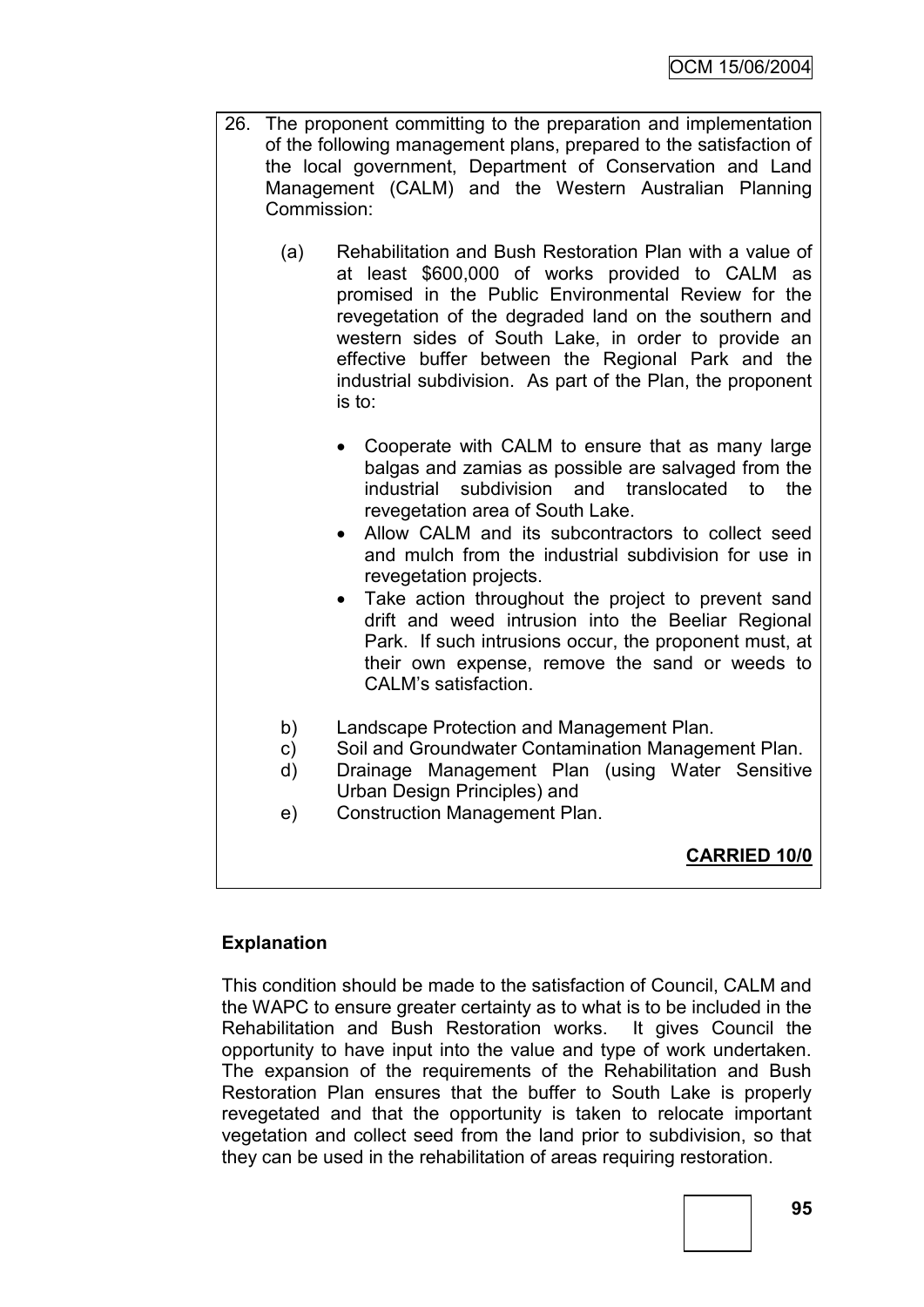- 26. The proponent committing to the preparation and implementation of the following management plans, prepared to the satisfaction of the local government, Department of Conservation and Land Management (CALM) and the Western Australian Planning Commission:
	- (a) Rehabilitation and Bush Restoration Plan with a value of at least \$600,000 of works provided to CALM as promised in the Public Environmental Review for the revegetation of the degraded land on the southern and western sides of South Lake, in order to provide an effective buffer between the Regional Park and the industrial subdivision. As part of the Plan, the proponent is to:
		- Cooperate with CALM to ensure that as many large balgas and zamias as possible are salvaged from the industrial subdivision and translocated to the revegetation area of South Lake.
		- Allow CALM and its subcontractors to collect seed and mulch from the industrial subdivision for use in revegetation projects.
		- Take action throughout the project to prevent sand drift and weed intrusion into the Beeliar Regional Park. If such intrusions occur, the proponent must, at their own expense, remove the sand or weeds to CALM"s satisfaction.
	- b) Landscape Protection and Management Plan.
	- c) Soil and Groundwater Contamination Management Plan.
	- d) Drainage Management Plan (using Water Sensitive Urban Design Principles) and
	- e) Construction Management Plan.

**CARRIED 10/0**

# **Explanation**

This condition should be made to the satisfaction of Council, CALM and the WAPC to ensure greater certainty as to what is to be included in the Rehabilitation and Bush Restoration works. It gives Council the opportunity to have input into the value and type of work undertaken. The expansion of the requirements of the Rehabilitation and Bush Restoration Plan ensures that the buffer to South Lake is properly revegetated and that the opportunity is taken to relocate important vegetation and collect seed from the land prior to subdivision, so that they can be used in the rehabilitation of areas requiring restoration.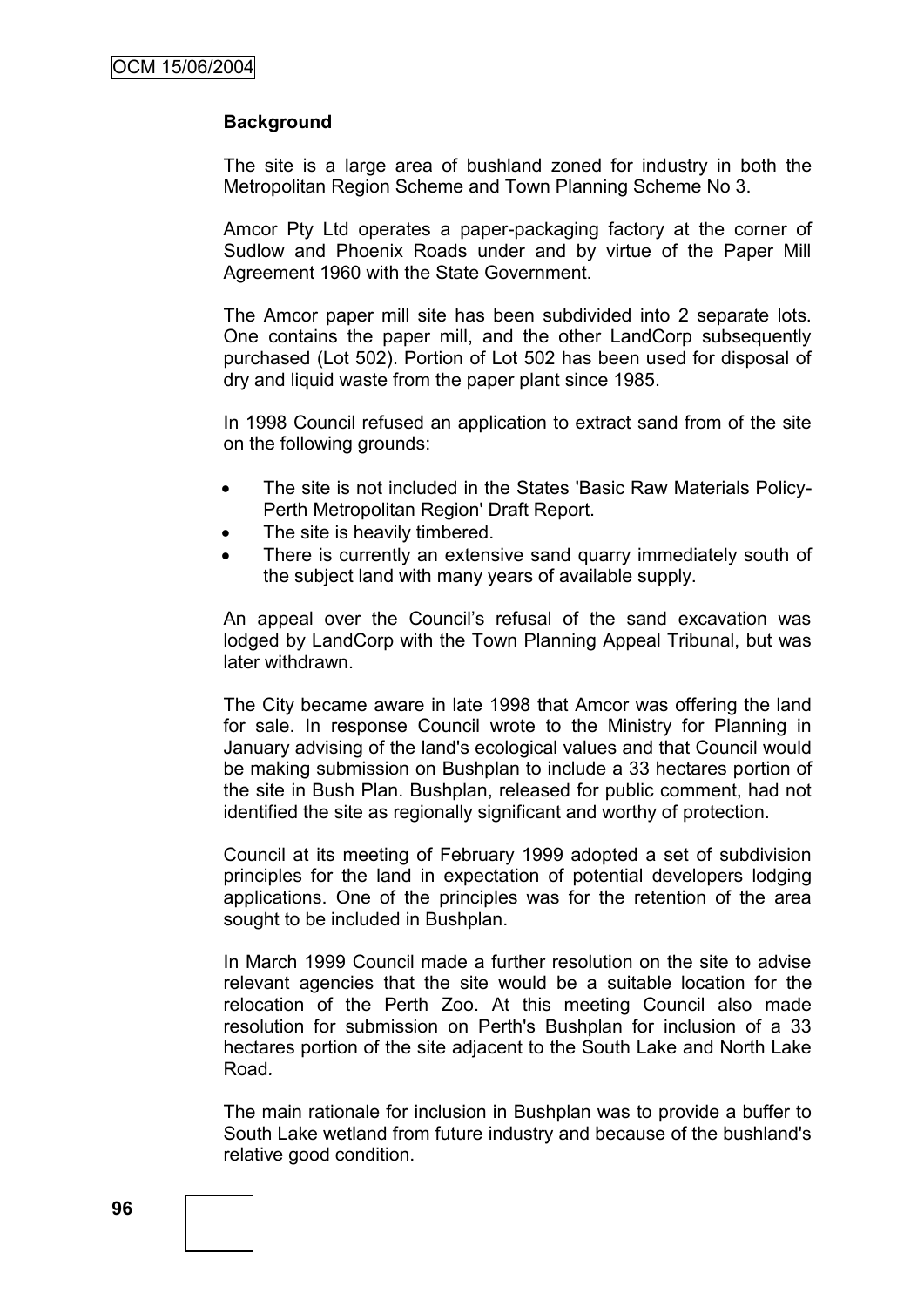### **Background**

The site is a large area of bushland zoned for industry in both the Metropolitan Region Scheme and Town Planning Scheme No 3.

Amcor Pty Ltd operates a paper-packaging factory at the corner of Sudlow and Phoenix Roads under and by virtue of the Paper Mill Agreement 1960 with the State Government.

The Amcor paper mill site has been subdivided into 2 separate lots. One contains the paper mill, and the other LandCorp subsequently purchased (Lot 502). Portion of Lot 502 has been used for disposal of dry and liquid waste from the paper plant since 1985.

In 1998 Council refused an application to extract sand from of the site on the following grounds:

- The site is not included in the States 'Basic Raw Materials Policy-Perth Metropolitan Region' Draft Report.
- The site is heavily timbered.
- There is currently an extensive sand quarry immediately south of the subject land with many years of available supply.

An appeal over the Council's refusal of the sand excavation was lodged by LandCorp with the Town Planning Appeal Tribunal, but was later withdrawn.

The City became aware in late 1998 that Amcor was offering the land for sale. In response Council wrote to the Ministry for Planning in January advising of the land's ecological values and that Council would be making submission on Bushplan to include a 33 hectares portion of the site in Bush Plan. Bushplan, released for public comment, had not identified the site as regionally significant and worthy of protection.

Council at its meeting of February 1999 adopted a set of subdivision principles for the land in expectation of potential developers lodging applications. One of the principles was for the retention of the area sought to be included in Bushplan.

In March 1999 Council made a further resolution on the site to advise relevant agencies that the site would be a suitable location for the relocation of the Perth Zoo. At this meeting Council also made resolution for submission on Perth's Bushplan for inclusion of a 33 hectares portion of the site adjacent to the South Lake and North Lake Road*.*

The main rationale for inclusion in Bushplan was to provide a buffer to South Lake wetland from future industry and because of the bushland's relative good condition.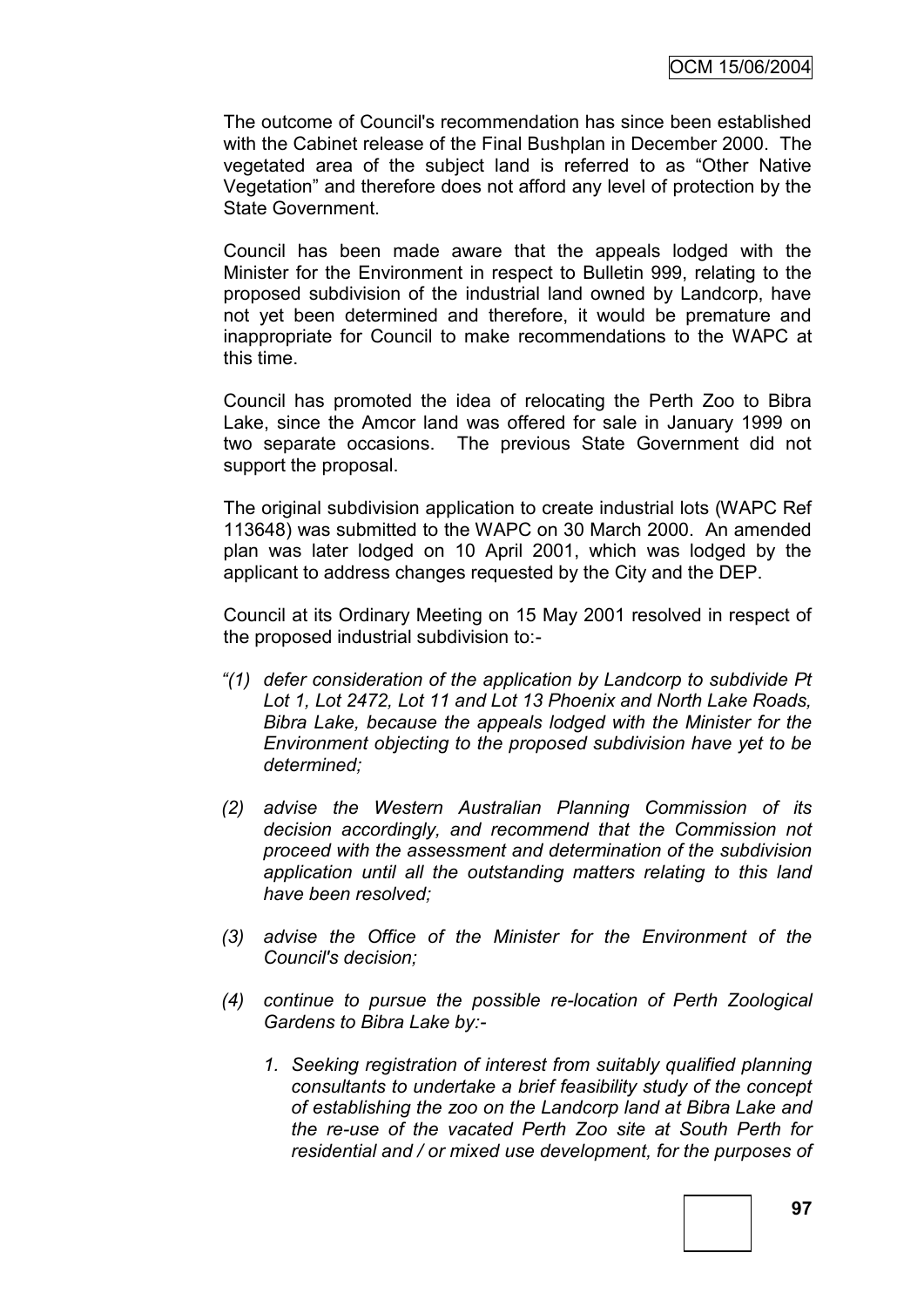The outcome of Council's recommendation has since been established with the Cabinet release of the Final Bushplan in December 2000. The vegetated area of the subject land is referred to as "Other Native Vegetation" and therefore does not afford any level of protection by the State Government.

Council has been made aware that the appeals lodged with the Minister for the Environment in respect to Bulletin 999, relating to the proposed subdivision of the industrial land owned by Landcorp, have not yet been determined and therefore, it would be premature and inappropriate for Council to make recommendations to the WAPC at this time.

Council has promoted the idea of relocating the Perth Zoo to Bibra Lake, since the Amcor land was offered for sale in January 1999 on two separate occasions. The previous State Government did not support the proposal.

The original subdivision application to create industrial lots (WAPC Ref 113648) was submitted to the WAPC on 30 March 2000. An amended plan was later lodged on 10 April 2001, which was lodged by the applicant to address changes requested by the City and the DEP.

Council at its Ordinary Meeting on 15 May 2001 resolved in respect of the proposed industrial subdivision to:-

- *"(1) defer consideration of the application by Landcorp to subdivide Pt Lot 1, Lot 2472, Lot 11 and Lot 13 Phoenix and North Lake Roads, Bibra Lake, because the appeals lodged with the Minister for the Environment objecting to the proposed subdivision have yet to be determined;*
- *(2) advise the Western Australian Planning Commission of its decision accordingly, and recommend that the Commission not proceed with the assessment and determination of the subdivision application until all the outstanding matters relating to this land have been resolved;*
- *(3) advise the Office of the Minister for the Environment of the Council's decision;*
- *(4) continue to pursue the possible re-location of Perth Zoological Gardens to Bibra Lake by:-*
	- *1. Seeking registration of interest from suitably qualified planning consultants to undertake a brief feasibility study of the concept of establishing the zoo on the Landcorp land at Bibra Lake and the re-use of the vacated Perth Zoo site at South Perth for residential and / or mixed use development, for the purposes of*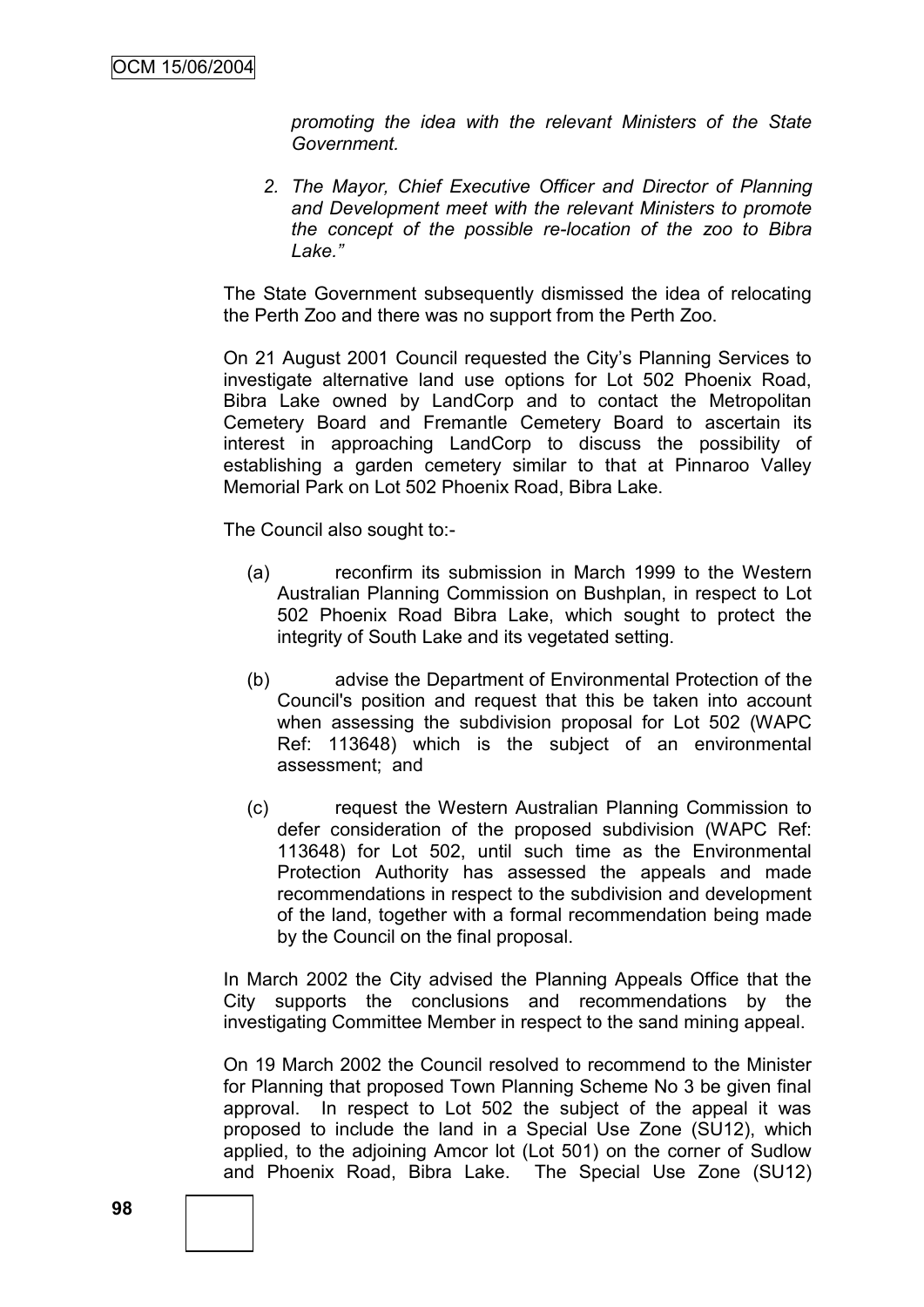*promoting the idea with the relevant Ministers of the State Government.*

*2. The Mayor, Chief Executive Officer and Director of Planning and Development meet with the relevant Ministers to promote the concept of the possible re-location of the zoo to Bibra Lake."*

The State Government subsequently dismissed the idea of relocating the Perth Zoo and there was no support from the Perth Zoo.

On 21 August 2001 Council requested the City"s Planning Services to investigate alternative land use options for Lot 502 Phoenix Road, Bibra Lake owned by LandCorp and to contact the Metropolitan Cemetery Board and Fremantle Cemetery Board to ascertain its interest in approaching LandCorp to discuss the possibility of establishing a garden cemetery similar to that at Pinnaroo Valley Memorial Park on Lot 502 Phoenix Road, Bibra Lake.

The Council also sought to:-

- (a) reconfirm its submission in March 1999 to the Western Australian Planning Commission on Bushplan, in respect to Lot 502 Phoenix Road Bibra Lake, which sought to protect the integrity of South Lake and its vegetated setting.
- (b) advise the Department of Environmental Protection of the Council's position and request that this be taken into account when assessing the subdivision proposal for Lot 502 (WAPC Ref: 113648) which is the subject of an environmental assessment; and
- (c) request the Western Australian Planning Commission to defer consideration of the proposed subdivision (WAPC Ref: 113648) for Lot 502, until such time as the Environmental Protection Authority has assessed the appeals and made recommendations in respect to the subdivision and development of the land, together with a formal recommendation being made by the Council on the final proposal.

In March 2002 the City advised the Planning Appeals Office that the City supports the conclusions and recommendations by the investigating Committee Member in respect to the sand mining appeal.

On 19 March 2002 the Council resolved to recommend to the Minister for Planning that proposed Town Planning Scheme No 3 be given final approval. In respect to Lot 502 the subject of the appeal it was proposed to include the land in a Special Use Zone (SU12), which applied, to the adjoining Amcor lot (Lot 501) on the corner of Sudlow and Phoenix Road, Bibra Lake. The Special Use Zone (SU12)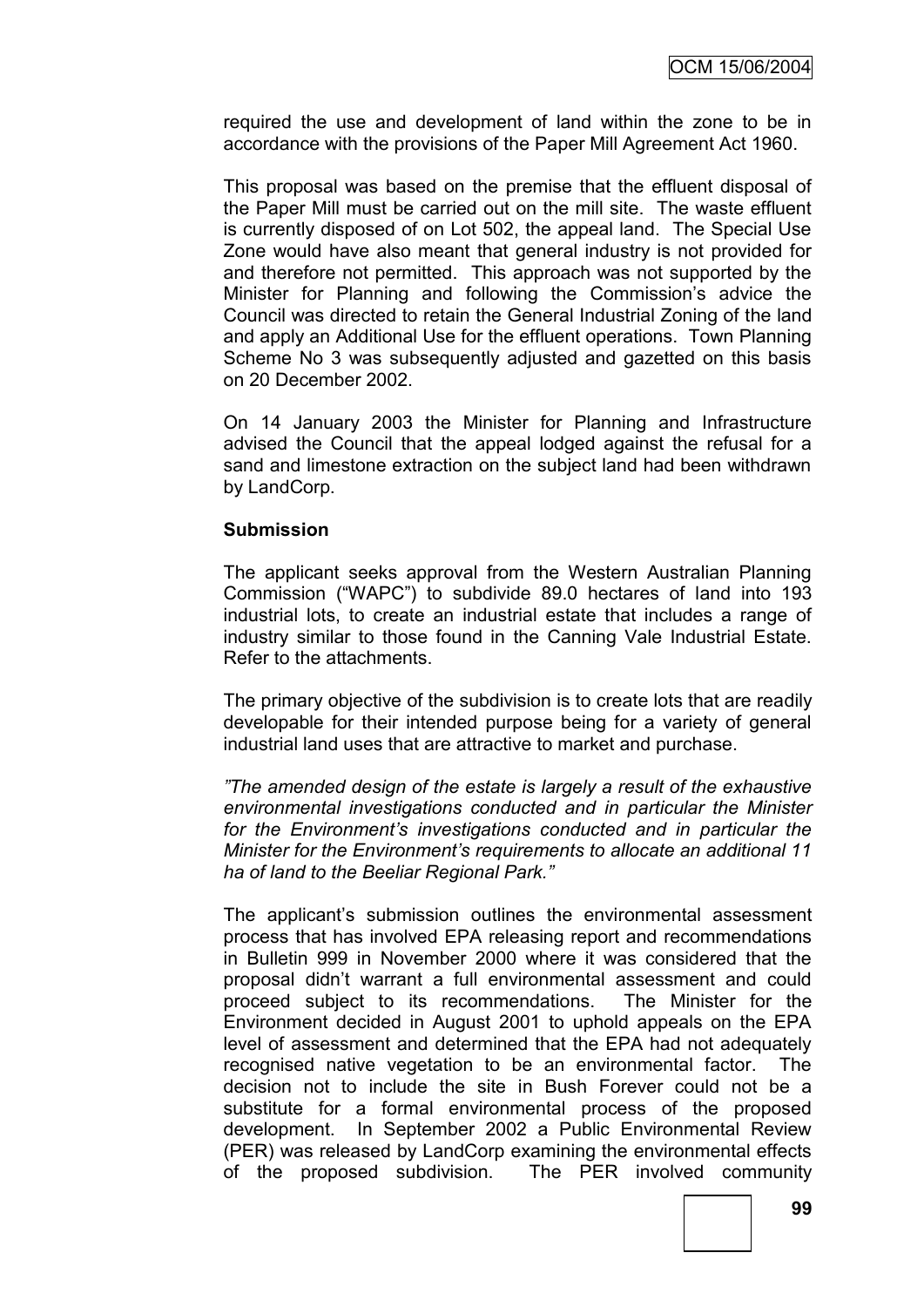required the use and development of land within the zone to be in accordance with the provisions of the Paper Mill Agreement Act 1960.

This proposal was based on the premise that the effluent disposal of the Paper Mill must be carried out on the mill site. The waste effluent is currently disposed of on Lot 502, the appeal land. The Special Use Zone would have also meant that general industry is not provided for and therefore not permitted. This approach was not supported by the Minister for Planning and following the Commission's advice the Council was directed to retain the General Industrial Zoning of the land and apply an Additional Use for the effluent operations. Town Planning Scheme No 3 was subsequently adjusted and gazetted on this basis on 20 December 2002.

On 14 January 2003 the Minister for Planning and Infrastructure advised the Council that the appeal lodged against the refusal for a sand and limestone extraction on the subject land had been withdrawn by LandCorp.

### **Submission**

The applicant seeks approval from the Western Australian Planning Commission ("WAPC") to subdivide 89.0 hectares of land into 193 industrial lots, to create an industrial estate that includes a range of industry similar to those found in the Canning Vale Industrial Estate. Refer to the attachments.

The primary objective of the subdivision is to create lots that are readily developable for their intended purpose being for a variety of general industrial land uses that are attractive to market and purchase.

*"The amended design of the estate is largely a result of the exhaustive environmental investigations conducted and in particular the Minister for the Environment"s investigations conducted and in particular the Minister for the Environment"s requirements to allocate an additional 11 ha of land to the Beeliar Regional Park."*

The applicant"s submission outlines the environmental assessment process that has involved EPA releasing report and recommendations in Bulletin 999 in November 2000 where it was considered that the proposal didn"t warrant a full environmental assessment and could proceed subject to its recommendations. The Minister for the Environment decided in August 2001 to uphold appeals on the EPA level of assessment and determined that the EPA had not adequately recognised native vegetation to be an environmental factor. The decision not to include the site in Bush Forever could not be a substitute for a formal environmental process of the proposed development. In September 2002 a Public Environmental Review (PER) was released by LandCorp examining the environmental effects of the proposed subdivision. The PER involved community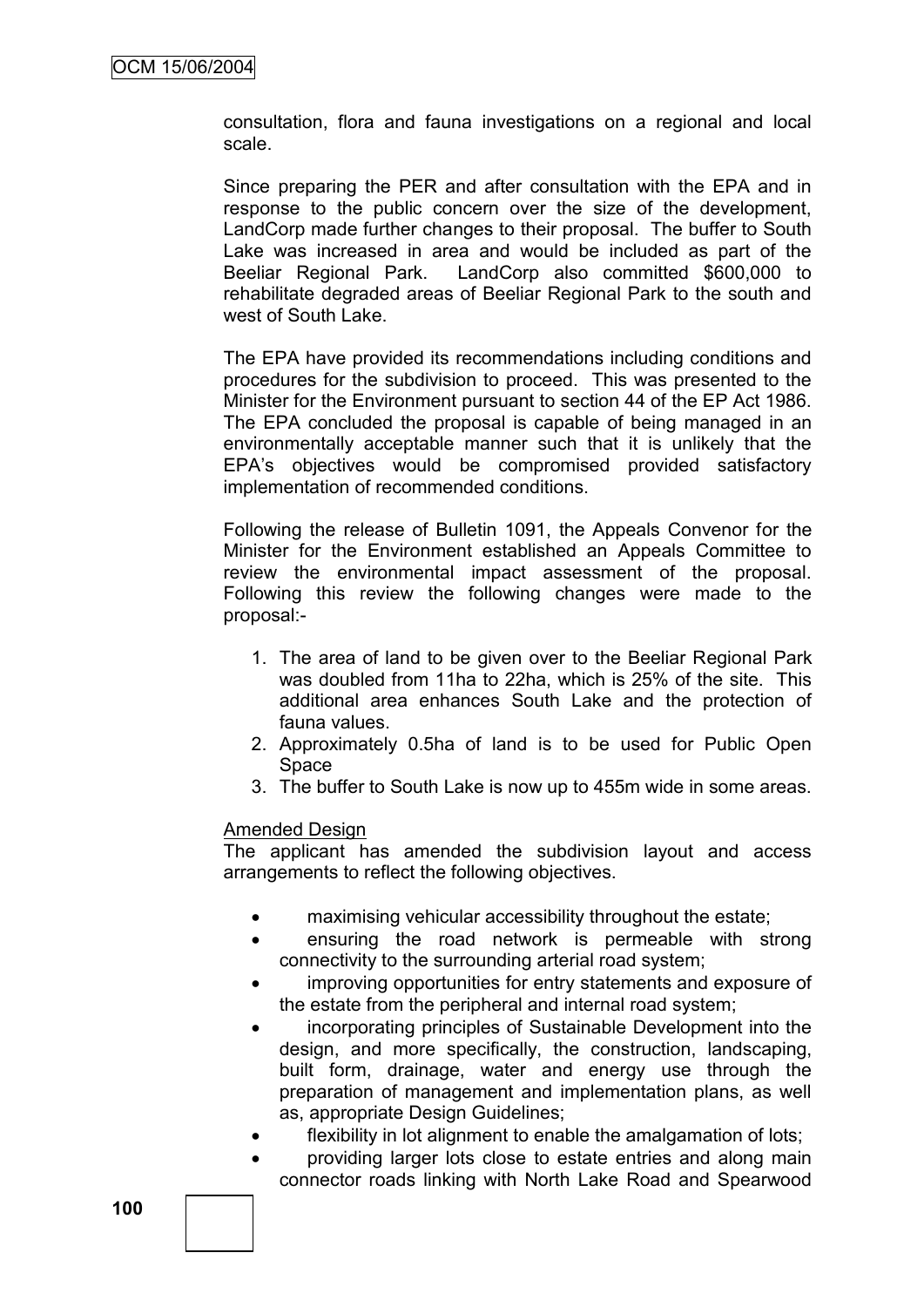consultation, flora and fauna investigations on a regional and local scale.

Since preparing the PER and after consultation with the EPA and in response to the public concern over the size of the development, LandCorp made further changes to their proposal. The buffer to South Lake was increased in area and would be included as part of the Beeliar Regional Park. LandCorp also committed \$600,000 to rehabilitate degraded areas of Beeliar Regional Park to the south and west of South Lake.

The EPA have provided its recommendations including conditions and procedures for the subdivision to proceed. This was presented to the Minister for the Environment pursuant to section 44 of the EP Act 1986. The EPA concluded the proposal is capable of being managed in an environmentally acceptable manner such that it is unlikely that the EPA"s objectives would be compromised provided satisfactory implementation of recommended conditions.

Following the release of Bulletin 1091, the Appeals Convenor for the Minister for the Environment established an Appeals Committee to review the environmental impact assessment of the proposal. Following this review the following changes were made to the proposal:-

- 1. The area of land to be given over to the Beeliar Regional Park was doubled from 11ha to 22ha, which is 25% of the site. This additional area enhances South Lake and the protection of fauna values.
- 2. Approximately 0.5ha of land is to be used for Public Open Space
- 3. The buffer to South Lake is now up to 455m wide in some areas.

#### Amended Design

The applicant has amended the subdivision layout and access arrangements to reflect the following objectives.

- maximising vehicular accessibility throughout the estate;
- ensuring the road network is permeable with strong connectivity to the surrounding arterial road system;
- improving opportunities for entry statements and exposure of the estate from the peripheral and internal road system;
- incorporating principles of Sustainable Development into the design, and more specifically, the construction, landscaping, built form, drainage, water and energy use through the preparation of management and implementation plans, as well as, appropriate Design Guidelines;
	- flexibility in lot alignment to enable the amalgamation of lots;
- providing larger lots close to estate entries and along main connector roads linking with North Lake Road and Spearwood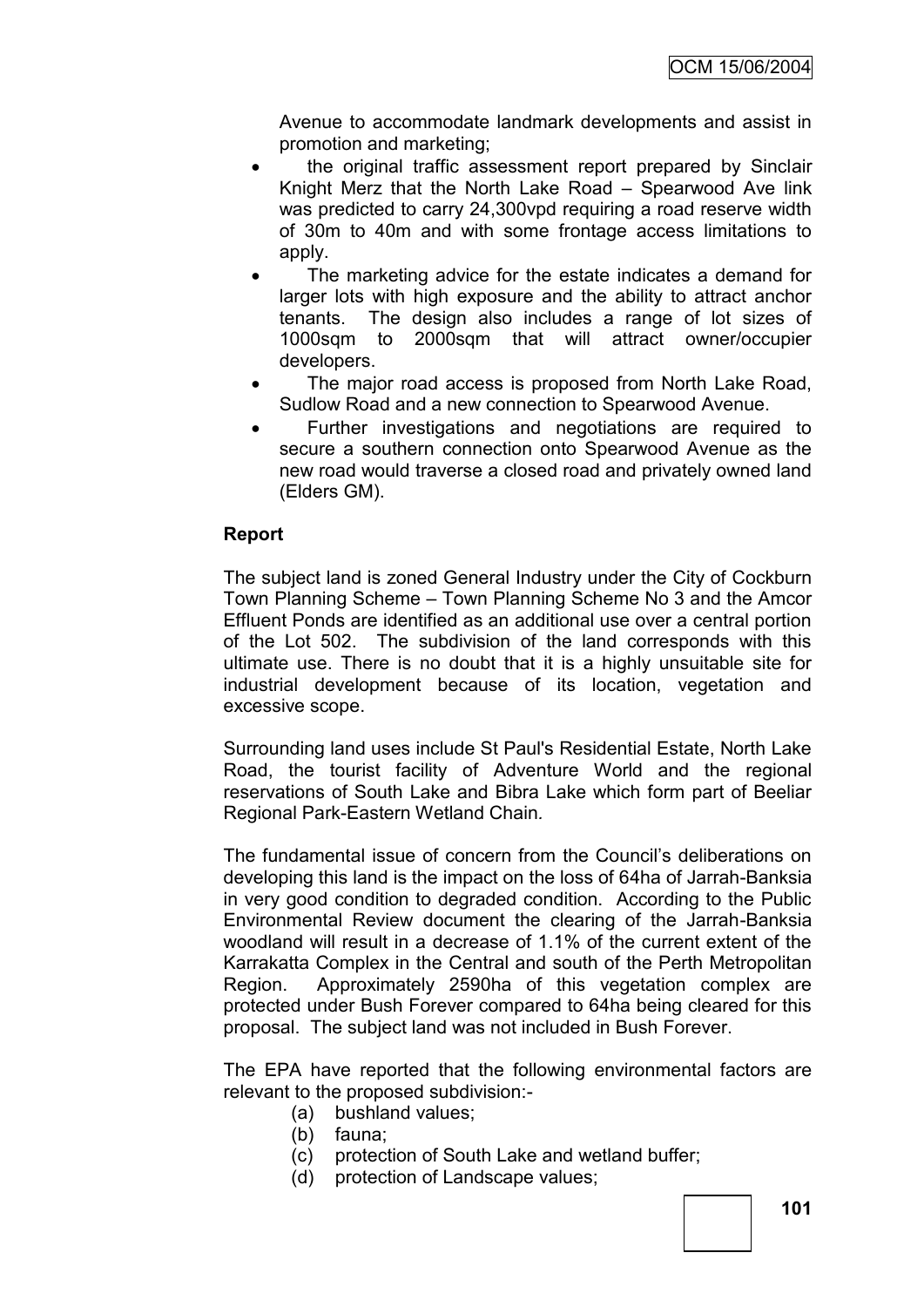Avenue to accommodate landmark developments and assist in promotion and marketing;

- the original traffic assessment report prepared by Sinclair Knight Merz that the North Lake Road – Spearwood Ave link was predicted to carry 24,300vpd requiring a road reserve width of 30m to 40m and with some frontage access limitations to apply.
- The marketing advice for the estate indicates a demand for larger lots with high exposure and the ability to attract anchor tenants. The design also includes a range of lot sizes of 1000sqm to 2000sqm that will attract owner/occupier developers.
- The major road access is proposed from North Lake Road, Sudlow Road and a new connection to Spearwood Avenue.
- Further investigations and negotiations are required to secure a southern connection onto Spearwood Avenue as the new road would traverse a closed road and privately owned land (Elders GM).

# **Report**

The subject land is zoned General Industry under the City of Cockburn Town Planning Scheme – Town Planning Scheme No 3 and the Amcor Effluent Ponds are identified as an additional use over a central portion of the Lot 502. The subdivision of the land corresponds with this ultimate use. There is no doubt that it is a highly unsuitable site for industrial development because of its location, vegetation and excessive scope.

Surrounding land uses include St Paul's Residential Estate, North Lake Road, the tourist facility of Adventure World and the regional reservations of South Lake and Bibra Lake which form part of Beeliar Regional Park-Eastern Wetland Chain*.*

The fundamental issue of concern from the Council"s deliberations on developing this land is the impact on the loss of 64ha of Jarrah-Banksia in very good condition to degraded condition. According to the Public Environmental Review document the clearing of the Jarrah-Banksia woodland will result in a decrease of 1.1% of the current extent of the Karrakatta Complex in the Central and south of the Perth Metropolitan Region. Approximately 2590ha of this vegetation complex are protected under Bush Forever compared to 64ha being cleared for this proposal. The subject land was not included in Bush Forever.

The EPA have reported that the following environmental factors are relevant to the proposed subdivision:-

- (a) bushland values;
- (b) fauna;
- (c) protection of South Lake and wetland buffer;
- (d) protection of Landscape values;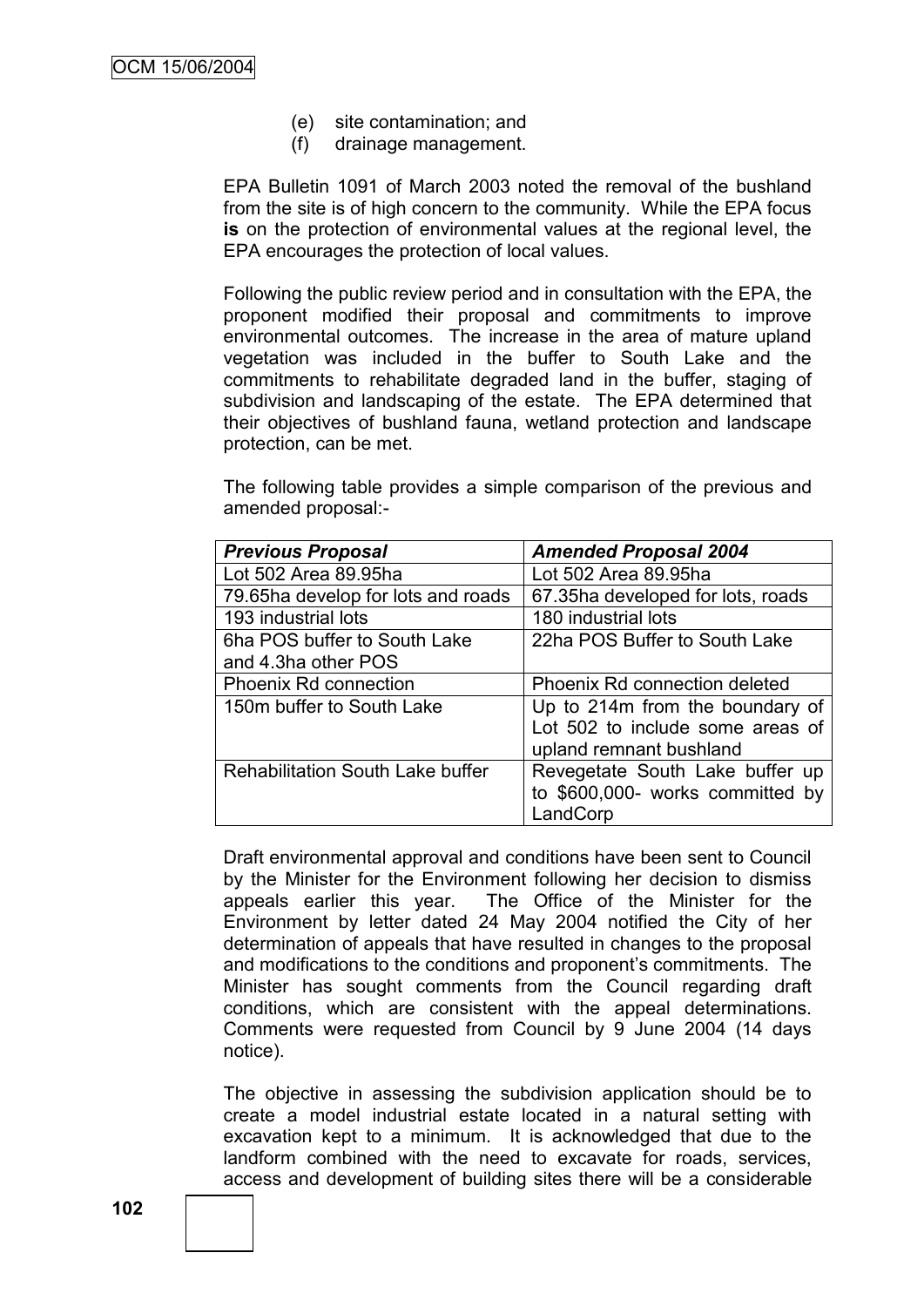- (e) site contamination; and
- (f) drainage management.

EPA Bulletin 1091 of March 2003 noted the removal of the bushland from the site is of high concern to the community. While the EPA focus **is** on the protection of environmental values at the regional level, the EPA encourages the protection of local values.

Following the public review period and in consultation with the EPA, the proponent modified their proposal and commitments to improve environmental outcomes. The increase in the area of mature upland vegetation was included in the buffer to South Lake and the commitments to rehabilitate degraded land in the buffer, staging of subdivision and landscaping of the estate. The EPA determined that their objectives of bushland fauna, wetland protection and landscape protection, can be met.

The following table provides a simple comparison of the previous and amended proposal:-

| <b>Previous Proposal</b>                | <b>Amended Proposal 2004</b>      |
|-----------------------------------------|-----------------------------------|
| Lot 502 Area 89.95ha                    | Lot 502 Area 89.95ha              |
| 79.65ha develop for lots and roads      | 67.35ha developed for lots, roads |
| 193 industrial lots                     | 180 industrial lots               |
| 6ha POS buffer to South Lake            | 22ha POS Buffer to South Lake     |
| and 4.3ha other POS                     |                                   |
| <b>Phoenix Rd connection</b>            | Phoenix Rd connection deleted     |
| 150m buffer to South Lake               | Up to 214m from the boundary of   |
|                                         | Lot 502 to include some areas of  |
|                                         | upland remnant bushland           |
| <b>Rehabilitation South Lake buffer</b> | Revegetate South Lake buffer up   |
|                                         | to \$600,000- works committed by  |
|                                         | LandCorp                          |

Draft environmental approval and conditions have been sent to Council by the Minister for the Environment following her decision to dismiss appeals earlier this year. The Office of the Minister for the Environment by letter dated 24 May 2004 notified the City of her determination of appeals that have resulted in changes to the proposal and modifications to the conditions and proponent's commitments. The Minister has sought comments from the Council regarding draft conditions, which are consistent with the appeal determinations. Comments were requested from Council by 9 June 2004 (14 days notice).

The objective in assessing the subdivision application should be to create a model industrial estate located in a natural setting with excavation kept to a minimum. It is acknowledged that due to the landform combined with the need to excavate for roads, services, access and development of building sites there will be a considerable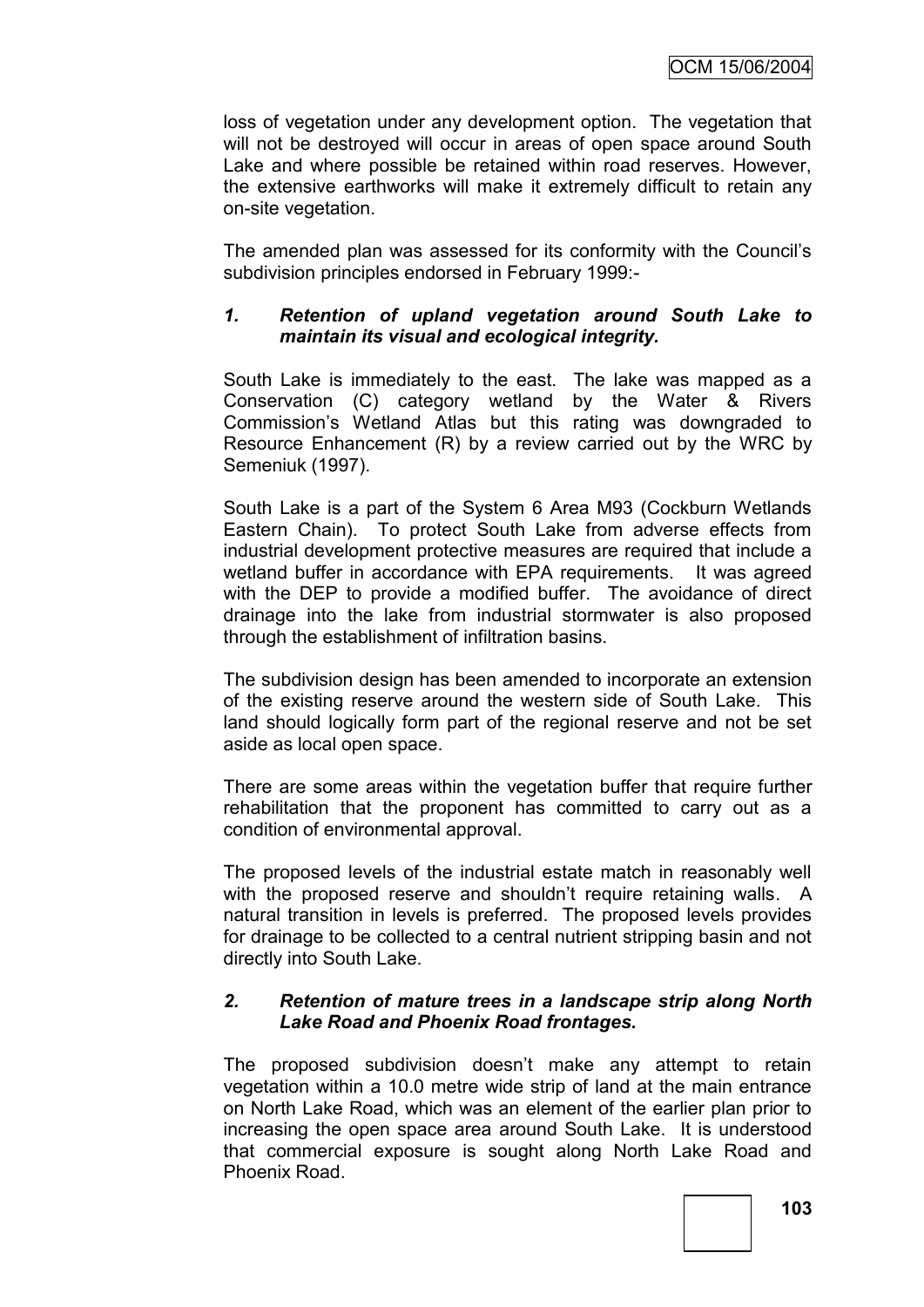loss of vegetation under any development option. The vegetation that will not be destroyed will occur in areas of open space around South Lake and where possible be retained within road reserves. However, the extensive earthworks will make it extremely difficult to retain any on-site vegetation.

The amended plan was assessed for its conformity with the Council"s subdivision principles endorsed in February 1999:-

# *1. Retention of upland vegetation around South Lake to maintain its visual and ecological integrity.*

South Lake is immediately to the east. The lake was mapped as a Conservation (C) category wetland by the Water & Rivers Commission"s Wetland Atlas but this rating was downgraded to Resource Enhancement (R) by a review carried out by the WRC by Semeniuk (1997).

South Lake is a part of the System 6 Area M93 (Cockburn Wetlands Eastern Chain). To protect South Lake from adverse effects from industrial development protective measures are required that include a wetland buffer in accordance with EPA requirements. It was agreed with the DEP to provide a modified buffer. The avoidance of direct drainage into the lake from industrial stormwater is also proposed through the establishment of infiltration basins.

The subdivision design has been amended to incorporate an extension of the existing reserve around the western side of South Lake. This land should logically form part of the regional reserve and not be set aside as local open space.

There are some areas within the vegetation buffer that require further rehabilitation that the proponent has committed to carry out as a condition of environmental approval.

The proposed levels of the industrial estate match in reasonably well with the proposed reserve and shouldn't require retaining walls. A natural transition in levels is preferred. The proposed levels provides for drainage to be collected to a central nutrient stripping basin and not directly into South Lake.

# *2. Retention of mature trees in a landscape strip along North Lake Road and Phoenix Road frontages.*

The proposed subdivision doesn't make any attempt to retain vegetation within a 10.0 metre wide strip of land at the main entrance on North Lake Road, which was an element of the earlier plan prior to increasing the open space area around South Lake. It is understood that commercial exposure is sought along North Lake Road and Phoenix Road.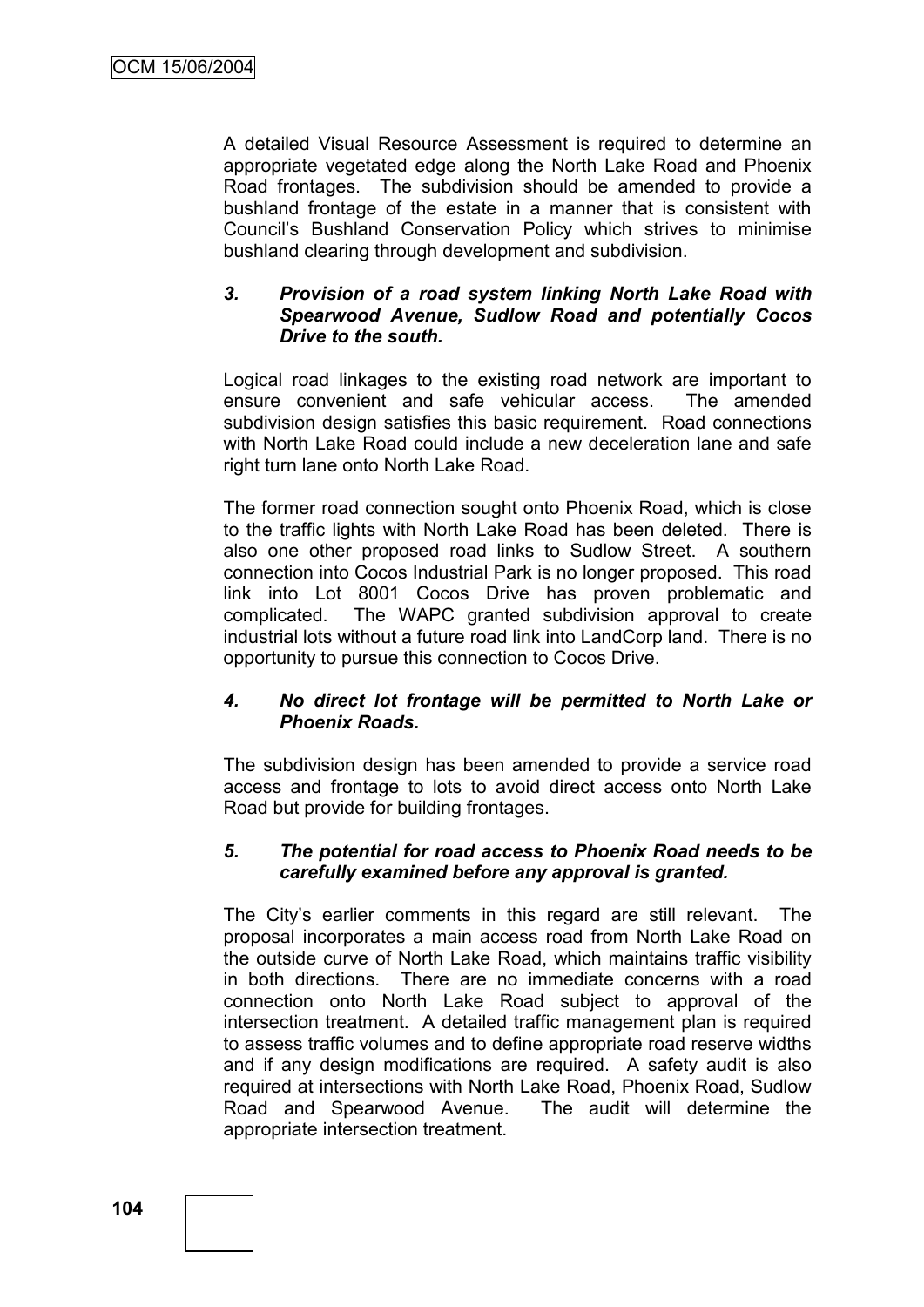A detailed Visual Resource Assessment is required to determine an appropriate vegetated edge along the North Lake Road and Phoenix Road frontages. The subdivision should be amended to provide a bushland frontage of the estate in a manner that is consistent with Council"s Bushland Conservation Policy which strives to minimise bushland clearing through development and subdivision.

# *3. Provision of a road system linking North Lake Road with Spearwood Avenue, Sudlow Road and potentially Cocos Drive to the south.*

Logical road linkages to the existing road network are important to ensure convenient and safe vehicular access. The amended subdivision design satisfies this basic requirement. Road connections with North Lake Road could include a new deceleration lane and safe right turn lane onto North Lake Road.

The former road connection sought onto Phoenix Road, which is close to the traffic lights with North Lake Road has been deleted. There is also one other proposed road links to Sudlow Street. A southern connection into Cocos Industrial Park is no longer proposed. This road link into Lot 8001 Cocos Drive has proven problematic and complicated. The WAPC granted subdivision approval to create industrial lots without a future road link into LandCorp land. There is no opportunity to pursue this connection to Cocos Drive.

# *4. No direct lot frontage will be permitted to North Lake or Phoenix Roads.*

The subdivision design has been amended to provide a service road access and frontage to lots to avoid direct access onto North Lake Road but provide for building frontages.

# *5. The potential for road access to Phoenix Road needs to be carefully examined before any approval is granted.*

The City"s earlier comments in this regard are still relevant. The proposal incorporates a main access road from North Lake Road on the outside curve of North Lake Road, which maintains traffic visibility in both directions. There are no immediate concerns with a road connection onto North Lake Road subject to approval of the intersection treatment. A detailed traffic management plan is required to assess traffic volumes and to define appropriate road reserve widths and if any design modifications are required. A safety audit is also required at intersections with North Lake Road, Phoenix Road, Sudlow Road and Spearwood Avenue. The audit will determine the appropriate intersection treatment.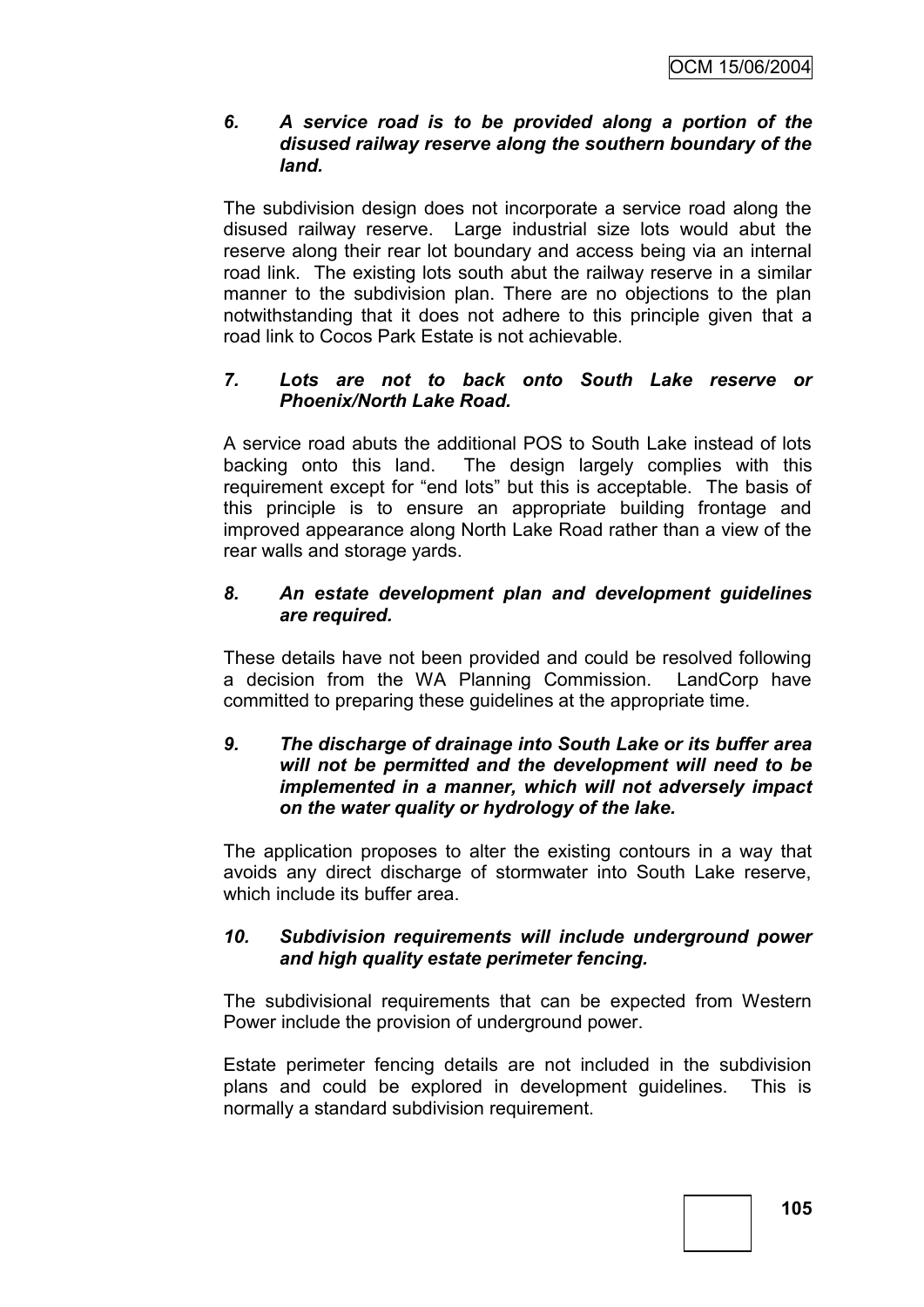# *6. A service road is to be provided along a portion of the disused railway reserve along the southern boundary of the land.*

The subdivision design does not incorporate a service road along the disused railway reserve. Large industrial size lots would abut the reserve along their rear lot boundary and access being via an internal road link. The existing lots south abut the railway reserve in a similar manner to the subdivision plan. There are no objections to the plan notwithstanding that it does not adhere to this principle given that a road link to Cocos Park Estate is not achievable.

# *7. Lots are not to back onto South Lake reserve or Phoenix/North Lake Road.*

A service road abuts the additional POS to South Lake instead of lots backing onto this land. The design largely complies with this requirement except for "end lots" but this is acceptable. The basis of this principle is to ensure an appropriate building frontage and improved appearance along North Lake Road rather than a view of the rear walls and storage yards.

# *8. An estate development plan and development guidelines are required.*

These details have not been provided and could be resolved following a decision from the WA Planning Commission. LandCorp have committed to preparing these guidelines at the appropriate time.

# *9. The discharge of drainage into South Lake or its buffer area will not be permitted and the development will need to be implemented in a manner, which will not adversely impact on the water quality or hydrology of the lake.*

The application proposes to alter the existing contours in a way that avoids any direct discharge of stormwater into South Lake reserve, which include its buffer area.

# *10. Subdivision requirements will include underground power and high quality estate perimeter fencing.*

The subdivisional requirements that can be expected from Western Power include the provision of underground power.

Estate perimeter fencing details are not included in the subdivision plans and could be explored in development guidelines. This is normally a standard subdivision requirement.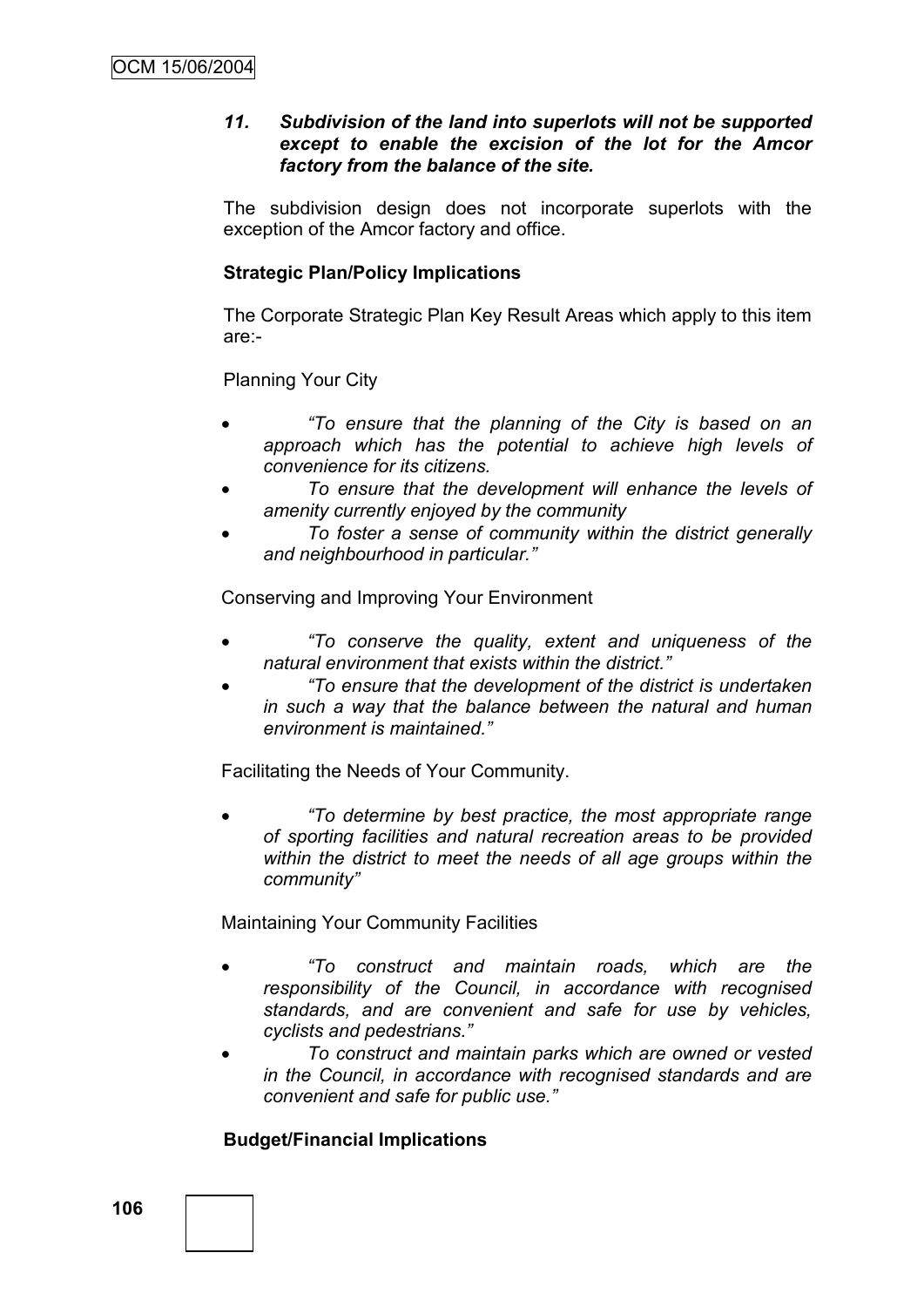# *11. Subdivision of the land into superlots will not be supported except to enable the excision of the lot for the Amcor factory from the balance of the site.*

The subdivision design does not incorporate superlots with the exception of the Amcor factory and office.

# **Strategic Plan/Policy Implications**

The Corporate Strategic Plan Key Result Areas which apply to this item are:-

Planning Your City

- *"To ensure that the planning of the City is based on an approach which has the potential to achieve high levels of convenience for its citizens.*
- *To ensure that the development will enhance the levels of amenity currently enjoyed by the community*
- *To foster a sense of community within the district generally and neighbourhood in particular."*

Conserving and Improving Your Environment

- *"To conserve the quality, extent and uniqueness of the natural environment that exists within the district."*
- *"To ensure that the development of the district is undertaken in such a way that the balance between the natural and human environment is maintained."*

Facilitating the Needs of Your Community.

 *"To determine by best practice, the most appropriate range of sporting facilities and natural recreation areas to be provided within the district to meet the needs of all age groups within the community"*

Maintaining Your Community Facilities

- *"To construct and maintain roads, which are the responsibility of the Council, in accordance with recognised standards, and are convenient and safe for use by vehicles, cyclists and pedestrians."*
- *To construct and maintain parks which are owned or vested in the Council, in accordance with recognised standards and are convenient and safe for public use."*

# **Budget/Financial Implications**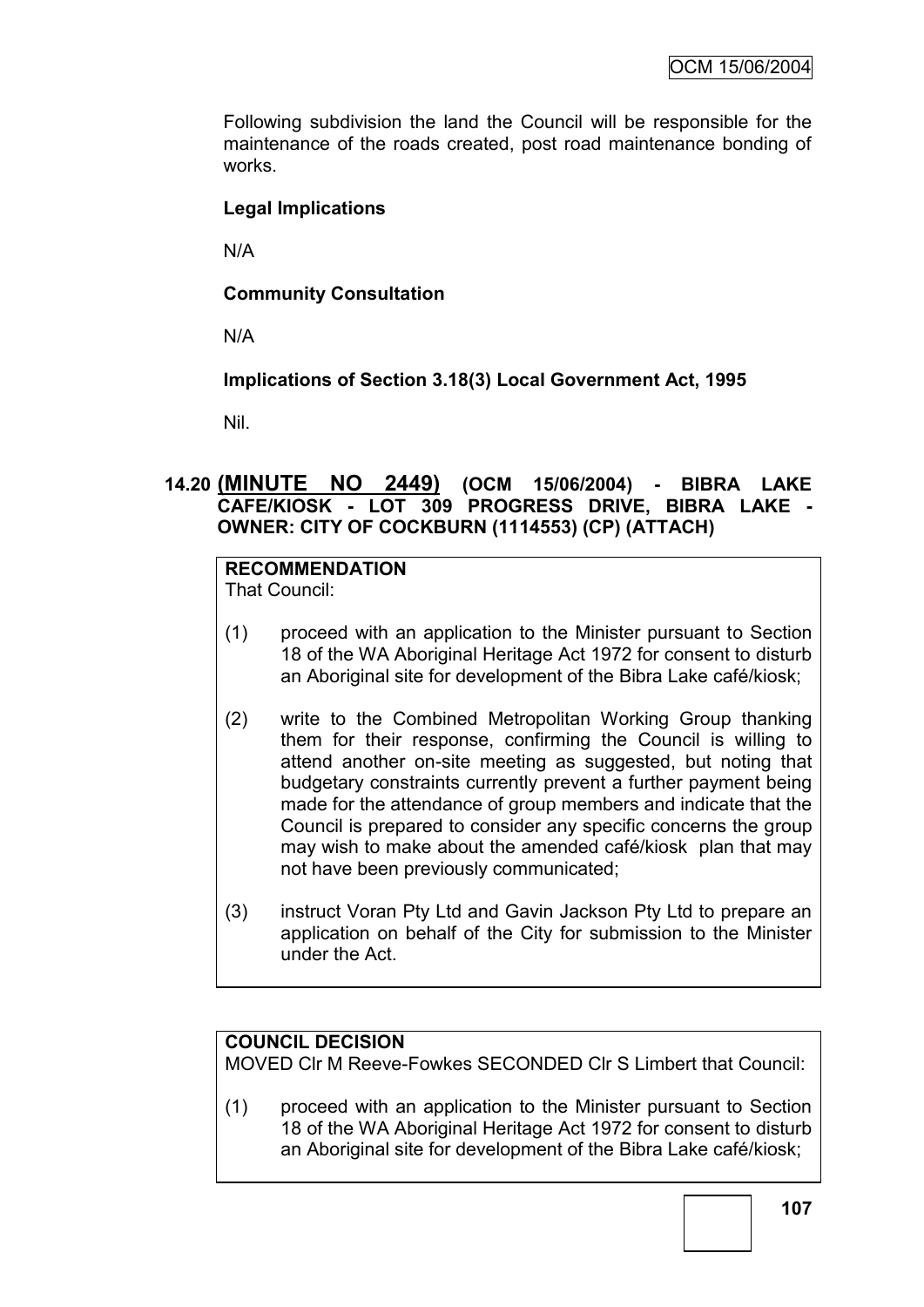Following subdivision the land the Council will be responsible for the maintenance of the roads created, post road maintenance bonding of works.

# **Legal Implications**

N/A

# **Community Consultation**

N/A

# **Implications of Section 3.18(3) Local Government Act, 1995**

Nil.

# **14.20 (MINUTE NO 2449) (OCM 15/06/2004) - BIBRA LAKE CAFE/KIOSK - LOT 309 PROGRESS DRIVE, BIBRA LAKE - OWNER: CITY OF COCKBURN (1114553) (CP) (ATTACH)**

# **RECOMMENDATION**

That Council:

- (1) proceed with an application to the Minister pursuant to Section 18 of the WA Aboriginal Heritage Act 1972 for consent to disturb an Aboriginal site for development of the Bibra Lake café/kiosk;
- (2) write to the Combined Metropolitan Working Group thanking them for their response, confirming the Council is willing to attend another on-site meeting as suggested, but noting that budgetary constraints currently prevent a further payment being made for the attendance of group members and indicate that the Council is prepared to consider any specific concerns the group may wish to make about the amended café/kiosk plan that may not have been previously communicated;
- (3) instruct Voran Pty Ltd and Gavin Jackson Pty Ltd to prepare an application on behalf of the City for submission to the Minister under the Act.

# **COUNCIL DECISION**

MOVED Clr M Reeve-Fowkes SECONDED Clr S Limbert that Council:

(1) proceed with an application to the Minister pursuant to Section 18 of the WA Aboriginal Heritage Act 1972 for consent to disturb an Aboriginal site for development of the Bibra Lake café/kiosk;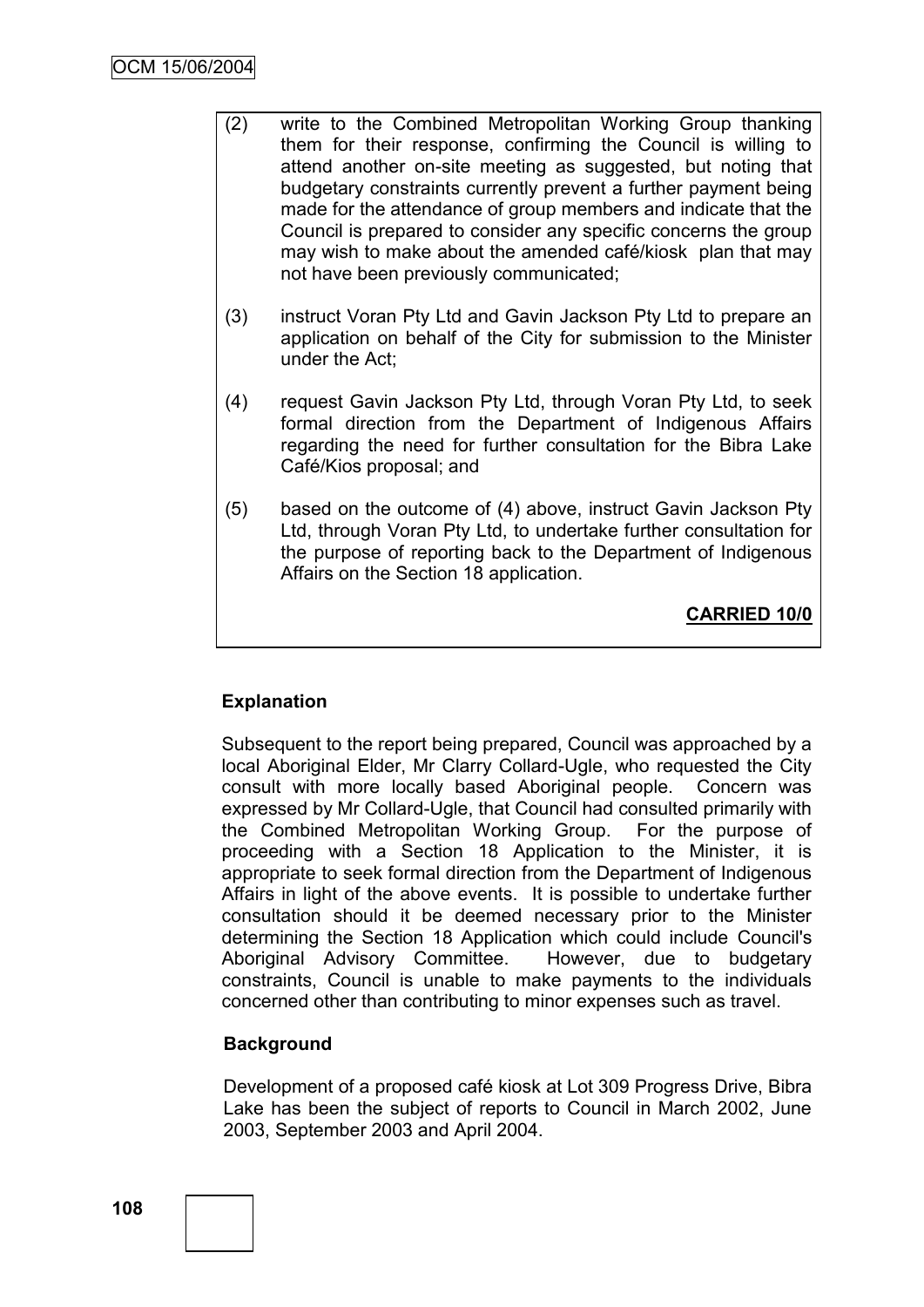- (2) write to the Combined Metropolitan Working Group thanking them for their response, confirming the Council is willing to attend another on-site meeting as suggested, but noting that budgetary constraints currently prevent a further payment being made for the attendance of group members and indicate that the Council is prepared to consider any specific concerns the group may wish to make about the amended café/kiosk plan that may not have been previously communicated;
- (3) instruct Voran Pty Ltd and Gavin Jackson Pty Ltd to prepare an application on behalf of the City for submission to the Minister under the Act;
- (4) request Gavin Jackson Pty Ltd, through Voran Pty Ltd, to seek formal direction from the Department of Indigenous Affairs regarding the need for further consultation for the Bibra Lake Café/Kios proposal; and
- (5) based on the outcome of (4) above, instruct Gavin Jackson Pty Ltd, through Voran Pty Ltd, to undertake further consultation for the purpose of reporting back to the Department of Indigenous Affairs on the Section 18 application.

**CARRIED 10/0**

# **Explanation**

Subsequent to the report being prepared, Council was approached by a local Aboriginal Elder, Mr Clarry Collard-Ugle, who requested the City consult with more locally based Aboriginal people. Concern was expressed by Mr Collard-Ugle, that Council had consulted primarily with the Combined Metropolitan Working Group. For the purpose of proceeding with a Section 18 Application to the Minister, it is appropriate to seek formal direction from the Department of Indigenous Affairs in light of the above events. It is possible to undertake further consultation should it be deemed necessary prior to the Minister determining the Section 18 Application which could include Council's Aboriginal Advisory Committee. However, due to budgetary constraints, Council is unable to make payments to the individuals concerned other than contributing to minor expenses such as travel.

# **Background**

Development of a proposed café kiosk at Lot 309 Progress Drive, Bibra Lake has been the subject of reports to Council in March 2002, June 2003, September 2003 and April 2004.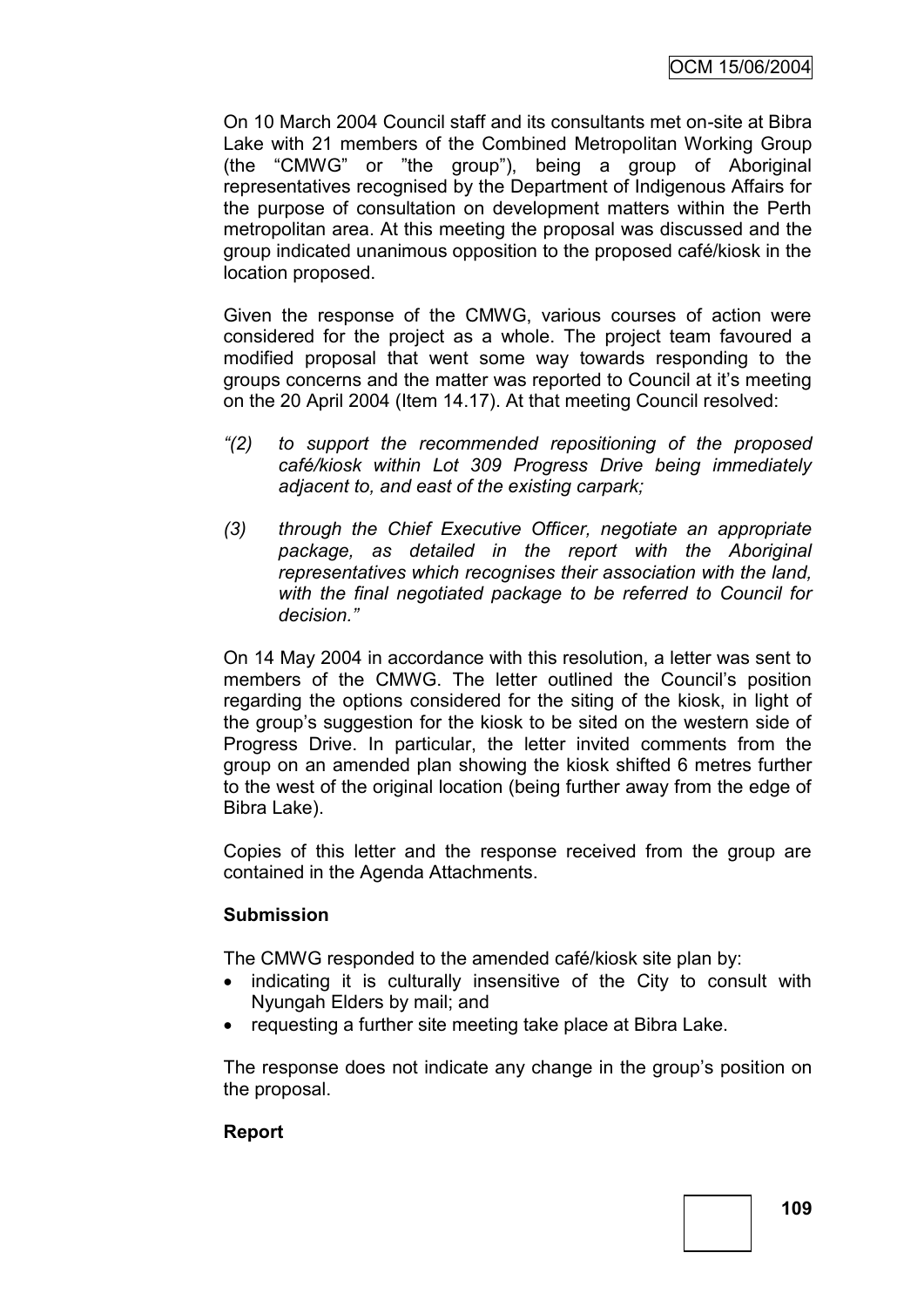On 10 March 2004 Council staff and its consultants met on-site at Bibra Lake with 21 members of the Combined Metropolitan Working Group (the "CMWG" or "the group"), being a group of Aboriginal representatives recognised by the Department of Indigenous Affairs for the purpose of consultation on development matters within the Perth metropolitan area. At this meeting the proposal was discussed and the group indicated unanimous opposition to the proposed café/kiosk in the location proposed.

Given the response of the CMWG, various courses of action were considered for the project as a whole. The project team favoured a modified proposal that went some way towards responding to the groups concerns and the matter was reported to Council at it"s meeting on the 20 April 2004 (Item 14.17). At that meeting Council resolved:

- *"(2) to support the recommended repositioning of the proposed café/kiosk within Lot 309 Progress Drive being immediately adjacent to, and east of the existing carpark;*
- *(3) through the Chief Executive Officer, negotiate an appropriate package, as detailed in the report with the Aboriginal representatives which recognises their association with the land, with the final negotiated package to be referred to Council for decision."*

On 14 May 2004 in accordance with this resolution, a letter was sent to members of the CMWG. The letter outlined the Council's position regarding the options considered for the siting of the kiosk, in light of the group"s suggestion for the kiosk to be sited on the western side of Progress Drive. In particular, the letter invited comments from the group on an amended plan showing the kiosk shifted 6 metres further to the west of the original location (being further away from the edge of Bibra Lake).

Copies of this letter and the response received from the group are contained in the Agenda Attachments.

# **Submission**

The CMWG responded to the amended café/kiosk site plan by:

- indicating it is culturally insensitive of the City to consult with Nyungah Elders by mail; and
- requesting a further site meeting take place at Bibra Lake.

The response does not indicate any change in the group"s position on the proposal.

# **Report**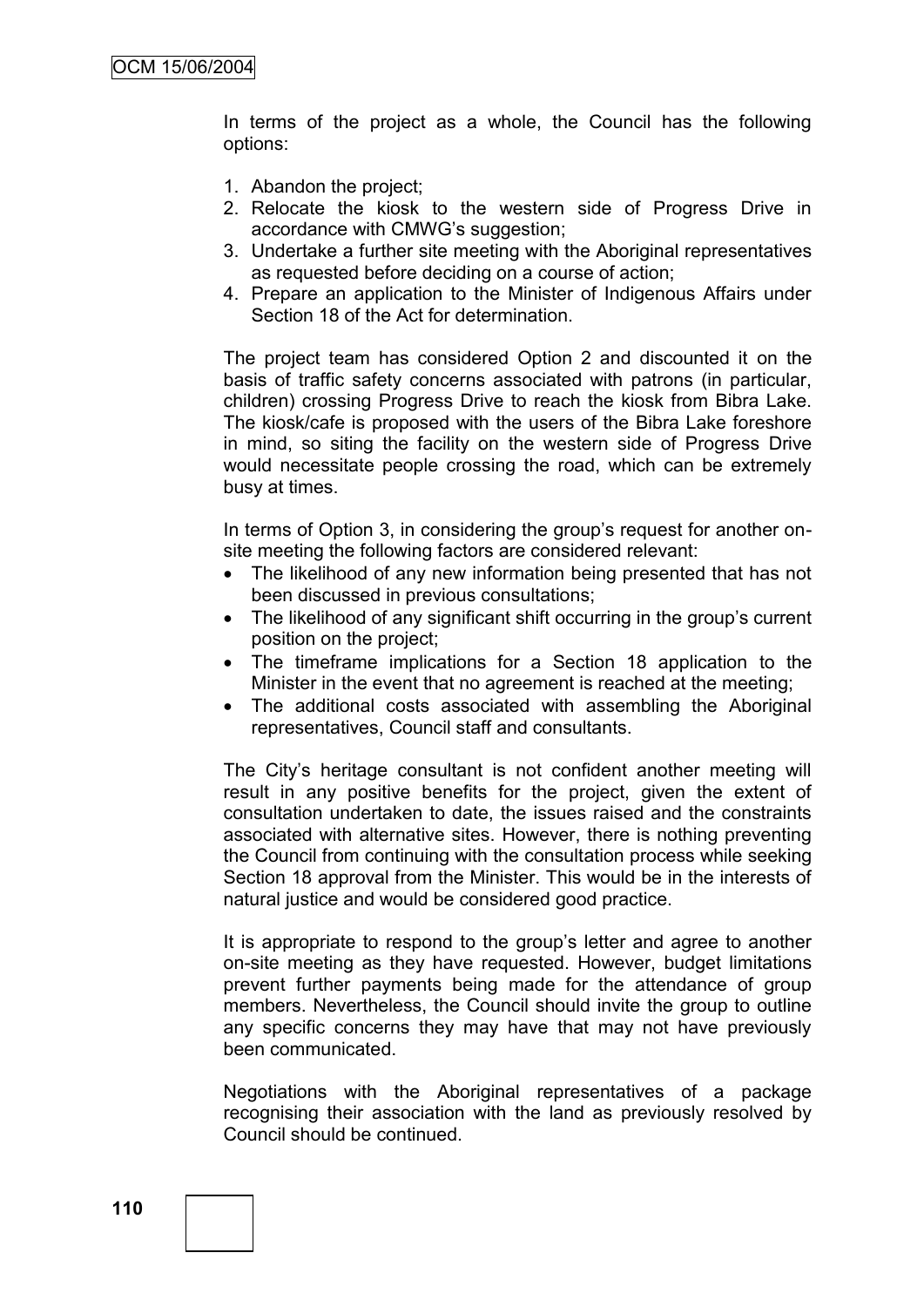In terms of the project as a whole, the Council has the following options:

- 1. Abandon the project;
- 2. Relocate the kiosk to the western side of Progress Drive in accordance with CMWG"s suggestion;
- 3. Undertake a further site meeting with the Aboriginal representatives as requested before deciding on a course of action;
- 4. Prepare an application to the Minister of Indigenous Affairs under Section 18 of the Act for determination.

The project team has considered Option 2 and discounted it on the basis of traffic safety concerns associated with patrons (in particular, children) crossing Progress Drive to reach the kiosk from Bibra Lake. The kiosk/cafe is proposed with the users of the Bibra Lake foreshore in mind, so siting the facility on the western side of Progress Drive would necessitate people crossing the road, which can be extremely busy at times.

In terms of Option 3, in considering the group's request for another onsite meeting the following factors are considered relevant:

- The likelihood of any new information being presented that has not been discussed in previous consultations;
- The likelihood of any significant shift occurring in the group's current position on the project;
- The timeframe implications for a Section 18 application to the Minister in the event that no agreement is reached at the meeting;
- The additional costs associated with assembling the Aboriginal representatives, Council staff and consultants.

The City's heritage consultant is not confident another meeting will result in any positive benefits for the project, given the extent of consultation undertaken to date, the issues raised and the constraints associated with alternative sites. However, there is nothing preventing the Council from continuing with the consultation process while seeking Section 18 approval from the Minister. This would be in the interests of natural justice and would be considered good practice.

It is appropriate to respond to the group's letter and agree to another on-site meeting as they have requested. However, budget limitations prevent further payments being made for the attendance of group members. Nevertheless, the Council should invite the group to outline any specific concerns they may have that may not have previously been communicated.

Negotiations with the Aboriginal representatives of a package recognising their association with the land as previously resolved by Council should be continued.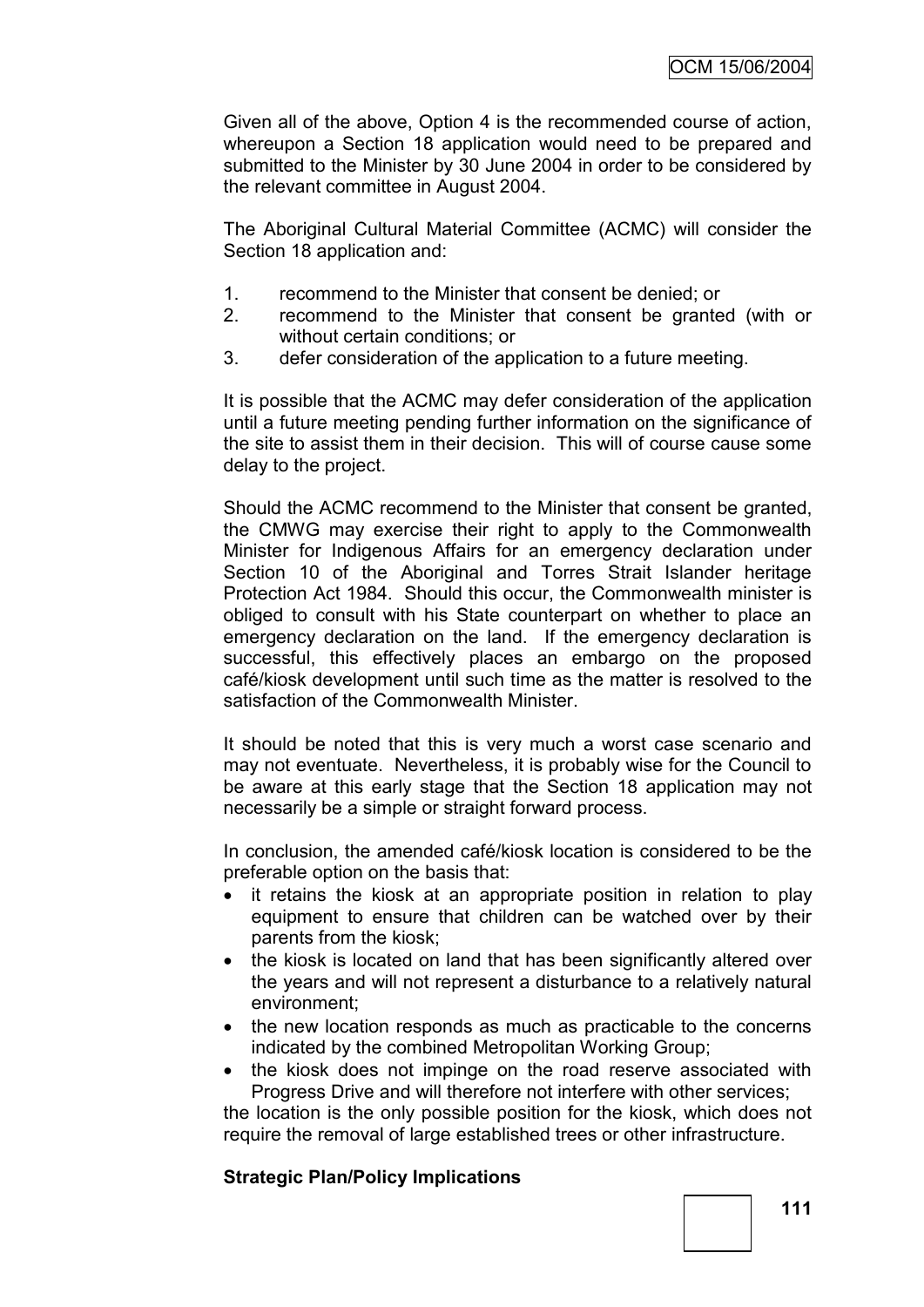Given all of the above, Option 4 is the recommended course of action, whereupon a Section 18 application would need to be prepared and submitted to the Minister by 30 June 2004 in order to be considered by the relevant committee in August 2004.

The Aboriginal Cultural Material Committee (ACMC) will consider the Section 18 application and:

- 1. recommend to the Minister that consent be denied; or
- 2. recommend to the Minister that consent be granted (with or without certain conditions; or
- 3. defer consideration of the application to a future meeting.

It is possible that the ACMC may defer consideration of the application until a future meeting pending further information on the significance of the site to assist them in their decision. This will of course cause some delay to the project.

Should the ACMC recommend to the Minister that consent be granted, the CMWG may exercise their right to apply to the Commonwealth Minister for Indigenous Affairs for an emergency declaration under Section 10 of the Aboriginal and Torres Strait Islander heritage Protection Act 1984. Should this occur, the Commonwealth minister is obliged to consult with his State counterpart on whether to place an emergency declaration on the land. If the emergency declaration is successful, this effectively places an embargo on the proposed café/kiosk development until such time as the matter is resolved to the satisfaction of the Commonwealth Minister.

It should be noted that this is very much a worst case scenario and may not eventuate. Nevertheless, it is probably wise for the Council to be aware at this early stage that the Section 18 application may not necessarily be a simple or straight forward process.

In conclusion, the amended café/kiosk location is considered to be the preferable option on the basis that:

- it retains the kiosk at an appropriate position in relation to play equipment to ensure that children can be watched over by their parents from the kiosk;
- the kiosk is located on land that has been significantly altered over the years and will not represent a disturbance to a relatively natural environment;
- the new location responds as much as practicable to the concerns indicated by the combined Metropolitan Working Group;
- the kiosk does not impinge on the road reserve associated with Progress Drive and will therefore not interfere with other services;

the location is the only possible position for the kiosk, which does not require the removal of large established trees or other infrastructure.

# **Strategic Plan/Policy Implications**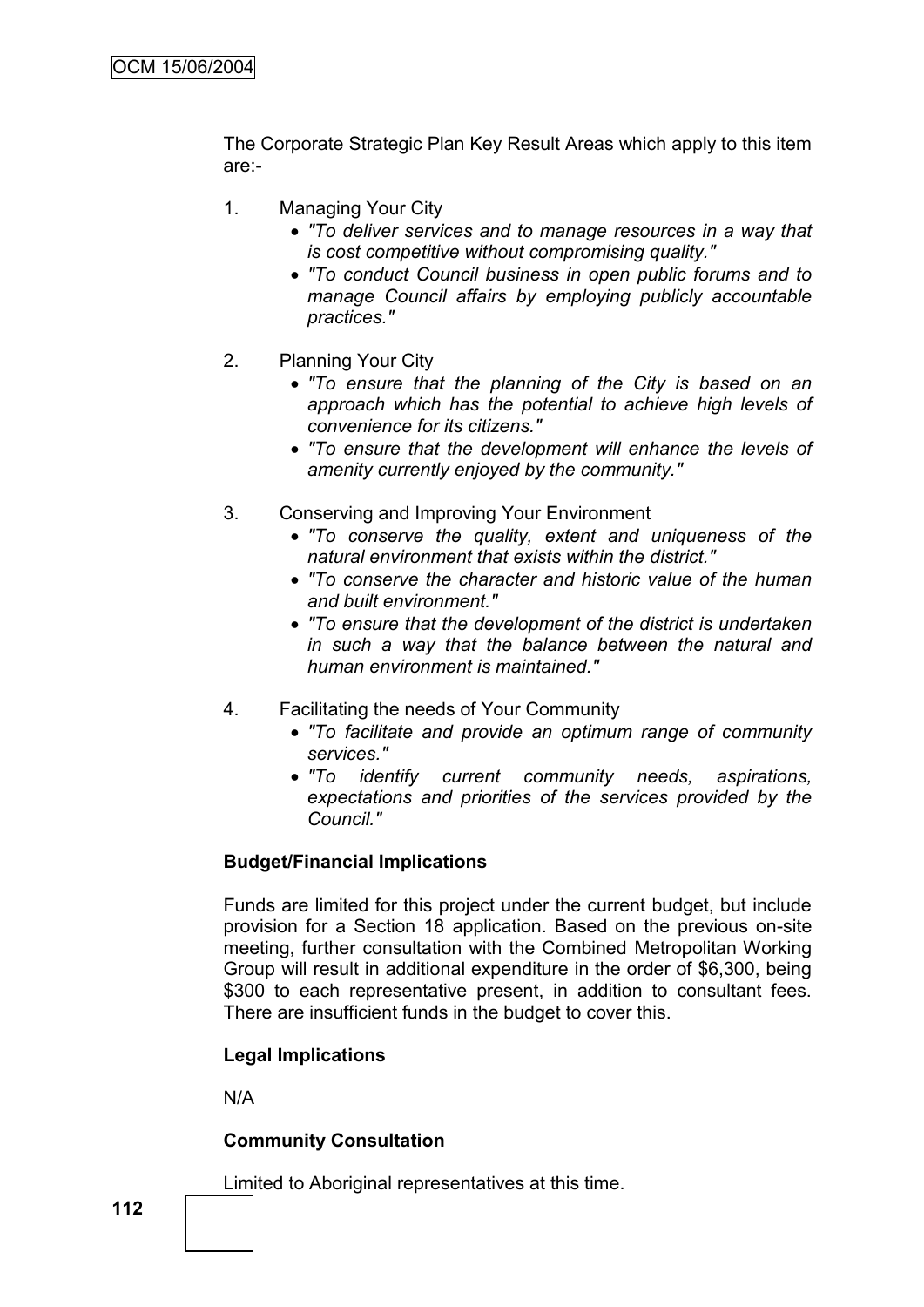The Corporate Strategic Plan Key Result Areas which apply to this item are:-

- 1. Managing Your City
	- *"To deliver services and to manage resources in a way that is cost competitive without compromising quality."*
	- *"To conduct Council business in open public forums and to manage Council affairs by employing publicly accountable practices."*
- 2. Planning Your City
	- *"To ensure that the planning of the City is based on an approach which has the potential to achieve high levels of convenience for its citizens."*
	- *"To ensure that the development will enhance the levels of amenity currently enjoyed by the community."*
- 3. Conserving and Improving Your Environment
	- *"To conserve the quality, extent and uniqueness of the natural environment that exists within the district."*
	- *"To conserve the character and historic value of the human and built environment."*
	- *"To ensure that the development of the district is undertaken in such a way that the balance between the natural and human environment is maintained."*
- 4. Facilitating the needs of Your Community
	- *"To facilitate and provide an optimum range of community services."*
	- *"To identify current community needs, aspirations, expectations and priorities of the services provided by the Council."*

# **Budget/Financial Implications**

Funds are limited for this project under the current budget, but include provision for a Section 18 application. Based on the previous on-site meeting, further consultation with the Combined Metropolitan Working Group will result in additional expenditure in the order of \$6,300, being \$300 to each representative present, in addition to consultant fees. There are insufficient funds in the budget to cover this.

# **Legal Implications**

N/A

# **Community Consultation**

Limited to Aboriginal representatives at this time.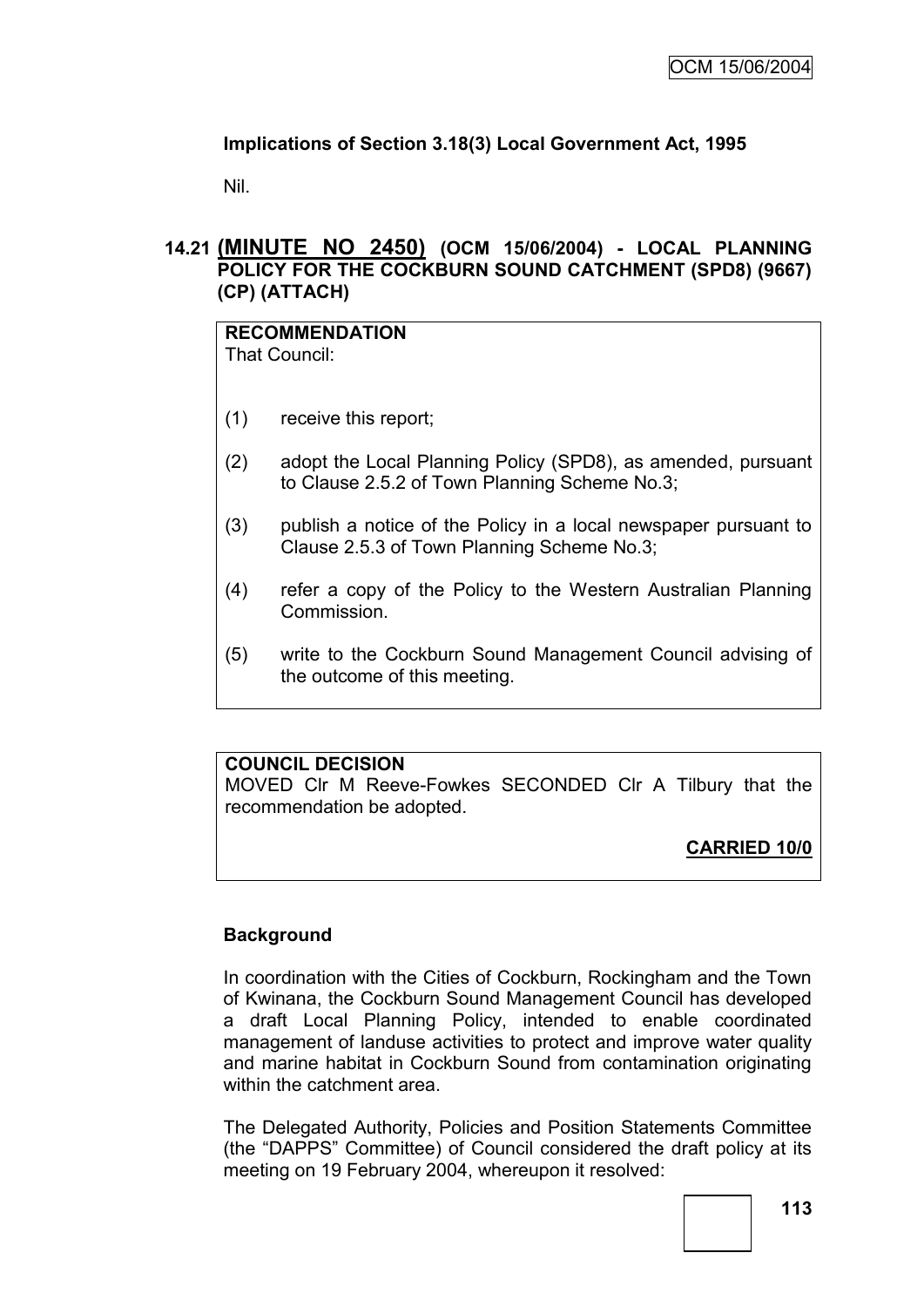# **Implications of Section 3.18(3) Local Government Act, 1995**

Nil.

# **14.21 (MINUTE NO 2450) (OCM 15/06/2004) - LOCAL PLANNING POLICY FOR THE COCKBURN SOUND CATCHMENT (SPD8) (9667) (CP) (ATTACH)**

#### **RECOMMENDATION** That Council:

- (1) receive this report;
- (2) adopt the Local Planning Policy (SPD8), as amended, pursuant to Clause 2.5.2 of Town Planning Scheme No.3;
- (3) publish a notice of the Policy in a local newspaper pursuant to Clause 2.5.3 of Town Planning Scheme No.3;
- (4) refer a copy of the Policy to the Western Australian Planning Commission.
- (5) write to the Cockburn Sound Management Council advising of the outcome of this meeting.

# **COUNCIL DECISION**

MOVED Clr M Reeve-Fowkes SECONDED Clr A Tilbury that the recommendation be adopted.

# **CARRIED 10/0**

# **Background**

In coordination with the Cities of Cockburn, Rockingham and the Town of Kwinana, the Cockburn Sound Management Council has developed a draft Local Planning Policy, intended to enable coordinated management of landuse activities to protect and improve water quality and marine habitat in Cockburn Sound from contamination originating within the catchment area.

The Delegated Authority, Policies and Position Statements Committee (the "DAPPS" Committee) of Council considered the draft policy at its meeting on 19 February 2004, whereupon it resolved: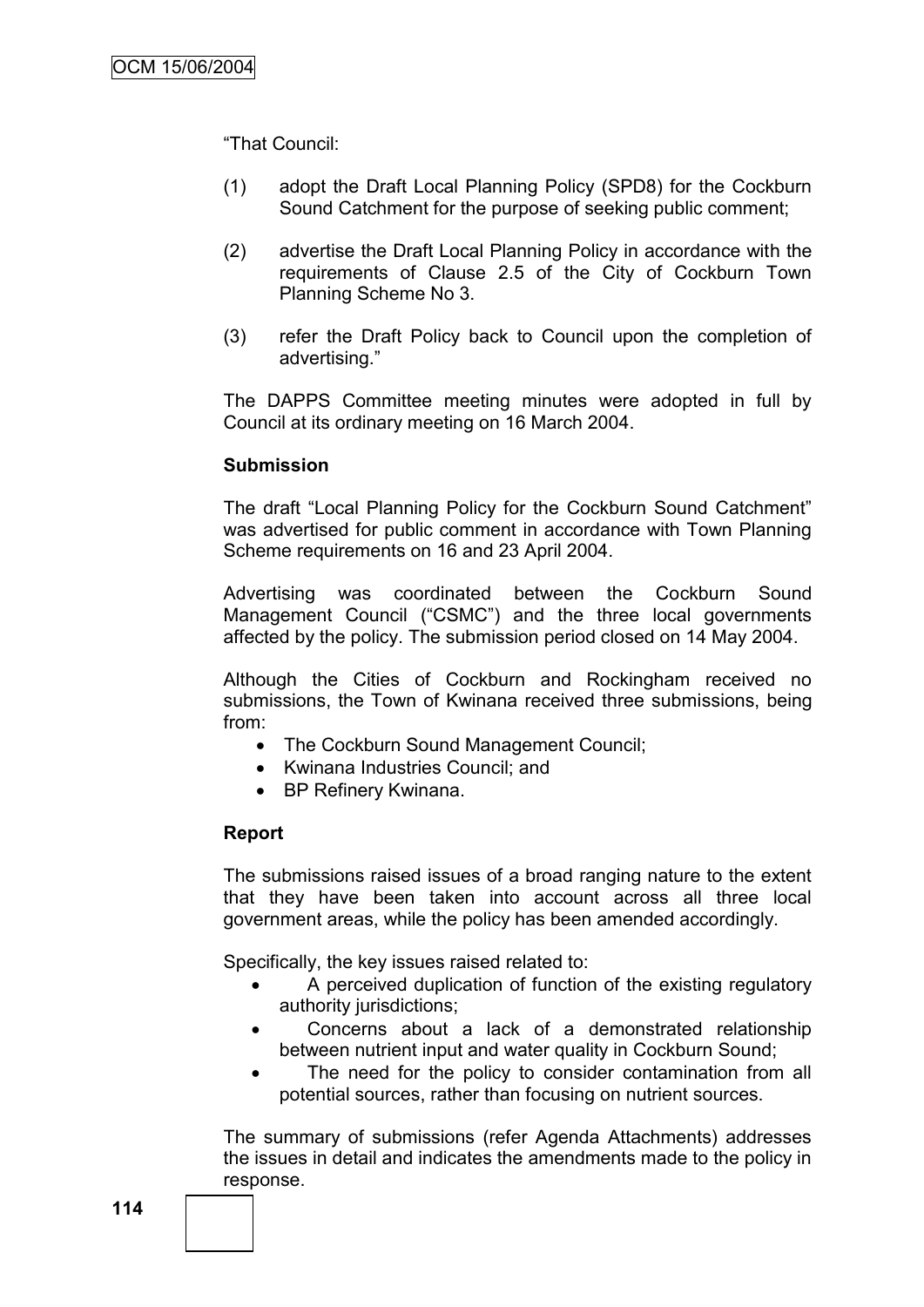"That Council:

- (1) adopt the Draft Local Planning Policy (SPD8) for the Cockburn Sound Catchment for the purpose of seeking public comment;
- (2) advertise the Draft Local Planning Policy in accordance with the requirements of Clause 2.5 of the City of Cockburn Town Planning Scheme No 3.
- (3) refer the Draft Policy back to Council upon the completion of advertising."

The DAPPS Committee meeting minutes were adopted in full by Council at its ordinary meeting on 16 March 2004.

#### **Submission**

The draft "Local Planning Policy for the Cockburn Sound Catchment" was advertised for public comment in accordance with Town Planning Scheme requirements on 16 and 23 April 2004.

Advertising was coordinated between the Cockburn Sound Management Council ("CSMC") and the three local governments affected by the policy. The submission period closed on 14 May 2004.

Although the Cities of Cockburn and Rockingham received no submissions, the Town of Kwinana received three submissions, being from:

- The Cockburn Sound Management Council;
- Kwinana Industries Council: and
- BP Refinery Kwinana.

#### **Report**

The submissions raised issues of a broad ranging nature to the extent that they have been taken into account across all three local government areas, while the policy has been amended accordingly.

Specifically, the key issues raised related to:

- A perceived duplication of function of the existing regulatory authority jurisdictions;
- Concerns about a lack of a demonstrated relationship between nutrient input and water quality in Cockburn Sound;
- The need for the policy to consider contamination from all potential sources, rather than focusing on nutrient sources.

The summary of submissions (refer Agenda Attachments) addresses the issues in detail and indicates the amendments made to the policy in response.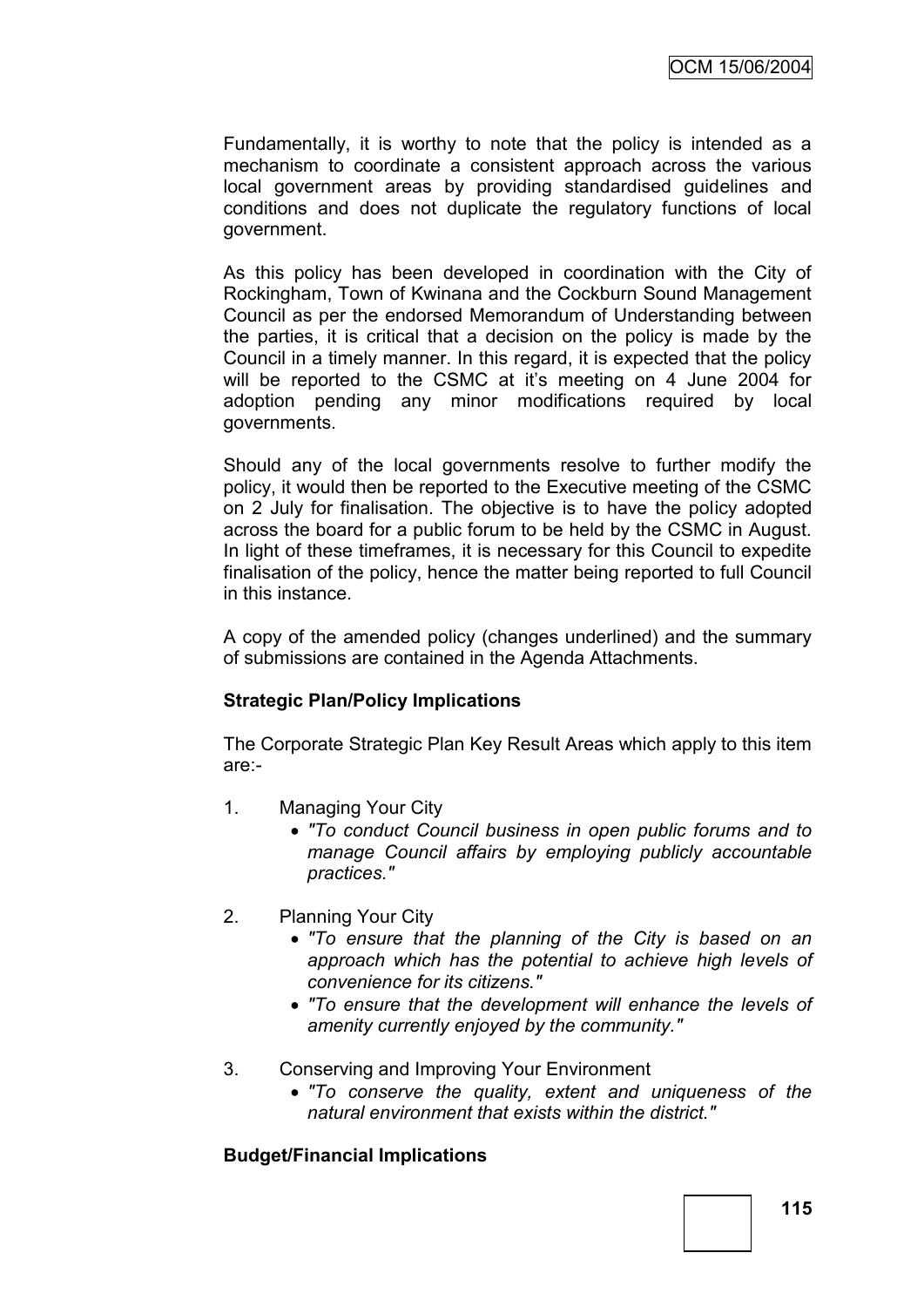Fundamentally, it is worthy to note that the policy is intended as a mechanism to coordinate a consistent approach across the various local government areas by providing standardised guidelines and conditions and does not duplicate the regulatory functions of local government.

As this policy has been developed in coordination with the City of Rockingham, Town of Kwinana and the Cockburn Sound Management Council as per the endorsed Memorandum of Understanding between the parties, it is critical that a decision on the policy is made by the Council in a timely manner. In this regard, it is expected that the policy will be reported to the CSMC at it's meeting on 4 June 2004 for adoption pending any minor modifications required by local governments.

Should any of the local governments resolve to further modify the policy, it would then be reported to the Executive meeting of the CSMC on 2 July for finalisation. The objective is to have the policy adopted across the board for a public forum to be held by the CSMC in August. In light of these timeframes, it is necessary for this Council to expedite finalisation of the policy, hence the matter being reported to full Council in this instance.

A copy of the amended policy (changes underlined) and the summary of submissions are contained in the Agenda Attachments.

# **Strategic Plan/Policy Implications**

The Corporate Strategic Plan Key Result Areas which apply to this item are:-

- 1. Managing Your City
	- *"To conduct Council business in open public forums and to manage Council affairs by employing publicly accountable practices."*
- 2. Planning Your City
	- *"To ensure that the planning of the City is based on an approach which has the potential to achieve high levels of convenience for its citizens."*
	- *"To ensure that the development will enhance the levels of amenity currently enjoyed by the community."*
- 3. Conserving and Improving Your Environment
	- *"To conserve the quality, extent and uniqueness of the natural environment that exists within the district."*

# **Budget/Financial Implications**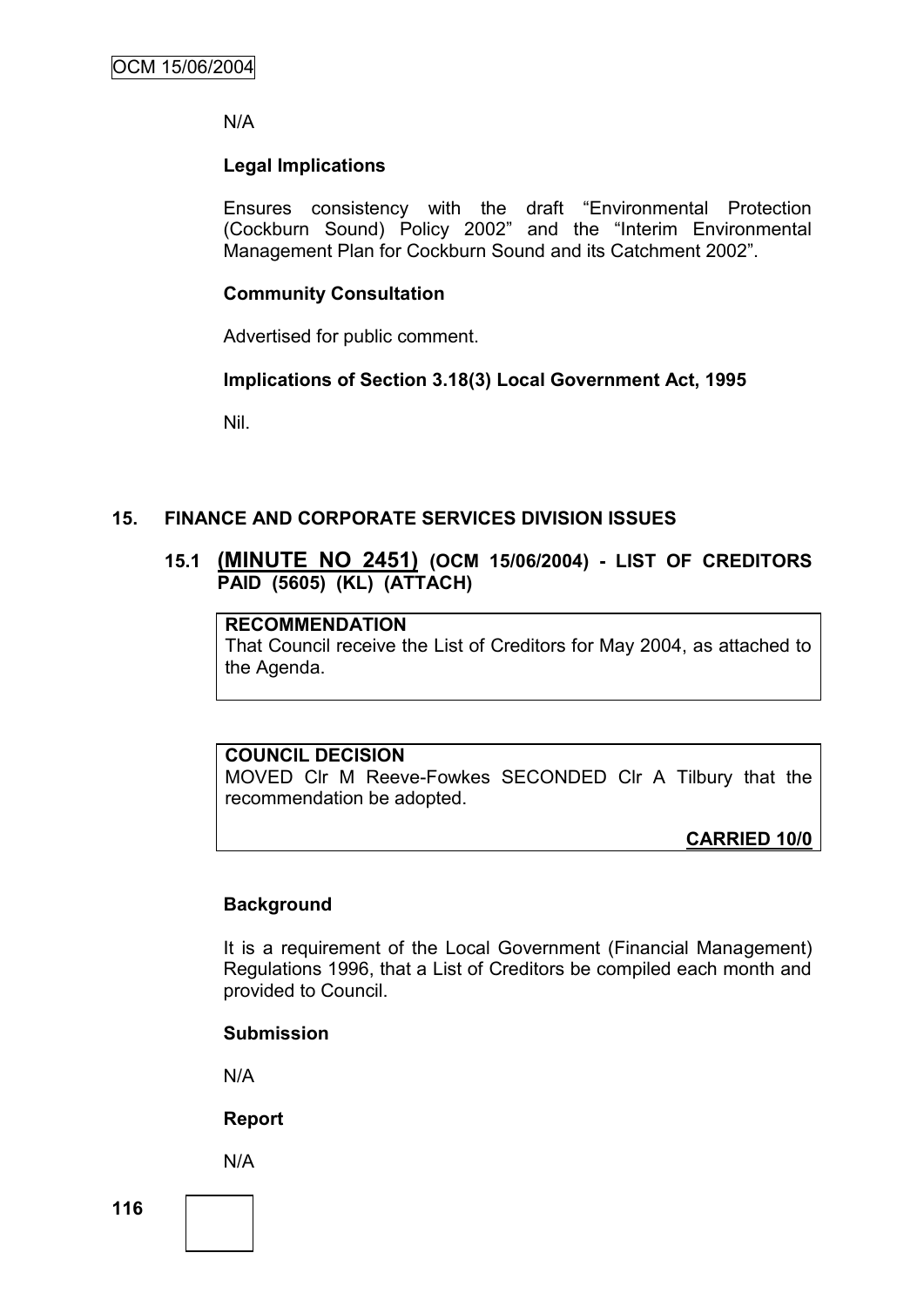N/A

# **Legal Implications**

Ensures consistency with the draft "Environmental Protection (Cockburn Sound) Policy 2002" and the "Interim Environmental Management Plan for Cockburn Sound and its Catchment 2002".

# **Community Consultation**

Advertised for public comment.

# **Implications of Section 3.18(3) Local Government Act, 1995**

Nil.

# **15. FINANCE AND CORPORATE SERVICES DIVISION ISSUES**

# **15.1 (MINUTE NO 2451) (OCM 15/06/2004) - LIST OF CREDITORS PAID (5605) (KL) (ATTACH)**

# **RECOMMENDATION**

That Council receive the List of Creditors for May 2004, as attached to the Agenda.

# **COUNCIL DECISION**

MOVED Clr M Reeve-Fowkes SECONDED Clr A Tilbury that the recommendation be adopted.

**CARRIED 10/0**

# **Background**

It is a requirement of the Local Government (Financial Management) Regulations 1996, that a List of Creditors be compiled each month and provided to Council.

# **Submission**

N/A

# **Report**

N/A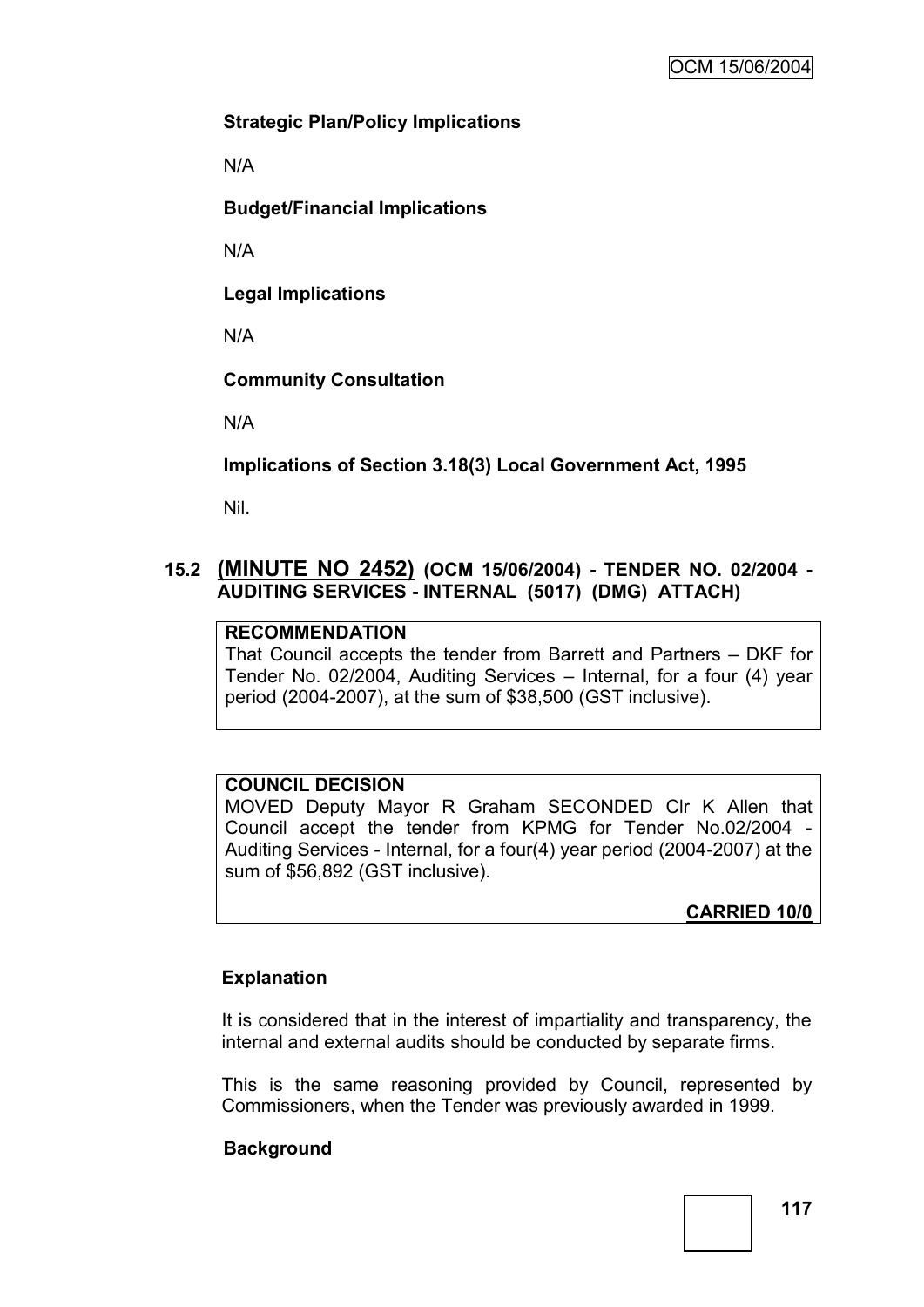# **Strategic Plan/Policy Implications**

N/A

**Budget/Financial Implications**

N/A

**Legal Implications**

N/A

**Community Consultation**

N/A

**Implications of Section 3.18(3) Local Government Act, 1995**

Nil.

# **15.2 (MINUTE NO 2452) (OCM 15/06/2004) - TENDER NO. 02/2004 - AUDITING SERVICES - INTERNAL (5017) (DMG) ATTACH)**

# **RECOMMENDATION**

That Council accepts the tender from Barrett and Partners – DKF for Tender No. 02/2004, Auditing Services – Internal, for a four (4) year period (2004-2007), at the sum of \$38,500 (GST inclusive).

# **COUNCIL DECISION**

MOVED Deputy Mayor R Graham SECONDED Clr K Allen that Council accept the tender from KPMG for Tender No.02/2004 - Auditing Services - Internal, for a four(4) year period (2004-2007) at the sum of \$56,892 (GST inclusive).

**CARRIED 10/0**

# **Explanation**

It is considered that in the interest of impartiality and transparency, the internal and external audits should be conducted by separate firms.

This is the same reasoning provided by Council, represented by Commissioners, when the Tender was previously awarded in 1999.

# **Background**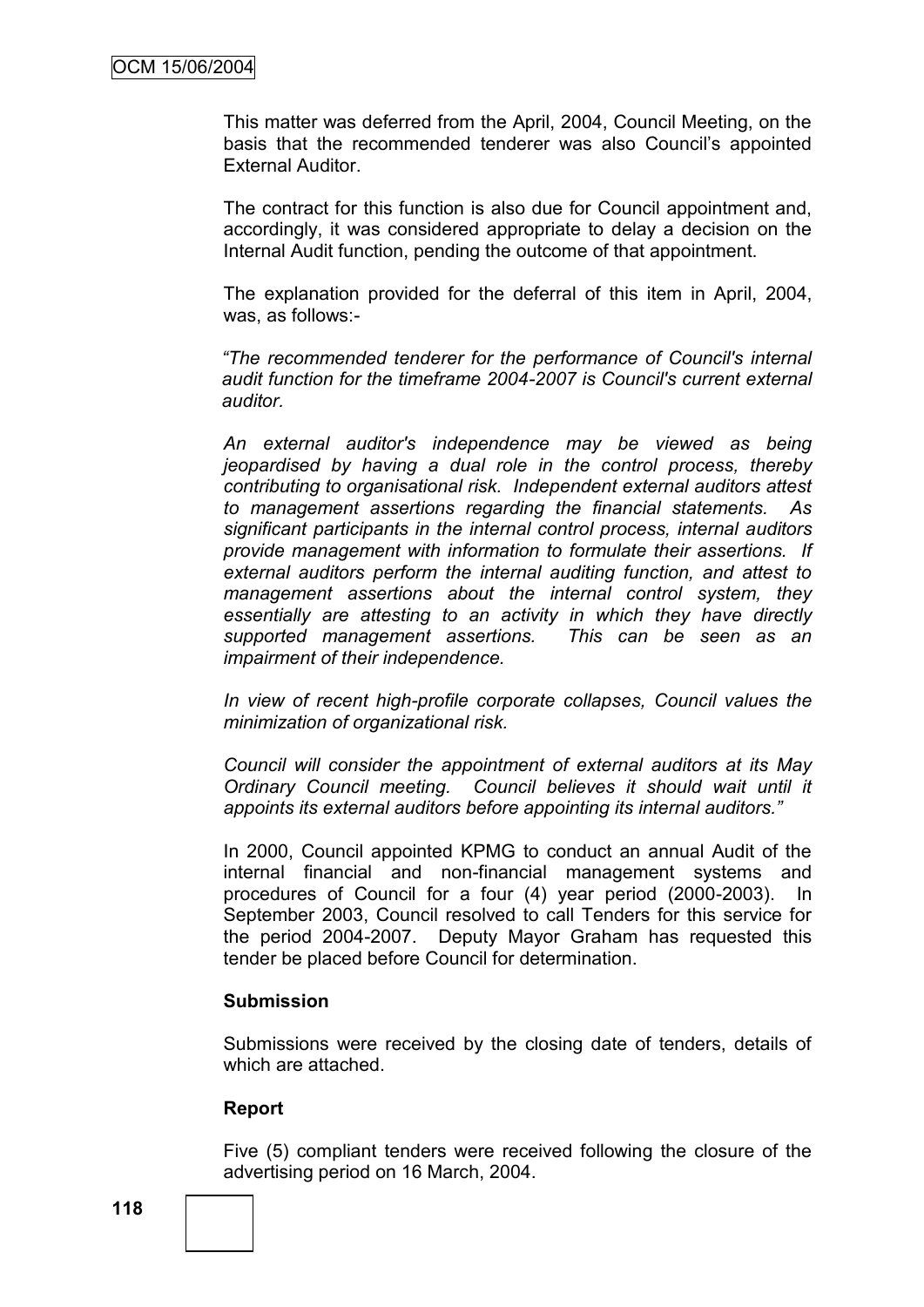This matter was deferred from the April, 2004, Council Meeting, on the basis that the recommended tenderer was also Council"s appointed External Auditor.

The contract for this function is also due for Council appointment and, accordingly, it was considered appropriate to delay a decision on the Internal Audit function, pending the outcome of that appointment.

The explanation provided for the deferral of this item in April, 2004, was, as follows:-

*"The recommended tenderer for the performance of Council's internal audit function for the timeframe 2004-2007 is Council's current external auditor.*

*An external auditor's independence may be viewed as being jeopardised by having a dual role in the control process, thereby contributing to organisational risk. Independent external auditors attest to management assertions regarding the financial statements. As significant participants in the internal control process, internal auditors provide management with information to formulate their assertions. If external auditors perform the internal auditing function, and attest to management assertions about the internal control system, they essentially are attesting to an activity in which they have directly supported management assertions. This can be seen as an impairment of their independence.*

*In view of recent high-profile corporate collapses, Council values the minimization of organizational risk.*

*Council will consider the appointment of external auditors at its May Ordinary Council meeting. Council believes it should wait until it appoints its external auditors before appointing its internal auditors."*

In 2000, Council appointed KPMG to conduct an annual Audit of the internal financial and non-financial management systems and procedures of Council for a four (4) year period (2000-2003). In September 2003, Council resolved to call Tenders for this service for the period 2004-2007. Deputy Mayor Graham has requested this tender be placed before Council for determination.

#### **Submission**

Submissions were received by the closing date of tenders, details of which are attached.

#### **Report**

Five (5) compliant tenders were received following the closure of the advertising period on 16 March, 2004.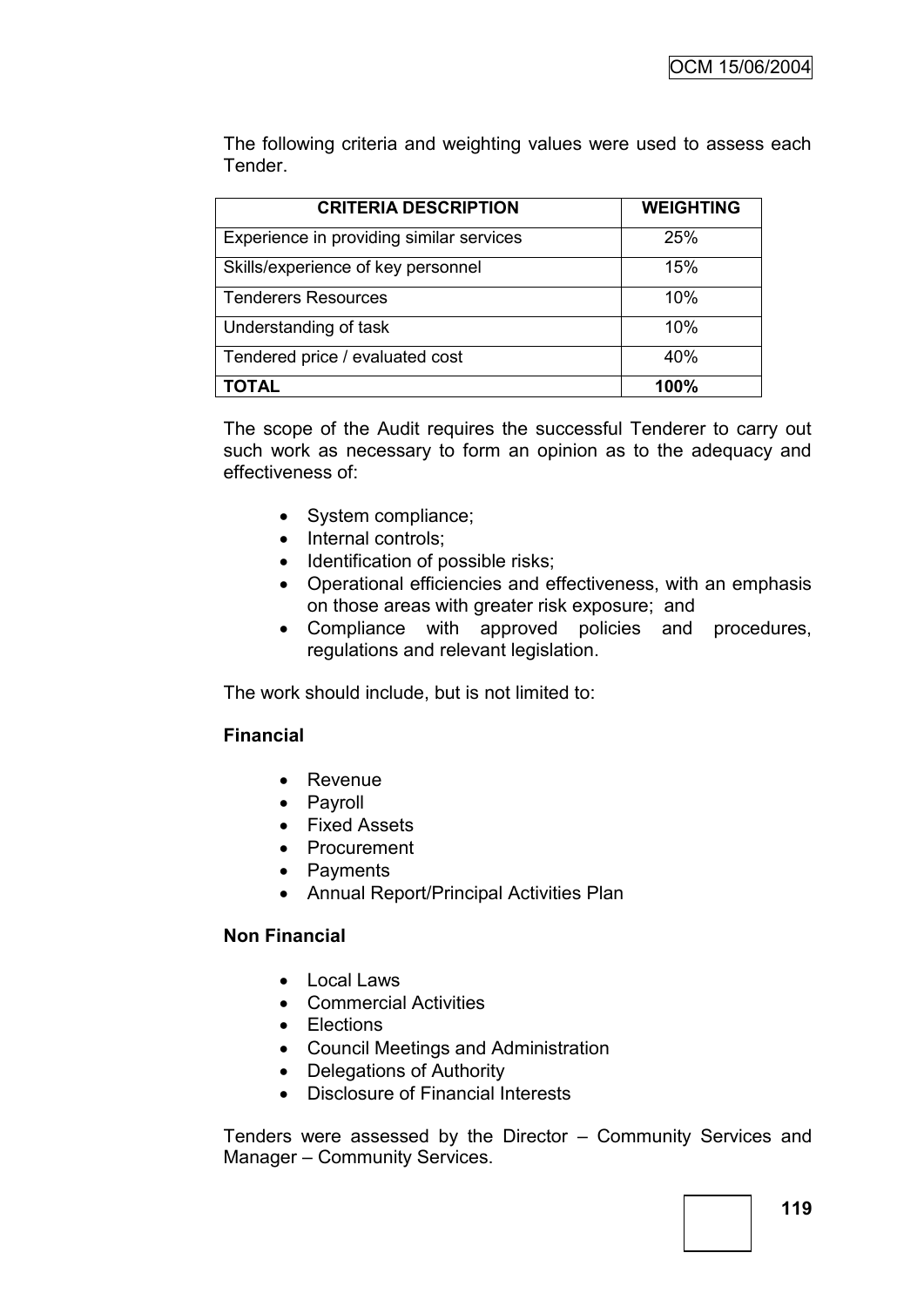The following criteria and weighting values were used to assess each Tender.

| <b>CRITERIA DESCRIPTION</b>              | <b>WEIGHTING</b> |
|------------------------------------------|------------------|
| Experience in providing similar services | 25%              |
| Skills/experience of key personnel       | 15%              |
| <b>Tenderers Resources</b>               | 10%              |
| Understanding of task                    | 10%              |
| Tendered price / evaluated cost          | 40%              |
|                                          | 100%             |

The scope of the Audit requires the successful Tenderer to carry out such work as necessary to form an opinion as to the adequacy and effectiveness of:

- System compliance;
- Internal controls;
- Identification of possible risks;
- Operational efficiencies and effectiveness, with an emphasis on those areas with greater risk exposure; and
- Compliance with approved policies and procedures, regulations and relevant legislation.

The work should include, but is not limited to:

# **Financial**

- Revenue
- Payroll
- Fixed Assets
- Procurement
- Payments
- Annual Report/Principal Activities Plan

# **Non Financial**

- Local Laws
- Commercial Activities
- Elections
- Council Meetings and Administration
- Delegations of Authority
- Disclosure of Financial Interests

Tenders were assessed by the Director – Community Services and Manager – Community Services.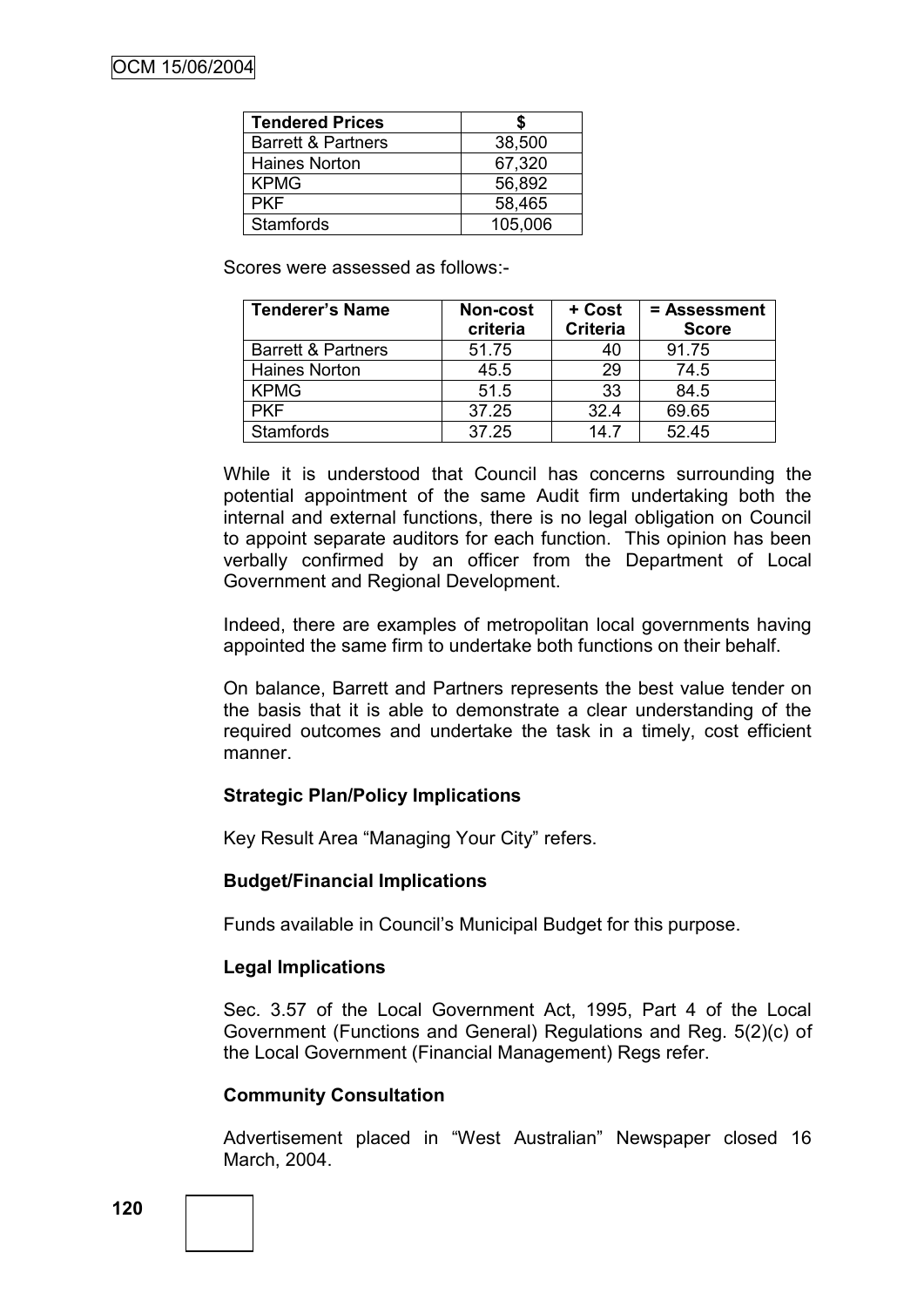| <b>Tendered Prices</b>        |         |
|-------------------------------|---------|
| <b>Barrett &amp; Partners</b> | 38,500  |
| Haines Norton                 | 67,320  |
| <b>KPMG</b>                   | 56,892  |
| <b>PKF</b>                    | 58,465  |
| <b>Stamfords</b>              | 105,006 |

Scores were assessed as follows:-

| <b>Tenderer's Name</b>        | Non-cost<br>criteria | + Cost<br><b>Criteria</b> | = Assessment<br><b>Score</b> |
|-------------------------------|----------------------|---------------------------|------------------------------|
| <b>Barrett &amp; Partners</b> | 51.75                | 40                        | 91.75                        |
| <b>Haines Norton</b>          | 45.5                 | 29                        | 74.5                         |
| <b>KPMG</b>                   | 51.5                 | 33                        | 84.5                         |
| <b>PKF</b>                    | 37.25                | 324                       | 69.65                        |
| <b>Stamfords</b>              | 37.25                | 147                       | 52.45                        |

While it is understood that Council has concerns surrounding the potential appointment of the same Audit firm undertaking both the internal and external functions, there is no legal obligation on Council to appoint separate auditors for each function. This opinion has been verbally confirmed by an officer from the Department of Local Government and Regional Development.

Indeed, there are examples of metropolitan local governments having appointed the same firm to undertake both functions on their behalf.

On balance, Barrett and Partners represents the best value tender on the basis that it is able to demonstrate a clear understanding of the required outcomes and undertake the task in a timely, cost efficient manner.

# **Strategic Plan/Policy Implications**

Key Result Area "Managing Your City" refers.

# **Budget/Financial Implications**

Funds available in Council"s Municipal Budget for this purpose.

# **Legal Implications**

Sec. 3.57 of the Local Government Act, 1995, Part 4 of the Local Government (Functions and General) Regulations and Reg. 5(2)(c) of the Local Government (Financial Management) Regs refer.

# **Community Consultation**

Advertisement placed in "West Australian" Newspaper closed 16 March, 2004.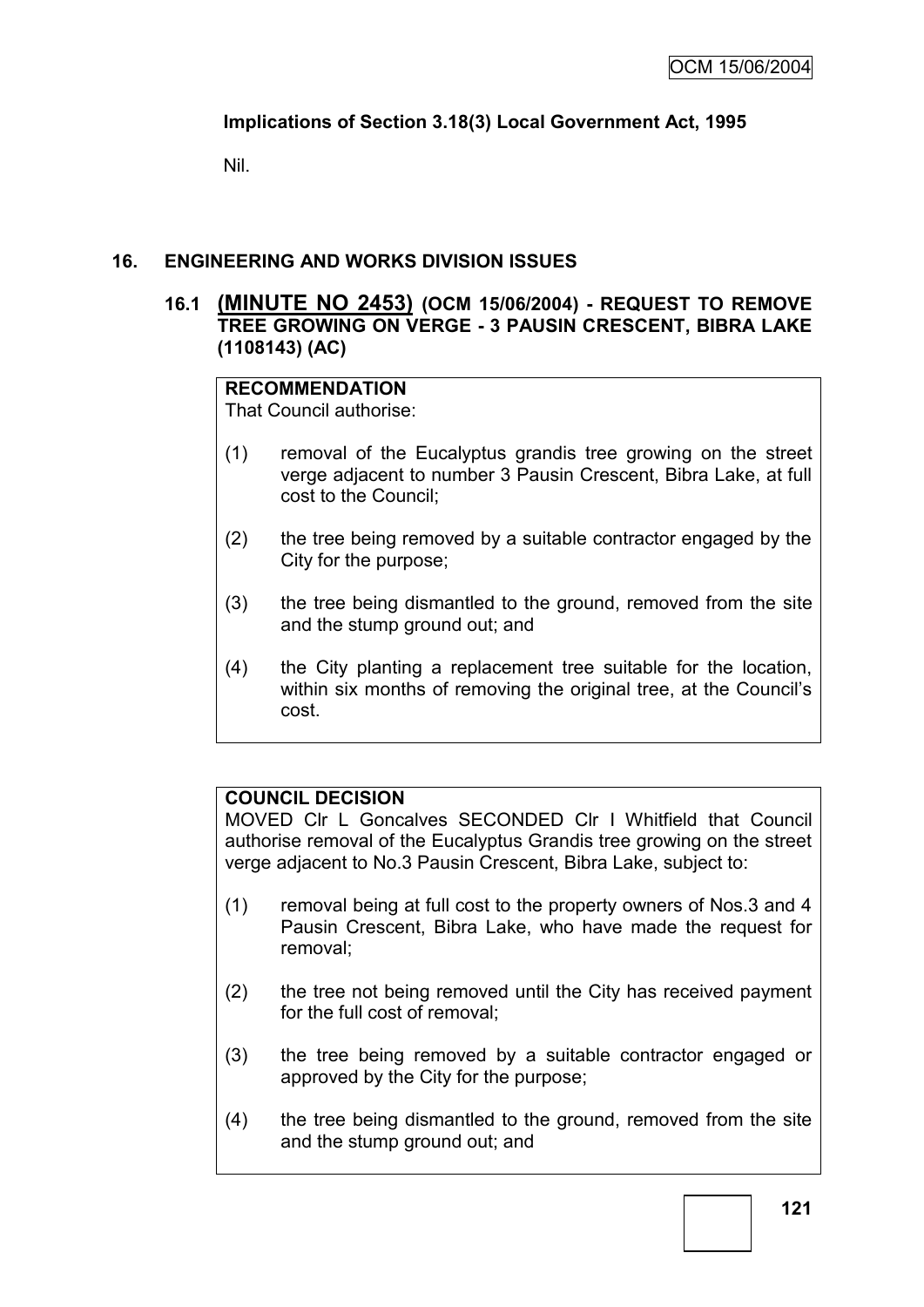# **Implications of Section 3.18(3) Local Government Act, 1995**

Nil.

# **16. ENGINEERING AND WORKS DIVISION ISSUES**

# **16.1 (MINUTE NO 2453) (OCM 15/06/2004) - REQUEST TO REMOVE TREE GROWING ON VERGE - 3 PAUSIN CRESCENT, BIBRA LAKE (1108143) (AC)**

# **RECOMMENDATION**

That Council authorise:

- (1) removal of the Eucalyptus grandis tree growing on the street verge adjacent to number 3 Pausin Crescent, Bibra Lake, at full cost to the Council;
- (2) the tree being removed by a suitable contractor engaged by the City for the purpose;
- (3) the tree being dismantled to the ground, removed from the site and the stump ground out; and
- (4) the City planting a replacement tree suitable for the location, within six months of removing the original tree, at the Council's cost.

# **COUNCIL DECISION**

MOVED Clr L Goncalves SECONDED Clr I Whitfield that Council authorise removal of the Eucalyptus Grandis tree growing on the street verge adjacent to No.3 Pausin Crescent, Bibra Lake, subject to:

- (1) removal being at full cost to the property owners of Nos.3 and 4 Pausin Crescent, Bibra Lake, who have made the request for removal;
- (2) the tree not being removed until the City has received payment for the full cost of removal;
- (3) the tree being removed by a suitable contractor engaged or approved by the City for the purpose;
- (4) the tree being dismantled to the ground, removed from the site and the stump ground out; and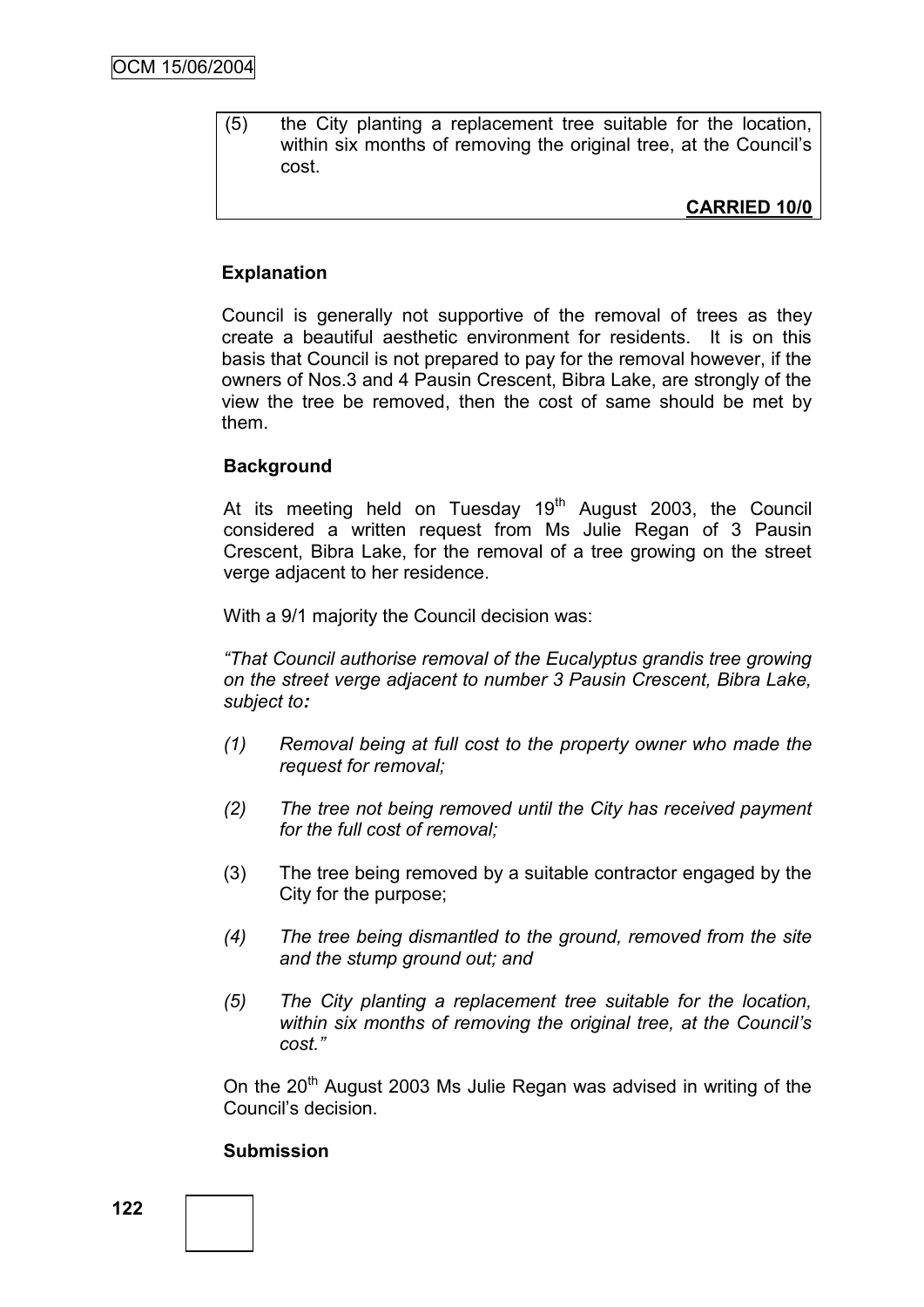(5) the City planting a replacement tree suitable for the location, within six months of removing the original tree, at the Council's cost.

**CARRIED 10/0**

# **Explanation**

Council is generally not supportive of the removal of trees as they create a beautiful aesthetic environment for residents. It is on this basis that Council is not prepared to pay for the removal however, if the owners of Nos.3 and 4 Pausin Crescent, Bibra Lake, are strongly of the view the tree be removed, then the cost of same should be met by them.

#### **Background**

At its meeting held on Tuesday  $19<sup>th</sup>$  August 2003, the Council considered a written request from Ms Julie Regan of 3 Pausin Crescent, Bibra Lake, for the removal of a tree growing on the street verge adjacent to her residence.

With a 9/1 majority the Council decision was:

*"That Council authorise removal of the Eucalyptus grandis tree growing on the street verge adjacent to number 3 Pausin Crescent, Bibra Lake, subject to:*

- *(1) Removal being at full cost to the property owner who made the request for removal;*
- *(2) The tree not being removed until the City has received payment for the full cost of removal;*
- (3) The tree being removed by a suitable contractor engaged by the City for the purpose;
- *(4) The tree being dismantled to the ground, removed from the site and the stump ground out; and*
- *(5) The City planting a replacement tree suitable for the location, within six months of removing the original tree, at the Council"s cost."*

On the 20<sup>th</sup> August 2003 Ms Julie Regan was advised in writing of the Council"s decision.

#### **Submission**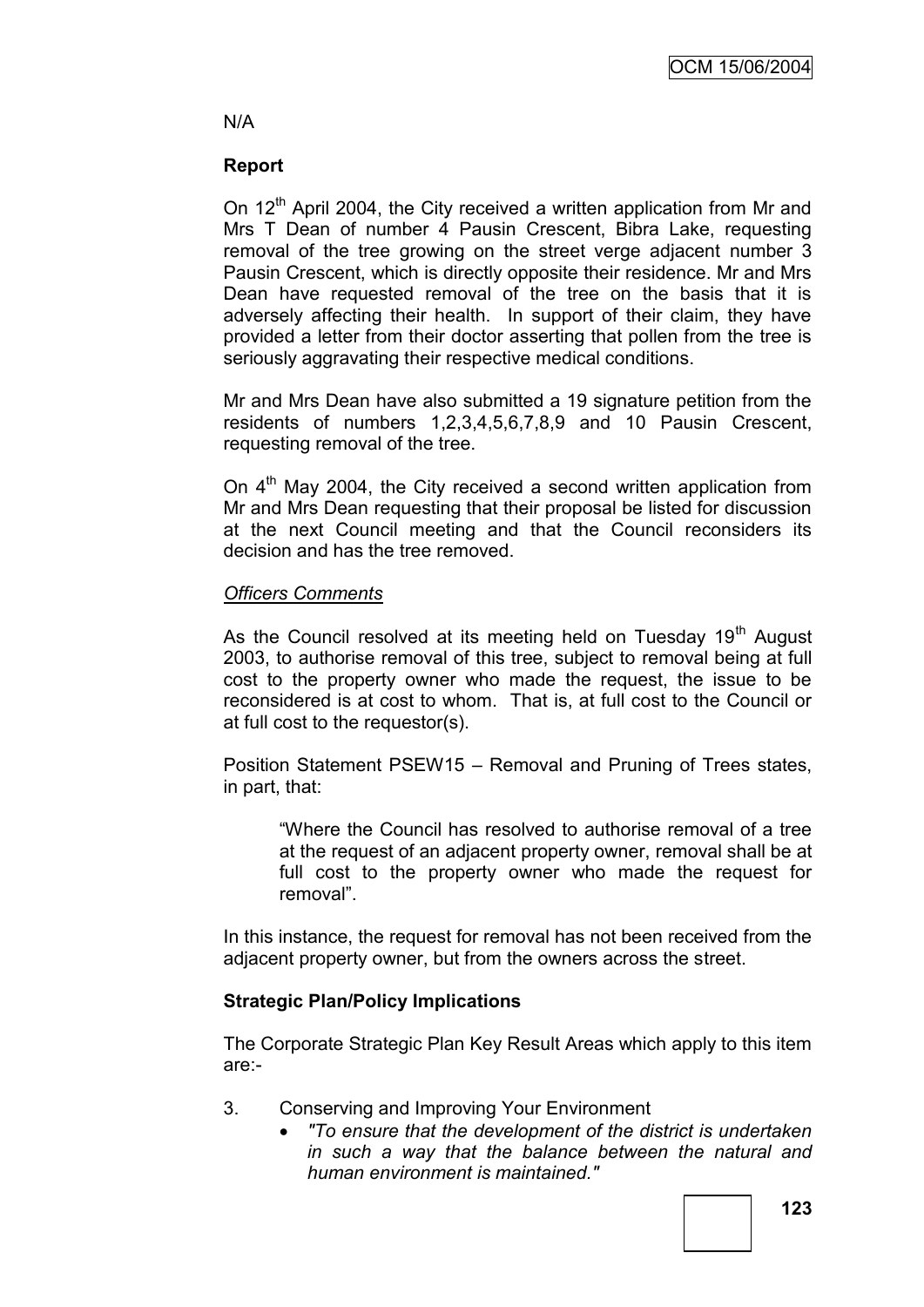# N/A

# **Report**

On 12<sup>th</sup> April 2004, the City received a written application from Mr and Mrs T Dean of number 4 Pausin Crescent, Bibra Lake, requesting removal of the tree growing on the street verge adjacent number 3 Pausin Crescent, which is directly opposite their residence. Mr and Mrs Dean have requested removal of the tree on the basis that it is adversely affecting their health. In support of their claim, they have provided a letter from their doctor asserting that pollen from the tree is seriously aggravating their respective medical conditions.

Mr and Mrs Dean have also submitted a 19 signature petition from the residents of numbers 1,2,3,4,5,6,7,8,9 and 10 Pausin Crescent, requesting removal of the tree.

On  $4<sup>th</sup>$  May 2004, the City received a second written application from Mr and Mrs Dean requesting that their proposal be listed for discussion at the next Council meeting and that the Council reconsiders its decision and has the tree removed.

# *Officers Comments*

As the Council resolved at its meeting held on Tuesday 19<sup>th</sup> August 2003, to authorise removal of this tree, subject to removal being at full cost to the property owner who made the request, the issue to be reconsidered is at cost to whom. That is, at full cost to the Council or at full cost to the requestor(s).

Position Statement PSEW15 – Removal and Pruning of Trees states, in part, that:

"Where the Council has resolved to authorise removal of a tree at the request of an adjacent property owner, removal shall be at full cost to the property owner who made the request for removal".

In this instance, the request for removal has not been received from the adjacent property owner, but from the owners across the street.

# **Strategic Plan/Policy Implications**

The Corporate Strategic Plan Key Result Areas which apply to this item are:-

- 3. Conserving and Improving Your Environment
	- *"To ensure that the development of the district is undertaken in such a way that the balance between the natural and human environment is maintained."*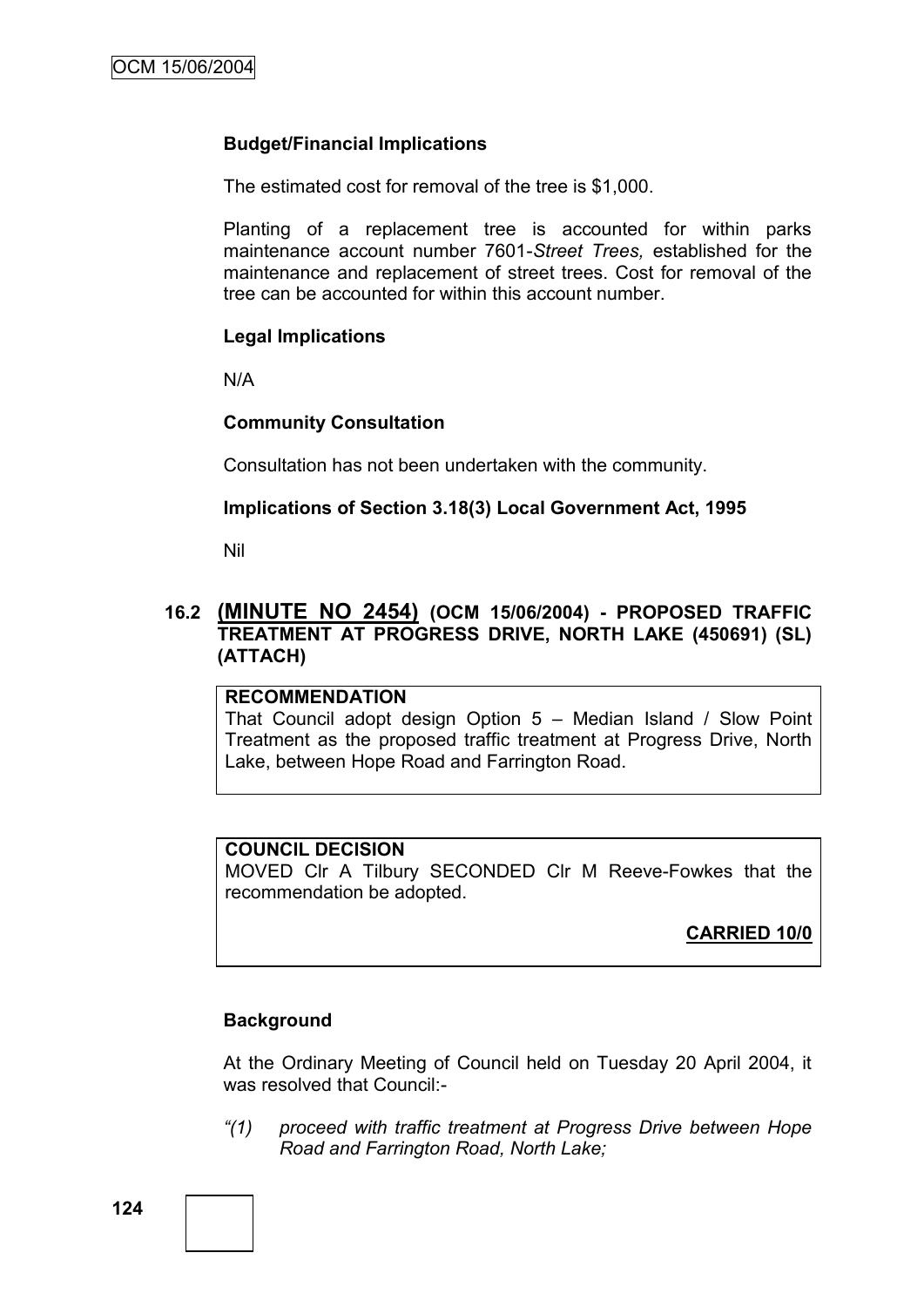#### **Budget/Financial Implications**

The estimated cost for removal of the tree is \$1,000.

Planting of a replacement tree is accounted for within parks maintenance account number 7601-*Street Trees,* established for the maintenance and replacement of street trees. Cost for removal of the tree can be accounted for within this account number.

#### **Legal Implications**

N/A

#### **Community Consultation**

Consultation has not been undertaken with the community.

# **Implications of Section 3.18(3) Local Government Act, 1995**

Nil

# **16.2 (MINUTE NO 2454) (OCM 15/06/2004) - PROPOSED TRAFFIC TREATMENT AT PROGRESS DRIVE, NORTH LAKE (450691) (SL) (ATTACH)**

#### **RECOMMENDATION**

That Council adopt design Option 5 – Median Island / Slow Point Treatment as the proposed traffic treatment at Progress Drive, North Lake, between Hope Road and Farrington Road.

#### **COUNCIL DECISION**

MOVED Clr A Tilbury SECONDED Clr M Reeve-Fowkes that the recommendation be adopted.

**CARRIED 10/0**

#### **Background**

At the Ordinary Meeting of Council held on Tuesday 20 April 2004, it was resolved that Council:-

*"(1) proceed with traffic treatment at Progress Drive between Hope Road and Farrington Road, North Lake;*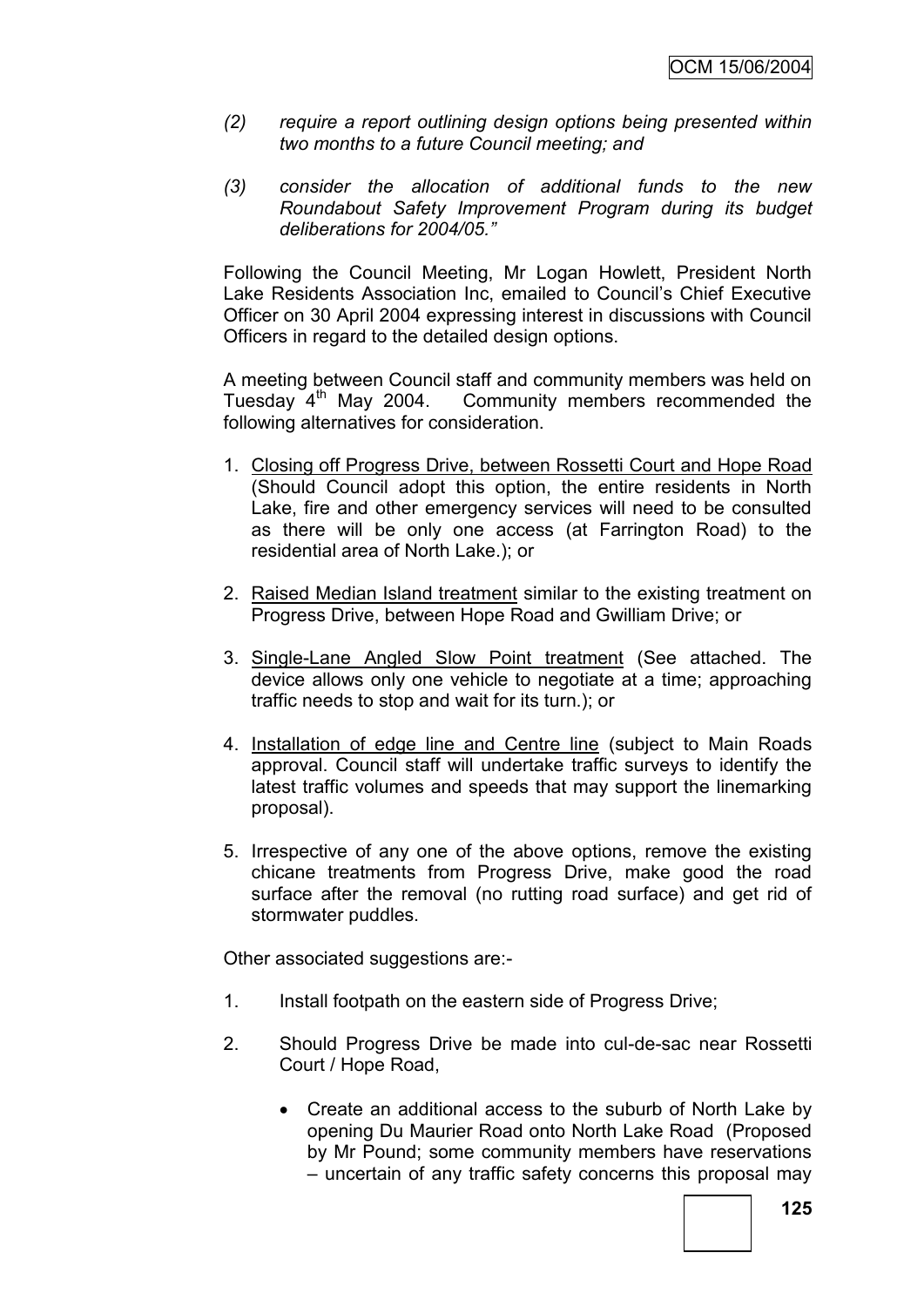- *(2) require a report outlining design options being presented within two months to a future Council meeting; and*
- *(3) consider the allocation of additional funds to the new Roundabout Safety Improvement Program during its budget deliberations for 2004/05."*

Following the Council Meeting, Mr Logan Howlett, President North Lake Residents Association Inc, emailed to Council"s Chief Executive Officer on 30 April 2004 expressing interest in discussions with Council Officers in regard to the detailed design options.

A meeting between Council staff and community members was held on Tuesday 4th May 2004. Community members recommended the following alternatives for consideration.

- 1. Closing off Progress Drive, between Rossetti Court and Hope Road (Should Council adopt this option, the entire residents in North Lake, fire and other emergency services will need to be consulted as there will be only one access (at Farrington Road) to the residential area of North Lake.); or
- 2. Raised Median Island treatment similar to the existing treatment on Progress Drive, between Hope Road and Gwilliam Drive; or
- 3. Single-Lane Angled Slow Point treatment (See attached. The device allows only one vehicle to negotiate at a time; approaching traffic needs to stop and wait for its turn.); or
- 4. Installation of edge line and Centre line (subject to Main Roads approval. Council staff will undertake traffic surveys to identify the latest traffic volumes and speeds that may support the linemarking proposal).
- 5. Irrespective of any one of the above options, remove the existing chicane treatments from Progress Drive, make good the road surface after the removal (no rutting road surface) and get rid of stormwater puddles.

Other associated suggestions are:-

- 1. Install footpath on the eastern side of Progress Drive;
- 2. Should Progress Drive be made into cul-de-sac near Rossetti Court / Hope Road,
	- Create an additional access to the suburb of North Lake by opening Du Maurier Road onto North Lake Road (Proposed by Mr Pound; some community members have reservations – uncertain of any traffic safety concerns this proposal may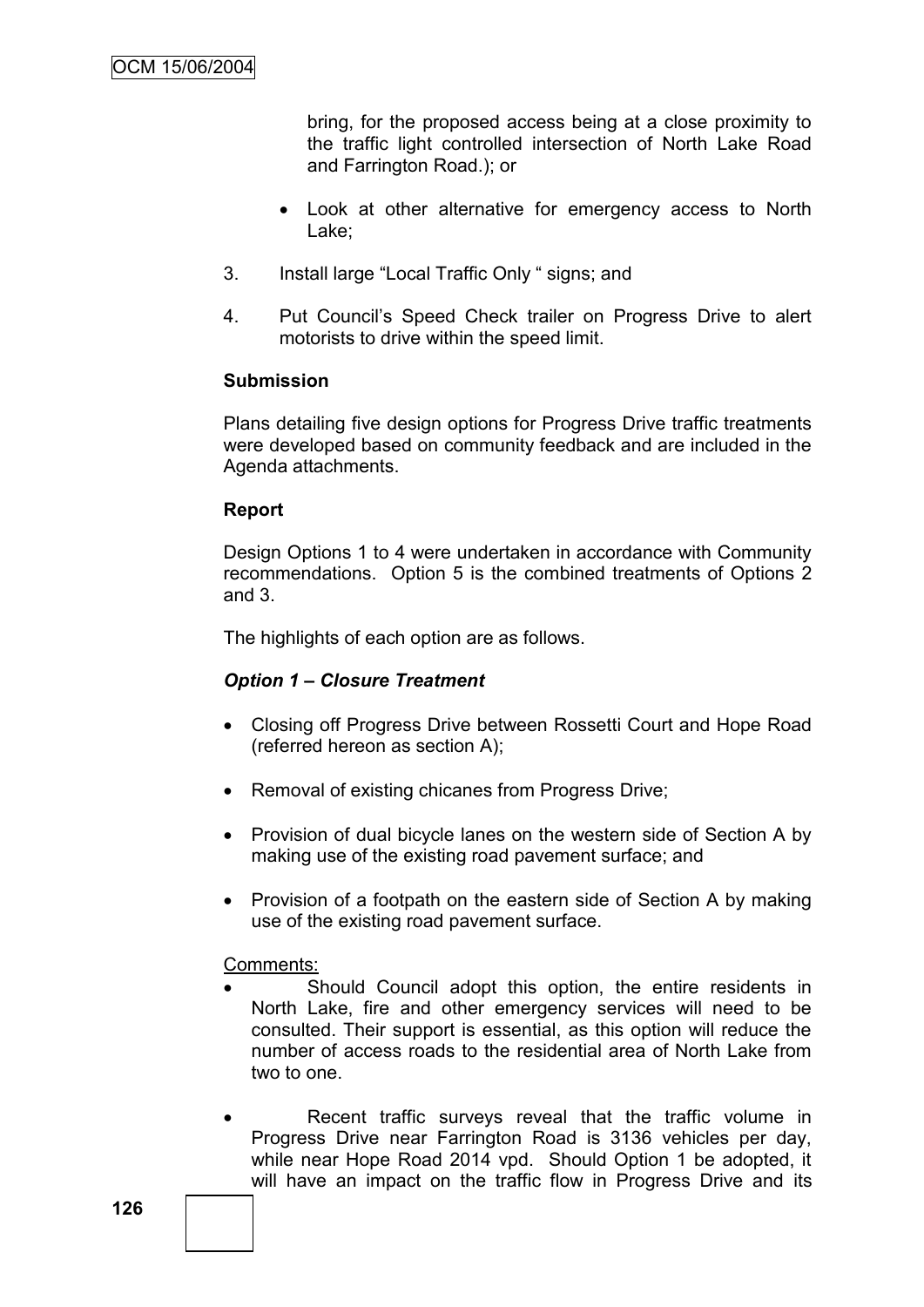bring, for the proposed access being at a close proximity to the traffic light controlled intersection of North Lake Road and Farrington Road.); or

- Look at other alternative for emergency access to North Lake;
- 3. Install large "Local Traffic Only " signs; and
- 4. Put Council"s Speed Check trailer on Progress Drive to alert motorists to drive within the speed limit.

# **Submission**

Plans detailing five design options for Progress Drive traffic treatments were developed based on community feedback and are included in the Agenda attachments.

# **Report**

Design Options 1 to 4 were undertaken in accordance with Community recommendations. Option 5 is the combined treatments of Options 2 and 3.

The highlights of each option are as follows.

# *Option 1 – Closure Treatment*

- Closing off Progress Drive between Rossetti Court and Hope Road (referred hereon as section A);
- Removal of existing chicanes from Progress Drive;
- Provision of dual bicycle lanes on the western side of Section A by making use of the existing road pavement surface; and
- Provision of a footpath on the eastern side of Section A by making use of the existing road pavement surface.

# Comments:

- Should Council adopt this option, the entire residents in North Lake, fire and other emergency services will need to be consulted. Their support is essential, as this option will reduce the number of access roads to the residential area of North Lake from two to one.
- Recent traffic surveys reveal that the traffic volume in Progress Drive near Farrington Road is 3136 vehicles per day, while near Hope Road 2014 vpd. Should Option 1 be adopted, it will have an impact on the traffic flow in Progress Drive and its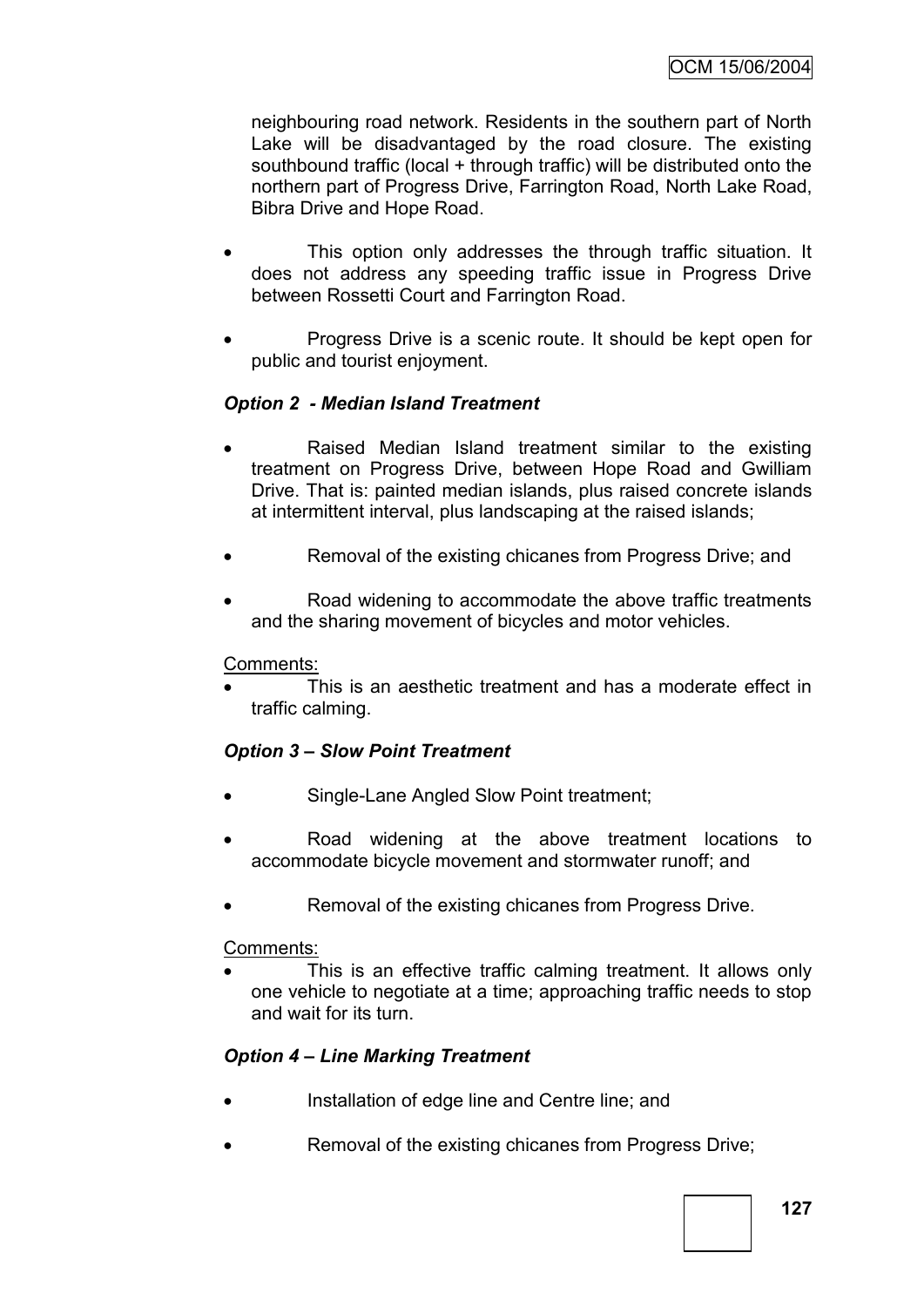neighbouring road network. Residents in the southern part of North Lake will be disadvantaged by the road closure. The existing southbound traffic (local + through traffic) will be distributed onto the northern part of Progress Drive, Farrington Road, North Lake Road, Bibra Drive and Hope Road.

- This option only addresses the through traffic situation. It does not address any speeding traffic issue in Progress Drive between Rossetti Court and Farrington Road.
- Progress Drive is a scenic route. It should be kept open for public and tourist enjoyment.

# *Option 2 - Median Island Treatment*

- Raised Median Island treatment similar to the existing treatment on Progress Drive, between Hope Road and Gwilliam Drive. That is: painted median islands, plus raised concrete islands at intermittent interval, plus landscaping at the raised islands;
- Removal of the existing chicanes from Progress Drive; and
- Road widening to accommodate the above traffic treatments and the sharing movement of bicycles and motor vehicles.

# Comments:

 This is an aesthetic treatment and has a moderate effect in traffic calming.

# *Option 3 – Slow Point Treatment*

- Single-Lane Angled Slow Point treatment;
- Road widening at the above treatment locations to accommodate bicycle movement and stormwater runoff; and
- Removal of the existing chicanes from Progress Drive.

# Comments:

 This is an effective traffic calming treatment. It allows only one vehicle to negotiate at a time; approaching traffic needs to stop and wait for its turn.

# *Option 4 – Line Marking Treatment*

- Installation of edge line and Centre line; and
- Removal of the existing chicanes from Progress Drive;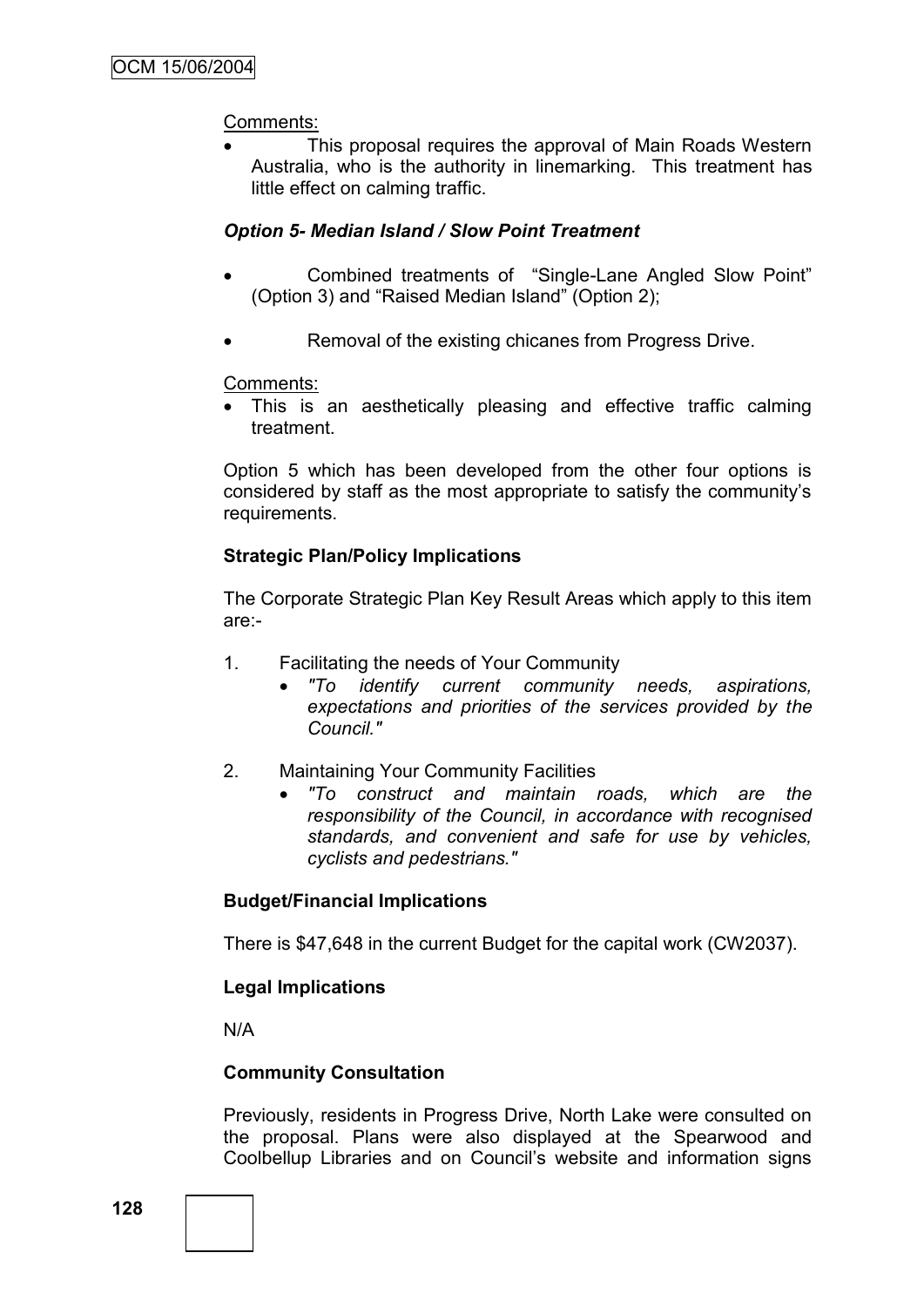# Comments:

 This proposal requires the approval of Main Roads Western Australia, who is the authority in linemarking. This treatment has little effect on calming traffic.

#### *Option 5- Median Island / Slow Point Treatment*

- Combined treatments of "Single-Lane Angled Slow Point" (Option 3) and "Raised Median Island" (Option 2);
- Removal of the existing chicanes from Progress Drive.

#### Comments:

 This is an aesthetically pleasing and effective traffic calming treatment.

Option 5 which has been developed from the other four options is considered by staff as the most appropriate to satisfy the community"s requirements.

# **Strategic Plan/Policy Implications**

The Corporate Strategic Plan Key Result Areas which apply to this item are:-

- 1. Facilitating the needs of Your Community
	- *"To identify current community needs, aspirations, expectations and priorities of the services provided by the Council."*
- 2. Maintaining Your Community Facilities
	- *"To construct and maintain roads, which are the responsibility of the Council, in accordance with recognised standards, and convenient and safe for use by vehicles, cyclists and pedestrians."*

# **Budget/Financial Implications**

There is \$47,648 in the current Budget for the capital work (CW2037).

# **Legal Implications**

N/A

# **Community Consultation**

Previously, residents in Progress Drive, North Lake were consulted on the proposal. Plans were also displayed at the Spearwood and Coolbellup Libraries and on Council"s website and information signs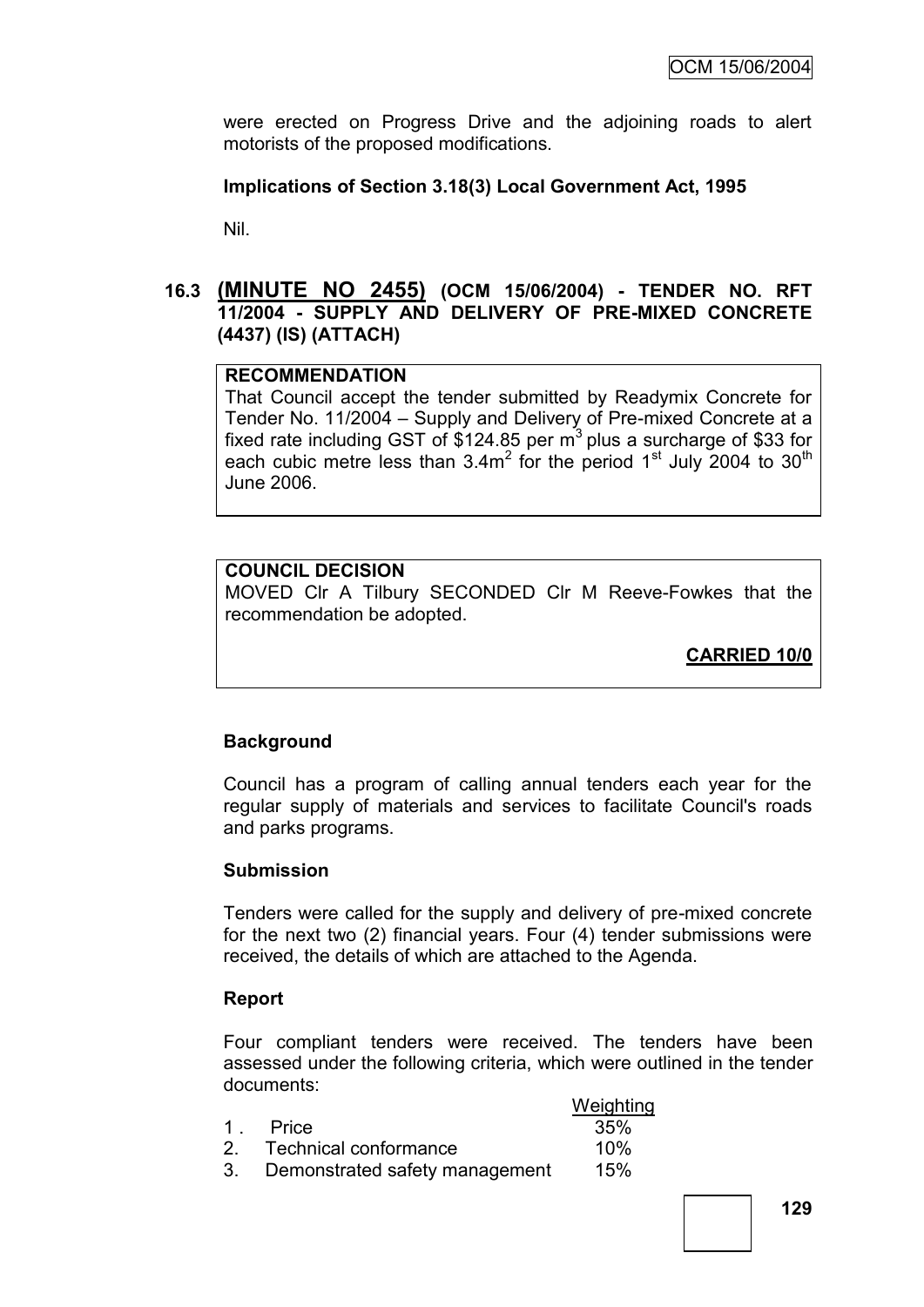were erected on Progress Drive and the adjoining roads to alert motorists of the proposed modifications.

# **Implications of Section 3.18(3) Local Government Act, 1995**

Nil.

# **16.3 (MINUTE NO 2455) (OCM 15/06/2004) - TENDER NO. RFT 11/2004 - SUPPLY AND DELIVERY OF PRE-MIXED CONCRETE (4437) (IS) (ATTACH)**

# **RECOMMENDATION**

That Council accept the tender submitted by Readymix Concrete for Tender No. 11/2004 – Supply and Delivery of Pre-mixed Concrete at a fixed rate including GST of \$124.85 per  $m<sup>3</sup>$  plus a surcharge of \$33 for each cubic metre less than  $3.4m^2$  for the period 1<sup>st</sup> July 2004 to 30<sup>th</sup> June 2006.

# **COUNCIL DECISION**

MOVED Clr A Tilbury SECONDED Clr M Reeve-Fowkes that the recommendation be adopted.

**CARRIED 10/0**

# **Background**

Council has a program of calling annual tenders each year for the regular supply of materials and services to facilitate Council's roads and parks programs.

# **Submission**

Tenders were called for the supply and delivery of pre-mixed concrete for the next two (2) financial years. Four (4) tender submissions were received, the details of which are attached to the Agenda.

# **Report**

Four compliant tenders were received. The tenders have been assessed under the following criteria, which were outlined in the tender documents:

|                                   | Weighting |
|-----------------------------------|-----------|
| 1 Price                           | 35%       |
| 2. Technical conformance          | 10%       |
| 3. Demonstrated safety management | 15%       |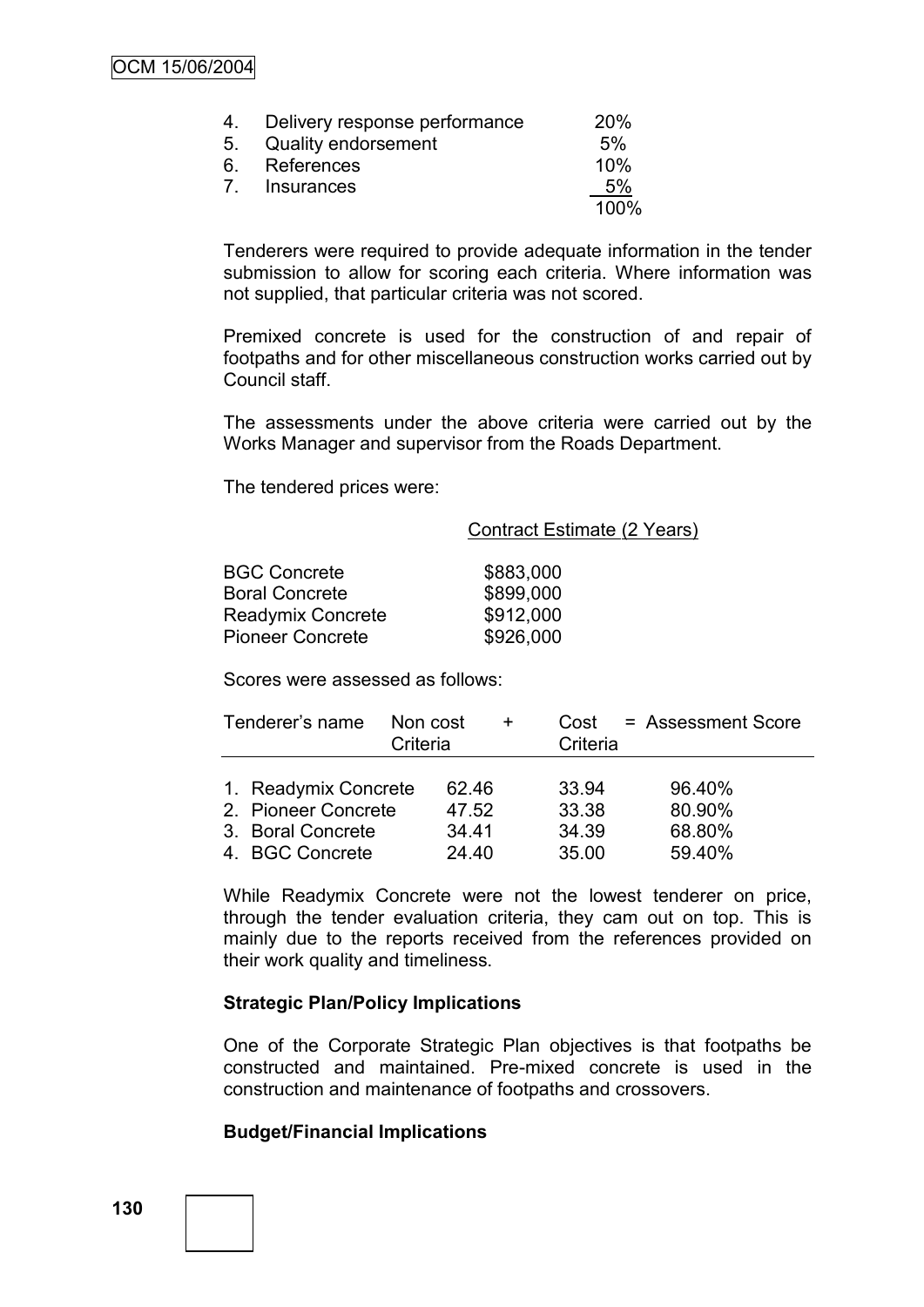| 4. Delivery response performance | <b>20%</b> |
|----------------------------------|------------|
| 5. Quality endorsement           | 5%         |
| 6. References                    | 10%        |
| 7. Insurances                    | 5%         |
|                                  | 100%       |

Tenderers were required to provide adequate information in the tender submission to allow for scoring each criteria. Where information was not supplied, that particular criteria was not scored.

Premixed concrete is used for the construction of and repair of footpaths and for other miscellaneous construction works carried out by Council staff.

The assessments under the above criteria were carried out by the Works Manager and supervisor from the Roads Department.

The tendered prices were:

Contract Estimate (2 Years)

| <b>BGC Concrete</b>      | \$883,000 |
|--------------------------|-----------|
| <b>Boral Concrete</b>    | \$899,000 |
| <b>Readymix Concrete</b> | \$912,000 |
| <b>Pioneer Concrete</b>  | \$926,000 |

Scores were assessed as follows:

| Tenderer's name      | Non cost<br>Criteria | Cost<br>$\ddot{}$<br>Criteria | = Assessment Score |
|----------------------|----------------------|-------------------------------|--------------------|
|                      |                      |                               |                    |
| 1. Readymix Concrete | 62.46                | 33.94                         | 96.40%             |
| 2. Pioneer Concrete  | 47.52                | 33.38                         | 80.90%             |
| 3. Boral Concrete    | 34.41                | 34.39                         | 68.80%             |
| 4. BGC Concrete      | 24.40                | 35.00                         | 59.40%             |

While Readymix Concrete were not the lowest tenderer on price, through the tender evaluation criteria, they cam out on top. This is mainly due to the reports received from the references provided on their work quality and timeliness.

#### **Strategic Plan/Policy Implications**

One of the Corporate Strategic Plan objectives is that footpaths be constructed and maintained. Pre-mixed concrete is used in the construction and maintenance of footpaths and crossovers.

# **Budget/Financial Implications**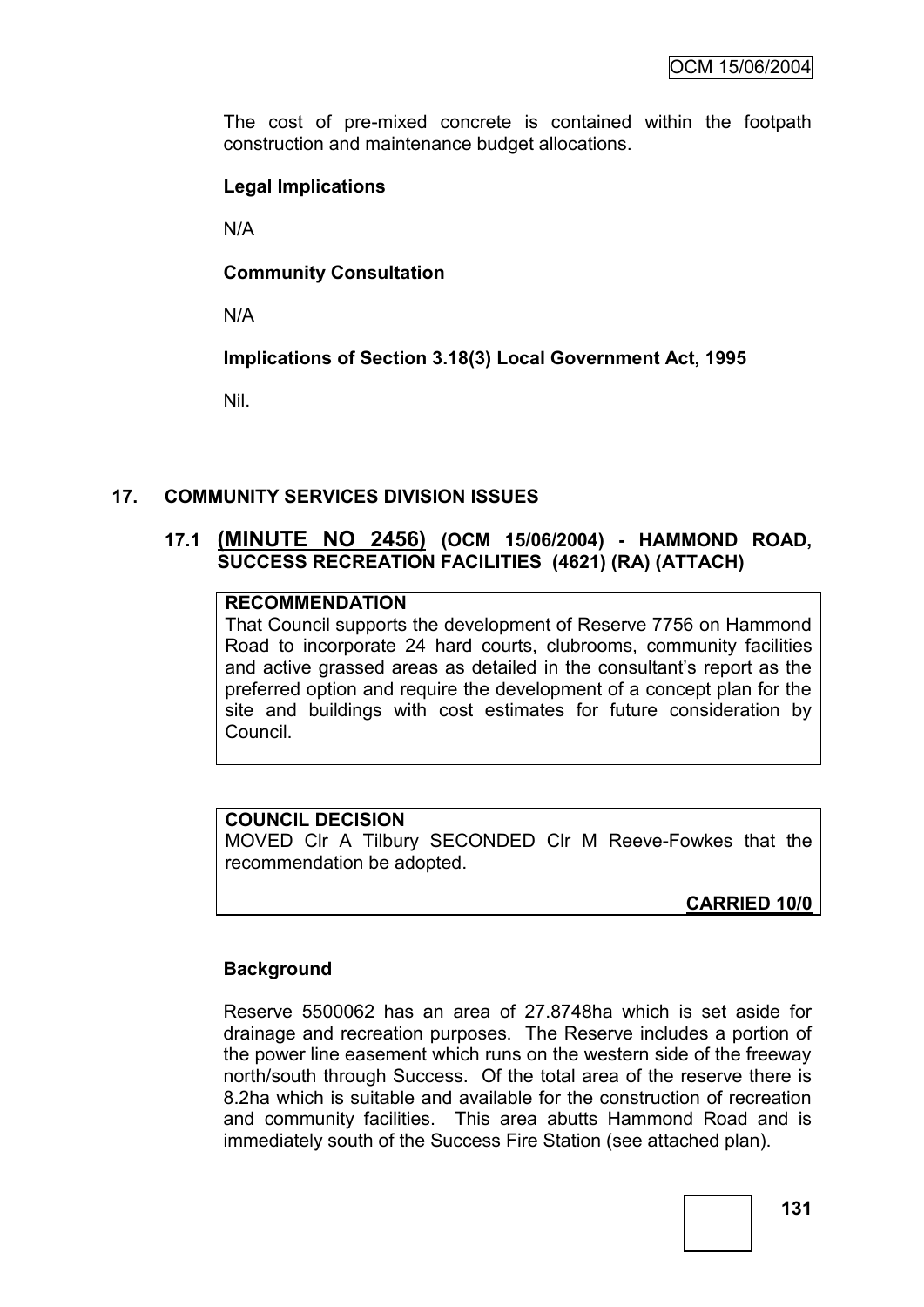The cost of pre-mixed concrete is contained within the footpath construction and maintenance budget allocations.

# **Legal Implications**

N/A

# **Community Consultation**

N/A

**Implications of Section 3.18(3) Local Government Act, 1995**

Nil.

# **17. COMMUNITY SERVICES DIVISION ISSUES**

# **17.1 (MINUTE NO 2456) (OCM 15/06/2004) - HAMMOND ROAD, SUCCESS RECREATION FACILITIES (4621) (RA) (ATTACH)**

# **RECOMMENDATION**

That Council supports the development of Reserve 7756 on Hammond Road to incorporate 24 hard courts, clubrooms, community facilities and active grassed areas as detailed in the consultant's report as the preferred option and require the development of a concept plan for the site and buildings with cost estimates for future consideration by Council.

# **COUNCIL DECISION**

MOVED Clr A Tilbury SECONDED Clr M Reeve-Fowkes that the recommendation be adopted.

**CARRIED 10/0**

# **Background**

Reserve 5500062 has an area of 27.8748ha which is set aside for drainage and recreation purposes. The Reserve includes a portion of the power line easement which runs on the western side of the freeway north/south through Success. Of the total area of the reserve there is 8.2ha which is suitable and available for the construction of recreation and community facilities. This area abutts Hammond Road and is immediately south of the Success Fire Station (see attached plan).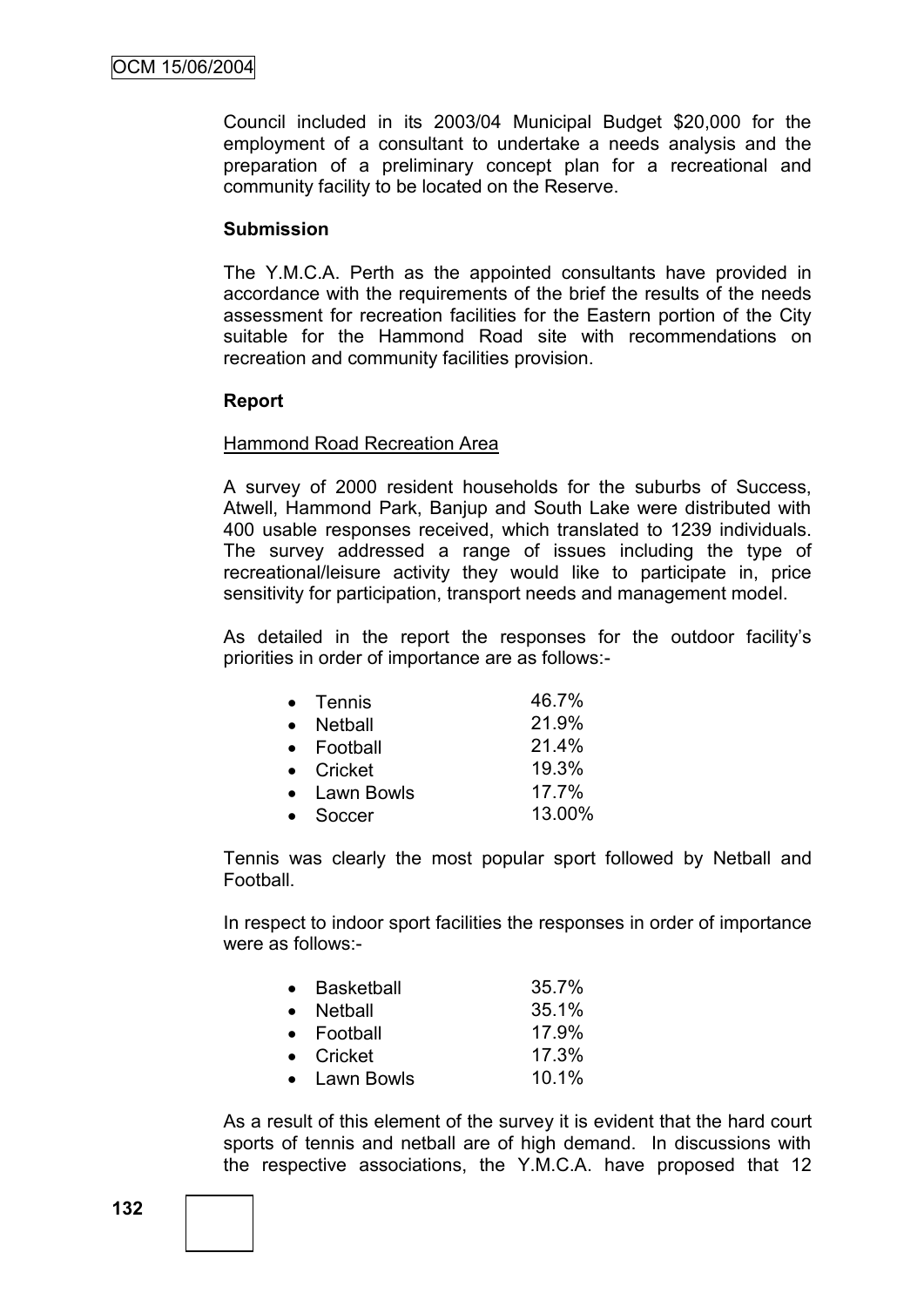Council included in its 2003/04 Municipal Budget \$20,000 for the employment of a consultant to undertake a needs analysis and the preparation of a preliminary concept plan for a recreational and community facility to be located on the Reserve.

#### **Submission**

The Y.M.C.A. Perth as the appointed consultants have provided in accordance with the requirements of the brief the results of the needs assessment for recreation facilities for the Eastern portion of the City suitable for the Hammond Road site with recommendations on recreation and community facilities provision.

#### **Report**

#### Hammond Road Recreation Area

A survey of 2000 resident households for the suburbs of Success, Atwell, Hammond Park, Banjup and South Lake were distributed with 400 usable responses received, which translated to 1239 individuals. The survey addressed a range of issues including the type of recreational/leisure activity they would like to participate in, price sensitivity for participation, transport needs and management model.

As detailed in the report the responses for the outdoor facility"s priorities in order of importance are as follows:-

| $\bullet$ Tennis | 46.7%    |
|------------------|----------|
| Netball          | 21.9%    |
| • Football       | 21.4%    |
| • Cricket        | 19.3%    |
| • Lawn Bowls     | $17.7\%$ |
| Soccer           | 13.00%   |

Tennis was clearly the most popular sport followed by Netball and Football.

In respect to indoor sport facilities the responses in order of importance were as follows:-

| • Basketball       | 35.7% |
|--------------------|-------|
| • Netball          | 35.1% |
| $\bullet$ Football | 17.9% |
| $\bullet$ Cricket  | 17.3% |
| • Lawn Bowls       | 10.1% |

As a result of this element of the survey it is evident that the hard court sports of tennis and netball are of high demand. In discussions with the respective associations, the Y.M.C.A. have proposed that 12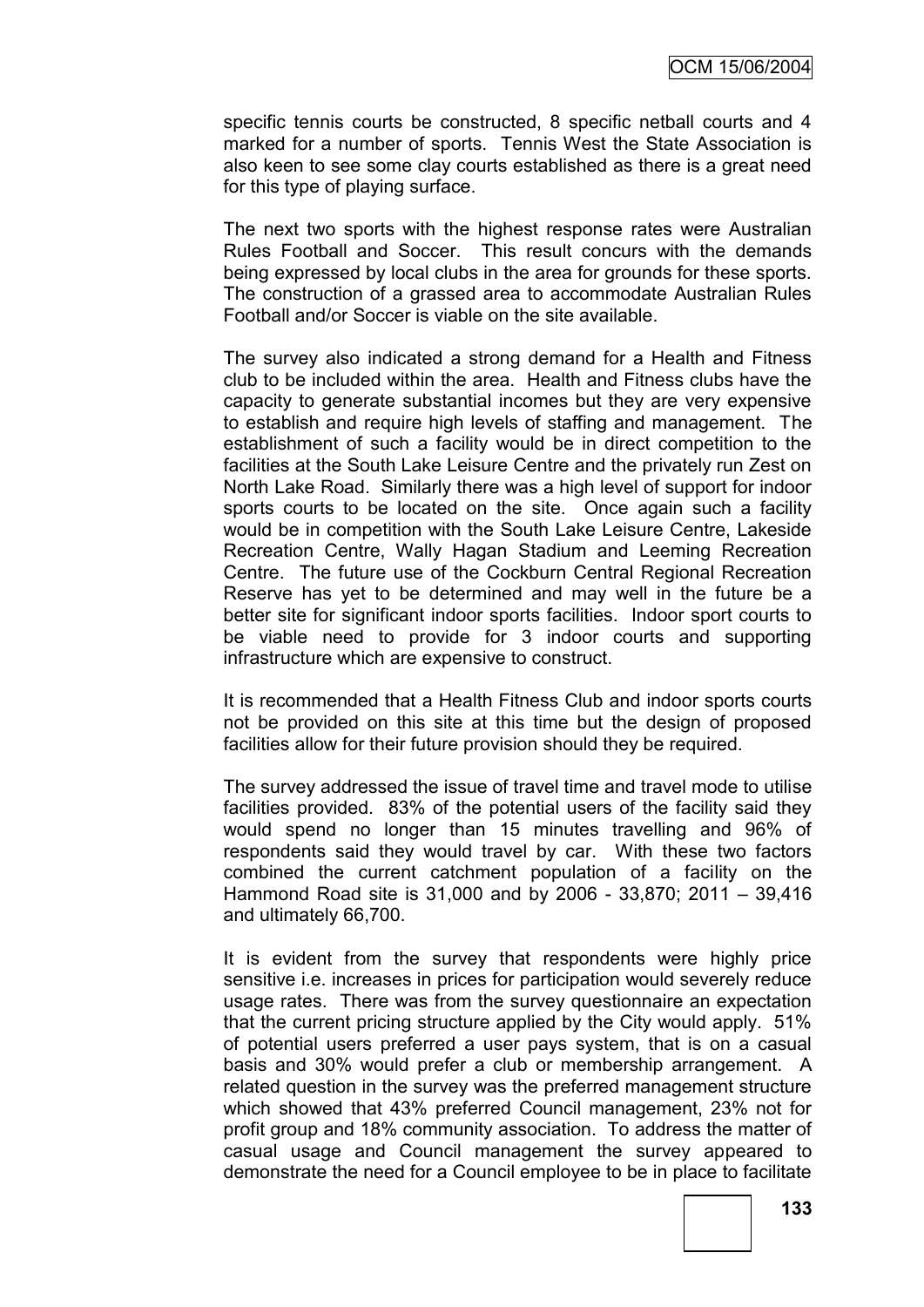specific tennis courts be constructed, 8 specific netball courts and 4 marked for a number of sports. Tennis West the State Association is also keen to see some clay courts established as there is a great need for this type of playing surface.

The next two sports with the highest response rates were Australian Rules Football and Soccer. This result concurs with the demands being expressed by local clubs in the area for grounds for these sports. The construction of a grassed area to accommodate Australian Rules Football and/or Soccer is viable on the site available.

The survey also indicated a strong demand for a Health and Fitness club to be included within the area. Health and Fitness clubs have the capacity to generate substantial incomes but they are very expensive to establish and require high levels of staffing and management. The establishment of such a facility would be in direct competition to the facilities at the South Lake Leisure Centre and the privately run Zest on North Lake Road. Similarly there was a high level of support for indoor sports courts to be located on the site. Once again such a facility would be in competition with the South Lake Leisure Centre, Lakeside Recreation Centre, Wally Hagan Stadium and Leeming Recreation Centre. The future use of the Cockburn Central Regional Recreation Reserve has yet to be determined and may well in the future be a better site for significant indoor sports facilities. Indoor sport courts to be viable need to provide for 3 indoor courts and supporting infrastructure which are expensive to construct.

It is recommended that a Health Fitness Club and indoor sports courts not be provided on this site at this time but the design of proposed facilities allow for their future provision should they be required.

The survey addressed the issue of travel time and travel mode to utilise facilities provided. 83% of the potential users of the facility said they would spend no longer than 15 minutes travelling and 96% of respondents said they would travel by car. With these two factors combined the current catchment population of a facility on the Hammond Road site is 31,000 and by 2006 - 33,870; 2011 – 39,416 and ultimately 66,700.

It is evident from the survey that respondents were highly price sensitive i.e. increases in prices for participation would severely reduce usage rates. There was from the survey questionnaire an expectation that the current pricing structure applied by the City would apply. 51% of potential users preferred a user pays system, that is on a casual basis and 30% would prefer a club or membership arrangement. A related question in the survey was the preferred management structure which showed that 43% preferred Council management, 23% not for profit group and 18% community association. To address the matter of casual usage and Council management the survey appeared to demonstrate the need for a Council employee to be in place to facilitate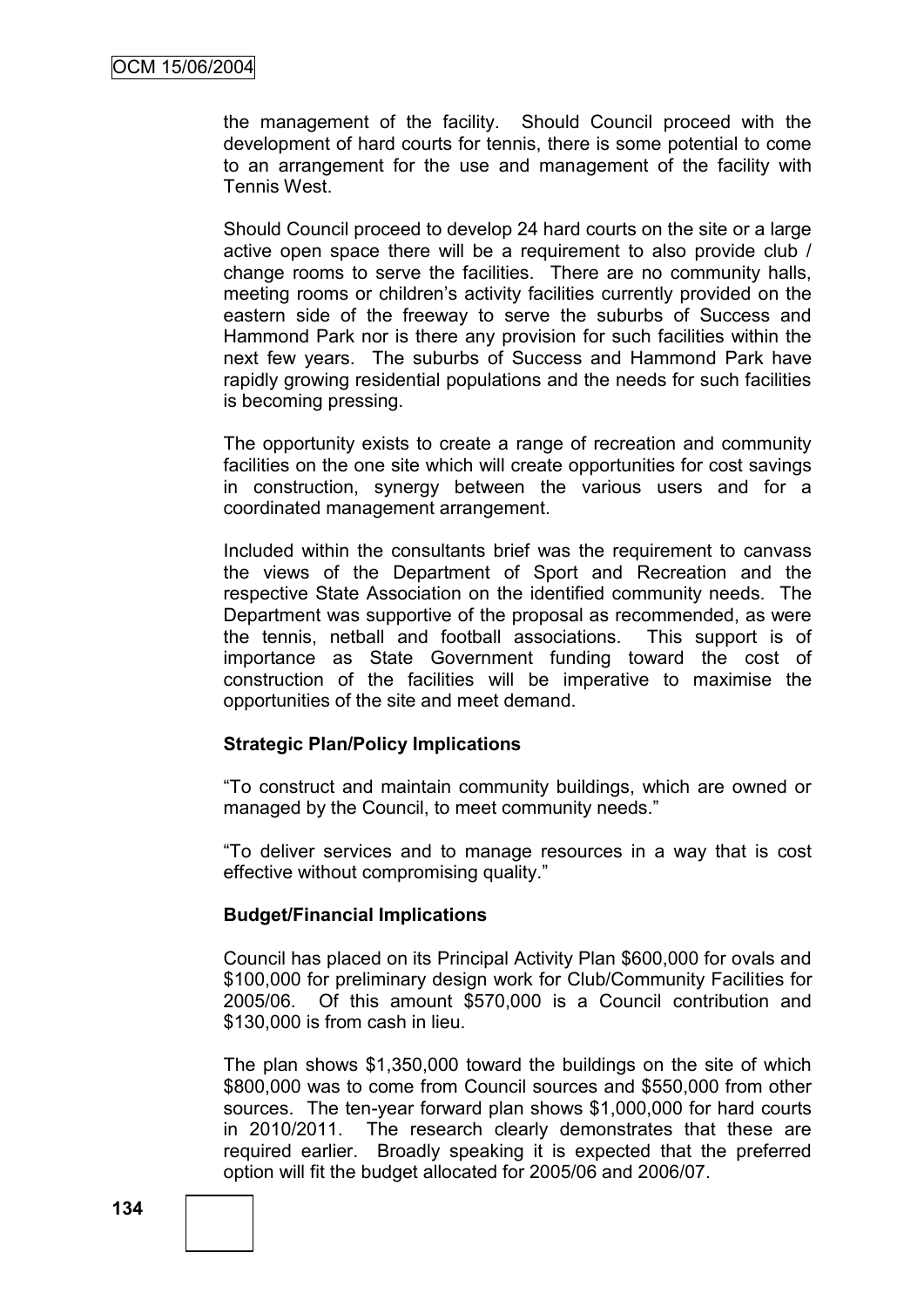the management of the facility. Should Council proceed with the development of hard courts for tennis, there is some potential to come to an arrangement for the use and management of the facility with Tennis West.

Should Council proceed to develop 24 hard courts on the site or a large active open space there will be a requirement to also provide club / change rooms to serve the facilities. There are no community halls, meeting rooms or children"s activity facilities currently provided on the eastern side of the freeway to serve the suburbs of Success and Hammond Park nor is there any provision for such facilities within the next few years. The suburbs of Success and Hammond Park have rapidly growing residential populations and the needs for such facilities is becoming pressing.

The opportunity exists to create a range of recreation and community facilities on the one site which will create opportunities for cost savings in construction, synergy between the various users and for a coordinated management arrangement.

Included within the consultants brief was the requirement to canvass the views of the Department of Sport and Recreation and the respective State Association on the identified community needs. The Department was supportive of the proposal as recommended, as were the tennis, netball and football associations. This support is of importance as State Government funding toward the cost of construction of the facilities will be imperative to maximise the opportunities of the site and meet demand.

# **Strategic Plan/Policy Implications**

"To construct and maintain community buildings, which are owned or managed by the Council, to meet community needs."

"To deliver services and to manage resources in a way that is cost effective without compromising quality."

# **Budget/Financial Implications**

Council has placed on its Principal Activity Plan \$600,000 for ovals and \$100,000 for preliminary design work for Club/Community Facilities for 2005/06. Of this amount \$570,000 is a Council contribution and \$130,000 is from cash in lieu.

The plan shows \$1,350,000 toward the buildings on the site of which \$800,000 was to come from Council sources and \$550,000 from other sources. The ten-year forward plan shows \$1,000,000 for hard courts in 2010/2011. The research clearly demonstrates that these are required earlier. Broadly speaking it is expected that the preferred option will fit the budget allocated for 2005/06 and 2006/07.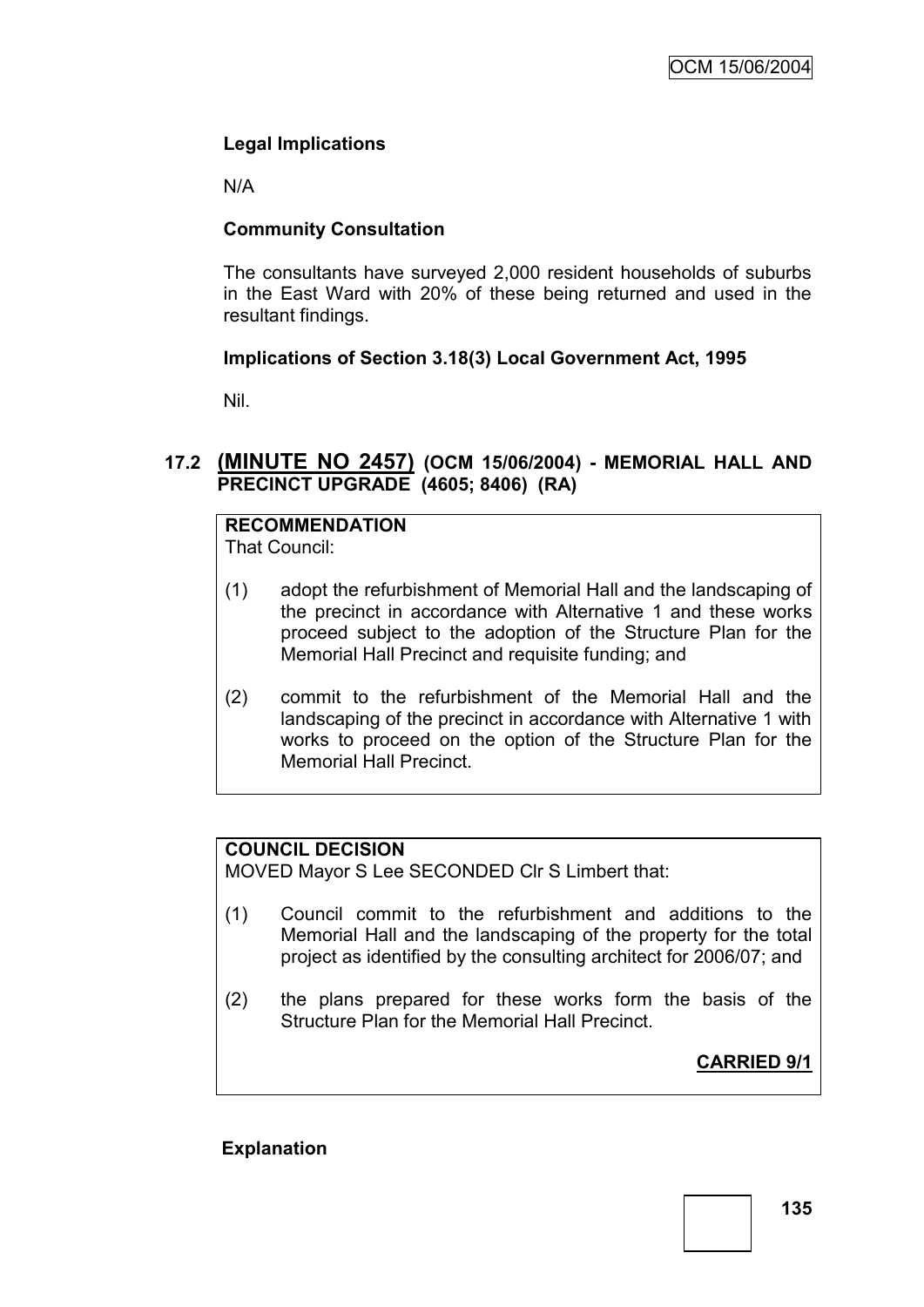# **Legal Implications**

N/A

# **Community Consultation**

The consultants have surveyed 2,000 resident households of suburbs in the East Ward with 20% of these being returned and used in the resultant findings.

# **Implications of Section 3.18(3) Local Government Act, 1995**

Nil.

# **17.2 (MINUTE NO 2457) (OCM 15/06/2004) - MEMORIAL HALL AND PRECINCT UPGRADE (4605; 8406) (RA)**

# **RECOMMENDATION**

That Council:

- (1) adopt the refurbishment of Memorial Hall and the landscaping of the precinct in accordance with Alternative 1 and these works proceed subject to the adoption of the Structure Plan for the Memorial Hall Precinct and requisite funding; and
- (2) commit to the refurbishment of the Memorial Hall and the landscaping of the precinct in accordance with Alternative 1 with works to proceed on the option of the Structure Plan for the Memorial Hall Precinct.

# **COUNCIL DECISION**

MOVED Mayor S Lee SECONDED Clr S Limbert that:

- (1) Council commit to the refurbishment and additions to the Memorial Hall and the landscaping of the property for the total project as identified by the consulting architect for 2006/07; and
- (2) the plans prepared for these works form the basis of the Structure Plan for the Memorial Hall Precinct.

**CARRIED 9/1**

# **Explanation**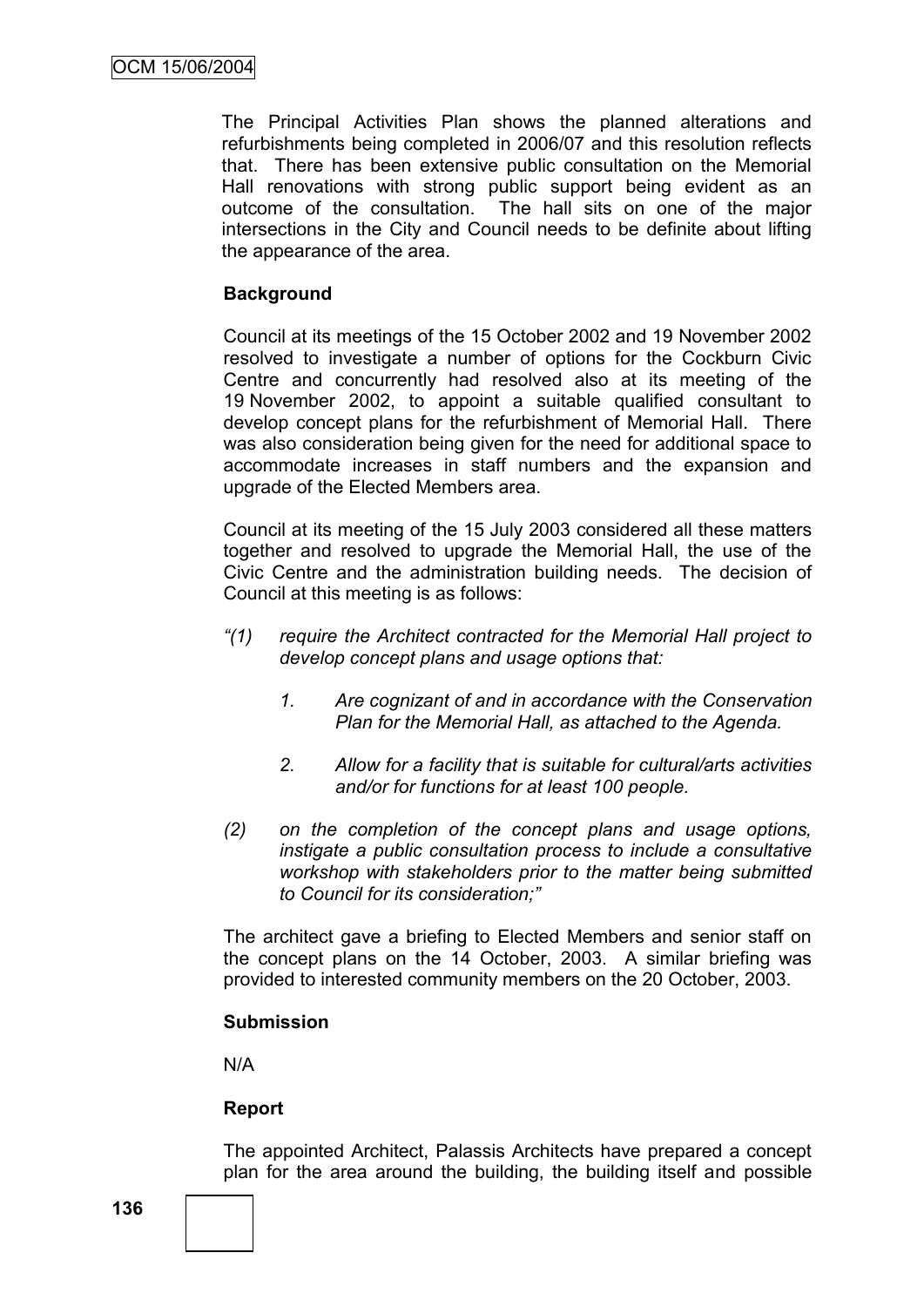The Principal Activities Plan shows the planned alterations and refurbishments being completed in 2006/07 and this resolution reflects that. There has been extensive public consultation on the Memorial Hall renovations with strong public support being evident as an outcome of the consultation. The hall sits on one of the major intersections in the City and Council needs to be definite about lifting the appearance of the area.

# **Background**

Council at its meetings of the 15 October 2002 and 19 November 2002 resolved to investigate a number of options for the Cockburn Civic Centre and concurrently had resolved also at its meeting of the 19 November 2002, to appoint a suitable qualified consultant to develop concept plans for the refurbishment of Memorial Hall. There was also consideration being given for the need for additional space to accommodate increases in staff numbers and the expansion and upgrade of the Elected Members area.

Council at its meeting of the 15 July 2003 considered all these matters together and resolved to upgrade the Memorial Hall, the use of the Civic Centre and the administration building needs. The decision of Council at this meeting is as follows:

- *"(1) require the Architect contracted for the Memorial Hall project to develop concept plans and usage options that:*
	- *1. Are cognizant of and in accordance with the Conservation Plan for the Memorial Hall, as attached to the Agenda.*
	- *2. Allow for a facility that is suitable for cultural/arts activities and/or for functions for at least 100 people.*
- *(2) on the completion of the concept plans and usage options, instigate a public consultation process to include a consultative workshop with stakeholders prior to the matter being submitted to Council for its consideration;"*

The architect gave a briefing to Elected Members and senior staff on the concept plans on the 14 October, 2003. A similar briefing was provided to interested community members on the 20 October, 2003.

# **Submission**

N/A

# **Report**

The appointed Architect, Palassis Architects have prepared a concept plan for the area around the building, the building itself and possible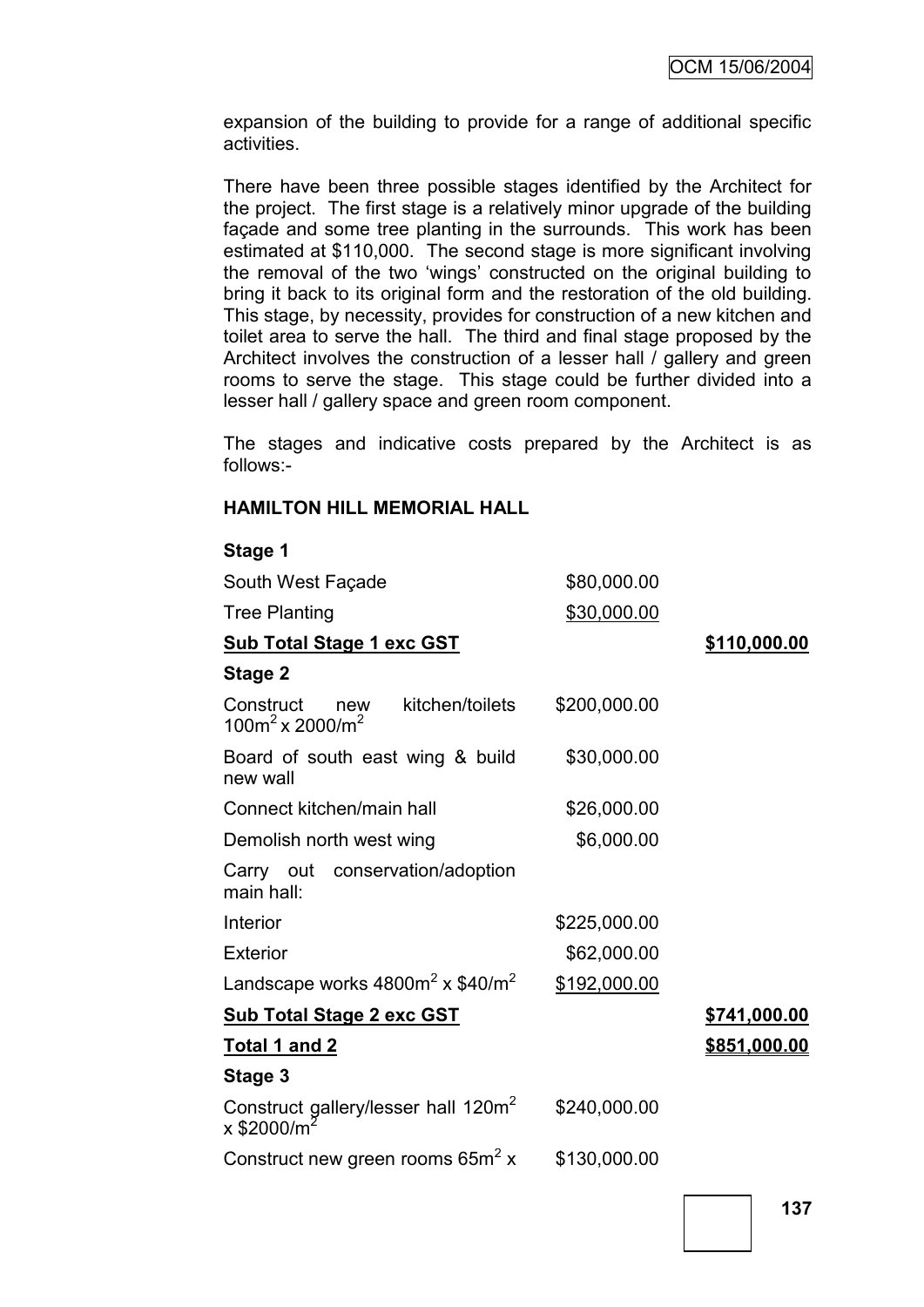expansion of the building to provide for a range of additional specific activities.

There have been three possible stages identified by the Architect for the project. The first stage is a relatively minor upgrade of the building façade and some tree planting in the surrounds. This work has been estimated at \$110,000. The second stage is more significant involving the removal of the two "wings" constructed on the original building to bring it back to its original form and the restoration of the old building. This stage, by necessity, provides for construction of a new kitchen and toilet area to serve the hall. The third and final stage proposed by the Architect involves the construction of a lesser hall / gallery and green rooms to serve the stage. This stage could be further divided into a lesser hall / gallery space and green room component.

The stages and indicative costs prepared by the Architect is as follows:-

# **HAMILTON HILL MEMORIAL HALL**

| Stage 1 |  |
|---------|--|
|---------|--|

| South West Façade                                                                        | \$80,000.00  |                     |
|------------------------------------------------------------------------------------------|--------------|---------------------|
| <b>Tree Planting</b>                                                                     | \$30,000.00  |                     |
| <b>Sub Total Stage 1 exc GST</b>                                                         |              | \$110,000.00        |
| Stage 2                                                                                  |              |                     |
| Construct<br>kitchen/toilets<br>new<br>$100m^2$ x 2000/m <sup>2</sup>                    | \$200,000.00 |                     |
| Board of south east wing & build<br>new wall                                             | \$30,000.00  |                     |
| Connect kitchen/main hall                                                                | \$26,000.00  |                     |
| Demolish north west wing                                                                 | \$6,000.00   |                     |
| Carry out conservation/adoption<br>main hall:                                            |              |                     |
| Interior                                                                                 | \$225,000.00 |                     |
| <b>Exterior</b>                                                                          | \$62,000.00  |                     |
| Landscape works $4800m^2 \times $40/m^2$                                                 | \$192,000.00 |                     |
| <b>Sub Total Stage 2 exc GST</b>                                                         |              | <u>\$741,000.00</u> |
| <u>Total 1 and 2</u>                                                                     |              | \$851,000.00        |
| Stage 3                                                                                  |              |                     |
| Construct gallery/lesser hall 120m <sup>2</sup><br>x \$2000/m <sup>2</sup><br>x \$2000/m | \$240,000.00 |                     |
| Construct new green rooms 65m <sup>2</sup> x                                             | \$130,000.00 |                     |
|                                                                                          |              |                     |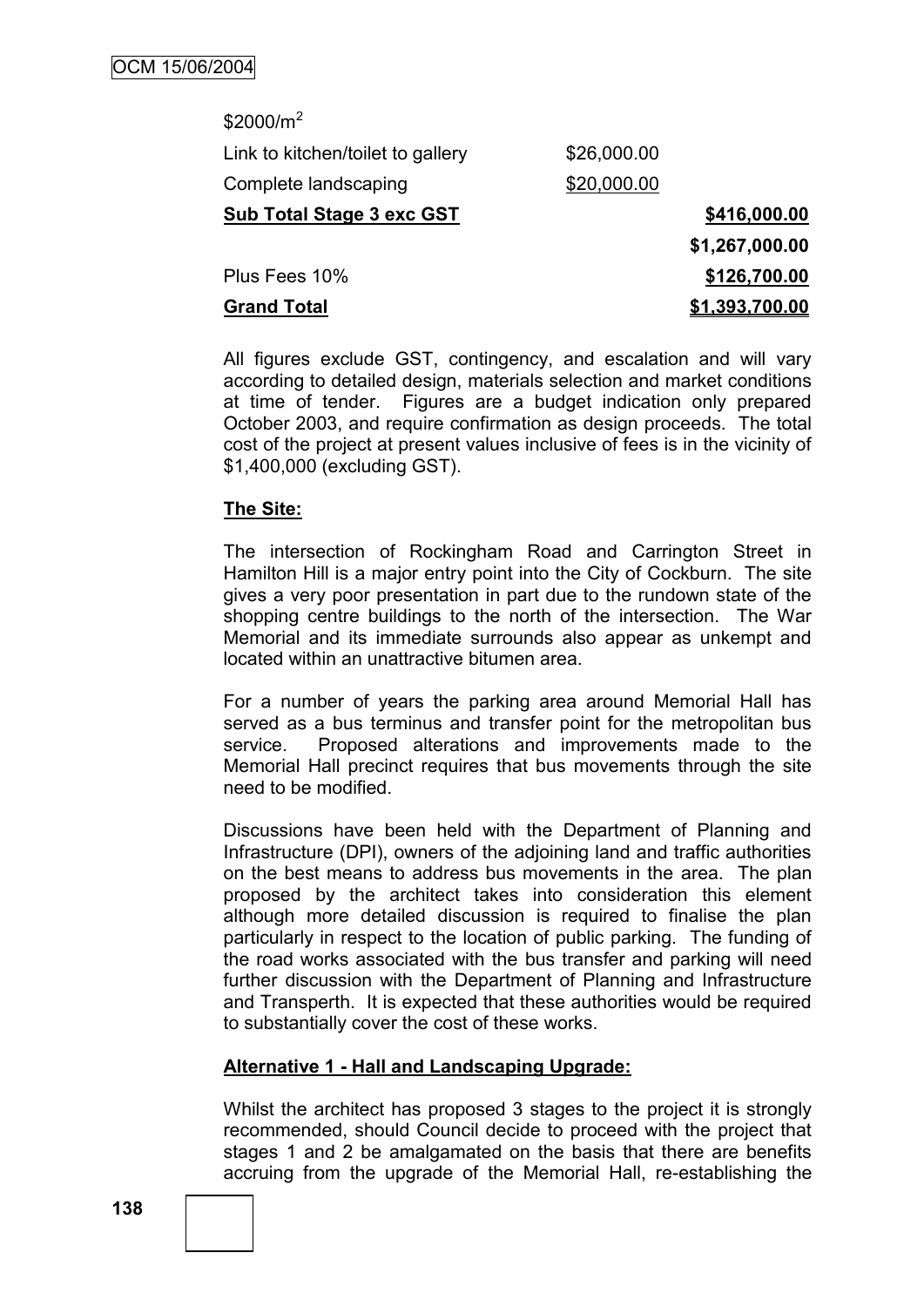| \$2000/ $m^2$                     |             |                       |
|-----------------------------------|-------------|-----------------------|
| Link to kitchen/toilet to gallery | \$26,000.00 |                       |
| Complete landscaping              | \$20,000.00 |                       |
| <b>Sub Total Stage 3 exc GST</b>  |             | \$416,000.00          |
|                                   |             | \$1,267,000.00        |
| Plus Fees 10%                     |             | \$126,700.00          |
| <b>Grand Total</b>                |             | <u>\$1,393,700.00</u> |

All figures exclude GST, contingency, and escalation and will vary according to detailed design, materials selection and market conditions at time of tender. Figures are a budget indication only prepared October 2003, and require confirmation as design proceeds. The total cost of the project at present values inclusive of fees is in the vicinity of \$1,400,000 (excluding GST).

# **The Site:**

The intersection of Rockingham Road and Carrington Street in Hamilton Hill is a major entry point into the City of Cockburn. The site gives a very poor presentation in part due to the rundown state of the shopping centre buildings to the north of the intersection. The War Memorial and its immediate surrounds also appear as unkempt and located within an unattractive bitumen area.

For a number of years the parking area around Memorial Hall has served as a bus terminus and transfer point for the metropolitan bus service. Proposed alterations and improvements made to the Memorial Hall precinct requires that bus movements through the site need to be modified.

Discussions have been held with the Department of Planning and Infrastructure (DPI), owners of the adjoining land and traffic authorities on the best means to address bus movements in the area. The plan proposed by the architect takes into consideration this element although more detailed discussion is required to finalise the plan particularly in respect to the location of public parking. The funding of the road works associated with the bus transfer and parking will need further discussion with the Department of Planning and Infrastructure and Transperth. It is expected that these authorities would be required to substantially cover the cost of these works.

# **Alternative 1 - Hall and Landscaping Upgrade:**

Whilst the architect has proposed 3 stages to the project it is strongly recommended, should Council decide to proceed with the project that stages 1 and 2 be amalgamated on the basis that there are benefits accruing from the upgrade of the Memorial Hall, re-establishing the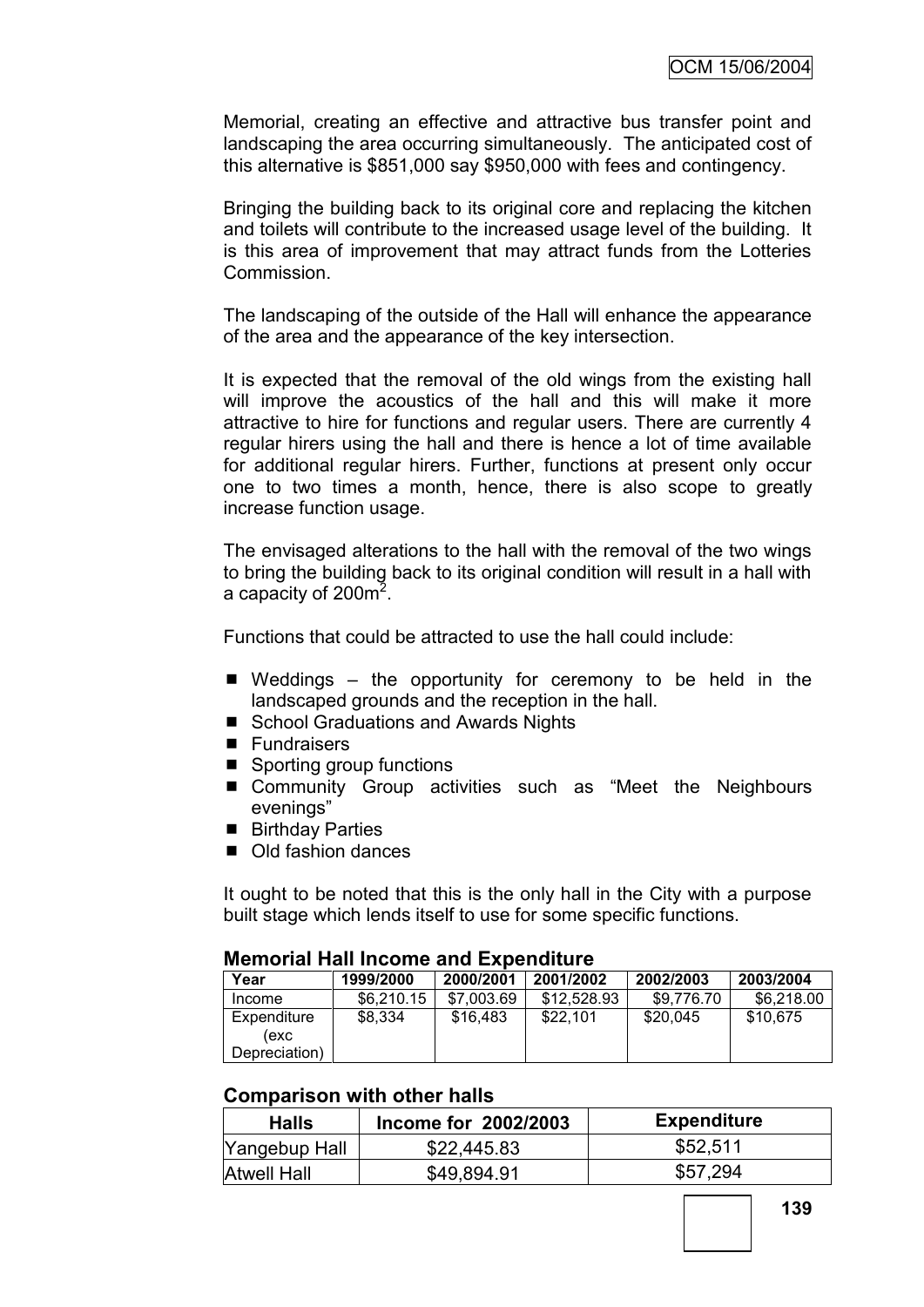Memorial, creating an effective and attractive bus transfer point and landscaping the area occurring simultaneously. The anticipated cost of this alternative is \$851,000 say \$950,000 with fees and contingency.

Bringing the building back to its original core and replacing the kitchen and toilets will contribute to the increased usage level of the building. It is this area of improvement that may attract funds from the Lotteries Commission.

The landscaping of the outside of the Hall will enhance the appearance of the area and the appearance of the key intersection.

It is expected that the removal of the old wings from the existing hall will improve the acoustics of the hall and this will make it more attractive to hire for functions and regular users. There are currently 4 regular hirers using the hall and there is hence a lot of time available for additional regular hirers. Further, functions at present only occur one to two times a month, hence, there is also scope to greatly increase function usage.

The envisaged alterations to the hall with the removal of the two wings to bring the building back to its original condition will result in a hall with a capacity of 200 $m^2$ .

Functions that could be attracted to use the hall could include:

- $\blacksquare$  Weddings the opportunity for ceremony to be held in the landscaped grounds and the reception in the hall.
- School Graduations and Awards Nights
- **Fundraisers**
- Sporting group functions
- Community Group activities such as "Meet the Neighbours evenings"
- Birthday Parties
- Old fashion dances

It ought to be noted that this is the only hall in the City with a purpose built stage which lends itself to use for some specific functions.

#### **Memorial Hall Income and Expenditure**

| Year                                 | 1999/2000  | 2000/2001  | 2001/2002   | 2002/2003  | 2003/2004  |
|--------------------------------------|------------|------------|-------------|------------|------------|
| Income                               | \$6.210.15 | \$7,003.69 | \$12,528,93 | \$9,776.70 | \$6,218,00 |
| Expenditure<br>(exc<br>Depreciation) | \$8,334    | \$16,483   | \$22.101    | \$20,045   | \$10,675   |

#### **Comparison with other halls**

| <b>Halls</b>       | Income for 2002/2003 | Expenditure |
|--------------------|----------------------|-------------|
| Yangebup Hall      | \$22,445.83          | \$52,511    |
| <b>Atwell Hall</b> | \$49,894.91          | \$57,294    |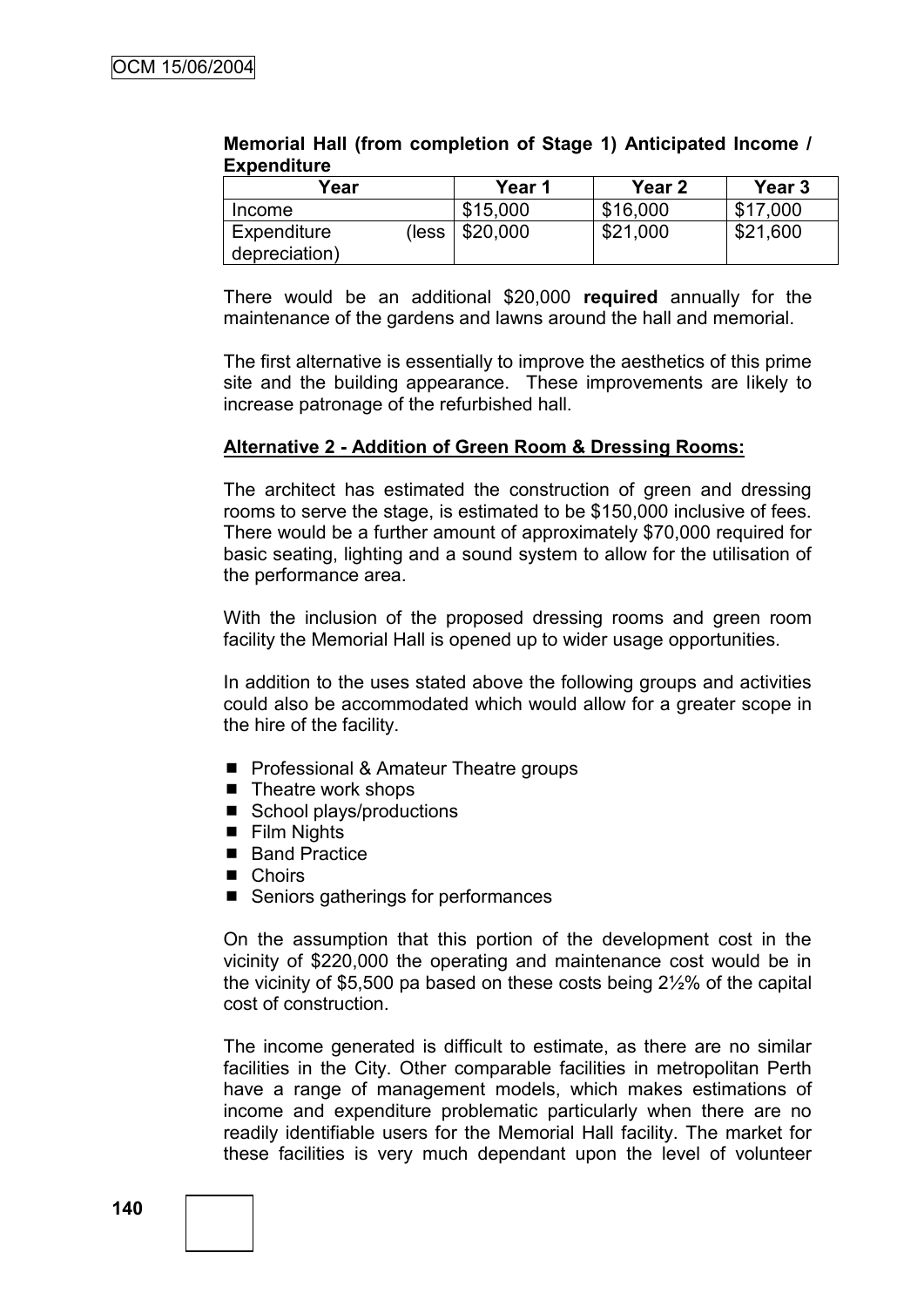| Year                         |       | Year 1   | Year 2   | Year 3   |
|------------------------------|-------|----------|----------|----------|
| Income                       |       | \$15,000 | \$16,000 | \$17,000 |
| Expenditure<br>depreciation) | less) | \$20,000 | \$21,000 | \$21,600 |

#### **Memorial Hall (from completion of Stage 1) Anticipated Income / Expenditure**

There would be an additional \$20,000 **required** annually for the maintenance of the gardens and lawns around the hall and memorial.

The first alternative is essentially to improve the aesthetics of this prime site and the building appearance. These improvements are likely to increase patronage of the refurbished hall.

## **Alternative 2 - Addition of Green Room & Dressing Rooms:**

The architect has estimated the construction of green and dressing rooms to serve the stage, is estimated to be \$150,000 inclusive of fees. There would be a further amount of approximately \$70,000 required for basic seating, lighting and a sound system to allow for the utilisation of the performance area.

With the inclusion of the proposed dressing rooms and green room facility the Memorial Hall is opened up to wider usage opportunities.

In addition to the uses stated above the following groups and activities could also be accommodated which would allow for a greater scope in the hire of the facility.

- **Pedia** Professional & Amateur Theatre groups
- $\blacksquare$  Theatre work shops
- School plays/productions
- **Film Nights**
- Band Practice
- Choirs
- Seniors gatherings for performances

On the assumption that this portion of the development cost in the vicinity of \$220,000 the operating and maintenance cost would be in the vicinity of \$5,500 pa based on these costs being 2½% of the capital cost of construction.

The income generated is difficult to estimate, as there are no similar facilities in the City. Other comparable facilities in metropolitan Perth have a range of management models, which makes estimations of income and expenditure problematic particularly when there are no readily identifiable users for the Memorial Hall facility. The market for these facilities is very much dependant upon the level of volunteer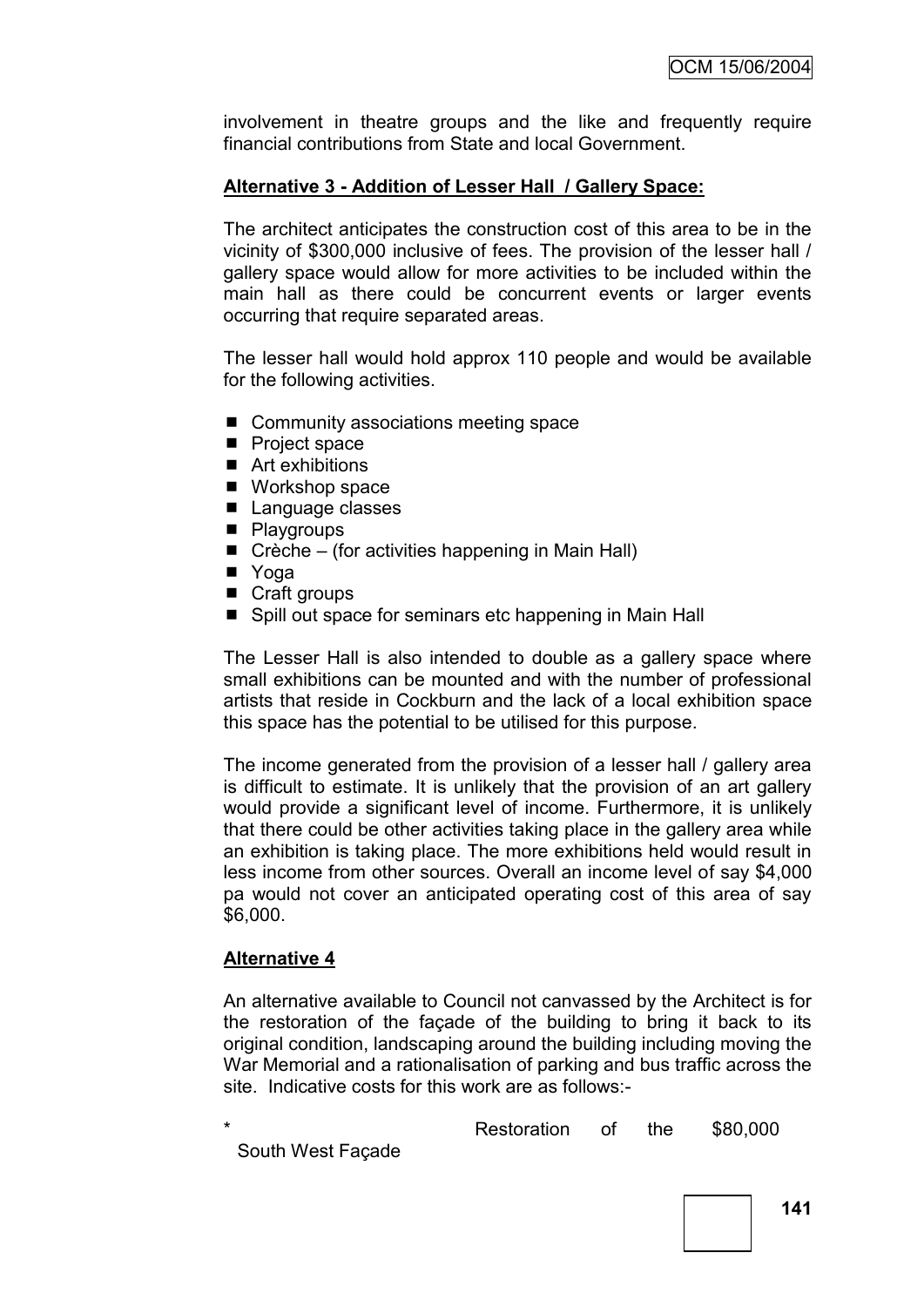involvement in theatre groups and the like and frequently require financial contributions from State and local Government.

# **Alternative 3 - Addition of Lesser Hall / Gallery Space:**

The architect anticipates the construction cost of this area to be in the vicinity of \$300,000 inclusive of fees. The provision of the lesser hall / gallery space would allow for more activities to be included within the main hall as there could be concurrent events or larger events occurring that require separated areas.

The lesser hall would hold approx 110 people and would be available for the following activities.

- Community associations meeting space
- Project space
- Art exhibitions
- Workshop space
- Language classes
- **Playgroups**
- $\blacksquare$  Crèche (for activities happening in Main Hall)
- **N** Yoga
- Craft groups
- Spill out space for seminars etc happening in Main Hall

The Lesser Hall is also intended to double as a gallery space where small exhibitions can be mounted and with the number of professional artists that reside in Cockburn and the lack of a local exhibition space this space has the potential to be utilised for this purpose.

The income generated from the provision of a lesser hall / gallery area is difficult to estimate. It is unlikely that the provision of an art gallery would provide a significant level of income. Furthermore, it is unlikely that there could be other activities taking place in the gallery area while an exhibition is taking place. The more exhibitions held would result in less income from other sources. Overall an income level of say \$4,000 pa would not cover an anticipated operating cost of this area of say \$6,000.

## **Alternative 4**

An alternative available to Council not canvassed by the Architect is for the restoration of the façade of the building to bring it back to its original condition, landscaping around the building including moving the War Memorial and a rationalisation of parking and bus traffic across the site. Indicative costs for this work are as follows:-

|                   | Restoration of the \$80,000 |  |  |
|-------------------|-----------------------------|--|--|
| South West Façade |                             |  |  |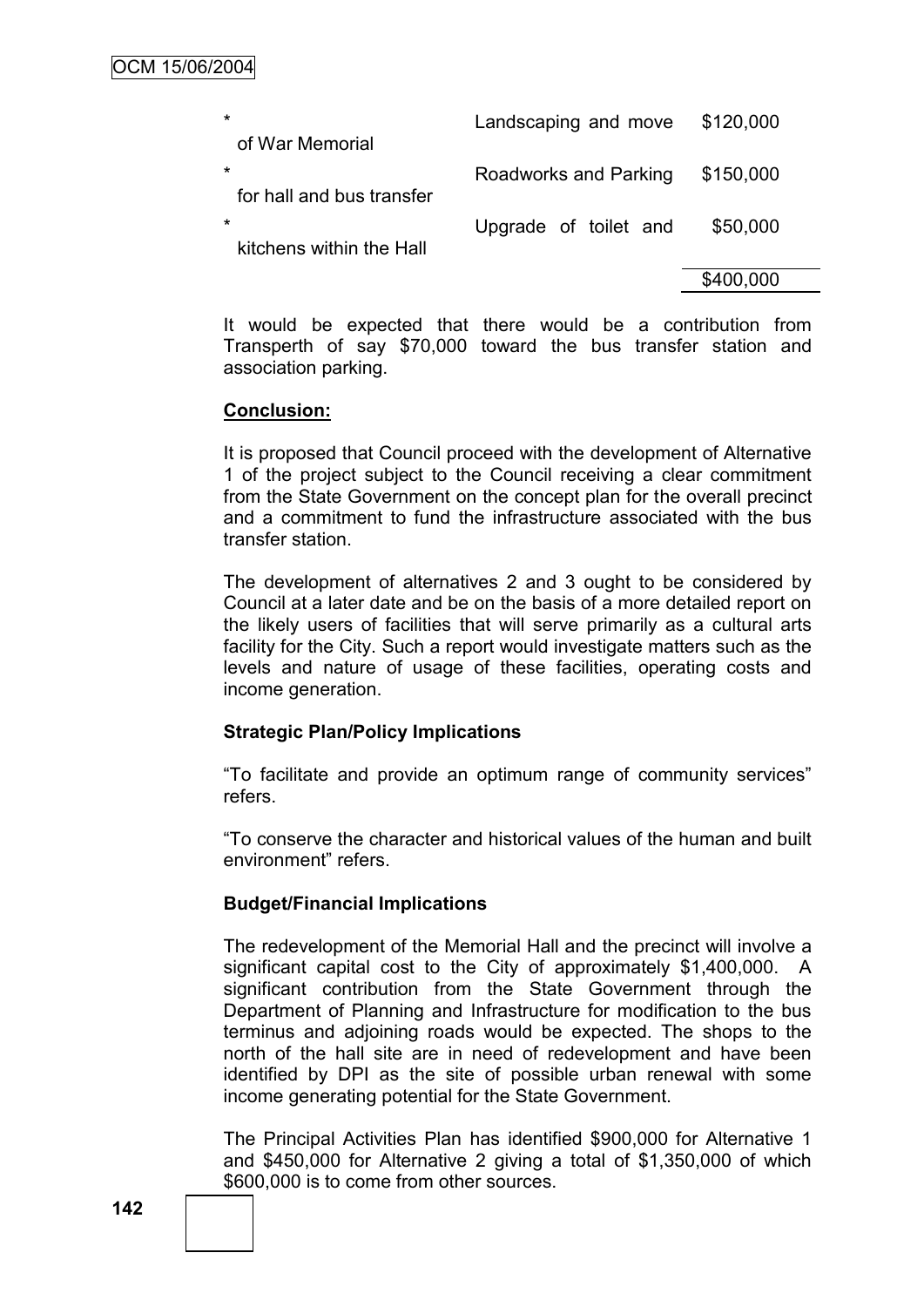| $\star$<br>of War Memorial           | Landscaping and move  | \$120,000 |
|--------------------------------------|-----------------------|-----------|
| $\star$<br>for hall and bus transfer | Roadworks and Parking | \$150,000 |
| $\star$<br>kitchens within the Hall  | Upgrade of toilet and | \$50,000  |
|                                      |                       | \$400,000 |

It would be expected that there would be a contribution from Transperth of say \$70,000 toward the bus transfer station and association parking.

## **Conclusion:**

It is proposed that Council proceed with the development of Alternative 1 of the project subject to the Council receiving a clear commitment from the State Government on the concept plan for the overall precinct and a commitment to fund the infrastructure associated with the bus transfer station.

The development of alternatives 2 and 3 ought to be considered by Council at a later date and be on the basis of a more detailed report on the likely users of facilities that will serve primarily as a cultural arts facility for the City. Such a report would investigate matters such as the levels and nature of usage of these facilities, operating costs and income generation.

## **Strategic Plan/Policy Implications**

"To facilitate and provide an optimum range of community services" refers.

"To conserve the character and historical values of the human and built environment" refers.

## **Budget/Financial Implications**

The redevelopment of the Memorial Hall and the precinct will involve a significant capital cost to the City of approximately \$1,400,000. A significant contribution from the State Government through the Department of Planning and Infrastructure for modification to the bus terminus and adjoining roads would be expected. The shops to the north of the hall site are in need of redevelopment and have been identified by DPI as the site of possible urban renewal with some income generating potential for the State Government.

The Principal Activities Plan has identified \$900,000 for Alternative 1 and \$450,000 for Alternative 2 giving a total of \$1,350,000 of which \$600,000 is to come from other sources.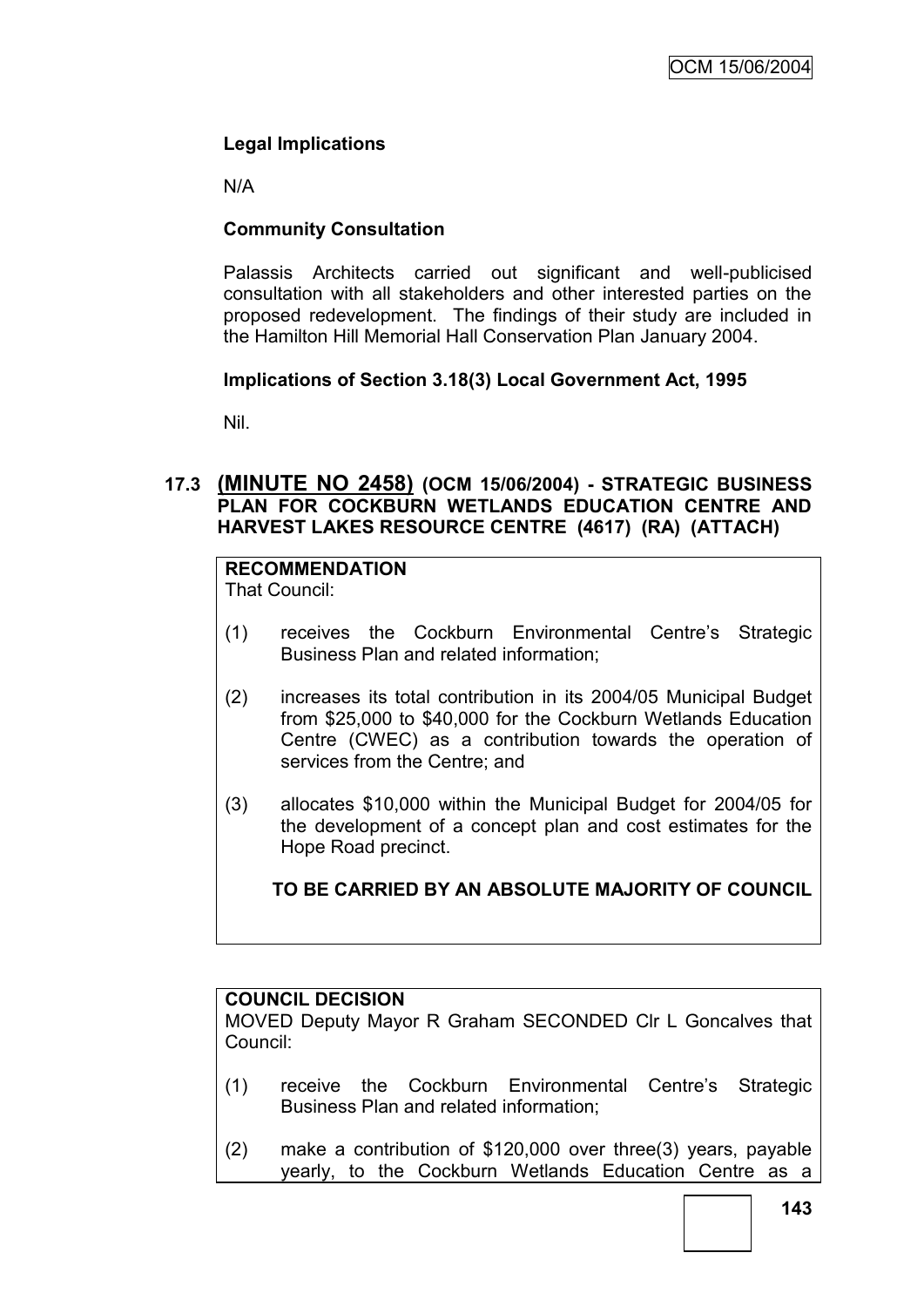# **Legal Implications**

N/A

# **Community Consultation**

Palassis Architects carried out significant and well-publicised consultation with all stakeholders and other interested parties on the proposed redevelopment. The findings of their study are included in the Hamilton Hill Memorial Hall Conservation Plan January 2004.

# **Implications of Section 3.18(3) Local Government Act, 1995**

Nil.

# **17.3 (MINUTE NO 2458) (OCM 15/06/2004) - STRATEGIC BUSINESS PLAN FOR COCKBURN WETLANDS EDUCATION CENTRE AND HARVEST LAKES RESOURCE CENTRE (4617) (RA) (ATTACH)**

# **RECOMMENDATION**

That Council:

- (1) receives the Cockburn Environmental Centre"s Strategic Business Plan and related information;
- (2) increases its total contribution in its 2004/05 Municipal Budget from \$25,000 to \$40,000 for the Cockburn Wetlands Education Centre (CWEC) as a contribution towards the operation of services from the Centre; and
- (3) allocates \$10,000 within the Municipal Budget for 2004/05 for the development of a concept plan and cost estimates for the Hope Road precinct.

**TO BE CARRIED BY AN ABSOLUTE MAJORITY OF COUNCIL**

# **COUNCIL DECISION**

MOVED Deputy Mayor R Graham SECONDED Clr L Goncalves that Council:

- (1) receive the Cockburn Environmental Centre"s Strategic Business Plan and related information;
- (2) make a contribution of \$120,000 over three(3) years, payable yearly, to the Cockburn Wetlands Education Centre as a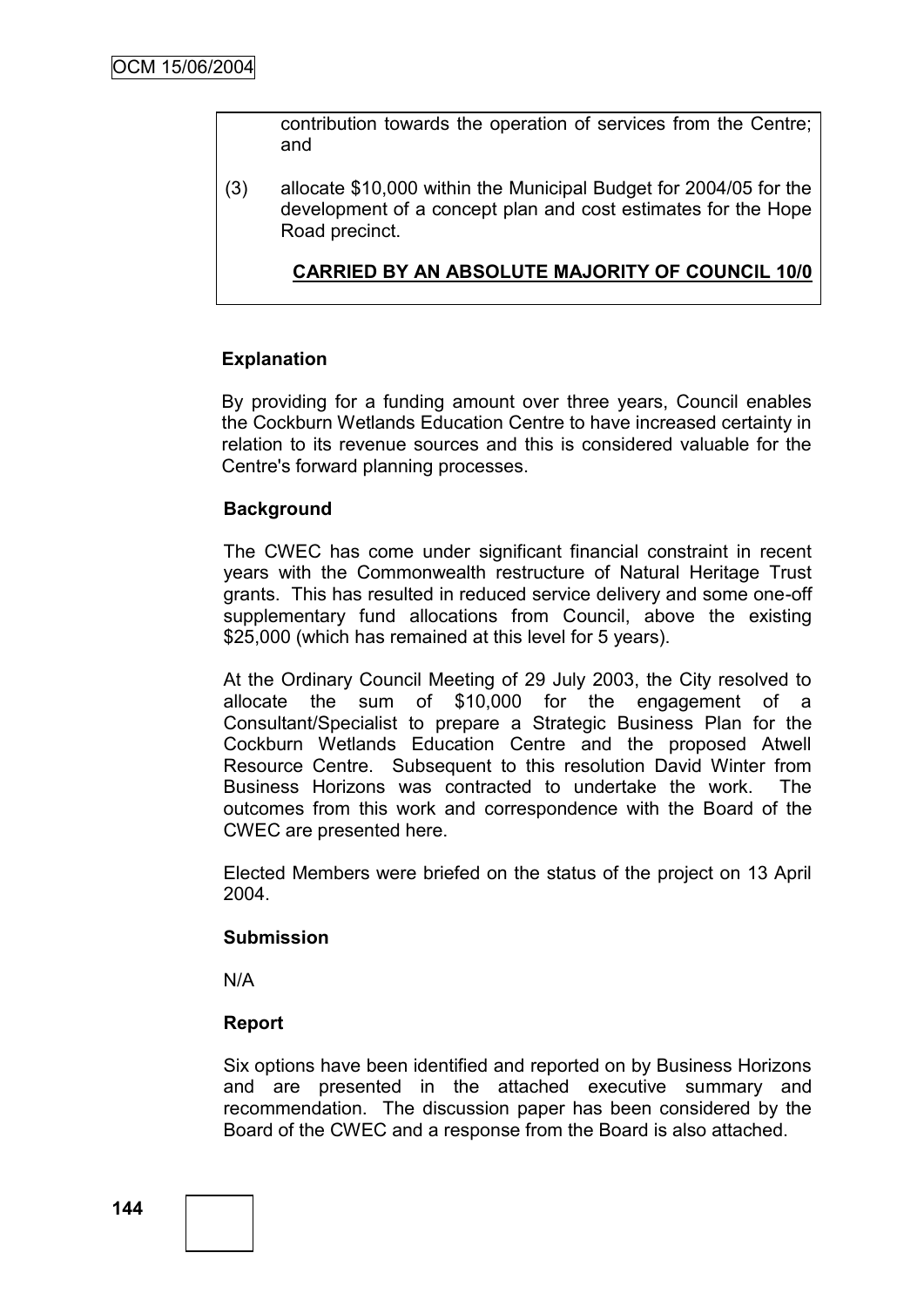contribution towards the operation of services from the Centre; and

(3) allocate \$10,000 within the Municipal Budget for 2004/05 for the development of a concept plan and cost estimates for the Hope Road precinct.

**CARRIED BY AN ABSOLUTE MAJORITY OF COUNCIL 10/0**

#### **Explanation**

By providing for a funding amount over three years, Council enables the Cockburn Wetlands Education Centre to have increased certainty in relation to its revenue sources and this is considered valuable for the Centre's forward planning processes.

#### **Background**

The CWEC has come under significant financial constraint in recent years with the Commonwealth restructure of Natural Heritage Trust grants. This has resulted in reduced service delivery and some one-off supplementary fund allocations from Council, above the existing \$25,000 (which has remained at this level for 5 years).

At the Ordinary Council Meeting of 29 July 2003, the City resolved to allocate the sum of \$10,000 for the engagement of a Consultant/Specialist to prepare a Strategic Business Plan for the Cockburn Wetlands Education Centre and the proposed Atwell Resource Centre. Subsequent to this resolution David Winter from Business Horizons was contracted to undertake the work. The outcomes from this work and correspondence with the Board of the CWEC are presented here.

Elected Members were briefed on the status of the project on 13 April 2004.

#### **Submission**

N/A

## **Report**

Six options have been identified and reported on by Business Horizons and are presented in the attached executive summary and recommendation. The discussion paper has been considered by the Board of the CWEC and a response from the Board is also attached.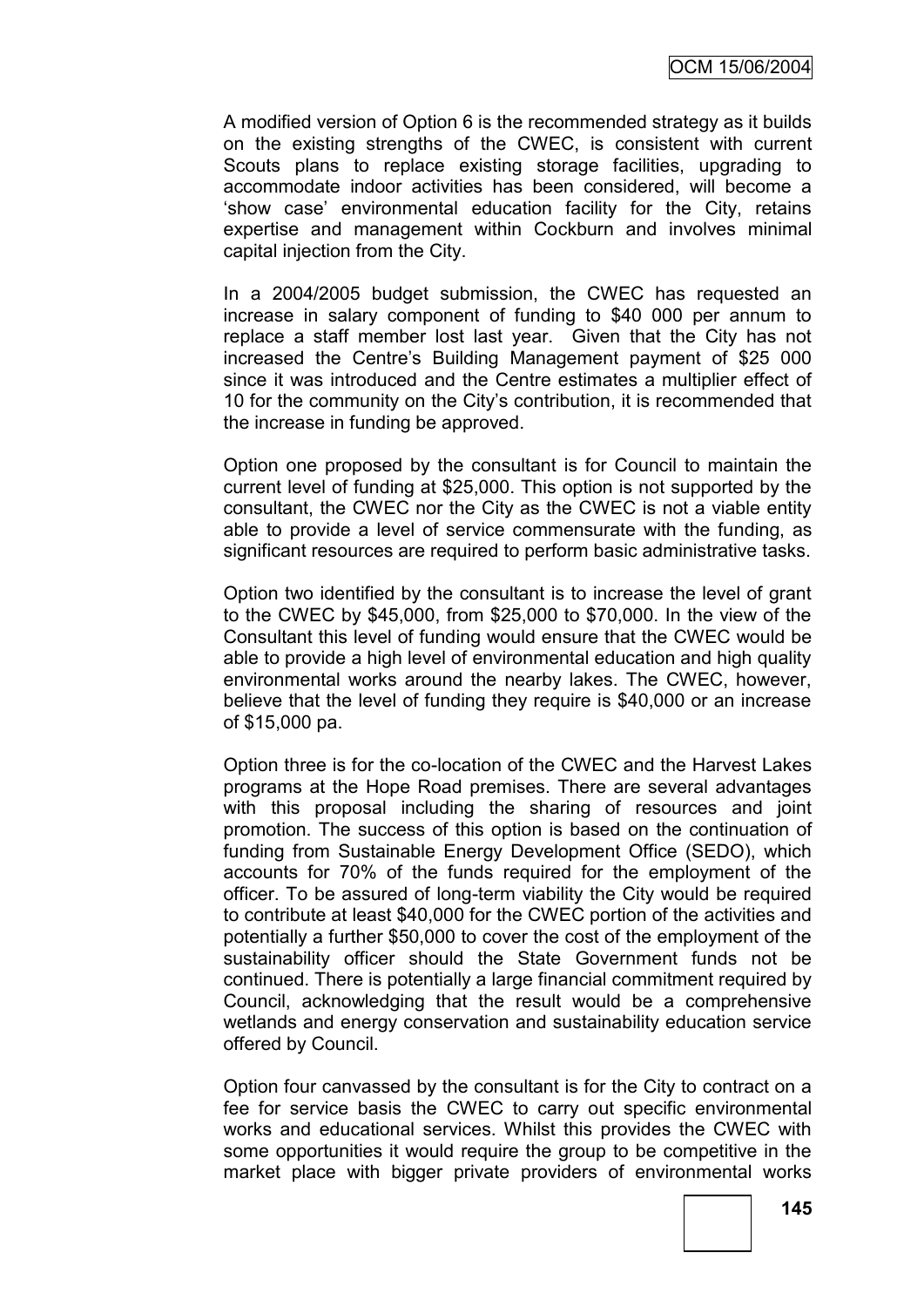A modified version of Option 6 is the recommended strategy as it builds on the existing strengths of the CWEC, is consistent with current Scouts plans to replace existing storage facilities, upgrading to accommodate indoor activities has been considered, will become a "show case" environmental education facility for the City, retains expertise and management within Cockburn and involves minimal capital injection from the City.

In a 2004/2005 budget submission, the CWEC has requested an increase in salary component of funding to \$40 000 per annum to replace a staff member lost last year. Given that the City has not increased the Centre's Building Management payment of \$25 000 since it was introduced and the Centre estimates a multiplier effect of 10 for the community on the City"s contribution, it is recommended that the increase in funding be approved.

Option one proposed by the consultant is for Council to maintain the current level of funding at \$25,000. This option is not supported by the consultant, the CWEC nor the City as the CWEC is not a viable entity able to provide a level of service commensurate with the funding, as significant resources are required to perform basic administrative tasks.

Option two identified by the consultant is to increase the level of grant to the CWEC by \$45,000, from \$25,000 to \$70,000. In the view of the Consultant this level of funding would ensure that the CWEC would be able to provide a high level of environmental education and high quality environmental works around the nearby lakes. The CWEC, however, believe that the level of funding they require is \$40,000 or an increase of \$15,000 pa.

Option three is for the co-location of the CWEC and the Harvest Lakes programs at the Hope Road premises. There are several advantages with this proposal including the sharing of resources and joint promotion. The success of this option is based on the continuation of funding from Sustainable Energy Development Office (SEDO), which accounts for 70% of the funds required for the employment of the officer. To be assured of long-term viability the City would be required to contribute at least \$40,000 for the CWEC portion of the activities and potentially a further \$50,000 to cover the cost of the employment of the sustainability officer should the State Government funds not be continued. There is potentially a large financial commitment required by Council, acknowledging that the result would be a comprehensive wetlands and energy conservation and sustainability education service offered by Council.

Option four canvassed by the consultant is for the City to contract on a fee for service basis the CWEC to carry out specific environmental works and educational services. Whilst this provides the CWEC with some opportunities it would require the group to be competitive in the market place with bigger private providers of environmental works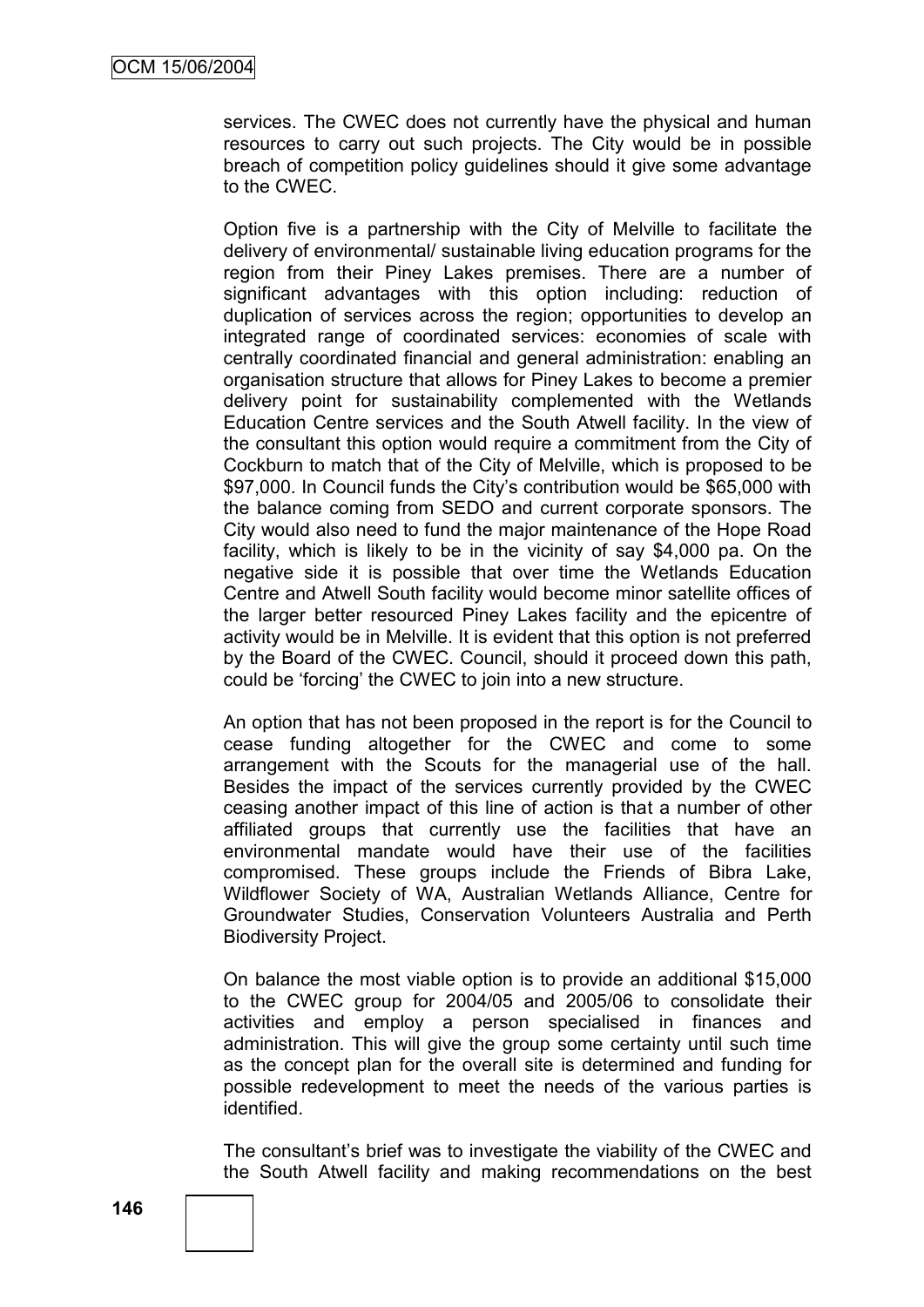services. The CWEC does not currently have the physical and human resources to carry out such projects. The City would be in possible breach of competition policy guidelines should it give some advantage to the CWEC.

Option five is a partnership with the City of Melville to facilitate the delivery of environmental/ sustainable living education programs for the region from their Piney Lakes premises. There are a number of significant advantages with this option including: reduction of duplication of services across the region; opportunities to develop an integrated range of coordinated services: economies of scale with centrally coordinated financial and general administration: enabling an organisation structure that allows for Piney Lakes to become a premier delivery point for sustainability complemented with the Wetlands Education Centre services and the South Atwell facility. In the view of the consultant this option would require a commitment from the City of Cockburn to match that of the City of Melville, which is proposed to be \$97,000. In Council funds the City's contribution would be \$65,000 with the balance coming from SEDO and current corporate sponsors. The City would also need to fund the major maintenance of the Hope Road facility, which is likely to be in the vicinity of say \$4,000 pa. On the negative side it is possible that over time the Wetlands Education Centre and Atwell South facility would become minor satellite offices of the larger better resourced Piney Lakes facility and the epicentre of activity would be in Melville. It is evident that this option is not preferred by the Board of the CWEC. Council, should it proceed down this path, could be "forcing" the CWEC to join into a new structure.

An option that has not been proposed in the report is for the Council to cease funding altogether for the CWEC and come to some arrangement with the Scouts for the managerial use of the hall. Besides the impact of the services currently provided by the CWEC ceasing another impact of this line of action is that a number of other affiliated groups that currently use the facilities that have an environmental mandate would have their use of the facilities compromised. These groups include the Friends of Bibra Lake, Wildflower Society of WA, Australian Wetlands Alliance, Centre for Groundwater Studies, Conservation Volunteers Australia and Perth Biodiversity Project.

On balance the most viable option is to provide an additional \$15,000 to the CWEC group for 2004/05 and 2005/06 to consolidate their activities and employ a person specialised in finances and administration. This will give the group some certainty until such time as the concept plan for the overall site is determined and funding for possible redevelopment to meet the needs of the various parties is identified.

The consultant's brief was to investigate the viability of the CWEC and the South Atwell facility and making recommendations on the best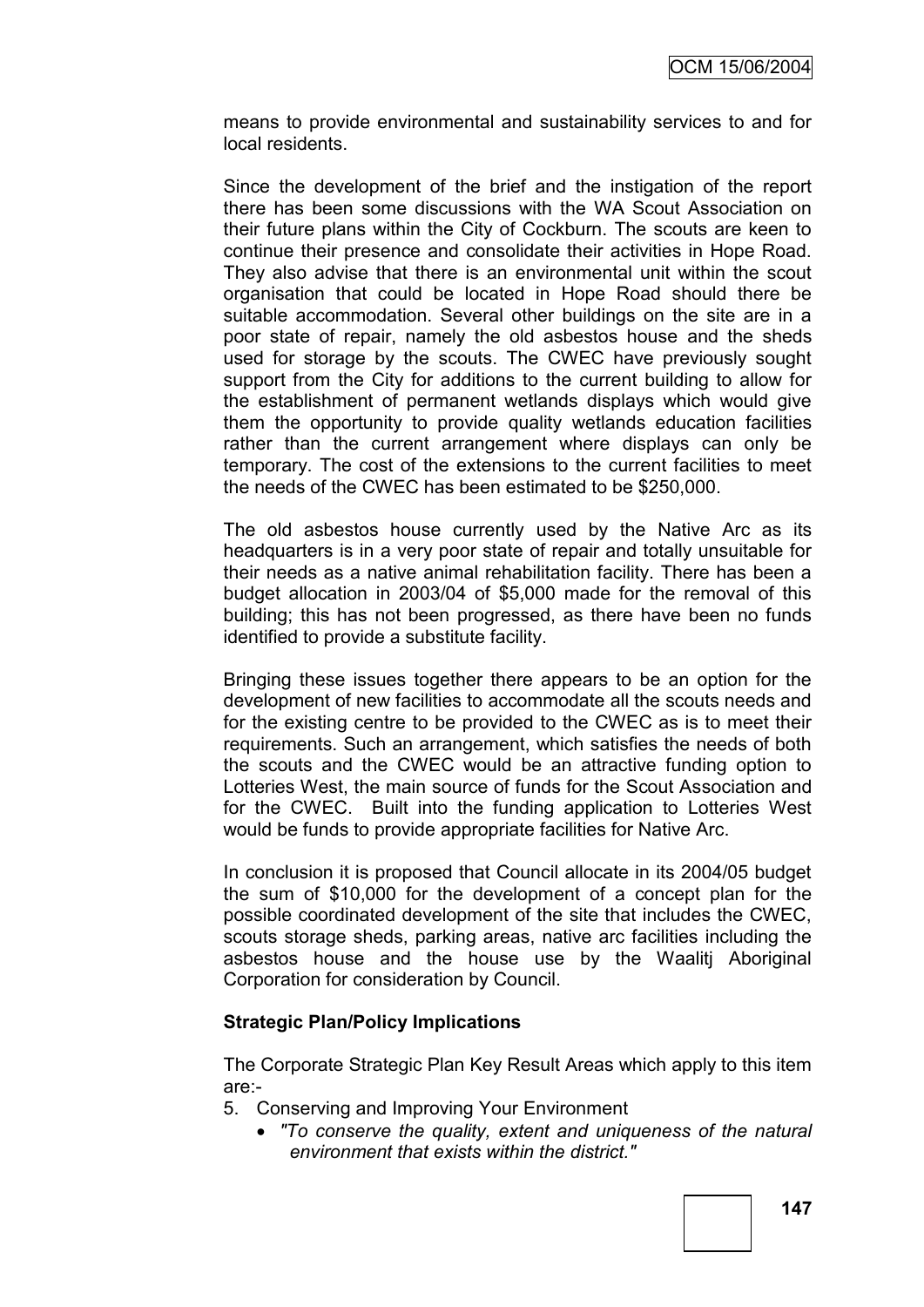means to provide environmental and sustainability services to and for local residents.

Since the development of the brief and the instigation of the report there has been some discussions with the WA Scout Association on their future plans within the City of Cockburn. The scouts are keen to continue their presence and consolidate their activities in Hope Road. They also advise that there is an environmental unit within the scout organisation that could be located in Hope Road should there be suitable accommodation. Several other buildings on the site are in a poor state of repair, namely the old asbestos house and the sheds used for storage by the scouts. The CWEC have previously sought support from the City for additions to the current building to allow for the establishment of permanent wetlands displays which would give them the opportunity to provide quality wetlands education facilities rather than the current arrangement where displays can only be temporary. The cost of the extensions to the current facilities to meet the needs of the CWEC has been estimated to be \$250,000.

The old asbestos house currently used by the Native Arc as its headquarters is in a very poor state of repair and totally unsuitable for their needs as a native animal rehabilitation facility. There has been a budget allocation in 2003/04 of \$5,000 made for the removal of this building; this has not been progressed, as there have been no funds identified to provide a substitute facility.

Bringing these issues together there appears to be an option for the development of new facilities to accommodate all the scouts needs and for the existing centre to be provided to the CWEC as is to meet their requirements. Such an arrangement, which satisfies the needs of both the scouts and the CWEC would be an attractive funding option to Lotteries West, the main source of funds for the Scout Association and for the CWEC. Built into the funding application to Lotteries West would be funds to provide appropriate facilities for Native Arc.

In conclusion it is proposed that Council allocate in its 2004/05 budget the sum of \$10,000 for the development of a concept plan for the possible coordinated development of the site that includes the CWEC, scouts storage sheds, parking areas, native arc facilities including the asbestos house and the house use by the Waalitj Aboriginal Corporation for consideration by Council.

## **Strategic Plan/Policy Implications**

The Corporate Strategic Plan Key Result Areas which apply to this item are:-

- 5. Conserving and Improving Your Environment
	- *"To conserve the quality, extent and uniqueness of the natural environment that exists within the district."*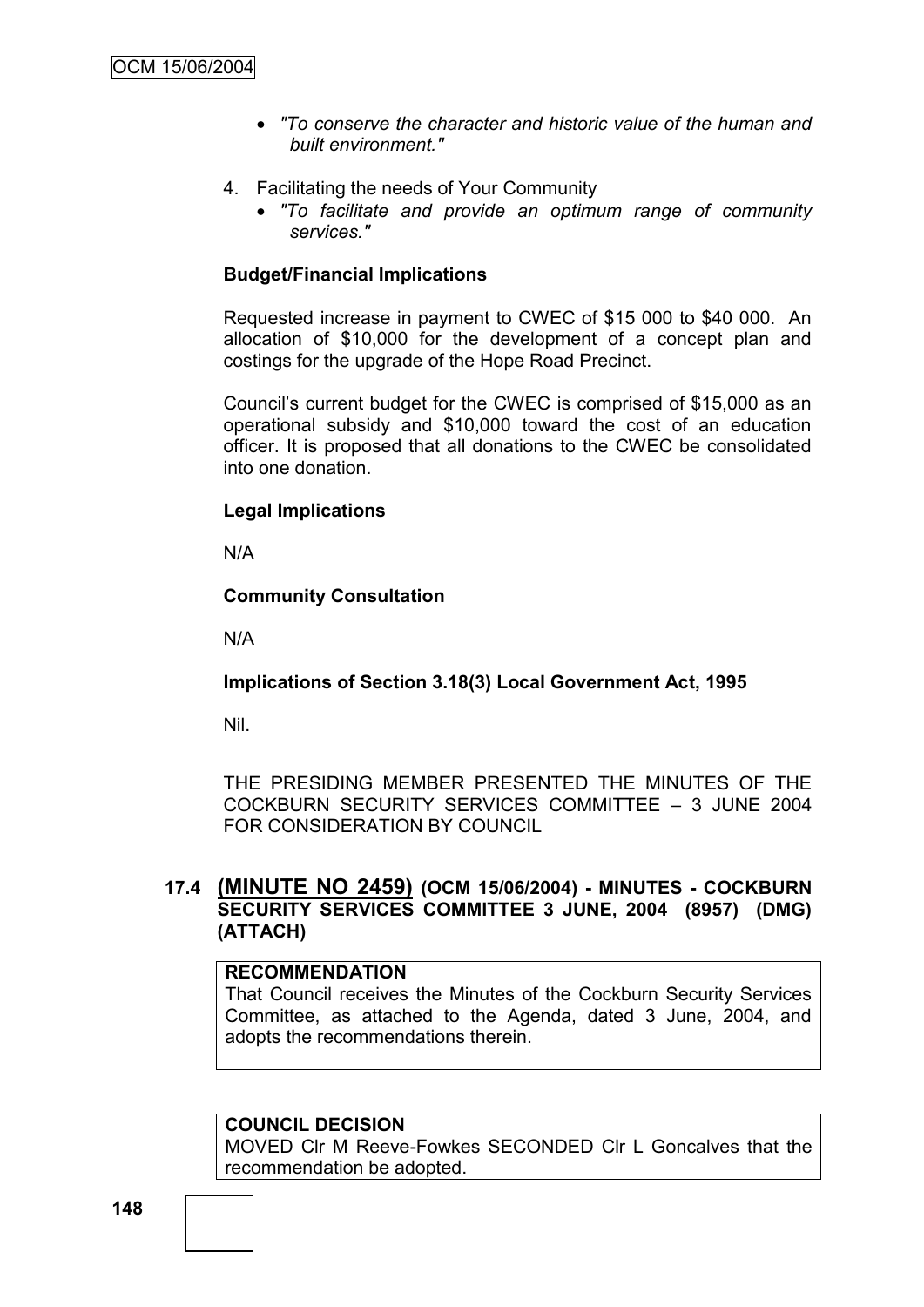- *"To conserve the character and historic value of the human and built environment."*
- 4. Facilitating the needs of Your Community
	- *"To facilitate and provide an optimum range of community services."*

## **Budget/Financial Implications**

Requested increase in payment to CWEC of \$15 000 to \$40 000. An allocation of \$10,000 for the development of a concept plan and costings for the upgrade of the Hope Road Precinct.

Council"s current budget for the CWEC is comprised of \$15,000 as an operational subsidy and \$10,000 toward the cost of an education officer. It is proposed that all donations to the CWEC be consolidated into one donation.

## **Legal Implications**

N/A

#### **Community Consultation**

N/A

## **Implications of Section 3.18(3) Local Government Act, 1995**

Nil.

THE PRESIDING MEMBER PRESENTED THE MINUTES OF THE COCKBURN SECURITY SERVICES COMMITTEE – 3 JUNE 2004 FOR CONSIDERATION BY COUNCIL

## **17.4 (MINUTE NO 2459) (OCM 15/06/2004) - MINUTES - COCKBURN SECURITY SERVICES COMMITTEE 3 JUNE, 2004 (8957) (DMG) (ATTACH)**

### **RECOMMENDATION**

That Council receives the Minutes of the Cockburn Security Services Committee, as attached to the Agenda, dated 3 June, 2004, and adopts the recommendations therein.

# **COUNCIL DECISION**

MOVED Clr M Reeve-Fowkes SECONDED Clr L Goncalves that the recommendation be adopted.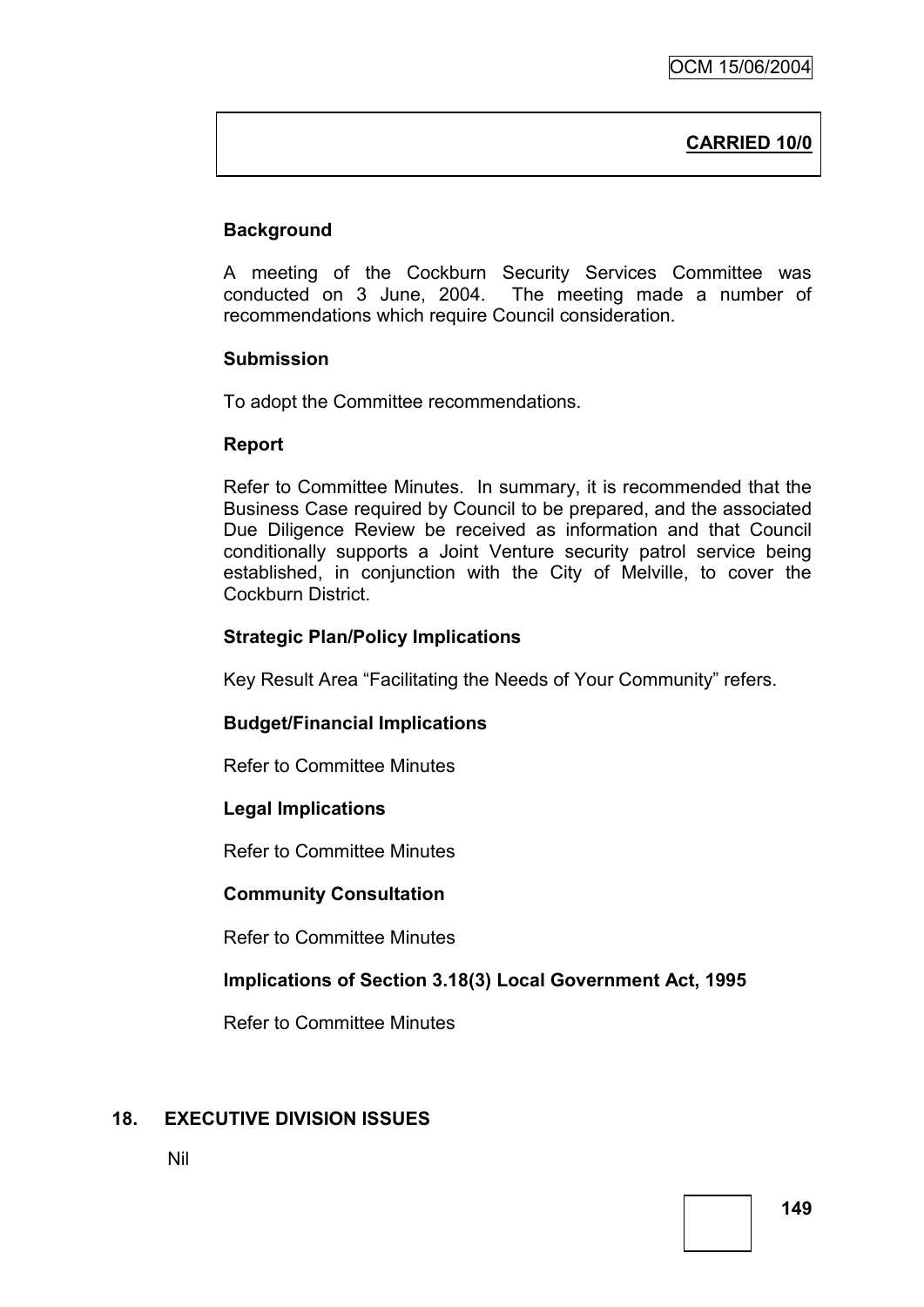# **CARRIED 10/0**

# **Background**

A meeting of the Cockburn Security Services Committee was conducted on 3 June, 2004. The meeting made a number of recommendations which require Council consideration.

#### **Submission**

To adopt the Committee recommendations.

#### **Report**

Refer to Committee Minutes. In summary, it is recommended that the Business Case required by Council to be prepared, and the associated Due Diligence Review be received as information and that Council conditionally supports a Joint Venture security patrol service being established, in conjunction with the City of Melville, to cover the Cockburn District.

## **Strategic Plan/Policy Implications**

Key Result Area "Facilitating the Needs of Your Community" refers.

## **Budget/Financial Implications**

Refer to Committee Minutes

## **Legal Implications**

Refer to Committee Minutes

## **Community Consultation**

Refer to Committee Minutes

## **Implications of Section 3.18(3) Local Government Act, 1995**

Refer to Committee Minutes

## **18. EXECUTIVE DIVISION ISSUES**

Nil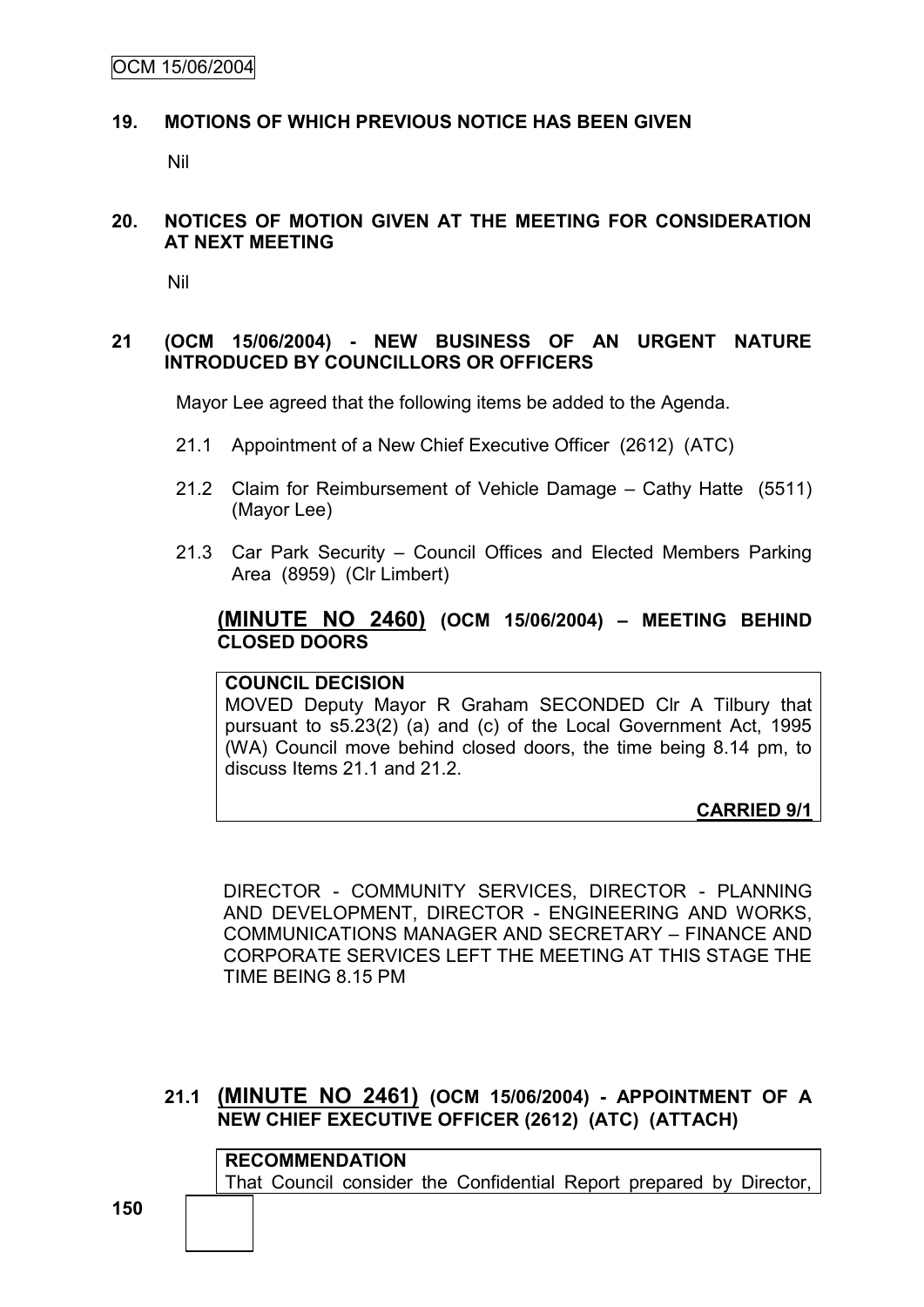## **19. MOTIONS OF WHICH PREVIOUS NOTICE HAS BEEN GIVEN**

Nil

#### **20. NOTICES OF MOTION GIVEN AT THE MEETING FOR CONSIDERATION AT NEXT MEETING**

Nil

### **21 (OCM 15/06/2004) - NEW BUSINESS OF AN URGENT NATURE INTRODUCED BY COUNCILLORS OR OFFICERS**

Mayor Lee agreed that the following items be added to the Agenda.

- 21.1 Appointment of a New Chief Executive Officer (2612) (ATC)
- 21.2 Claim for Reimbursement of Vehicle Damage Cathy Hatte (5511) (Mayor Lee)
- 21.3 Car Park Security Council Offices and Elected Members Parking Area (8959) (Clr Limbert)

## **(MINUTE NO 2460) (OCM 15/06/2004) – MEETING BEHIND CLOSED DOORS**

## **COUNCIL DECISION**

MOVED Deputy Mayor R Graham SECONDED Clr A Tilbury that pursuant to s5.23(2) (a) and (c) of the Local Government Act, 1995 (WA) Council move behind closed doors, the time being 8.14 pm, to discuss Items 21.1 and 21.2.

**CARRIED 9/1**

DIRECTOR - COMMUNITY SERVICES, DIRECTOR - PLANNING AND DEVELOPMENT, DIRECTOR - ENGINEERING AND WORKS, COMMUNICATIONS MANAGER AND SECRETARY – FINANCE AND CORPORATE SERVICES LEFT THE MEETING AT THIS STAGE THE TIME BEING 8.15 PM

#### **21.1 (MINUTE NO 2461) (OCM 15/06/2004) - APPOINTMENT OF A NEW CHIEF EXECUTIVE OFFICER (2612) (ATC) (ATTACH)**

**RECOMMENDATION** That Council consider the Confidential Report prepared by Director,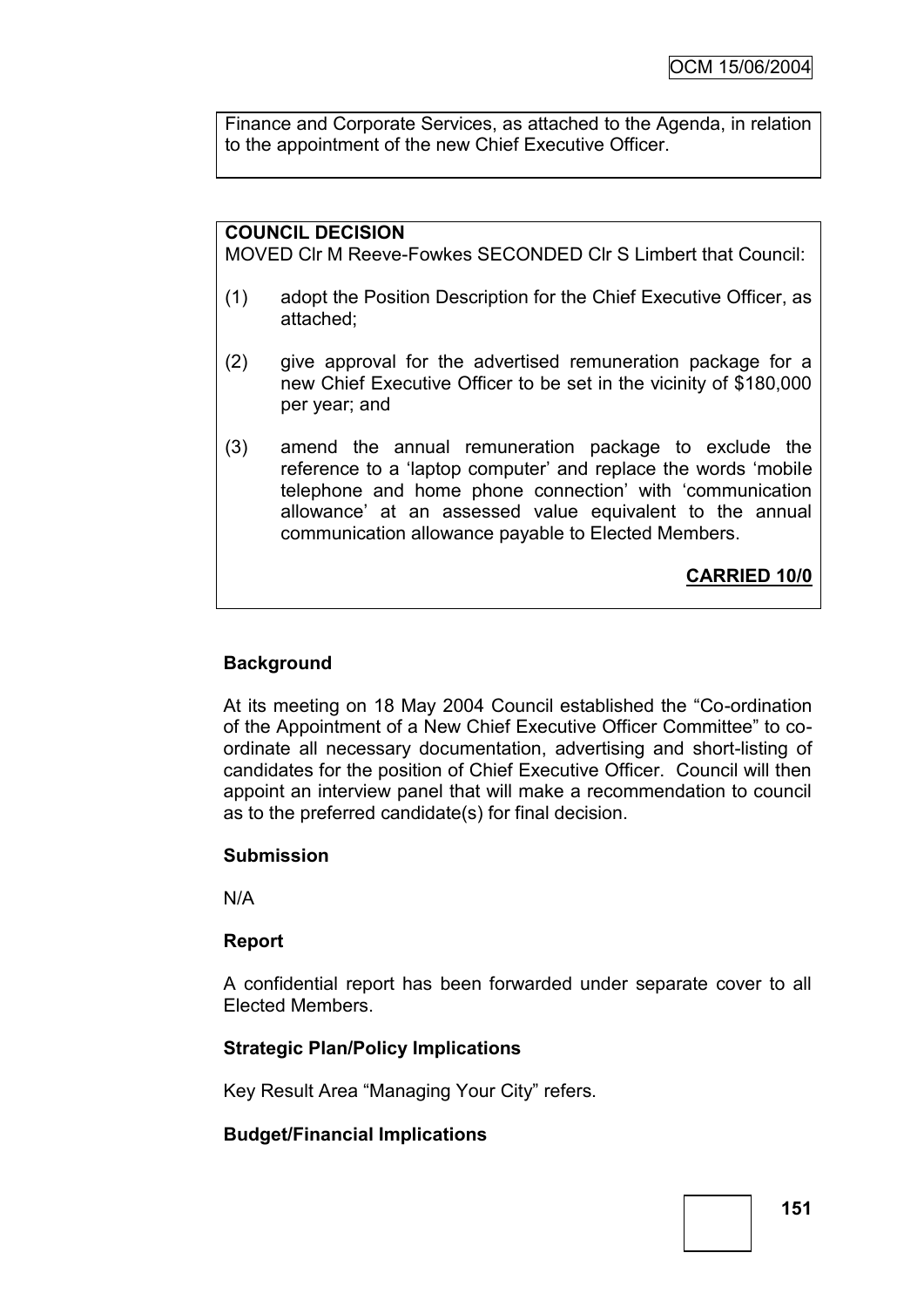Finance and Corporate Services, as attached to the Agenda, in relation to the appointment of the new Chief Executive Officer.

# **COUNCIL DECISION**

MOVED Clr M Reeve-Fowkes SECONDED Clr S Limbert that Council:

- (1) adopt the Position Description for the Chief Executive Officer, as attached;
- (2) give approval for the advertised remuneration package for a new Chief Executive Officer to be set in the vicinity of \$180,000 per year; and
- (3) amend the annual remuneration package to exclude the reference to a "laptop computer" and replace the words "mobile telephone and home phone connection" with "communication allowance" at an assessed value equivalent to the annual communication allowance payable to Elected Members.

# **CARRIED 10/0**

## **Background**

At its meeting on 18 May 2004 Council established the "Co-ordination of the Appointment of a New Chief Executive Officer Committee" to coordinate all necessary documentation, advertising and short-listing of candidates for the position of Chief Executive Officer. Council will then appoint an interview panel that will make a recommendation to council as to the preferred candidate(s) for final decision.

## **Submission**

N/A

## **Report**

A confidential report has been forwarded under separate cover to all Elected Members.

# **Strategic Plan/Policy Implications**

Key Result Area "Managing Your City" refers.

# **Budget/Financial Implications**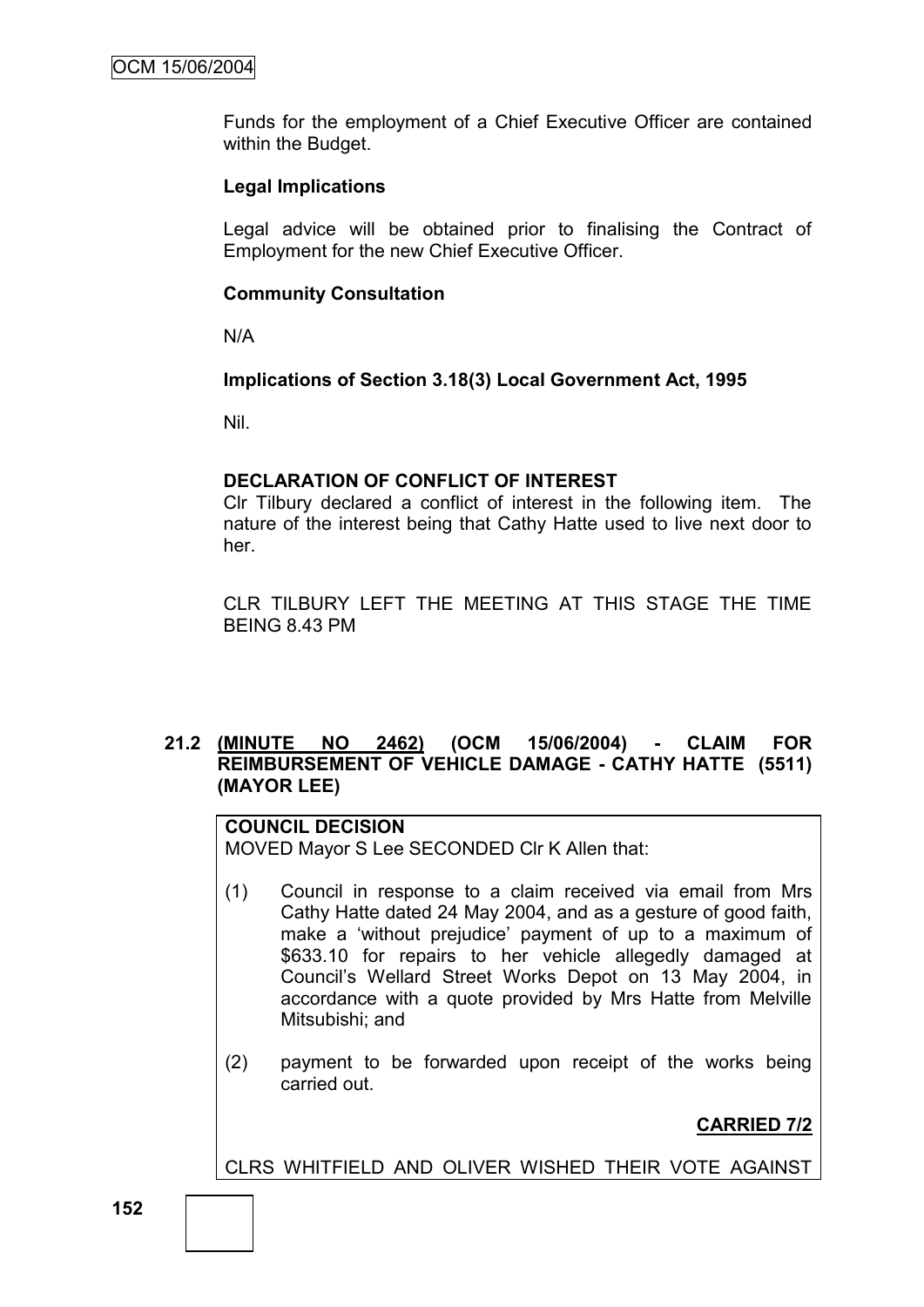Funds for the employment of a Chief Executive Officer are contained within the Budget.

### **Legal Implications**

Legal advice will be obtained prior to finalising the Contract of Employment for the new Chief Executive Officer.

### **Community Consultation**

N/A

#### **Implications of Section 3.18(3) Local Government Act, 1995**

Nil.

#### **DECLARATION OF CONFLICT OF INTEREST**

Clr Tilbury declared a conflict of interest in the following item. The nature of the interest being that Cathy Hatte used to live next door to her.

CLR TILBURY LEFT THE MEETING AT THIS STAGE THE TIME BEING 8.43 PM

## **21.2 (MINUTE NO 2462) (OCM 15/06/2004) - CLAIM FOR REIMBURSEMENT OF VEHICLE DAMAGE - CATHY HATTE (5511) (MAYOR LEE)**

# **COUNCIL DECISION**

MOVED Mayor S Lee SECONDED Clr K Allen that:

- (1) Council in response to a claim received via email from Mrs Cathy Hatte dated 24 May 2004, and as a gesture of good faith, make a "without prejudice" payment of up to a maximum of \$633.10 for repairs to her vehicle allegedly damaged at Council"s Wellard Street Works Depot on 13 May 2004, in accordance with a quote provided by Mrs Hatte from Melville Mitsubishi; and
- (2) payment to be forwarded upon receipt of the works being carried out.

**CARRIED 7/2**

CLRS WHITFIELD AND OLIVER WISHED THEIR VOTE AGAINST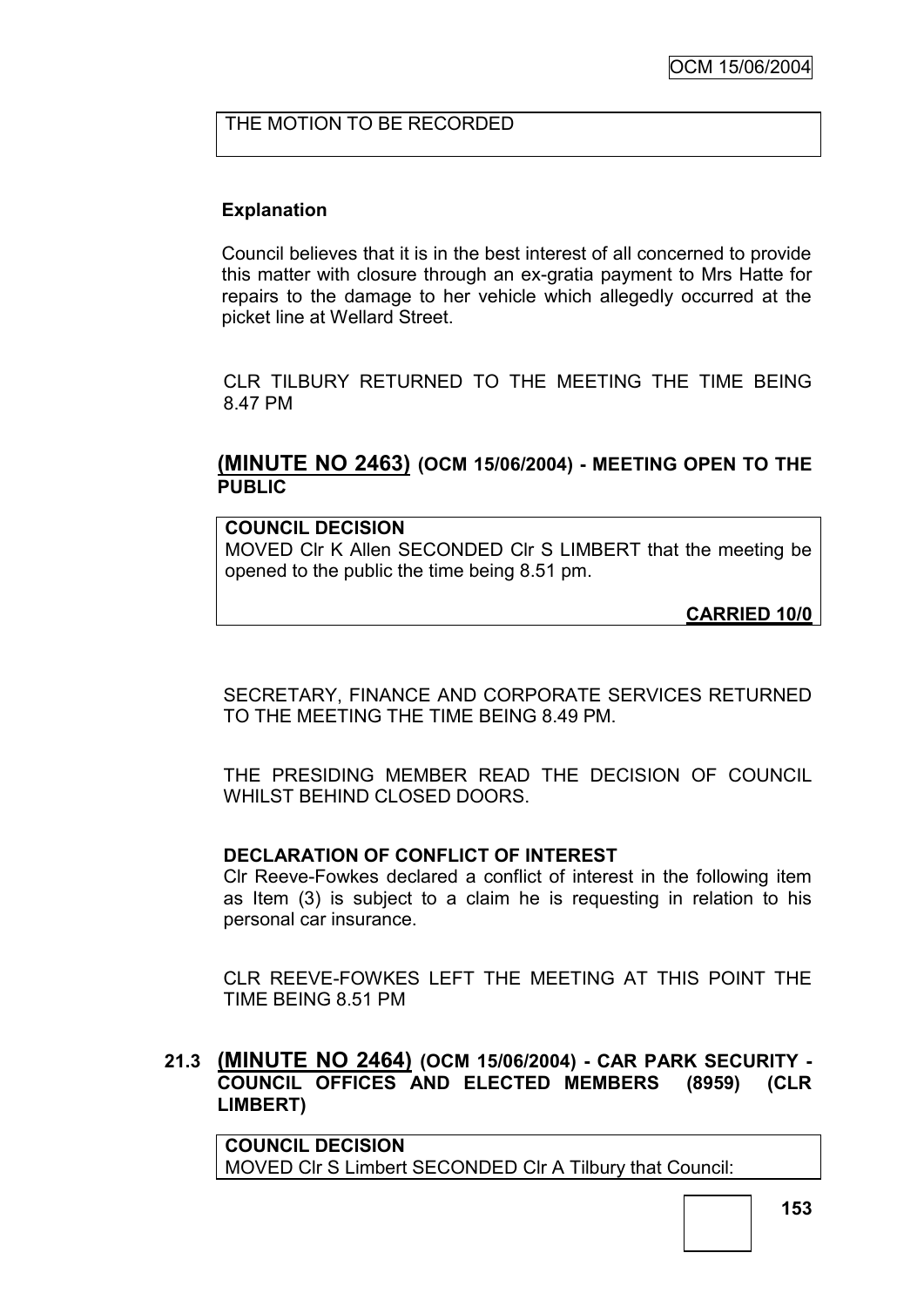## THE MOTION TO BE RECORDED

## **Explanation**

Council believes that it is in the best interest of all concerned to provide this matter with closure through an ex-gratia payment to Mrs Hatte for repairs to the damage to her vehicle which allegedly occurred at the picket line at Wellard Street.

CLR TILBURY RETURNED TO THE MEETING THE TIME BEING 8.47 PM

## **(MINUTE NO 2463) (OCM 15/06/2004) - MEETING OPEN TO THE PUBLIC**

**COUNCIL DECISION** MOVED Clr K Allen SECONDED Clr S LIMBERT that the meeting be opened to the public the time being 8.51 pm.

**CARRIED 10/0**

SECRETARY, FINANCE AND CORPORATE SERVICES RETURNED TO THE MEETING THE TIME BEING 8.49 PM.

THE PRESIDING MEMBER READ THE DECISION OF COUNCIL WHILST BEHIND CLOSED DOORS.

## **DECLARATION OF CONFLICT OF INTEREST**

Clr Reeve-Fowkes declared a conflict of interest in the following item as Item (3) is subject to a claim he is requesting in relation to his personal car insurance.

CLR REEVE-FOWKES LEFT THE MEETING AT THIS POINT THE TIME BEING 8.51 PM

## **21.3 (MINUTE NO 2464) (OCM 15/06/2004) - CAR PARK SECURITY - COUNCIL OFFICES AND ELECTED MEMBERS (8959) (CLR LIMBERT)**

**COUNCIL DECISION** MOVED Clr S Limbert SECONDED Clr A Tilbury that Council: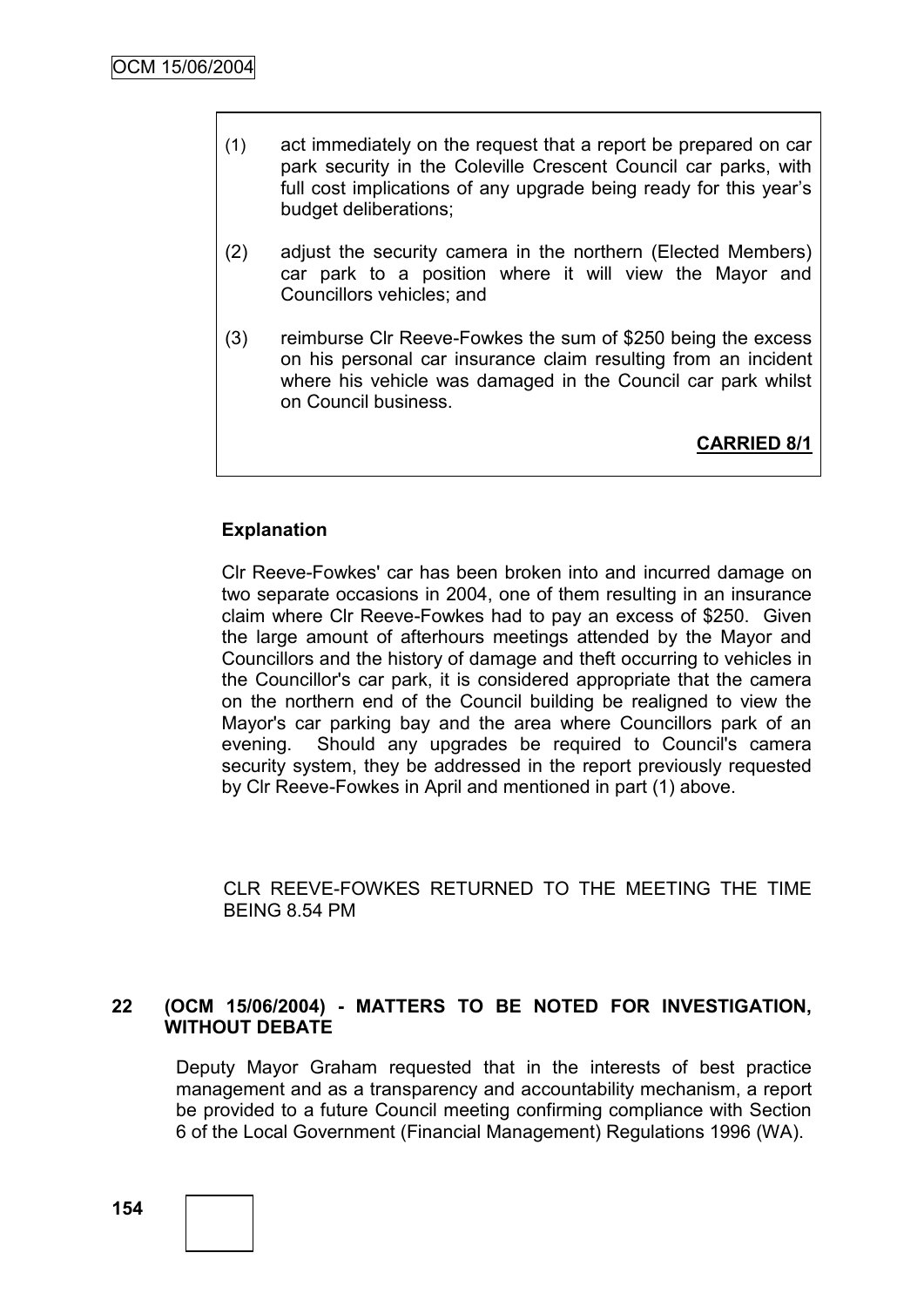- (1) act immediately on the request that a report be prepared on car park security in the Coleville Crescent Council car parks, with full cost implications of any upgrade being ready for this year's budget deliberations;
- (2) adjust the security camera in the northern (Elected Members) car park to a position where it will view the Mayor and Councillors vehicles; and
- (3) reimburse Clr Reeve-Fowkes the sum of \$250 being the excess on his personal car insurance claim resulting from an incident where his vehicle was damaged in the Council car park whilst on Council business.

**CARRIED 8/1**

## **Explanation**

Clr Reeve-Fowkes' car has been broken into and incurred damage on two separate occasions in 2004, one of them resulting in an insurance claim where Clr Reeve-Fowkes had to pay an excess of \$250. Given the large amount of afterhours meetings attended by the Mayor and Councillors and the history of damage and theft occurring to vehicles in the Councillor's car park, it is considered appropriate that the camera on the northern end of the Council building be realigned to view the Mayor's car parking bay and the area where Councillors park of an evening. Should any upgrades be required to Council's camera security system, they be addressed in the report previously requested by Clr Reeve-Fowkes in April and mentioned in part (1) above.

CLR REEVE-FOWKES RETURNED TO THE MEETING THE TIME BEING 8.54 PM

#### **22 (OCM 15/06/2004) - MATTERS TO BE NOTED FOR INVESTIGATION, WITHOUT DEBATE**

Deputy Mayor Graham requested that in the interests of best practice management and as a transparency and accountability mechanism, a report be provided to a future Council meeting confirming compliance with Section 6 of the Local Government (Financial Management) Regulations 1996 (WA).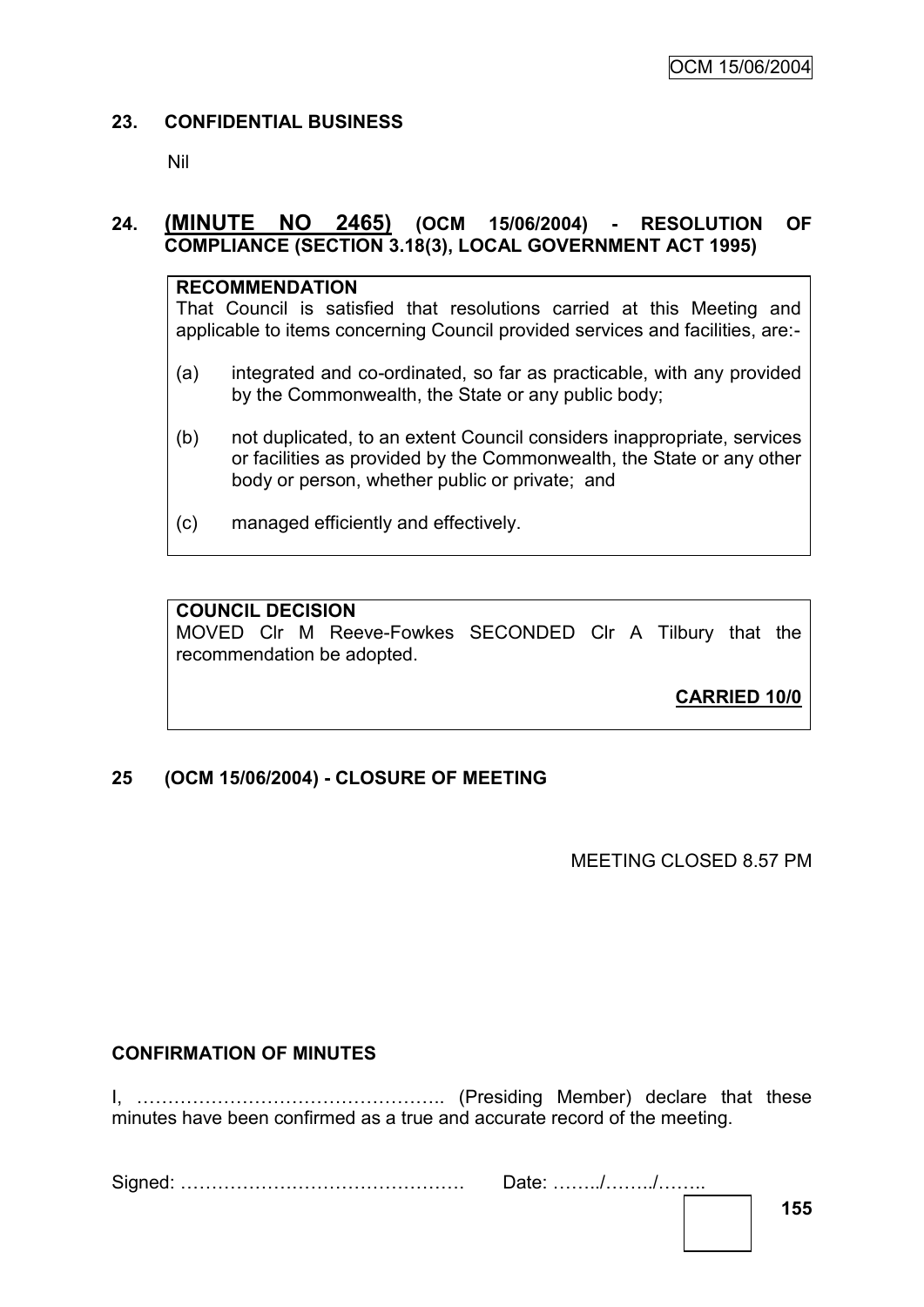## **23. CONFIDENTIAL BUSINESS**

Nil

# **24. (MINUTE NO 2465) (OCM 15/06/2004) - RESOLUTION OF COMPLIANCE (SECTION 3.18(3), LOCAL GOVERNMENT ACT 1995)**

### **RECOMMENDATION**

That Council is satisfied that resolutions carried at this Meeting and applicable to items concerning Council provided services and facilities, are:-

- (a) integrated and co-ordinated, so far as practicable, with any provided by the Commonwealth, the State or any public body;
- (b) not duplicated, to an extent Council considers inappropriate, services or facilities as provided by the Commonwealth, the State or any other body or person, whether public or private; and
- (c) managed efficiently and effectively.

# **COUNCIL DECISION**

MOVED Clr M Reeve-Fowkes SECONDED Clr A Tilbury that the recommendation be adopted.

**CARRIED 10/0**

# **25 (OCM 15/06/2004) - CLOSURE OF MEETING**

MEETING CLOSED 8.57 PM

# **CONFIRMATION OF MINUTES**

I, ………………………………………….. (Presiding Member) declare that these minutes have been confirmed as a true and accurate record of the meeting.

Signed: ………………………………………. Date: ……../……../……..